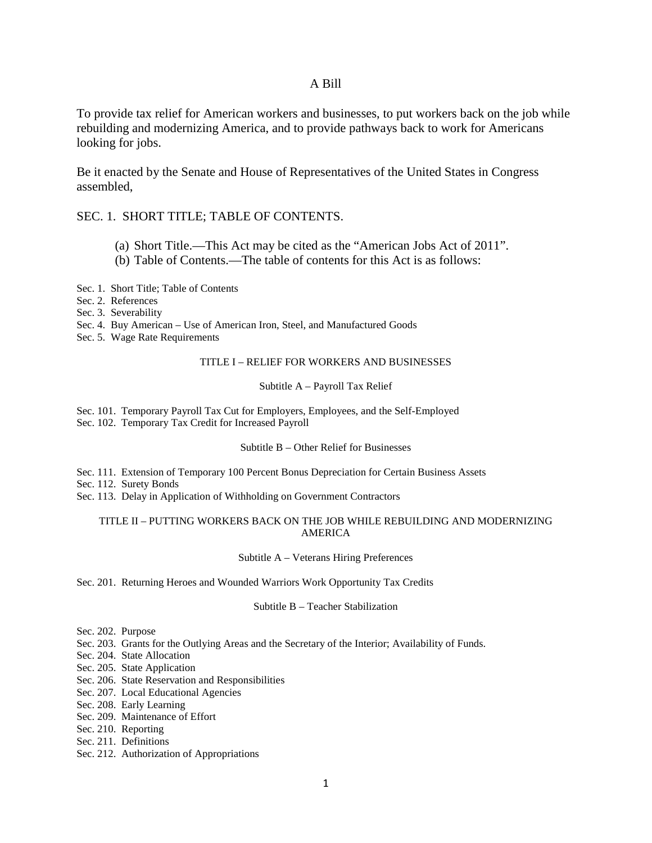## A Bill

To provide tax relief for American workers and businesses, to put workers back on the job while rebuilding and modernizing America, and to provide pathways back to work for Americans looking for jobs.

Be it enacted by the Senate and House of Representatives of the United States in Congress assembled,

## SEC. 1. SHORT TITLE; TABLE OF CONTENTS.

- (a) Short Title.—This Act may be cited as the "American Jobs Act of 2011".
- (b) Table of Contents.—The table of contents for this Act is as follows:

Sec. 1. Short Title; Table of Contents

Sec. 2. References

Sec. 3. Severability

Sec. 4. Buy American – Use of American Iron, Steel, and Manufactured Goods

Sec. 5. Wage Rate Requirements

### TITLE I – RELIEF FOR WORKERS AND BUSINESSES

### Subtitle A – Payroll Tax Relief

Sec. 101. Temporary Payroll Tax Cut for Employers, Employees, and the Self-Employed Sec. 102. Temporary Tax Credit for Increased Payroll

### Subtitle B – Other Relief for Businesses

Sec. 111. Extension of Temporary 100 Percent Bonus Depreciation for Certain Business Assets

Sec. 112. Surety Bonds

Sec. 113. Delay in Application of Withholding on Government Contractors

### TITLE II – PUTTING WORKERS BACK ON THE JOB WHILE REBUILDING AND MODERNIZING AMERICA

Subtitle A – Veterans Hiring Preferences

Sec. 201. Returning Heroes and Wounded Warriors Work Opportunity Tax Credits

### Subtitle B – Teacher Stabilization

Sec. 202. Purpose

Sec. 203. Grants for the Outlying Areas and the Secretary of the Interior; Availability of Funds.

- Sec. 204. State Allocation
- Sec. 205. State Application
- Sec. 206. State Reservation and Responsibilities
- Sec. 207. Local Educational Agencies
- Sec. 208. Early Learning
- Sec. 209. Maintenance of Effort
- Sec. 210. Reporting
- Sec. 211. Definitions
- Sec. 212. Authorization of Appropriations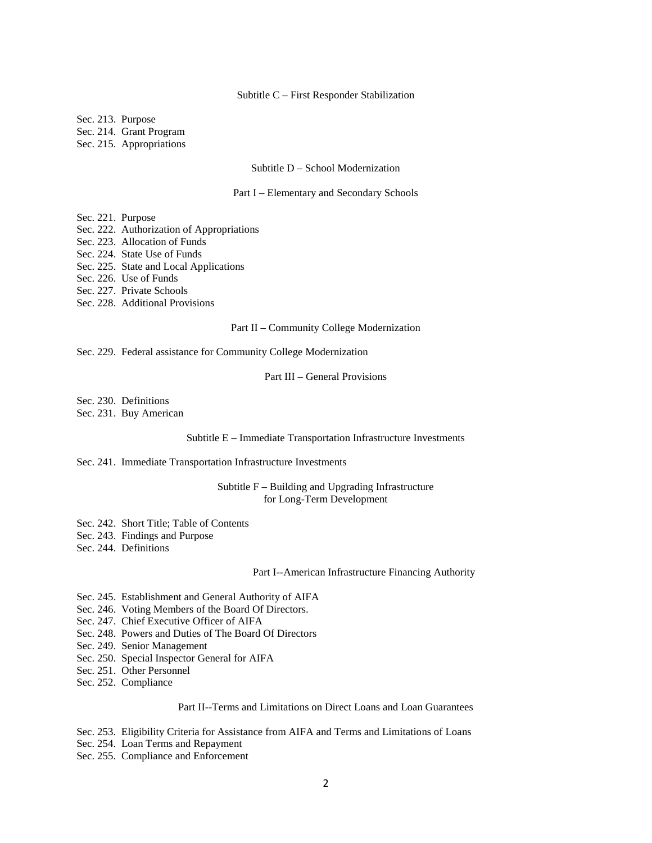#### Subtitle C – First Responder Stabilization

Sec. 213. Purpose

Sec. 214. Grant Program

Sec. 215. Appropriations

#### Subtitle D – School Modernization

#### Part I – Elementary and Secondary Schools

Sec. 221. Purpose

- Sec. 222. Authorization of Appropriations
- Sec. 223. Allocation of Funds
- Sec. 224. State Use of Funds
- Sec. 225. State and Local Applications

Sec. 226. Use of Funds

Sec. 227. Private Schools

Sec. 228. Additional Provisions

#### Part II – Community College Modernization

Sec. 229. Federal assistance for Community College Modernization

Part III – General Provisions

Sec. 230. Definitions

Sec. 231. Buy American

#### Subtitle E – Immediate Transportation Infrastructure Investments

### Sec. 241. Immediate Transportation Infrastructure Investments

### Subtitle F – Building and Upgrading Infrastructure for Long-Term Development

- Sec. 242. Short Title; Table of Contents
- Sec. 243. Findings and Purpose
- Sec. 244. Definitions

#### Part I--American Infrastructure Financing Authority

- Sec. 245. Establishment and General Authority of AIFA
- Sec. 246. Voting Members of the Board Of Directors.

Sec. 247. Chief Executive Officer of AIFA

- Sec. 248. Powers and Duties of The Board Of Directors
- Sec. 249. Senior Management
- Sec. 250. Special Inspector General for AIFA

Sec. 251. Other Personnel

Sec. 252. Compliance

#### Part II--Terms and Limitations on Direct Loans and Loan Guarantees

Sec. 253. Eligibility Criteria for Assistance from AIFA and Terms and Limitations of Loans

Sec. 254. Loan Terms and Repayment

Sec. 255. Compliance and Enforcement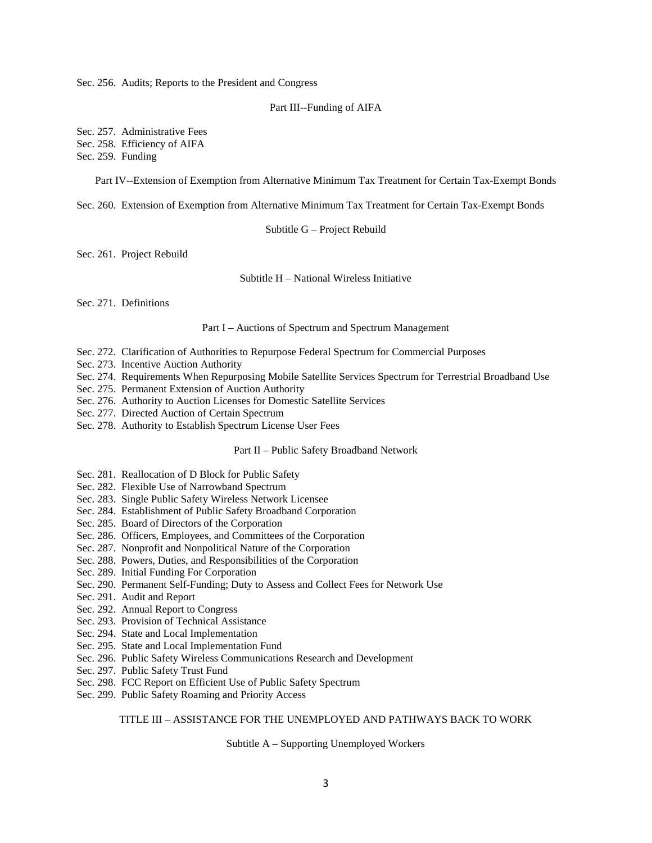Sec. 256. Audits; Reports to the President and Congress

#### Part III--Funding of AIFA

Sec. 257. Administrative Fees Sec. 258. Efficiency of AIFA Sec. 259. Funding

Part IV--Extension of Exemption from Alternative Minimum Tax Treatment for Certain Tax-Exempt Bonds

Sec. 260. Extension of Exemption from Alternative Minimum Tax Treatment for Certain Tax-Exempt Bonds

Subtitle G – Project Rebuild

Sec. 261. Project Rebuild

Subtitle H – National Wireless Initiative

Sec. 271. Definitions

Part I – Auctions of Spectrum and Spectrum Management

- Sec. 272. Clarification of Authorities to Repurpose Federal Spectrum for Commercial Purposes
- Sec. 273. Incentive Auction Authority
- Sec. 274. Requirements When Repurposing Mobile Satellite Services Spectrum for Terrestrial Broadband Use
- Sec. 275. Permanent Extension of Auction Authority
- Sec. 276. Authority to Auction Licenses for Domestic Satellite Services
- Sec. 277. Directed Auction of Certain Spectrum
- Sec. 278. Authority to Establish Spectrum License User Fees

### Part II – Public Safety Broadband Network

- Sec. 281. Reallocation of D Block for Public Safety
- Sec. 282. Flexible Use of Narrowband Spectrum
- Sec. 283. Single Public Safety Wireless Network Licensee
- Sec. 284. Establishment of Public Safety Broadband Corporation
- Sec. 285. Board of Directors of the Corporation
- Sec. 286. Officers, Employees, and Committees of the Corporation
- Sec. 287. Nonprofit and Nonpolitical Nature of the Corporation
- Sec. 288. Powers, Duties, and Responsibilities of the Corporation
- Sec. 289. Initial Funding For Corporation
- Sec. 290. Permanent Self-Funding; Duty to Assess and Collect Fees for Network Use
- Sec. 291. Audit and Report
- Sec. 292. Annual Report to Congress
- Sec. 293. Provision of Technical Assistance
- Sec. 294. State and Local Implementation
- Sec. 295. State and Local Implementation Fund
- Sec. 296. Public Safety Wireless Communications Research and Development
- Sec. 297. Public Safety Trust Fund
- Sec. 298. FCC Report on Efficient Use of Public Safety Spectrum
- Sec. 299. Public Safety Roaming and Priority Access

### TITLE III – ASSISTANCE FOR THE UNEMPLOYED AND PATHWAYS BACK TO WORK

Subtitle A – Supporting Unemployed Workers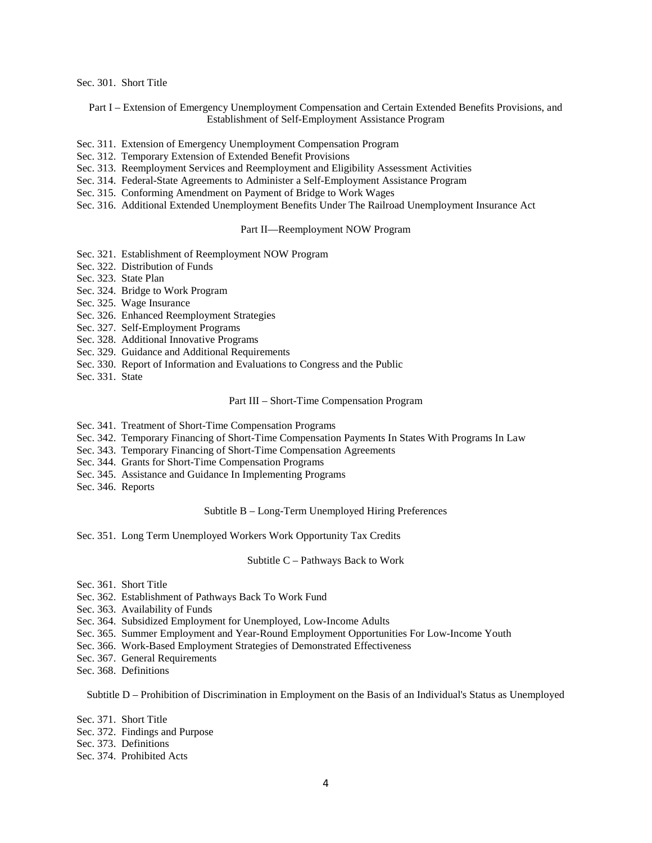Sec. 301. Short Title

Part I – Extension of Emergency Unemployment Compensation and Certain Extended Benefits Provisions, and Establishment of Self-Employment Assistance Program

- Sec. 311. Extension of Emergency Unemployment Compensation Program
- Sec. 312. Temporary Extension of Extended Benefit Provisions
- Sec. 313. Reemployment Services and Reemployment and Eligibility Assessment Activities
- Sec. 314. Federal-State Agreements to Administer a Self-Employment Assistance Program
- Sec. 315. Conforming Amendment on Payment of Bridge to Work Wages
- Sec. 316. Additional Extended Unemployment Benefits Under The Railroad Unemployment Insurance Act

#### Part II—Reemployment NOW Program

- Sec. 321. Establishment of Reemployment NOW Program
- Sec. 322. Distribution of Funds
- Sec. 323. State Plan
- Sec. 324. Bridge to Work Program
- Sec. 325. Wage Insurance
- Sec. 326. Enhanced Reemployment Strategies
- Sec. 327. Self-Employment Programs
- Sec. 328. Additional Innovative Programs
- Sec. 329. Guidance and Additional Requirements
- Sec. 330. Report of Information and Evaluations to Congress and the Public
- Sec. 331. State

#### Part III – Short-Time Compensation Program

- Sec. 341. Treatment of Short-Time Compensation Programs
- Sec. 342. Temporary Financing of Short-Time Compensation Payments In States With Programs In Law
- Sec. 343. Temporary Financing of Short-Time Compensation Agreements
- Sec. 344. Grants for Short-Time Compensation Programs
- Sec. 345. Assistance and Guidance In Implementing Programs
- Sec. 346. Reports

#### Subtitle B – Long-Term Unemployed Hiring Preferences

Sec. 351. Long Term Unemployed Workers Work Opportunity Tax Credits

#### Subtitle C – Pathways Back to Work

- Sec. 361. Short Title
- Sec. 362. Establishment of Pathways Back To Work Fund
- Sec. 363. Availability of Funds
- Sec. 364. Subsidized Employment for Unemployed, Low-Income Adults
- Sec. 365. Summer Employment and Year-Round Employment Opportunities For Low-Income Youth
- Sec. 366. Work-Based Employment Strategies of Demonstrated Effectiveness
- Sec. 367. General Requirements
- Sec. 368. Definitions

Subtitle D – Prohibition of Discrimination in Employment on the Basis of an Individual's Status as Unemployed

- Sec. 371. Short Title
- Sec. 372. Findings and Purpose
- Sec. 373. Definitions
- Sec. 374. Prohibited Acts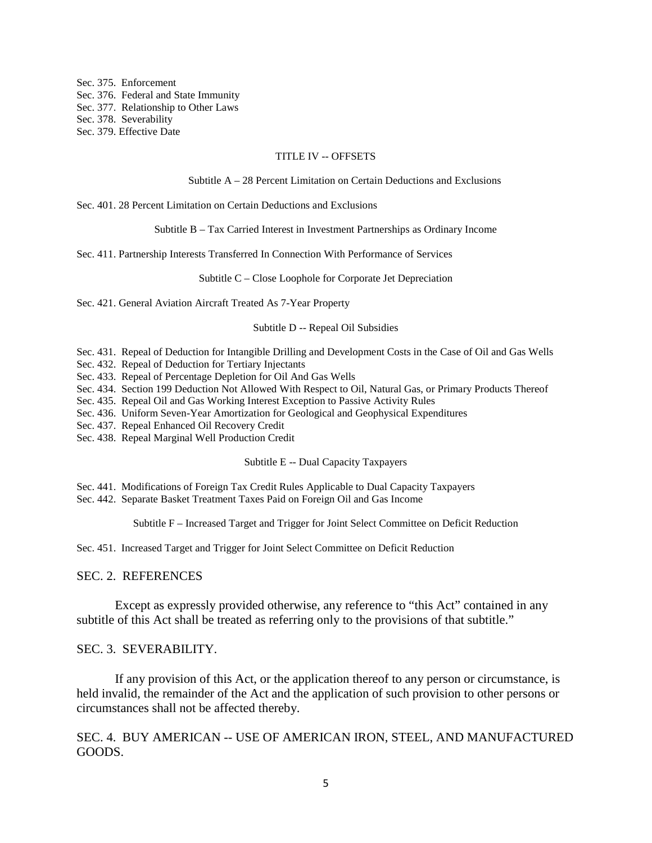Sec. 375. Enforcement Sec. 376. Federal and State Immunity Sec. 377. Relationship to Other Laws Sec. 378. Severability Sec. 379. Effective Date

### TITLE IV -- OFFSETS

### Subtitle A – 28 Percent Limitation on Certain Deductions and Exclusions

Sec. 401. 28 Percent Limitation on Certain Deductions and Exclusions

Subtitle B – Tax Carried Interest in Investment Partnerships as Ordinary Income

Sec. 411. Partnership Interests Transferred In Connection With Performance of Services

Subtitle C – Close Loophole for Corporate Jet Depreciation

Sec. 421. General Aviation Aircraft Treated As 7-Year Property

### Subtitle D -- Repeal Oil Subsidies

Sec. 431. Repeal of Deduction for Intangible Drilling and Development Costs in the Case of Oil and Gas Wells

- Sec. 432. Repeal of Deduction for Tertiary Injectants
- Sec. 433. Repeal of Percentage Depletion for Oil And Gas Wells
- Sec. 434. Section 199 Deduction Not Allowed With Respect to Oil, Natural Gas, or Primary Products Thereof
- Sec. 435. Repeal Oil and Gas Working Interest Exception to Passive Activity Rules
- Sec. 436. Uniform Seven-Year Amortization for Geological and Geophysical Expenditures
- Sec. 437. Repeal Enhanced Oil Recovery Credit
- Sec. 438. Repeal Marginal Well Production Credit

### Subtitle E -- Dual Capacity Taxpayers

Sec. 441. Modifications of Foreign Tax Credit Rules Applicable to Dual Capacity Taxpayers

Sec. 442. Separate Basket Treatment Taxes Paid on Foreign Oil and Gas Income

Subtitle F – Increased Target and Trigger for Joint Select Committee on Deficit Reduction

Sec. 451. Increased Target and Trigger for Joint Select Committee on Deficit Reduction

### SEC. 2. REFERENCES

Except as expressly provided otherwise, any reference to "this Act" contained in any subtitle of this Act shall be treated as referring only to the provisions of that subtitle."

## SEC. 3. SEVERABILITY.

If any provision of this Act, or the application thereof to any person or circumstance, is held invalid, the remainder of the Act and the application of such provision to other persons or circumstances shall not be affected thereby.

SEC. 4. BUY AMERICAN -- USE OF AMERICAN IRON, STEEL, AND MANUFACTURED GOODS.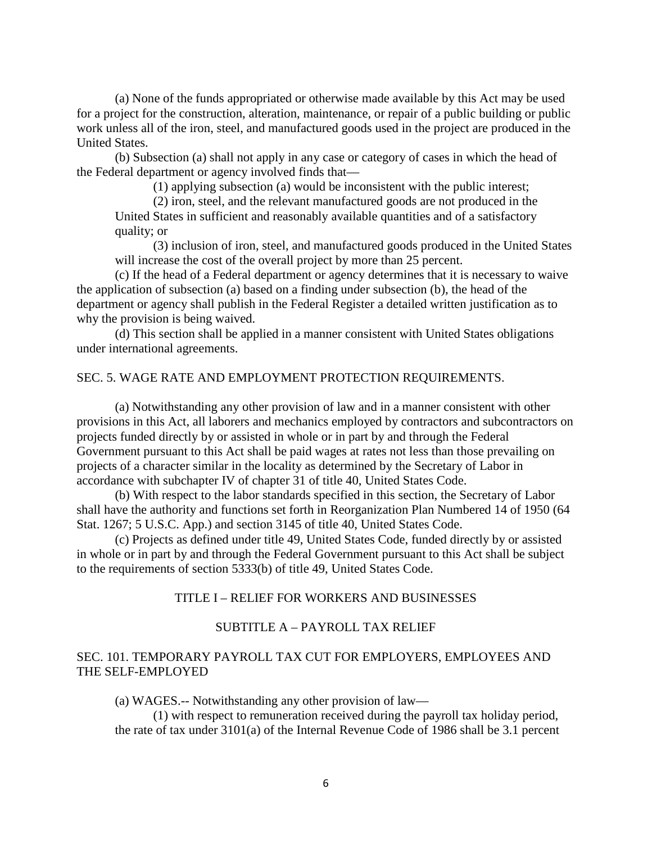(a) None of the funds appropriated or otherwise made available by this Act may be used for a project for the construction, alteration, maintenance, or repair of a public building or public work unless all of the iron, steel, and manufactured goods used in the project are produced in the United States.

(b) Subsection (a) shall not apply in any case or category of cases in which the head of the Federal department or agency involved finds that—

(1) applying subsection (a) would be inconsistent with the public interest;

(2) iron, steel, and the relevant manufactured goods are not produced in the United States in sufficient and reasonably available quantities and of a satisfactory quality; or

(3) inclusion of iron, steel, and manufactured goods produced in the United States will increase the cost of the overall project by more than 25 percent.

(c) If the head of a Federal department or agency determines that it is necessary to waive the application of subsection (a) based on a finding under subsection (b), the head of the department or agency shall publish in the Federal Register a detailed written justification as to why the provision is being waived.

(d) This section shall be applied in a manner consistent with United States obligations under international agreements.

# SEC. 5. WAGE RATE AND EMPLOYMENT PROTECTION REQUIREMENTS.

(a) Notwithstanding any other provision of law and in a manner consistent with other provisions in this Act, all laborers and mechanics employed by contractors and subcontractors on projects funded directly by or assisted in whole or in part by and through the Federal Government pursuant to this Act shall be paid wages at rates not less than those prevailing on projects of a character similar in the locality as determined by the Secretary of Labor in accordance with subchapter IV of chapter 31 of title 40, United States Code.

(b) With respect to the labor standards specified in this section, the Secretary of Labor shall have the authority and functions set forth in Reorganization Plan Numbered 14 of 1950 (64 Stat. 1267; 5 U.S.C. App.) and section 3145 of title 40, United States Code.

(c) Projects as defined under title 49, United States Code, funded directly by or assisted in whole or in part by and through the Federal Government pursuant to this Act shall be subject to the requirements of section 5333(b) of title 49, United States Code.

## TITLE I – RELIEF FOR WORKERS AND BUSINESSES

# SUBTITLE A – PAYROLL TAX RELIEF

# SEC. 101. TEMPORARY PAYROLL TAX CUT FOR EMPLOYERS, EMPLOYEES AND THE SELF-EMPLOYED

(a) WAGES.-- Notwithstanding any other provision of law—

(1) with respect to remuneration received during the payroll tax holiday period, the rate of tax under 3101(a) of the Internal Revenue Code of 1986 shall be 3.1 percent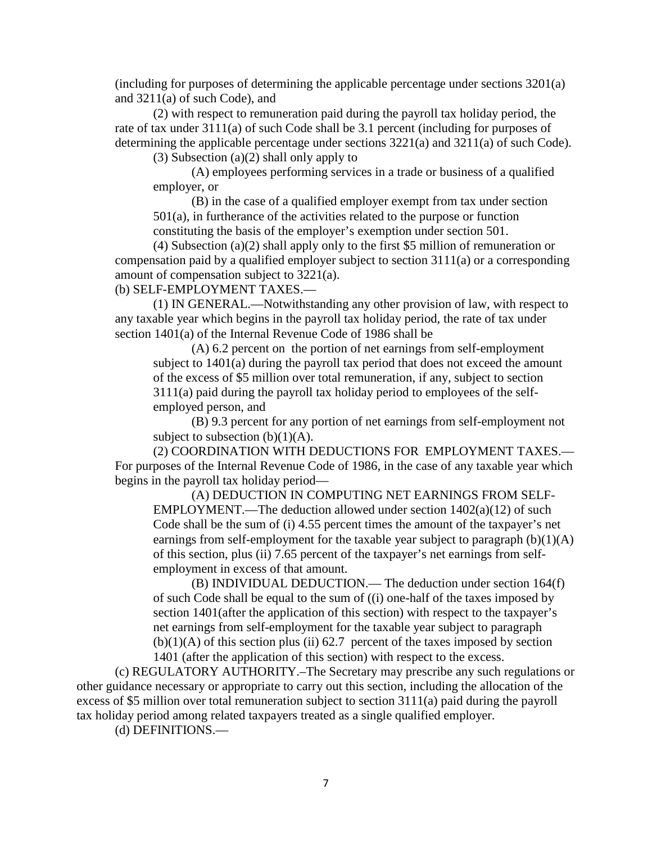(including for purposes of determining the applicable percentage under sections 3201(a) and 3211(a) of such Code), and

(2) with respect to remuneration paid during the payroll tax holiday period, the rate of tax under 3111(a) of such Code shall be 3.1 percent (including for purposes of determining the applicable percentage under sections 3221(a) and 3211(a) of such Code).

(3) Subsection (a) $(2)$  shall only apply to

(A) employees performing services in a trade or business of a qualified employer, or

(B) in the case of a qualified employer exempt from tax under section 501(a), in furtherance of the activities related to the purpose or function constituting the basis of the employer's exemption under section 501.

(4) Subsection (a)(2) shall apply only to the first \$5 million of remuneration or compensation paid by a qualified employer subject to section 3111(a) or a corresponding amount of compensation subject to 3221(a).

(b) SELF-EMPLOYMENT TAXES.—

(1) IN GENERAL.—Notwithstanding any other provision of law, with respect to any taxable year which begins in the payroll tax holiday period, the rate of tax under section 1401(a) of the Internal Revenue Code of 1986 shall be

(A) 6.2 percent on the portion of net earnings from self-employment subject to 1401(a) during the payroll tax period that does not exceed the amount of the excess of \$5 million over total remuneration, if any, subject to section 3111(a) paid during the payroll tax holiday period to employees of the selfemployed person, and

(B) 9.3 percent for any portion of net earnings from self-employment not subject to subsection  $(b)(1)(A)$ .

(2) COORDINATION WITH DEDUCTIONS FOR EMPLOYMENT TAXES.— For purposes of the Internal Revenue Code of 1986, in the case of any taxable year which begins in the payroll tax holiday period—

(A) DEDUCTION IN COMPUTING NET EARNINGS FROM SELF-EMPLOYMENT.—The deduction allowed under section  $1402(a)(12)$  of such Code shall be the sum of (i) 4.55 percent times the amount of the taxpayer's net earnings from self-employment for the taxable year subject to paragraph  $(b)(1)(A)$ of this section, plus (ii) 7.65 percent of the taxpayer's net earnings from selfemployment in excess of that amount.

(B) INDIVIDUAL DEDUCTION.— The deduction under section 164(f) of such Code shall be equal to the sum of ((i) one-half of the taxes imposed by section 1401(after the application of this section) with respect to the taxpayer's net earnings from self-employment for the taxable year subject to paragraph  $(b)(1)(A)$  of this section plus (ii) 62.7 percent of the taxes imposed by section 1401 (after the application of this section) with respect to the excess.

(c) REGULATORY AUTHORITY.–The Secretary may prescribe any such regulations or other guidance necessary or appropriate to carry out this section, including the allocation of the excess of \$5 million over total remuneration subject to section 3111(a) paid during the payroll tax holiday period among related taxpayers treated as a single qualified employer.

(d) DEFINITIONS.—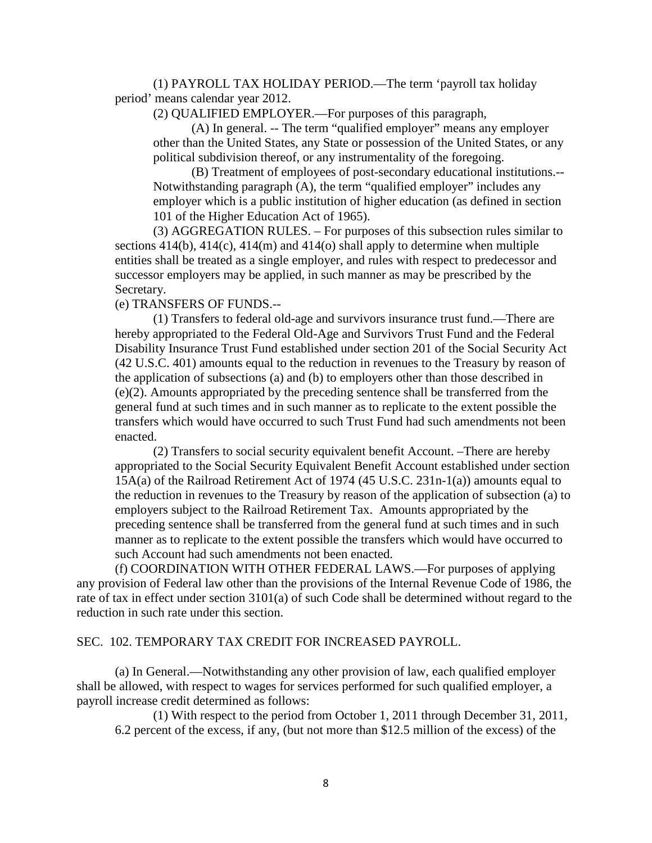(1) PAYROLL TAX HOLIDAY PERIOD.—The term 'payroll tax holiday period' means calendar year 2012.

(2) QUALIFIED EMPLOYER.—For purposes of this paragraph,

(A) In general. -- The term "qualified employer" means any employer other than the United States, any State or possession of the United States, or any political subdivision thereof, or any instrumentality of the foregoing.

(B) Treatment of employees of post-secondary educational institutions.-- Notwithstanding paragraph (A), the term "qualified employer" includes any employer which is a public institution of higher education (as defined in section 101 of the Higher Education Act of 1965).

(3) AGGREGATION RULES. – For purposes of this subsection rules similar to sections 414(b), 414(c), 414(m) and 414(o) shall apply to determine when multiple entities shall be treated as a single employer, and rules with respect to predecessor and successor employers may be applied, in such manner as may be prescribed by the Secretary.

(e) TRANSFERS OF FUNDS.--

(1) Transfers to federal old-age and survivors insurance trust fund.—There are hereby appropriated to the Federal Old-Age and Survivors Trust Fund and the Federal Disability Insurance Trust Fund established under section 201 of the Social Security Act (42 U.S.C. 401) amounts equal to the reduction in revenues to the Treasury by reason of the application of subsections (a) and (b) to employers other than those described in (e)(2). Amounts appropriated by the preceding sentence shall be transferred from the general fund at such times and in such manner as to replicate to the extent possible the transfers which would have occurred to such Trust Fund had such amendments not been enacted.

(2) Transfers to social security equivalent benefit Account. –There are hereby appropriated to the Social Security Equivalent Benefit Account established under section 15A(a) of the Railroad Retirement Act of 1974 (45 U.S.C. 231n-1(a)) amounts equal to the reduction in revenues to the Treasury by reason of the application of subsection (a) to employers subject to the Railroad Retirement Tax. Amounts appropriated by the preceding sentence shall be transferred from the general fund at such times and in such manner as to replicate to the extent possible the transfers which would have occurred to such Account had such amendments not been enacted.

(f) COORDINATION WITH OTHER FEDERAL LAWS.—For purposes of applying any provision of Federal law other than the provisions of the Internal Revenue Code of 1986, the rate of tax in effect under section 3101(a) of such Code shall be determined without regard to the reduction in such rate under this section.

## SEC. 102. TEMPORARY TAX CREDIT FOR INCREASED PAYROLL.

(a) In General.—Notwithstanding any other provision of law, each qualified employer shall be allowed, with respect to wages for services performed for such qualified employer, a payroll increase credit determined as follows:

(1) With respect to the period from October 1, 2011 through December 31, 2011, 6.2 percent of the excess, if any, (but not more than \$12.5 million of the excess) of the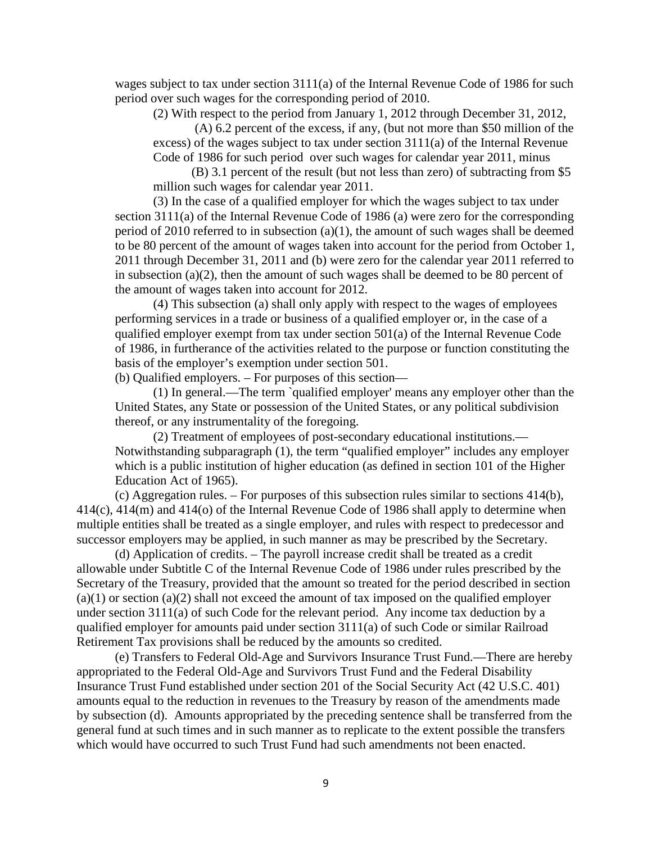wages subject to tax under section 3111(a) of the Internal Revenue Code of 1986 for such period over such wages for the corresponding period of 2010.

(2) With respect to the period from January 1, 2012 through December 31, 2012,

(A) 6.2 percent of the excess, if any, (but not more than \$50 million of the excess) of the wages subject to tax under section 3111(a) of the Internal Revenue Code of 1986 for such period over such wages for calendar year 2011, minus

(B) 3.1 percent of the result (but not less than zero) of subtracting from \$5 million such wages for calendar year 2011.

(3) In the case of a qualified employer for which the wages subject to tax under section 3111(a) of the Internal Revenue Code of 1986 (a) were zero for the corresponding period of 2010 referred to in subsection (a)(1), the amount of such wages shall be deemed to be 80 percent of the amount of wages taken into account for the period from October 1, 2011 through December 31, 2011 and (b) were zero for the calendar year 2011 referred to in subsection (a)(2), then the amount of such wages shall be deemed to be 80 percent of the amount of wages taken into account for 2012.

(4) This subsection (a) shall only apply with respect to the wages of employees performing services in a trade or business of a qualified employer or, in the case of a qualified employer exempt from tax under section 501(a) of the Internal Revenue Code of 1986, in furtherance of the activities related to the purpose or function constituting the basis of the employer's exemption under section 501.

(b) Qualified employers. – For purposes of this section—

(1) In general.—The term `qualified employer' means any employer other than the United States, any State or possession of the United States, or any political subdivision thereof, or any instrumentality of the foregoing.

(2) Treatment of employees of post-secondary educational institutions.— Notwithstanding subparagraph (1), the term "qualified employer" includes any employer which is a public institution of higher education (as defined in section 101 of the Higher Education Act of 1965).

(c) Aggregation rules. – For purposes of this subsection rules similar to sections 414(b), 414(c), 414(m) and 414(o) of the Internal Revenue Code of 1986 shall apply to determine when multiple entities shall be treated as a single employer, and rules with respect to predecessor and successor employers may be applied, in such manner as may be prescribed by the Secretary.

(d) Application of credits. – The payroll increase credit shall be treated as a credit allowable under Subtitle C of the Internal Revenue Code of 1986 under rules prescribed by the Secretary of the Treasury, provided that the amount so treated for the period described in section  $(a)(1)$  or section  $(a)(2)$  shall not exceed the amount of tax imposed on the qualified employer under section 3111(a) of such Code for the relevant period. Any income tax deduction by a qualified employer for amounts paid under section 3111(a) of such Code or similar Railroad Retirement Tax provisions shall be reduced by the amounts so credited.

(e) Transfers to Federal Old-Age and Survivors Insurance Trust Fund.—There are hereby appropriated to the Federal Old-Age and Survivors Trust Fund and the Federal Disability Insurance Trust Fund established under section 201 of the Social Security Act (42 U.S.C. 401) amounts equal to the reduction in revenues to the Treasury by reason of the amendments made by subsection (d). Amounts appropriated by the preceding sentence shall be transferred from the general fund at such times and in such manner as to replicate to the extent possible the transfers which would have occurred to such Trust Fund had such amendments not been enacted.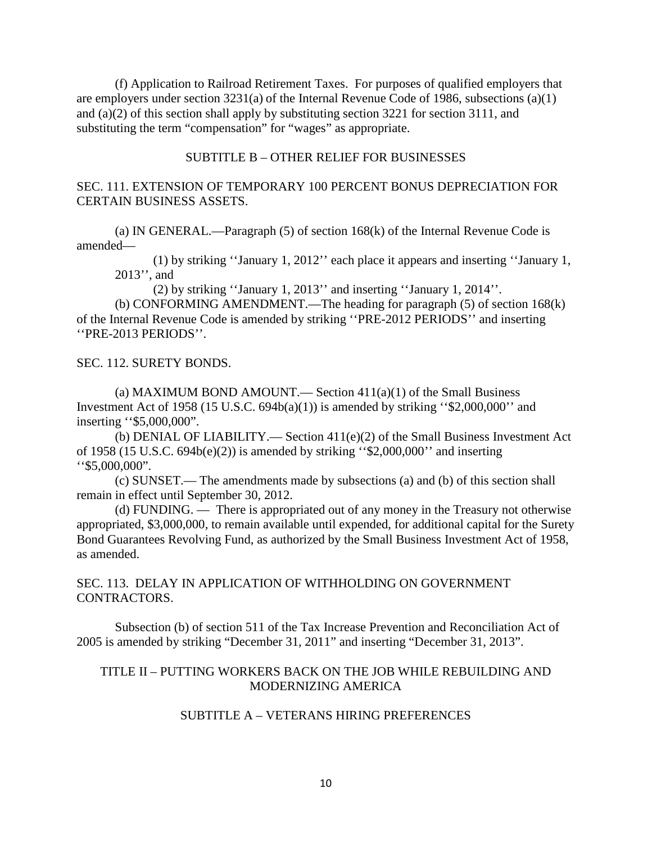(f) Application to Railroad Retirement Taxes. For purposes of qualified employers that are employers under section 3231(a) of the Internal Revenue Code of 1986, subsections (a)(1) and (a)(2) of this section shall apply by substituting section 3221 for section 3111, and substituting the term "compensation" for "wages" as appropriate.

## SUBTITLE B – OTHER RELIEF FOR BUSINESSES

# SEC. 111. EXTENSION OF TEMPORARY 100 PERCENT BONUS DEPRECIATION FOR CERTAIN BUSINESS ASSETS.

(a) IN GENERAL.—Paragraph (5) of section 168(k) of the Internal Revenue Code is amended—

(1) by striking ''January 1, 2012'' each place it appears and inserting ''January 1, 2013'', and

(2) by striking ''January 1, 2013'' and inserting ''January 1, 2014''.

(b) CONFORMING AMENDMENT.—The heading for paragraph (5) of section 168(k) of the Internal Revenue Code is amended by striking ''PRE-2012 PERIODS'' and inserting ''PRE-2013 PERIODS''.

SEC. 112. SURETY BONDS.

(a) MAXIMUM BOND AMOUNT.— Section  $411(a)(1)$  of the Small Business Investment Act of 1958 (15 U.S.C. 694b(a)(1)) is amended by striking " $$2,000,000$ " and inserting ''\$5,000,000".

(b) DENIAL OF LIABILITY.— Section 411(e)(2) of the Small Business Investment Act of 1958 (15 U.S.C. 694b(e)(2)) is amended by striking ''\$2,000,000'' and inserting ''\$5,000,000".

(c) SUNSET.— The amendments made by subsections (a) and (b) of this section shall remain in effect until September 30, 2012.

(d) FUNDING. — There is appropriated out of any money in the Treasury not otherwise appropriated, \$3,000,000, to remain available until expended, for additional capital for the Surety Bond Guarantees Revolving Fund, as authorized by the Small Business Investment Act of 1958, as amended.

SEC. 113. DELAY IN APPLICATION OF WITHHOLDING ON GOVERNMENT CONTRACTORS.

Subsection (b) of section 511 of the Tax Increase Prevention and Reconciliation Act of 2005 is amended by striking "December 31, 2011" and inserting "December 31, 2013".

# TITLE II – PUTTING WORKERS BACK ON THE JOB WHILE REBUILDING AND MODERNIZING AMERICA

## SUBTITLE A – VETERANS HIRING PREFERENCES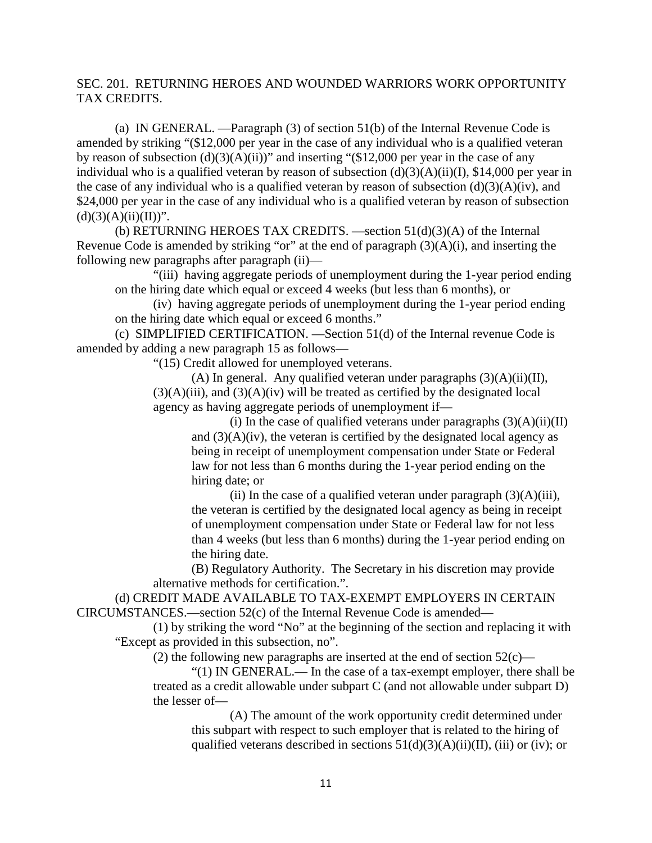# SEC. 201. RETURNING HEROES AND WOUNDED WARRIORS WORK OPPORTUNITY TAX CREDITS.

(a) IN GENERAL. —Paragraph (3) of section 51(b) of the Internal Revenue Code is amended by striking "(\$12,000 per year in the case of any individual who is a qualified veteran by reason of subsection  $(d)(3)(A)(ii)$ " and inserting "(\$12,000 per year in the case of any individual who is a qualified veteran by reason of subsection  $(d)(3)(A)(ii)(I)$ , \$14,000 per year in the case of any individual who is a qualified veteran by reason of subsection  $(d)(3)(A)(iv)$ , and \$24,000 per year in the case of any individual who is a qualified veteran by reason of subsection  $(d)(3)(A)(ii)(II))$ ".

(b) RETURNING HEROES TAX CREDITS.  $\rightarrow$  section 51(d)(3)(A) of the Internal Revenue Code is amended by striking "or" at the end of paragraph  $(3)(A)(i)$ , and inserting the following new paragraphs after paragraph (ii)—

"(iii) having aggregate periods of unemployment during the 1-year period ending on the hiring date which equal or exceed 4 weeks (but less than 6 months), or

(iv) having aggregate periods of unemployment during the 1-year period ending on the hiring date which equal or exceed 6 months."

(c) SIMPLIFIED CERTIFICATION. —Section 51(d) of the Internal revenue Code is amended by adding a new paragraph 15 as follows—

"(15) Credit allowed for unemployed veterans.

(A) In general. Any qualified veteran under paragraphs  $(3)(A)(ii)(II)$ ,  $(3)(A)(iii)$ , and  $(3)(A)(iv)$  will be treated as certified by the designated local agency as having aggregate periods of unemployment if—

(i) In the case of qualified veterans under paragraphs  $(3)(A)(ii)(II)$ and  $(3)(A)(iv)$ , the veteran is certified by the designated local agency as being in receipt of unemployment compensation under State or Federal law for not less than 6 months during the 1-year period ending on the hiring date; or

(ii) In the case of a qualified veteran under paragraph  $(3)(A)(iii)$ , the veteran is certified by the designated local agency as being in receipt of unemployment compensation under State or Federal law for not less than 4 weeks (but less than 6 months) during the 1-year period ending on the hiring date.

(B) Regulatory Authority. The Secretary in his discretion may provide alternative methods for certification.".

(d) CREDIT MADE AVAILABLE TO TAX-EXEMPT EMPLOYERS IN CERTAIN CIRCUMSTANCES.—section 52(c) of the Internal Revenue Code is amended—

(1) by striking the word "No" at the beginning of the section and replacing it with "Except as provided in this subsection, no".

(2) the following new paragraphs are inserted at the end of section  $52(c)$ —

"(1) IN GENERAL.— In the case of a tax-exempt employer, there shall be treated as a credit allowable under subpart C (and not allowable under subpart D) the lesser of—

(A) The amount of the work opportunity credit determined under this subpart with respect to such employer that is related to the hiring of qualified veterans described in sections  $51(d)(3)(A)(ii)(II)$ , (iii) or (iv); or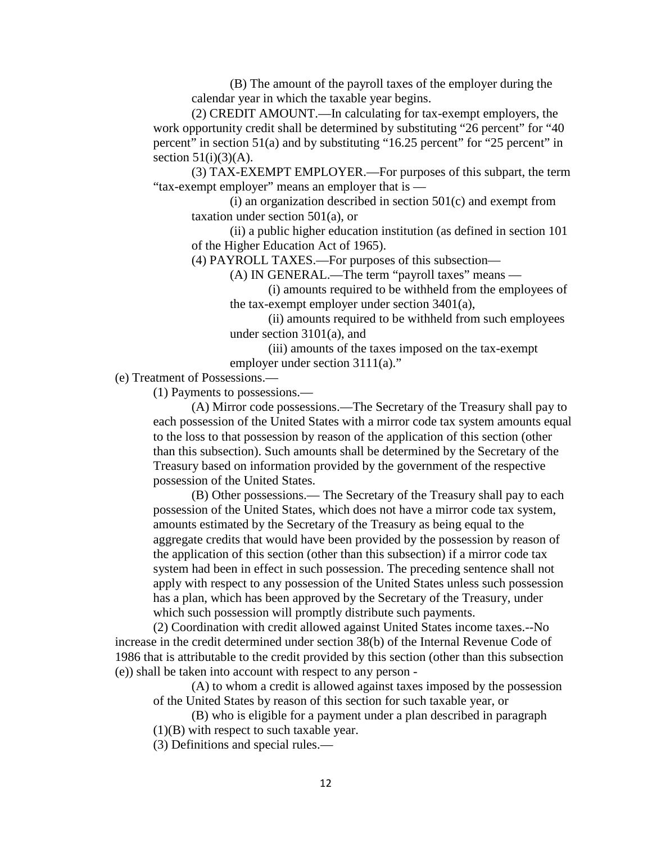(B) The amount of the payroll taxes of the employer during the calendar year in which the taxable year begins.

(2) CREDIT AMOUNT.—In calculating for tax-exempt employers, the work opportunity credit shall be determined by substituting "26 percent" for "40 percent" in section 51(a) and by substituting "16.25 percent" for "25 percent" in section  $51(i)(3)(A)$ .

(3) TAX-EXEMPT EMPLOYER.—For purposes of this subpart, the term "tax-exempt employer" means an employer that is —

 $(i)$  an organization described in section  $501(c)$  and exempt from taxation under section 501(a), or

(ii) a public higher education institution (as defined in section 101 of the Higher Education Act of 1965).

(4) PAYROLL TAXES.—For purposes of this subsection—

(A) IN GENERAL.—The term "payroll taxes" means —

(i) amounts required to be withheld from the employees of the tax-exempt employer under section 3401(a),

(ii) amounts required to be withheld from such employees under section 3101(a), and

(iii) amounts of the taxes imposed on the tax-exempt employer under section 3111(a)."

(e) Treatment of Possessions.—

(1) Payments to possessions.—

(A) Mirror code possessions.—The Secretary of the Treasury shall pay to each possession of the United States with a mirror code tax system amounts equal to the loss to that possession by reason of the application of this section (other than this subsection). Such amounts shall be determined by the Secretary of the Treasury based on information provided by the government of the respective possession of the United States.

(B) Other possessions.— The Secretary of the Treasury shall pay to each possession of the United States, which does not have a mirror code tax system, amounts estimated by the Secretary of the Treasury as being equal to the aggregate credits that would have been provided by the possession by reason of the application of this section (other than this subsection) if a mirror code tax system had been in effect in such possession. The preceding sentence shall not apply with respect to any possession of the United States unless such possession has a plan, which has been approved by the Secretary of the Treasury, under which such possession will promptly distribute such payments.

(2) Coordination with credit allowed against United States income taxes.--No increase in the credit determined under section 38(b) of the Internal Revenue Code of 1986 that is attributable to the credit provided by this section (other than this subsection (e)) shall be taken into account with respect to any person -

(A) to whom a credit is allowed against taxes imposed by the possession of the United States by reason of this section for such taxable year, or

(B) who is eligible for a payment under a plan described in paragraph (1)(B) with respect to such taxable year.

(3) Definitions and special rules.—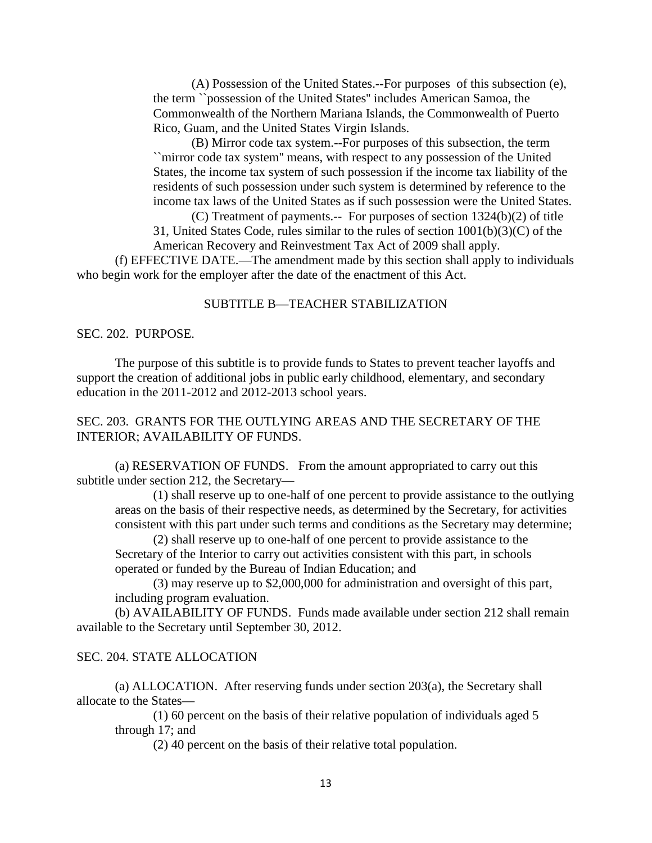(A) Possession of the United States.--For purposes of this subsection (e), the term ``possession of the United States'' includes American Samoa, the Commonwealth of the Northern Mariana Islands, the Commonwealth of Puerto Rico, Guam, and the United States Virgin Islands.

(B) Mirror code tax system.--For purposes of this subsection, the term ``mirror code tax system'' means, with respect to any possession of the United States, the income tax system of such possession if the income tax liability of the residents of such possession under such system is determined by reference to the income tax laws of the United States as if such possession were the United States.

(C) Treatment of payments.-- For purposes of section 1324(b)(2) of title

31, United States Code, rules similar to the rules of section 1001(b)(3)(C) of the American Recovery and Reinvestment Tax Act of 2009 shall apply.

(f) EFFECTIVE DATE.—The amendment made by this section shall apply to individuals who begin work for the employer after the date of the enactment of this Act.

# SUBTITLE B—TEACHER STABILIZATION

SEC. 202. PURPOSE.

The purpose of this subtitle is to provide funds to States to prevent teacher layoffs and support the creation of additional jobs in public early childhood, elementary, and secondary education in the 2011-2012 and 2012-2013 school years.

# SEC. 203. GRANTS FOR THE OUTLYING AREAS AND THE SECRETARY OF THE INTERIOR; AVAILABILITY OF FUNDS.

(a) RESERVATION OF FUNDS. From the amount appropriated to carry out this subtitle under section 212, the Secretary—

(1) shall reserve up to one-half of one percent to provide assistance to the outlying areas on the basis of their respective needs, as determined by the Secretary, for activities consistent with this part under such terms and conditions as the Secretary may determine;

(2) shall reserve up to one-half of one percent to provide assistance to the Secretary of the Interior to carry out activities consistent with this part, in schools operated or funded by the Bureau of Indian Education; and

(3) may reserve up to \$2,000,000 for administration and oversight of this part, including program evaluation.

(b) AVAILABILITY OF FUNDS. Funds made available under section 212 shall remain available to the Secretary until September 30, 2012.

# SEC. 204. STATE ALLOCATION

(a) ALLOCATION. After reserving funds under section 203(a), the Secretary shall allocate to the States—

(1) 60 percent on the basis of their relative population of individuals aged 5 through 17; and

(2) 40 percent on the basis of their relative total population.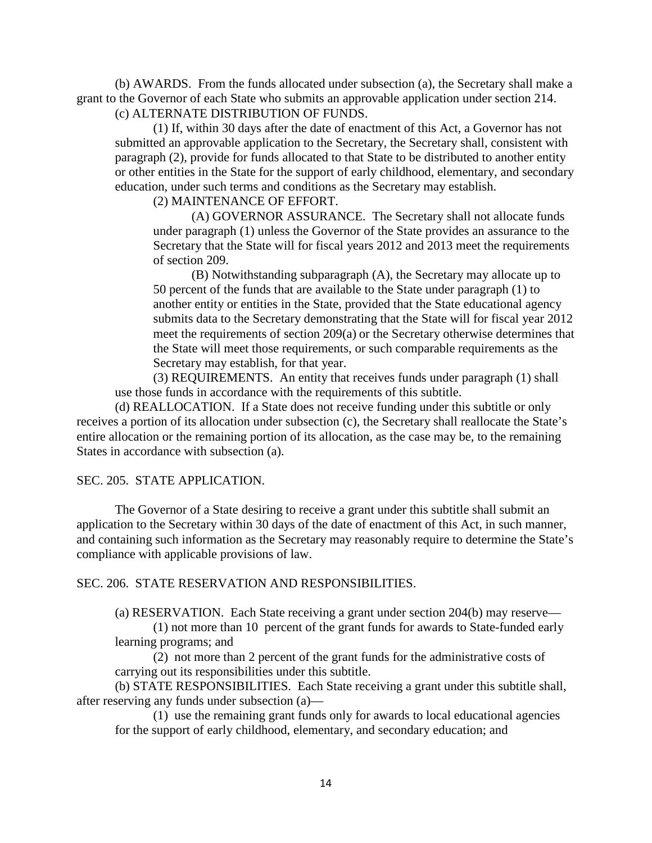(b) AWARDS. From the funds allocated under subsection (a), the Secretary shall make a grant to the Governor of each State who submits an approvable application under section 214. (c) ALTERNATE DISTRIBUTION OF FUNDS.

(1) If, within 30 days after the date of enactment of this Act, a Governor has not submitted an approvable application to the Secretary, the Secretary shall, consistent with paragraph (2), provide for funds allocated to that State to be distributed to another entity or other entities in the State for the support of early childhood, elementary, and secondary education, under such terms and conditions as the Secretary may establish.

(2) MAINTENANCE OF EFFORT.

(A) GOVERNOR ASSURANCE. The Secretary shall not allocate funds under paragraph (1) unless the Governor of the State provides an assurance to the Secretary that the State will for fiscal years 2012 and 2013 meet the requirements of section 209.

(B) Notwithstanding subparagraph (A), the Secretary may allocate up to 50 percent of the funds that are available to the State under paragraph (1) to another entity or entities in the State, provided that the State educational agency submits data to the Secretary demonstrating that the State will for fiscal year 2012 meet the requirements of section 209(a) or the Secretary otherwise determines that the State will meet those requirements, or such comparable requirements as the Secretary may establish, for that year.

(3) REQUIREMENTS. An entity that receives funds under paragraph (1) shall use those funds in accordance with the requirements of this subtitle.

(d) REALLOCATION. If a State does not receive funding under this subtitle or only receives a portion of its allocation under subsection (c), the Secretary shall reallocate the State's entire allocation or the remaining portion of its allocation, as the case may be, to the remaining States in accordance with subsection (a).

## SEC. 205. STATE APPLICATION.

The Governor of a State desiring to receive a grant under this subtitle shall submit an application to the Secretary within 30 days of the date of enactment of this Act, in such manner, and containing such information as the Secretary may reasonably require to determine the State's compliance with applicable provisions of law.

### SEC. 206. STATE RESERVATION AND RESPONSIBILITIES.

(a) RESERVATION. Each State receiving a grant under section 204(b) may reserve—

(1) not more than 10 percent of the grant funds for awards to State-funded early learning programs; and

(2) not more than 2 percent of the grant funds for the administrative costs of carrying out its responsibilities under this subtitle.

(b) STATE RESPONSIBILITIES. Each State receiving a grant under this subtitle shall, after reserving any funds under subsection (a)—

(1) use the remaining grant funds only for awards to local educational agencies for the support of early childhood, elementary, and secondary education; and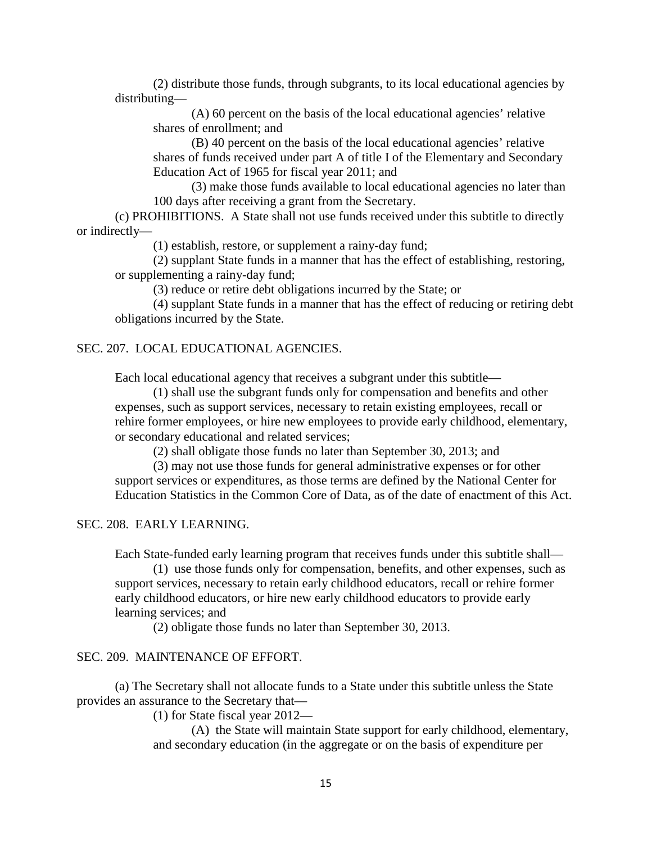(2) distribute those funds, through subgrants, to its local educational agencies by distributing—

(A) 60 percent on the basis of the local educational agencies' relative shares of enrollment; and

(B) 40 percent on the basis of the local educational agencies' relative shares of funds received under part A of title I of the Elementary and Secondary Education Act of 1965 for fiscal year 2011; and

(3) make those funds available to local educational agencies no later than 100 days after receiving a grant from the Secretary.

(c) PROHIBITIONS. A State shall not use funds received under this subtitle to directly or indirectly—

(1) establish, restore, or supplement a rainy-day fund;

(2) supplant State funds in a manner that has the effect of establishing, restoring, or supplementing a rainy-day fund;

(3) reduce or retire debt obligations incurred by the State; or

(4) supplant State funds in a manner that has the effect of reducing or retiring debt obligations incurred by the State.

## SEC. 207. LOCAL EDUCATIONAL AGENCIES.

Each local educational agency that receives a subgrant under this subtitle—

(1) shall use the subgrant funds only for compensation and benefits and other expenses, such as support services, necessary to retain existing employees, recall or rehire former employees, or hire new employees to provide early childhood, elementary, or secondary educational and related services;

(2) shall obligate those funds no later than September 30, 2013; and

(3) may not use those funds for general administrative expenses or for other support services or expenditures, as those terms are defined by the National Center for Education Statistics in the Common Core of Data, as of the date of enactment of this Act.

SEC. 208. EARLY LEARNING.

Each State-funded early learning program that receives funds under this subtitle shall—

(1) use those funds only for compensation, benefits, and other expenses, such as support services, necessary to retain early childhood educators, recall or rehire former early childhood educators, or hire new early childhood educators to provide early learning services; and

(2) obligate those funds no later than September 30, 2013.

## SEC. 209. MAINTENANCE OF EFFORT.

(a) The Secretary shall not allocate funds to a State under this subtitle unless the State provides an assurance to the Secretary that—

(1) for State fiscal year 2012—

(A) the State will maintain State support for early childhood, elementary, and secondary education (in the aggregate or on the basis of expenditure per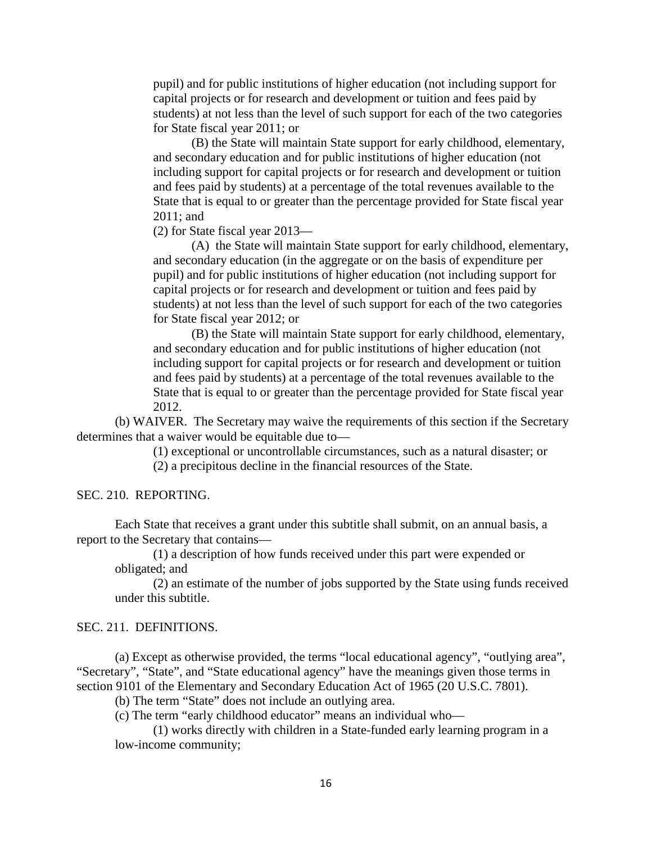pupil) and for public institutions of higher education (not including support for capital projects or for research and development or tuition and fees paid by students) at not less than the level of such support for each of the two categories for State fiscal year 2011; or

(B) the State will maintain State support for early childhood, elementary, and secondary education and for public institutions of higher education (not including support for capital projects or for research and development or tuition and fees paid by students) at a percentage of the total revenues available to the State that is equal to or greater than the percentage provided for State fiscal year 2011; and

(2) for State fiscal year 2013—

(A) the State will maintain State support for early childhood, elementary, and secondary education (in the aggregate or on the basis of expenditure per pupil) and for public institutions of higher education (not including support for capital projects or for research and development or tuition and fees paid by students) at not less than the level of such support for each of the two categories for State fiscal year 2012; or

(B) the State will maintain State support for early childhood, elementary, and secondary education and for public institutions of higher education (not including support for capital projects or for research and development or tuition and fees paid by students) at a percentage of the total revenues available to the State that is equal to or greater than the percentage provided for State fiscal year 2012.

(b) WAIVER. The Secretary may waive the requirements of this section if the Secretary determines that a waiver would be equitable due to—

(1) exceptional or uncontrollable circumstances, such as a natural disaster; or

(2) a precipitous decline in the financial resources of the State.

## SEC. 210. REPORTING.

Each State that receives a grant under this subtitle shall submit, on an annual basis, a report to the Secretary that contains—

(1) a description of how funds received under this part were expended or obligated; and

(2) an estimate of the number of jobs supported by the State using funds received under this subtitle.

## SEC. 211. DEFINITIONS.

(a) Except as otherwise provided, the terms "local educational agency", "outlying area", "Secretary", "State", and "State educational agency" have the meanings given those terms in section 9101 of the Elementary and Secondary Education Act of 1965 (20 U.S.C. 7801).

(b) The term "State" does not include an outlying area.

(c) The term "early childhood educator" means an individual who—

(1) works directly with children in a State-funded early learning program in a low-income community;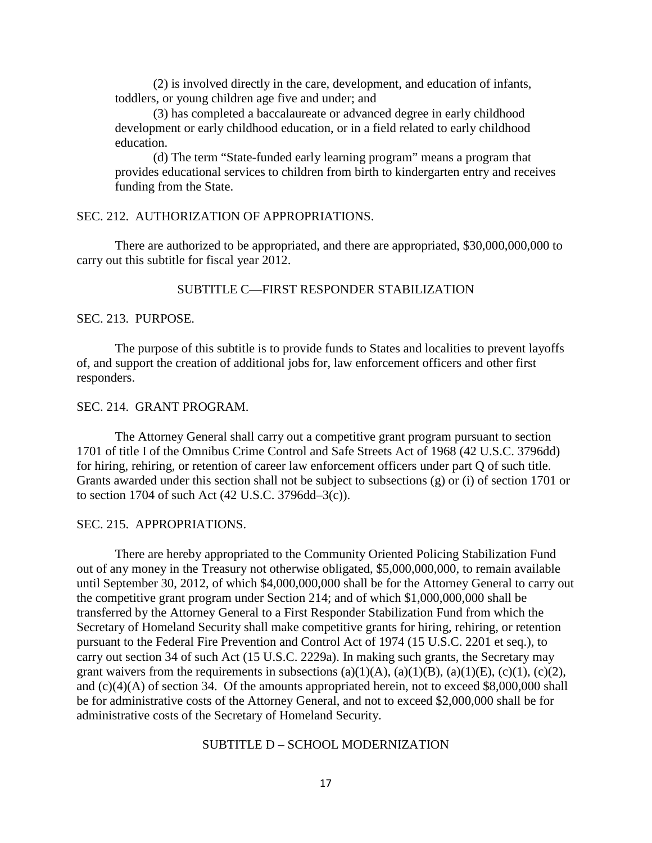(2) is involved directly in the care, development, and education of infants, toddlers, or young children age five and under; and

(3) has completed a baccalaureate or advanced degree in early childhood development or early childhood education, or in a field related to early childhood education.

(d) The term "State-funded early learning program" means a program that provides educational services to children from birth to kindergarten entry and receives funding from the State.

# SEC. 212. AUTHORIZATION OF APPROPRIATIONS.

There are authorized to be appropriated, and there are appropriated, \$30,000,000,000 to carry out this subtitle for fiscal year 2012.

# SUBTITLE C—FIRST RESPONDER STABILIZATION

### SEC. 213. PURPOSE.

The purpose of this subtitle is to provide funds to States and localities to prevent layoffs of, and support the creation of additional jobs for, law enforcement officers and other first responders.

## SEC. 214. GRANT PROGRAM.

The Attorney General shall carry out a competitive grant program pursuant to section 1701 of title I of the Omnibus Crime Control and Safe Streets Act of 1968 (42 U.S.C. 3796dd) for hiring, rehiring, or retention of career law enforcement officers under part Q of such title. Grants awarded under this section shall not be subject to subsections (g) or (i) of section 1701 or to section 1704 of such Act (42 U.S.C. 3796dd–3(c)).

## SEC. 215. APPROPRIATIONS.

There are hereby appropriated to the Community Oriented Policing Stabilization Fund out of any money in the Treasury not otherwise obligated, \$5,000,000,000, to remain available until September 30, 2012, of which \$4,000,000,000 shall be for the Attorney General to carry out the competitive grant program under Section 214; and of which \$1,000,000,000 shall be transferred by the Attorney General to a First Responder Stabilization Fund from which the Secretary of Homeland Security shall make competitive grants for hiring, rehiring, or retention pursuant to the Federal Fire Prevention and Control Act of 1974 (15 U.S.C. 2201 et seq.), to carry out section 34 of such Act (15 U.S.C. 2229a). In making such grants, the Secretary may grant waivers from the requirements in subsections (a)(1)(A), (a)(1)(B), (a)(1)(E), (c)(1), (c)(2), and  $(c)(4)(A)$  of section 34. Of the amounts appropriated herein, not to exceed \$8,000,000 shall be for administrative costs of the Attorney General, and not to exceed \$2,000,000 shall be for administrative costs of the Secretary of Homeland Security.

# SUBTITLE D – SCHOOL MODERNIZATION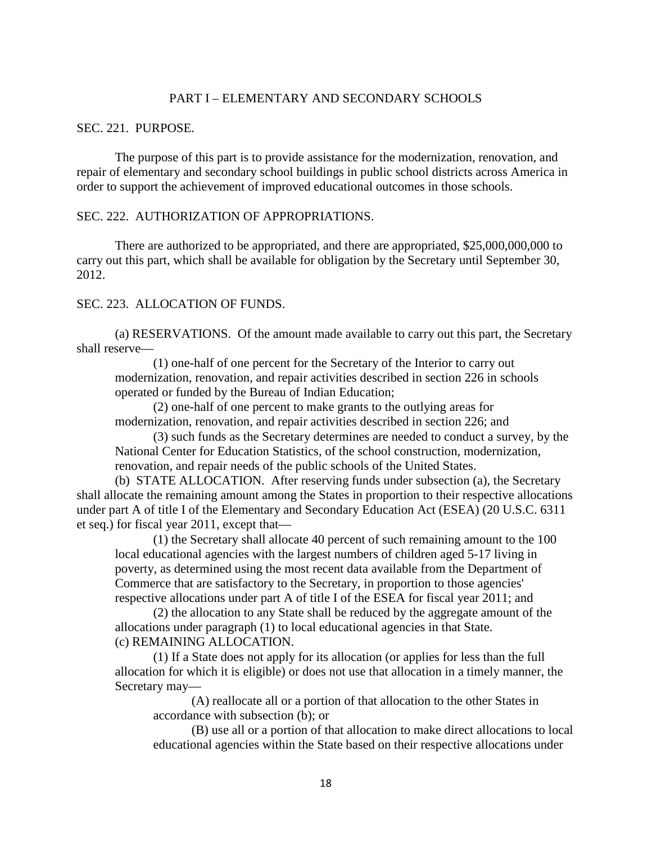## PART I – ELEMENTARY AND SECONDARY SCHOOLS

## SEC. 221. PURPOSE.

The purpose of this part is to provide assistance for the modernization, renovation, and repair of elementary and secondary school buildings in public school districts across America in order to support the achievement of improved educational outcomes in those schools.

## SEC. 222. AUTHORIZATION OF APPROPRIATIONS.

There are authorized to be appropriated, and there are appropriated, \$25,000,000,000 to carry out this part, which shall be available for obligation by the Secretary until September 30, 2012.

# SEC. 223. ALLOCATION OF FUNDS.

(a) RESERVATIONS. Of the amount made available to carry out this part, the Secretary shall reserve—

(1) one-half of one percent for the Secretary of the Interior to carry out modernization, renovation, and repair activities described in section 226 in schools operated or funded by the Bureau of Indian Education;

(2) one-half of one percent to make grants to the outlying areas for modernization, renovation, and repair activities described in section 226; and

(3) such funds as the Secretary determines are needed to conduct a survey, by the National Center for Education Statistics, of the school construction, modernization, renovation, and repair needs of the public schools of the United States.

(b) STATE ALLOCATION. After reserving funds under subsection (a), the Secretary shall allocate the remaining amount among the States in proportion to their respective allocations under part A of title I of the Elementary and Secondary Education Act (ESEA) (20 U.S.C. 6311 et seq.) for fiscal year 2011, except that—

(1) the Secretary shall allocate 40 percent of such remaining amount to the 100 local educational agencies with the largest numbers of children aged 5-17 living in poverty, as determined using the most recent data available from the Department of Commerce that are satisfactory to the Secretary, in proportion to those agencies' respective allocations under part A of title I of the ESEA for fiscal year 2011; and

(2) the allocation to any State shall be reduced by the aggregate amount of the allocations under paragraph (1) to local educational agencies in that State. (c) REMAINING ALLOCATION.

(1) If a State does not apply for its allocation (or applies for less than the full allocation for which it is eligible) or does not use that allocation in a timely manner, the Secretary may—

(A) reallocate all or a portion of that allocation to the other States in accordance with subsection (b); or

(B) use all or a portion of that allocation to make direct allocations to local educational agencies within the State based on their respective allocations under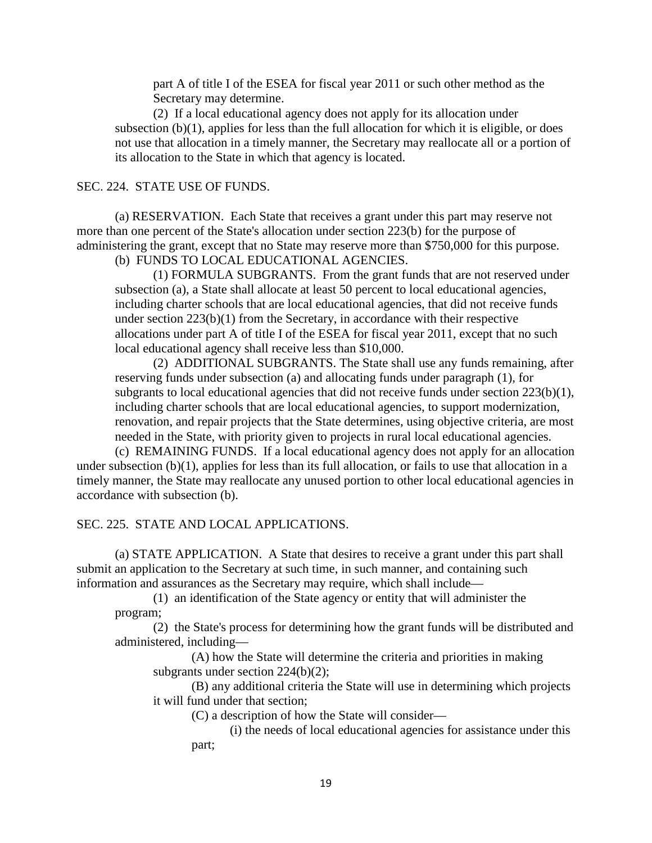part A of title I of the ESEA for fiscal year 2011 or such other method as the Secretary may determine.

(2) If a local educational agency does not apply for its allocation under subsection (b)(1), applies for less than the full allocation for which it is eligible, or does not use that allocation in a timely manner, the Secretary may reallocate all or a portion of its allocation to the State in which that agency is located.

## SEC. 224. STATE USE OF FUNDS.

(a) RESERVATION. Each State that receives a grant under this part may reserve not more than one percent of the State's allocation under section 223(b) for the purpose of administering the grant, except that no State may reserve more than \$750,000 for this purpose. (b) FUNDS TO LOCAL EDUCATIONAL AGENCIES.

(1) FORMULA SUBGRANTS. From the grant funds that are not reserved under subsection (a), a State shall allocate at least 50 percent to local educational agencies, including charter schools that are local educational agencies, that did not receive funds under section 223(b)(1) from the Secretary, in accordance with their respective allocations under part A of title I of the ESEA for fiscal year 2011, except that no such local educational agency shall receive less than \$10,000.

(2) ADDITIONAL SUBGRANTS. The State shall use any funds remaining, after reserving funds under subsection (a) and allocating funds under paragraph (1), for subgrants to local educational agencies that did not receive funds under section 223(b)(1), including charter schools that are local educational agencies, to support modernization, renovation, and repair projects that the State determines, using objective criteria, are most needed in the State, with priority given to projects in rural local educational agencies.

(c) REMAINING FUNDS. If a local educational agency does not apply for an allocation under subsection (b)(1), applies for less than its full allocation, or fails to use that allocation in a timely manner, the State may reallocate any unused portion to other local educational agencies in accordance with subsection (b).

## SEC. 225. STATE AND LOCAL APPLICATIONS.

(a) STATE APPLICATION. A State that desires to receive a grant under this part shall submit an application to the Secretary at such time, in such manner, and containing such information and assurances as the Secretary may require, which shall include—

(1) an identification of the State agency or entity that will administer the program;

(2) the State's process for determining how the grant funds will be distributed and administered, including—

(A) how the State will determine the criteria and priorities in making subgrants under section 224(b)(2);

(B) any additional criteria the State will use in determining which projects it will fund under that section;

(C) a description of how the State will consider—

(i) the needs of local educational agencies for assistance under this part;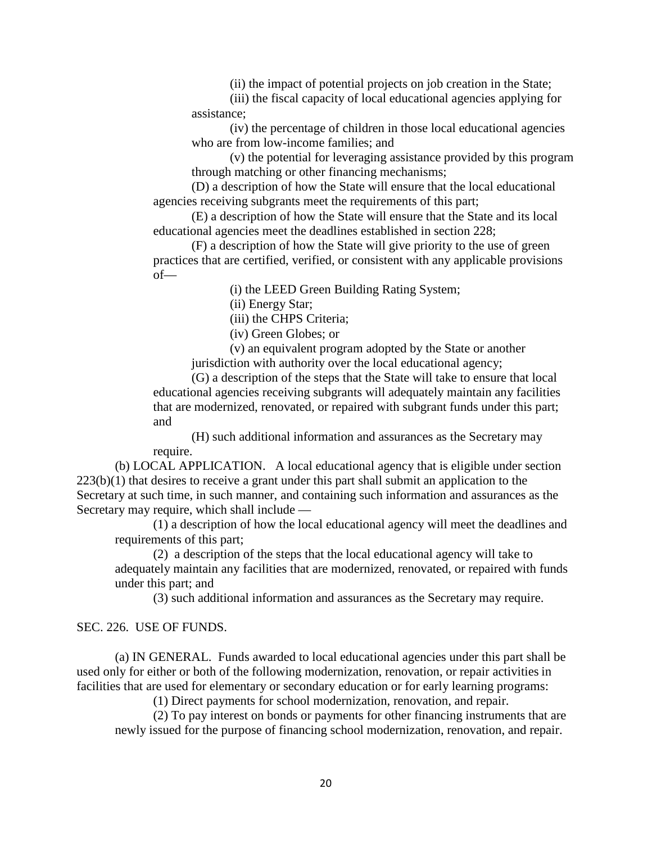(ii) the impact of potential projects on job creation in the State;

(iii) the fiscal capacity of local educational agencies applying for assistance;

(iv) the percentage of children in those local educational agencies who are from low-income families; and

(v) the potential for leveraging assistance provided by this program through matching or other financing mechanisms;

(D) a description of how the State will ensure that the local educational agencies receiving subgrants meet the requirements of this part;

(E) a description of how the State will ensure that the State and its local educational agencies meet the deadlines established in section 228;

(F) a description of how the State will give priority to the use of green practices that are certified, verified, or consistent with any applicable provisions of—

(i) the LEED Green Building Rating System;

(ii) Energy Star;

(iii) the CHPS Criteria;

(iv) Green Globes; or

(v) an equivalent program adopted by the State or another jurisdiction with authority over the local educational agency;

(G) a description of the steps that the State will take to ensure that local educational agencies receiving subgrants will adequately maintain any facilities that are modernized, renovated, or repaired with subgrant funds under this part; and

(H) such additional information and assurances as the Secretary may require.

(b) LOCAL APPLICATION. A local educational agency that is eligible under section  $223(b)(1)$  that desires to receive a grant under this part shall submit an application to the Secretary at such time, in such manner, and containing such information and assurances as the Secretary may require, which shall include —

(1) a description of how the local educational agency will meet the deadlines and requirements of this part;

(2) a description of the steps that the local educational agency will take to adequately maintain any facilities that are modernized, renovated, or repaired with funds under this part; and

(3) such additional information and assurances as the Secretary may require.

### SEC. 226. USE OF FUNDS.

(a) IN GENERAL. Funds awarded to local educational agencies under this part shall be used only for either or both of the following modernization, renovation, or repair activities in facilities that are used for elementary or secondary education or for early learning programs:

(1) Direct payments for school modernization, renovation, and repair.

(2) To pay interest on bonds or payments for other financing instruments that are newly issued for the purpose of financing school modernization, renovation, and repair.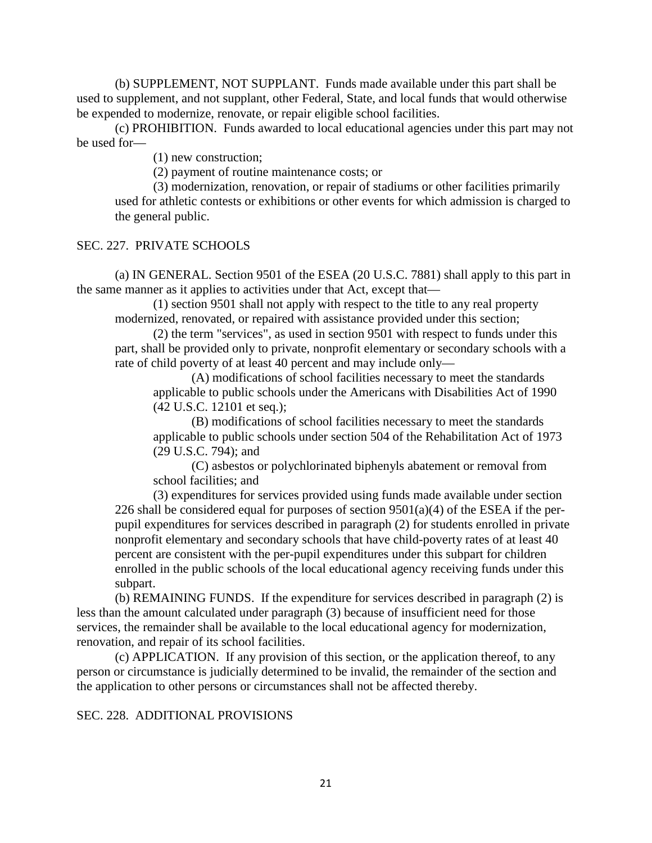(b) SUPPLEMENT, NOT SUPPLANT. Funds made available under this part shall be used to supplement, and not supplant, other Federal, State, and local funds that would otherwise be expended to modernize, renovate, or repair eligible school facilities.

(c) PROHIBITION. Funds awarded to local educational agencies under this part may not be used for—

(1) new construction;

(2) payment of routine maintenance costs; or

(3) modernization, renovation, or repair of stadiums or other facilities primarily used for athletic contests or exhibitions or other events for which admission is charged to the general public.

# SEC. 227. PRIVATE SCHOOLS

(a) IN GENERAL. Section 9501 of the ESEA (20 U.S.C. 7881) shall apply to this part in the same manner as it applies to activities under that Act, except that—

(1) section 9501 shall not apply with respect to the title to any real property modernized, renovated, or repaired with assistance provided under this section;

(2) the term "services", as used in section 9501 with respect to funds under this part, shall be provided only to private, nonprofit elementary or secondary schools with a rate of child poverty of at least 40 percent and may include only—

(A) modifications of school facilities necessary to meet the standards applicable to public schools under the Americans with Disabilities Act of 1990 (42 U.S.C. 12101 et seq.);

(B) modifications of school facilities necessary to meet the standards applicable to public schools under section 504 of the Rehabilitation Act of 1973 (29 U.S.C. 794); and

(C) asbestos or polychlorinated biphenyls abatement or removal from school facilities; and

(3) expenditures for services provided using funds made available under section 226 shall be considered equal for purposes of section  $9501(a)(4)$  of the ESEA if the perpupil expenditures for services described in paragraph (2) for students enrolled in private nonprofit elementary and secondary schools that have child-poverty rates of at least 40 percent are consistent with the per-pupil expenditures under this subpart for children enrolled in the public schools of the local educational agency receiving funds under this subpart.

(b) REMAINING FUNDS. If the expenditure for services described in paragraph (2) is less than the amount calculated under paragraph (3) because of insufficient need for those services, the remainder shall be available to the local educational agency for modernization, renovation, and repair of its school facilities.

(c) APPLICATION. If any provision of this section, or the application thereof, to any person or circumstance is judicially determined to be invalid, the remainder of the section and the application to other persons or circumstances shall not be affected thereby.

## SEC. 228. ADDITIONAL PROVISIONS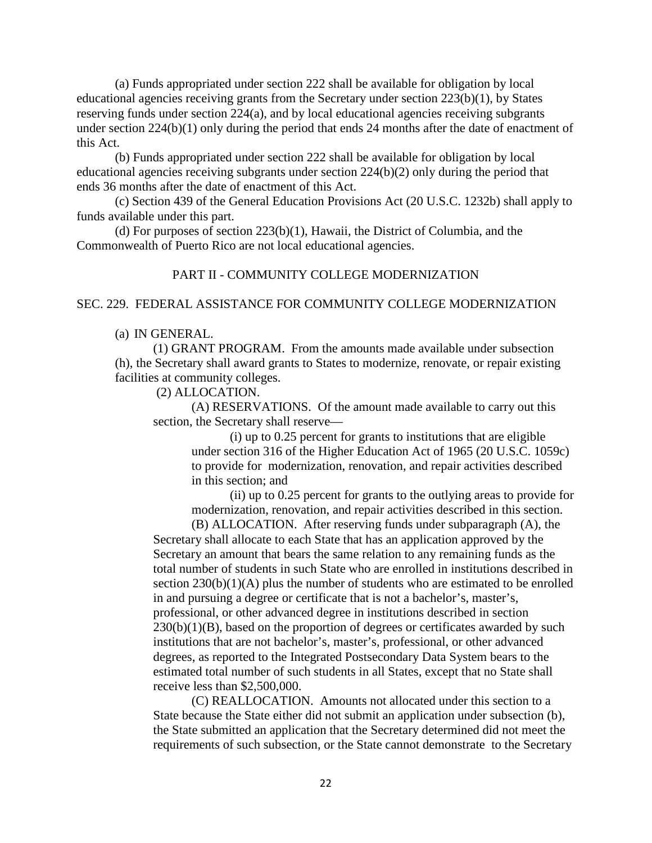(a) Funds appropriated under section 222 shall be available for obligation by local educational agencies receiving grants from the Secretary under section 223(b)(1), by States reserving funds under section 224(a), and by local educational agencies receiving subgrants under section 224(b)(1) only during the period that ends 24 months after the date of enactment of this Act.

(b) Funds appropriated under section 222 shall be available for obligation by local educational agencies receiving subgrants under section 224(b)(2) only during the period that ends 36 months after the date of enactment of this Act.

(c) Section 439 of the General Education Provisions Act (20 U.S.C. 1232b) shall apply to funds available under this part.

(d) For purposes of section 223(b)(1), Hawaii, the District of Columbia, and the Commonwealth of Puerto Rico are not local educational agencies.

# PART II - COMMUNITY COLLEGE MODERNIZATION

## SEC. 229. FEDERAL ASSISTANCE FOR COMMUNITY COLLEGE MODERNIZATION

## (a) IN GENERAL.

(1) GRANT PROGRAM. From the amounts made available under subsection (h), the Secretary shall award grants to States to modernize, renovate, or repair existing facilities at community colleges.

## (2) ALLOCATION.

(A) RESERVATIONS. Of the amount made available to carry out this section, the Secretary shall reserve—

(i) up to 0.25 percent for grants to institutions that are eligible under section 316 of the Higher Education Act of 1965 (20 U.S.C. 1059c) to provide for modernization, renovation, and repair activities described in this section; and

(ii) up to 0.25 percent for grants to the outlying areas to provide for modernization, renovation, and repair activities described in this section.

(B) ALLOCATION. After reserving funds under subparagraph (A), the Secretary shall allocate to each State that has an application approved by the Secretary an amount that bears the same relation to any remaining funds as the total number of students in such State who are enrolled in institutions described in section  $230(b)(1)(A)$  plus the number of students who are estimated to be enrolled in and pursuing a degree or certificate that is not a bachelor's, master's, professional, or other advanced degree in institutions described in section  $230(b)(1)(B)$ , based on the proportion of degrees or certificates awarded by such institutions that are not bachelor's, master's, professional, or other advanced degrees, as reported to the Integrated Postsecondary Data System bears to the estimated total number of such students in all States, except that no State shall receive less than \$2,500,000.

(C) REALLOCATION. Amounts not allocated under this section to a State because the State either did not submit an application under subsection (b), the State submitted an application that the Secretary determined did not meet the requirements of such subsection, or the State cannot demonstrate to the Secretary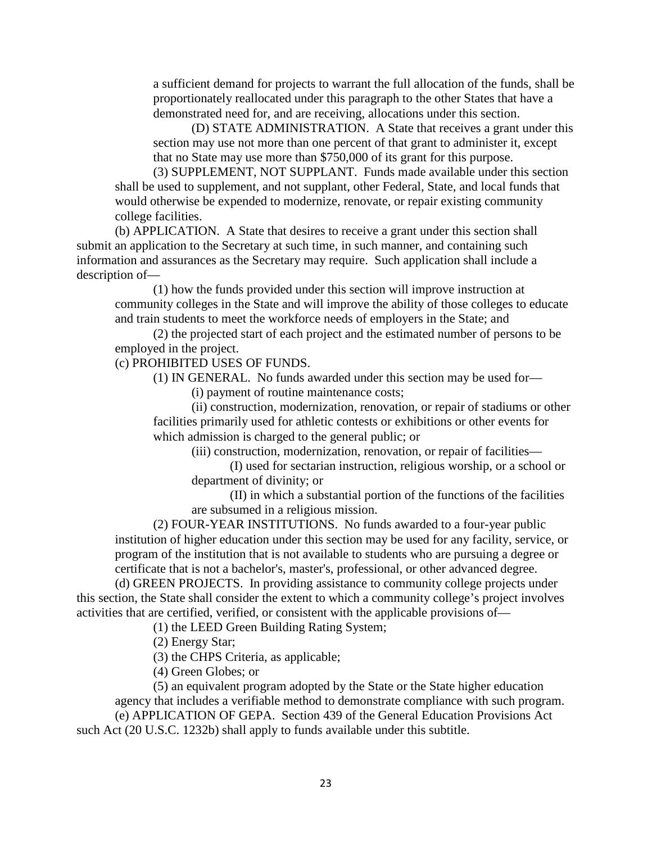a sufficient demand for projects to warrant the full allocation of the funds, shall be proportionately reallocated under this paragraph to the other States that have a demonstrated need for, and are receiving, allocations under this section.

(D) STATE ADMINISTRATION. A State that receives a grant under this section may use not more than one percent of that grant to administer it, except that no State may use more than \$750,000 of its grant for this purpose.

(3) SUPPLEMENT, NOT SUPPLANT. Funds made available under this section shall be used to supplement, and not supplant, other Federal, State, and local funds that would otherwise be expended to modernize, renovate, or repair existing community college facilities.

(b) APPLICATION. A State that desires to receive a grant under this section shall submit an application to the Secretary at such time, in such manner, and containing such information and assurances as the Secretary may require. Such application shall include a description of—

(1) how the funds provided under this section will improve instruction at community colleges in the State and will improve the ability of those colleges to educate and train students to meet the workforce needs of employers in the State; and

(2) the projected start of each project and the estimated number of persons to be employed in the project.

(c) PROHIBITED USES OF FUNDS.

(1) IN GENERAL. No funds awarded under this section may be used for—

(i) payment of routine maintenance costs;

(ii) construction, modernization, renovation, or repair of stadiums or other facilities primarily used for athletic contests or exhibitions or other events for which admission is charged to the general public; or

(iii) construction, modernization, renovation, or repair of facilities—

(I) used for sectarian instruction, religious worship, or a school or department of divinity; or

(II) in which a substantial portion of the functions of the facilities are subsumed in a religious mission.

(2) FOUR-YEAR INSTITUTIONS. No funds awarded to a four-year public institution of higher education under this section may be used for any facility, service, or program of the institution that is not available to students who are pursuing a degree or certificate that is not a bachelor's, master's, professional, or other advanced degree.

(d) GREEN PROJECTS. In providing assistance to community college projects under this section, the State shall consider the extent to which a community college's project involves activities that are certified, verified, or consistent with the applicable provisions of—

(1) the LEED Green Building Rating System;

(2) Energy Star;

(3) the CHPS Criteria, as applicable;

(4) Green Globes; or

(5) an equivalent program adopted by the State or the State higher education agency that includes a verifiable method to demonstrate compliance with such program.

(e) APPLICATION OF GEPA. Section 439 of the General Education Provisions Act such Act (20 U.S.C. 1232b) shall apply to funds available under this subtitle.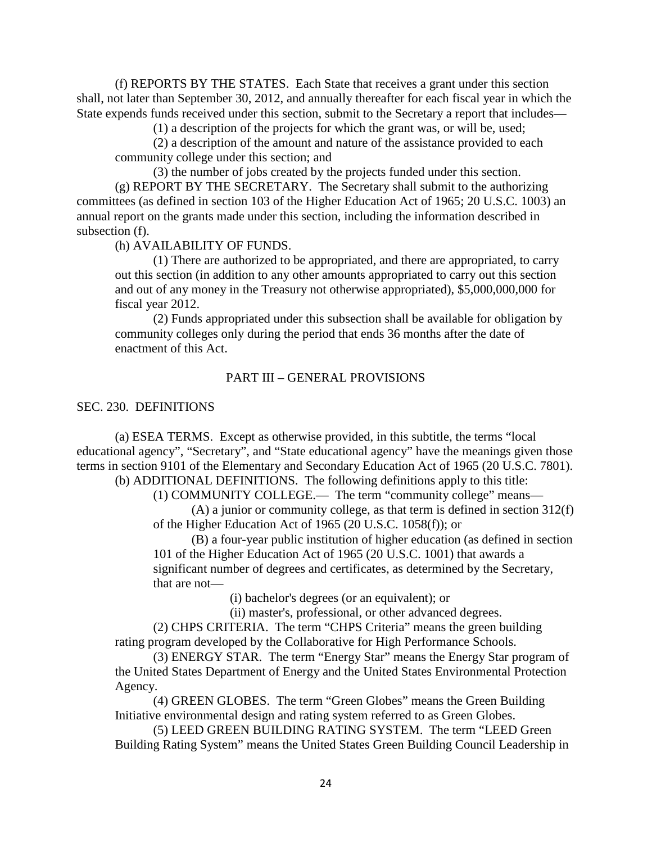(f) REPORTS BY THE STATES. Each State that receives a grant under this section shall, not later than September 30, 2012, and annually thereafter for each fiscal year in which the State expends funds received under this section, submit to the Secretary a report that includes—

(1) a description of the projects for which the grant was, or will be, used;

(2) a description of the amount and nature of the assistance provided to each community college under this section; and

(3) the number of jobs created by the projects funded under this section. (g) REPORT BY THE SECRETARY. The Secretary shall submit to the authorizing committees (as defined in section 103 of the Higher Education Act of 1965; 20 U.S.C. 1003) an annual report on the grants made under this section, including the information described in subsection (f).

(h) AVAILABILITY OF FUNDS.

(1) There are authorized to be appropriated, and there are appropriated, to carry out this section (in addition to any other amounts appropriated to carry out this section and out of any money in the Treasury not otherwise appropriated), \$5,000,000,000 for fiscal year 2012.

(2) Funds appropriated under this subsection shall be available for obligation by community colleges only during the period that ends 36 months after the date of enactment of this Act.

## PART III – GENERAL PROVISIONS

### SEC. 230. DEFINITIONS

(a) ESEA TERMS. Except as otherwise provided, in this subtitle, the terms "local educational agency", "Secretary", and "State educational agency" have the meanings given those terms in section 9101 of the Elementary and Secondary Education Act of 1965 (20 U.S.C. 7801).

(b) ADDITIONAL DEFINITIONS. The following definitions apply to this title:

(1) COMMUNITY COLLEGE.— The term "community college" means—

(A) a junior or community college, as that term is defined in section 312(f) of the Higher Education Act of 1965 (20 U.S.C. 1058(f)); or

(B) a four-year public institution of higher education (as defined in section 101 of the Higher Education Act of 1965 (20 U.S.C. 1001) that awards a significant number of degrees and certificates, as determined by the Secretary, that are not—

(i) bachelor's degrees (or an equivalent); or

(ii) master's, professional, or other advanced degrees.

(2) CHPS CRITERIA. The term "CHPS Criteria" means the green building rating program developed by the Collaborative for High Performance Schools.

(3) ENERGY STAR. The term "Energy Star" means the Energy Star program of the United States Department of Energy and the United States Environmental Protection Agency.

(4) GREEN GLOBES. The term "Green Globes" means the Green Building Initiative environmental design and rating system referred to as Green Globes.

(5) LEED GREEN BUILDING RATING SYSTEM. The term "LEED Green Building Rating System" means the United States Green Building Council Leadership in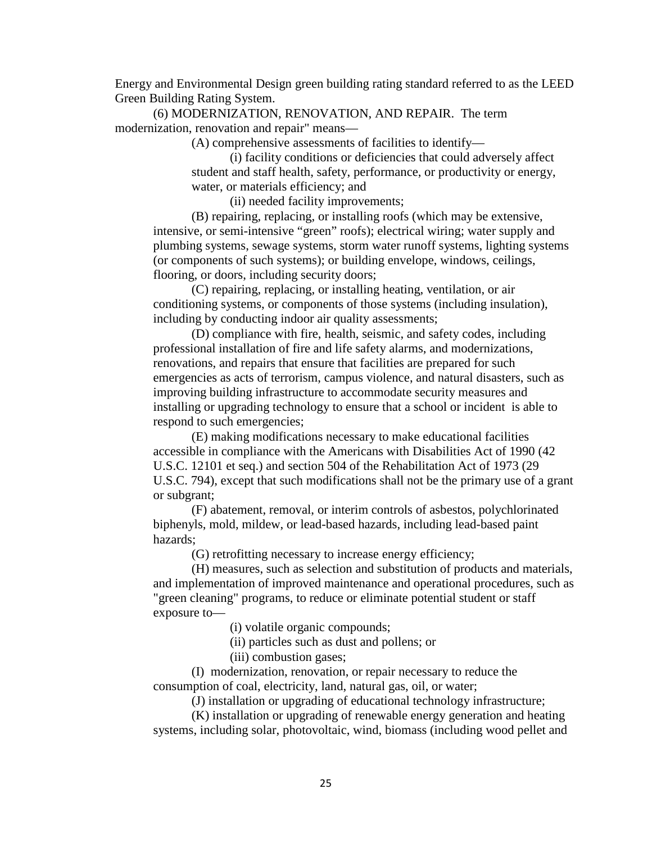Energy and Environmental Design green building rating standard referred to as the LEED Green Building Rating System.

(6) MODERNIZATION, RENOVATION, AND REPAIR. The term modernization, renovation and repair" means—

(A) comprehensive assessments of facilities to identify—

(i) facility conditions or deficiencies that could adversely affect student and staff health, safety, performance, or productivity or energy, water, or materials efficiency; and

(ii) needed facility improvements;

(B) repairing, replacing, or installing roofs (which may be extensive, intensive, or semi-intensive "green" roofs); electrical wiring; water supply and plumbing systems, sewage systems, storm water runoff systems, lighting systems (or components of such systems); or building envelope, windows, ceilings, flooring, or doors, including security doors;

(C) repairing, replacing, or installing heating, ventilation, or air conditioning systems, or components of those systems (including insulation), including by conducting indoor air quality assessments;

(D) compliance with fire, health, seismic, and safety codes, including professional installation of fire and life safety alarms, and modernizations, renovations, and repairs that ensure that facilities are prepared for such emergencies as acts of terrorism, campus violence, and natural disasters, such as improving building infrastructure to accommodate security measures and installing or upgrading technology to ensure that a school or incident is able to respond to such emergencies;

(E) making modifications necessary to make educational facilities accessible in compliance with the Americans with Disabilities Act of 1990 (42 U.S.C. 12101 et seq.) and section 504 of the Rehabilitation Act of 1973 (29 U.S.C. 794), except that such modifications shall not be the primary use of a grant or subgrant;

(F) abatement, removal, or interim controls of asbestos, polychlorinated biphenyls, mold, mildew, or lead-based hazards, including lead-based paint hazards;

(G) retrofitting necessary to increase energy efficiency;

(H) measures, such as selection and substitution of products and materials, and implementation of improved maintenance and operational procedures, such as "green cleaning" programs, to reduce or eliminate potential student or staff exposure to—

(i) volatile organic compounds;

(ii) particles such as dust and pollens; or

(iii) combustion gases;

(I) modernization, renovation, or repair necessary to reduce the consumption of coal, electricity, land, natural gas, oil, or water;

(J) installation or upgrading of educational technology infrastructure;

(K) installation or upgrading of renewable energy generation and heating systems, including solar, photovoltaic, wind, biomass (including wood pellet and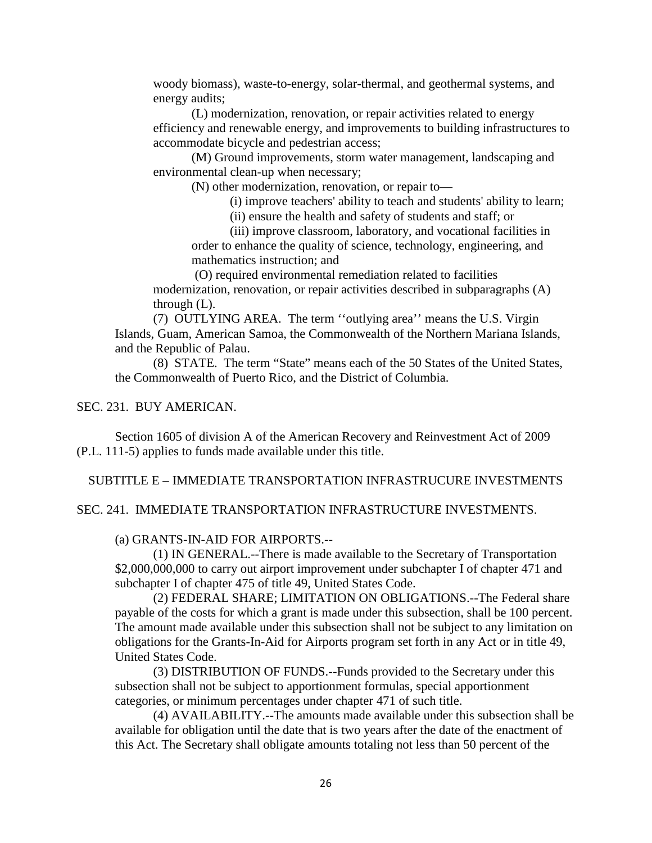woody biomass), waste-to-energy, solar-thermal, and geothermal systems, and energy audits;

(L) modernization, renovation, or repair activities related to energy efficiency and renewable energy, and improvements to building infrastructures to accommodate bicycle and pedestrian access;

(M) Ground improvements, storm water management, landscaping and environmental clean-up when necessary;

(N) other modernization, renovation, or repair to—

(i) improve teachers' ability to teach and students' ability to learn;

(ii) ensure the health and safety of students and staff; or

(iii) improve classroom, laboratory, and vocational facilities in order to enhance the quality of science, technology, engineering, and mathematics instruction; and

(O) required environmental remediation related to facilities modernization, renovation, or repair activities described in subparagraphs (A) through (L).

(7) OUTLYING AREA. The term ''outlying area'' means the U.S. Virgin Islands, Guam, American Samoa, the Commonwealth of the Northern Mariana Islands, and the Republic of Palau.

(8) STATE. The term "State" means each of the 50 States of the United States, the Commonwealth of Puerto Rico, and the District of Columbia.

## SEC. 231. BUY AMERICAN.

Section 1605 of division A of the American Recovery and Reinvestment Act of 2009 (P.L. 111-5) applies to funds made available under this title.

SUBTITLE E – IMMEDIATE TRANSPORTATION INFRASTRUCURE INVESTMENTS

SEC. 241. IMMEDIATE TRANSPORTATION INFRASTRUCTURE INVESTMENTS.

## (a) GRANTS-IN-AID FOR AIRPORTS.--

(1) IN GENERAL.--There is made available to the Secretary of Transportation \$2,000,000,000 to carry out airport improvement under subchapter I of chapter 471 and subchapter I of chapter 475 of title 49, United States Code.

(2) FEDERAL SHARE; LIMITATION ON OBLIGATIONS.--The Federal share payable of the costs for which a grant is made under this subsection, shall be 100 percent. The amount made available under this subsection shall not be subject to any limitation on obligations for the Grants-In-Aid for Airports program set forth in any Act or in title 49, United States Code.

(3) DISTRIBUTION OF FUNDS.--Funds provided to the Secretary under this subsection shall not be subject to apportionment formulas, special apportionment categories, or minimum percentages under chapter 471 of such title.

(4) AVAILABILITY.--The amounts made available under this subsection shall be available for obligation until the date that is two years after the date of the enactment of this Act. The Secretary shall obligate amounts totaling not less than 50 percent of the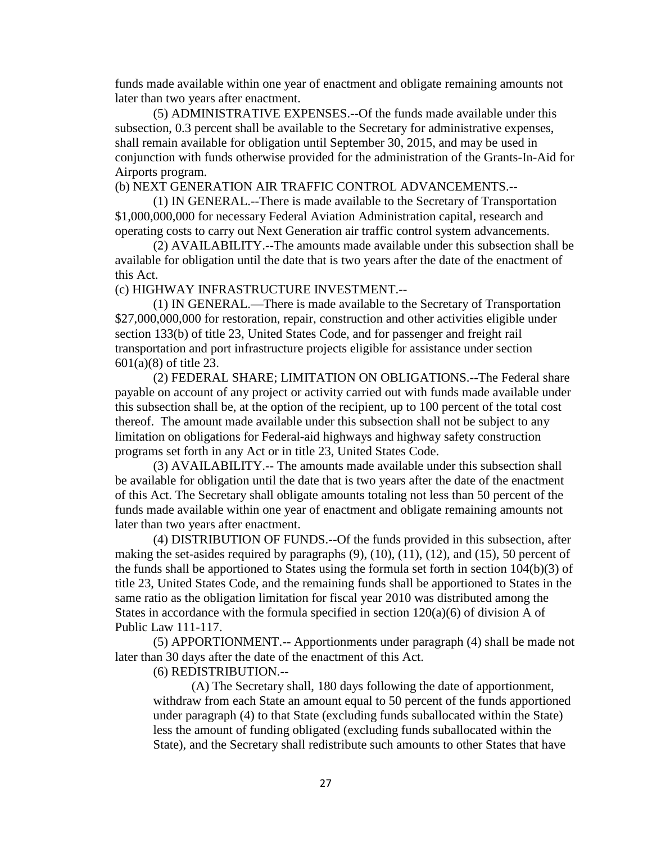funds made available within one year of enactment and obligate remaining amounts not later than two years after enactment.

(5) ADMINISTRATIVE EXPENSES.--Of the funds made available under this subsection, 0.3 percent shall be available to the Secretary for administrative expenses, shall remain available for obligation until September 30, 2015, and may be used in conjunction with funds otherwise provided for the administration of the Grants-In-Aid for Airports program.

(b) NEXT GENERATION AIR TRAFFIC CONTROL ADVANCEMENTS.--

(1) IN GENERAL.--There is made available to the Secretary of Transportation \$1,000,000,000 for necessary Federal Aviation Administration capital, research and operating costs to carry out Next Generation air traffic control system advancements.

(2) AVAILABILITY.--The amounts made available under this subsection shall be available for obligation until the date that is two years after the date of the enactment of this Act.

(c) HIGHWAY INFRASTRUCTURE INVESTMENT.--

(1) IN GENERAL.—There is made available to the Secretary of Transportation \$27,000,000,000 for restoration, repair, construction and other activities eligible under section 133(b) of title 23, United States Code, and for passenger and freight rail transportation and port infrastructure projects eligible for assistance under section 601(a)(8) of title 23.

(2) FEDERAL SHARE; LIMITATION ON OBLIGATIONS.--The Federal share payable on account of any project or activity carried out with funds made available under this subsection shall be, at the option of the recipient, up to 100 percent of the total cost thereof. The amount made available under this subsection shall not be subject to any limitation on obligations for Federal-aid highways and highway safety construction programs set forth in any Act or in title 23, United States Code.

(3) AVAILABILITY.-- The amounts made available under this subsection shall be available for obligation until the date that is two years after the date of the enactment of this Act. The Secretary shall obligate amounts totaling not less than 50 percent of the funds made available within one year of enactment and obligate remaining amounts not later than two years after enactment.

(4) DISTRIBUTION OF FUNDS.--Of the funds provided in this subsection, after making the set-asides required by paragraphs (9), (10), (11), (12), and (15), 50 percent of the funds shall be apportioned to States using the formula set forth in section 104(b)(3) of title 23, United States Code, and the remaining funds shall be apportioned to States in the same ratio as the obligation limitation for fiscal year 2010 was distributed among the States in accordance with the formula specified in section  $120(a)(6)$  of division A of Public Law 111-117.

(5) APPORTIONMENT.-- Apportionments under paragraph (4) shall be made not later than 30 days after the date of the enactment of this Act.

(6) REDISTRIBUTION.--

(A) The Secretary shall, 180 days following the date of apportionment, withdraw from each State an amount equal to 50 percent of the funds apportioned under paragraph (4) to that State (excluding funds suballocated within the State) less the amount of funding obligated (excluding funds suballocated within the State), and the Secretary shall redistribute such amounts to other States that have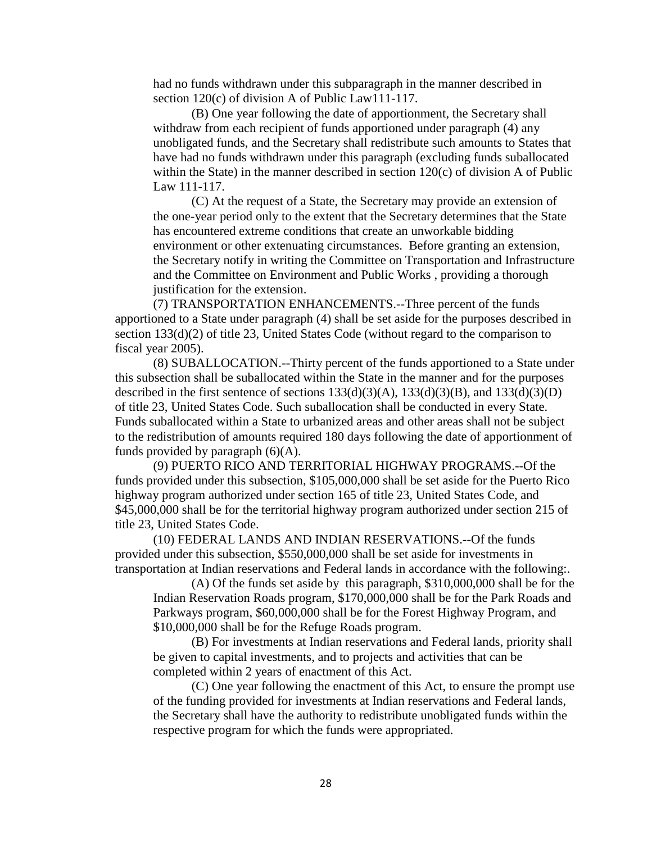had no funds withdrawn under this subparagraph in the manner described in section 120(c) of division A of Public Law111-117.

(B) One year following the date of apportionment, the Secretary shall withdraw from each recipient of funds apportioned under paragraph (4) any unobligated funds, and the Secretary shall redistribute such amounts to States that have had no funds withdrawn under this paragraph (excluding funds suballocated within the State) in the manner described in section 120(c) of division A of Public Law 111-117.

(C) At the request of a State, the Secretary may provide an extension of the one-year period only to the extent that the Secretary determines that the State has encountered extreme conditions that create an unworkable bidding environment or other extenuating circumstances. Before granting an extension, the Secretary notify in writing the Committee on Transportation and Infrastructure and the Committee on Environment and Public Works , providing a thorough justification for the extension.

(7) TRANSPORTATION ENHANCEMENTS.--Three percent of the funds apportioned to a State under paragraph (4) shall be set aside for the purposes described in section 133(d)(2) of title 23, United States Code (without regard to the comparison to fiscal year 2005).

(8) SUBALLOCATION.--Thirty percent of the funds apportioned to a State under this subsection shall be suballocated within the State in the manner and for the purposes described in the first sentence of sections  $133(d)(3)(A)$ ,  $133(d)(3)(B)$ , and  $133(d)(3)(D)$ of title 23, United States Code. Such suballocation shall be conducted in every State. Funds suballocated within a State to urbanized areas and other areas shall not be subject to the redistribution of amounts required 180 days following the date of apportionment of funds provided by paragraph  $(6)(A)$ .

(9) PUERTO RICO AND TERRITORIAL HIGHWAY PROGRAMS.--Of the funds provided under this subsection, \$105,000,000 shall be set aside for the Puerto Rico highway program authorized under section 165 of title 23, United States Code, and \$45,000,000 shall be for the territorial highway program authorized under section 215 of title 23, United States Code.

(10) FEDERAL LANDS AND INDIAN RESERVATIONS.--Of the funds provided under this subsection, \$550,000,000 shall be set aside for investments in transportation at Indian reservations and Federal lands in accordance with the following:.

(A) Of the funds set aside by this paragraph, \$310,000,000 shall be for the Indian Reservation Roads program, \$170,000,000 shall be for the Park Roads and Parkways program, \$60,000,000 shall be for the Forest Highway Program, and \$10,000,000 shall be for the Refuge Roads program.

(B) For investments at Indian reservations and Federal lands, priority shall be given to capital investments, and to projects and activities that can be completed within 2 years of enactment of this Act.

(C) One year following the enactment of this Act, to ensure the prompt use of the funding provided for investments at Indian reservations and Federal lands, the Secretary shall have the authority to redistribute unobligated funds within the respective program for which the funds were appropriated.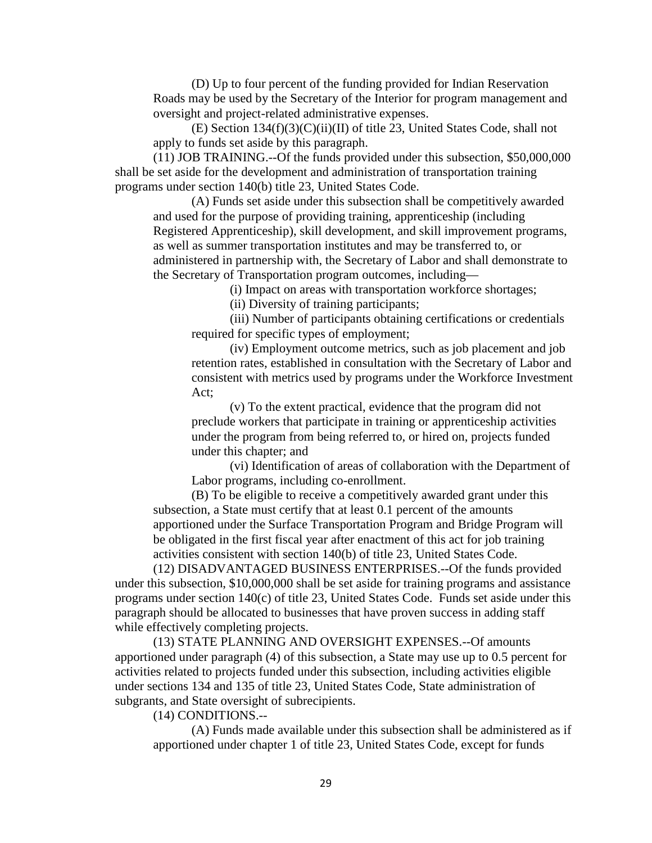(D) Up to four percent of the funding provided for Indian Reservation Roads may be used by the Secretary of the Interior for program management and oversight and project-related administrative expenses.

(E) Section 134(f)(3)(C)(ii)(II) of title 23, United States Code, shall not apply to funds set aside by this paragraph.

(11) JOB TRAINING.--Of the funds provided under this subsection, \$50,000,000 shall be set aside for the development and administration of transportation training programs under section 140(b) title 23, United States Code.

(A) Funds set aside under this subsection shall be competitively awarded and used for the purpose of providing training, apprenticeship (including Registered Apprenticeship), skill development, and skill improvement programs, as well as summer transportation institutes and may be transferred to, or administered in partnership with, the Secretary of Labor and shall demonstrate to the Secretary of Transportation program outcomes, including—

(i) Impact on areas with transportation workforce shortages;

(ii) Diversity of training participants;

(iii) Number of participants obtaining certifications or credentials required for specific types of employment;

(iv) Employment outcome metrics, such as job placement and job retention rates, established in consultation with the Secretary of Labor and consistent with metrics used by programs under the Workforce Investment Act;

(v) To the extent practical, evidence that the program did not preclude workers that participate in training or apprenticeship activities under the program from being referred to, or hired on, projects funded under this chapter; and

(vi) Identification of areas of collaboration with the Department of Labor programs, including co-enrollment.

(B) To be eligible to receive a competitively awarded grant under this subsection, a State must certify that at least 0.1 percent of the amounts apportioned under the Surface Transportation Program and Bridge Program will be obligated in the first fiscal year after enactment of this act for job training activities consistent with section 140(b) of title 23, United States Code.

(12) DISADVANTAGED BUSINESS ENTERPRISES.--Of the funds provided under this subsection, \$10,000,000 shall be set aside for training programs and assistance programs under section 140(c) of title 23, United States Code. Funds set aside under this paragraph should be allocated to businesses that have proven success in adding staff while effectively completing projects.

(13) STATE PLANNING AND OVERSIGHT EXPENSES.--Of amounts apportioned under paragraph (4) of this subsection, a State may use up to 0.5 percent for activities related to projects funded under this subsection, including activities eligible under sections 134 and 135 of title 23, United States Code, State administration of subgrants, and State oversight of subrecipients.

(14) CONDITIONS.--

(A) Funds made available under this subsection shall be administered as if apportioned under chapter 1 of title 23, United States Code, except for funds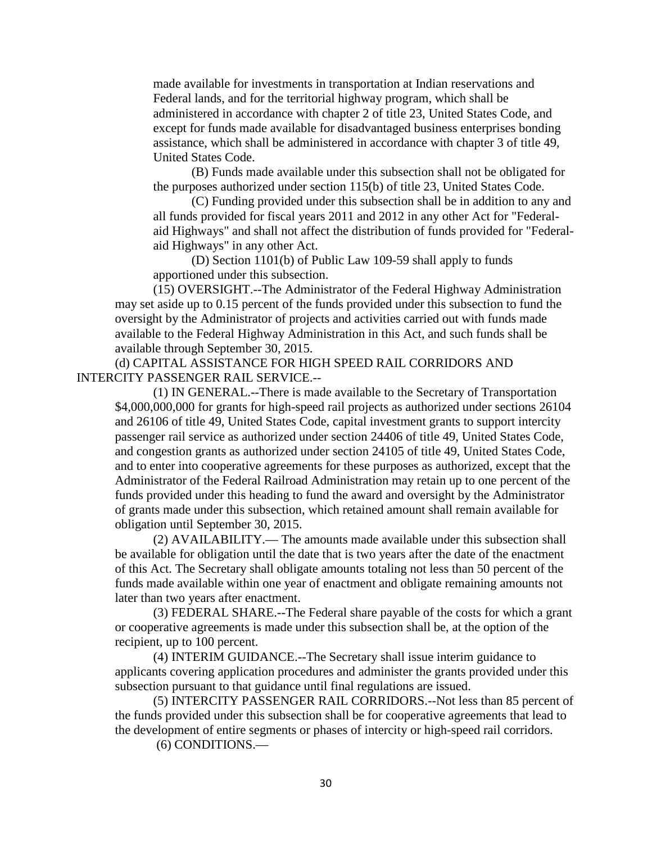made available for investments in transportation at Indian reservations and Federal lands, and for the territorial highway program, which shall be administered in accordance with chapter 2 of title 23, United States Code, and except for funds made available for disadvantaged business enterprises bonding assistance, which shall be administered in accordance with chapter 3 of title 49, United States Code.

(B) Funds made available under this subsection shall not be obligated for the purposes authorized under section 115(b) of title 23, United States Code.

(C) Funding provided under this subsection shall be in addition to any and all funds provided for fiscal years 2011 and 2012 in any other Act for "Federalaid Highways" and shall not affect the distribution of funds provided for "Federalaid Highways" in any other Act.

(D) Section 1101(b) of Public Law 109-59 shall apply to funds apportioned under this subsection.

(15) OVERSIGHT.--The Administrator of the Federal Highway Administration may set aside up to 0.15 percent of the funds provided under this subsection to fund the oversight by the Administrator of projects and activities carried out with funds made available to the Federal Highway Administration in this Act, and such funds shall be available through September 30, 2015.

(d) CAPITAL ASSISTANCE FOR HIGH SPEED RAIL CORRIDORS AND INTERCITY PASSENGER RAIL SERVICE.--

(1) IN GENERAL.--There is made available to the Secretary of Transportation \$4,000,000,000 for grants for high-speed rail projects as authorized under sections 26104 and 26106 of title 49, United States Code, capital investment grants to support intercity passenger rail service as authorized under section 24406 of title 49, United States Code, and congestion grants as authorized under section 24105 of title 49, United States Code, and to enter into cooperative agreements for these purposes as authorized, except that the Administrator of the Federal Railroad Administration may retain up to one percent of the funds provided under this heading to fund the award and oversight by the Administrator of grants made under this subsection, which retained amount shall remain available for obligation until September 30, 2015.

(2) AVAILABILITY.— The amounts made available under this subsection shall be available for obligation until the date that is two years after the date of the enactment of this Act. The Secretary shall obligate amounts totaling not less than 50 percent of the funds made available within one year of enactment and obligate remaining amounts not later than two years after enactment.

(3) FEDERAL SHARE.--The Federal share payable of the costs for which a grant or cooperative agreements is made under this subsection shall be, at the option of the recipient, up to 100 percent.

(4) INTERIM GUIDANCE.--The Secretary shall issue interim guidance to applicants covering application procedures and administer the grants provided under this subsection pursuant to that guidance until final regulations are issued.

(5) INTERCITY PASSENGER RAIL CORRIDORS.--Not less than 85 percent of the funds provided under this subsection shall be for cooperative agreements that lead to the development of entire segments or phases of intercity or high-speed rail corridors.

(6) CONDITIONS.—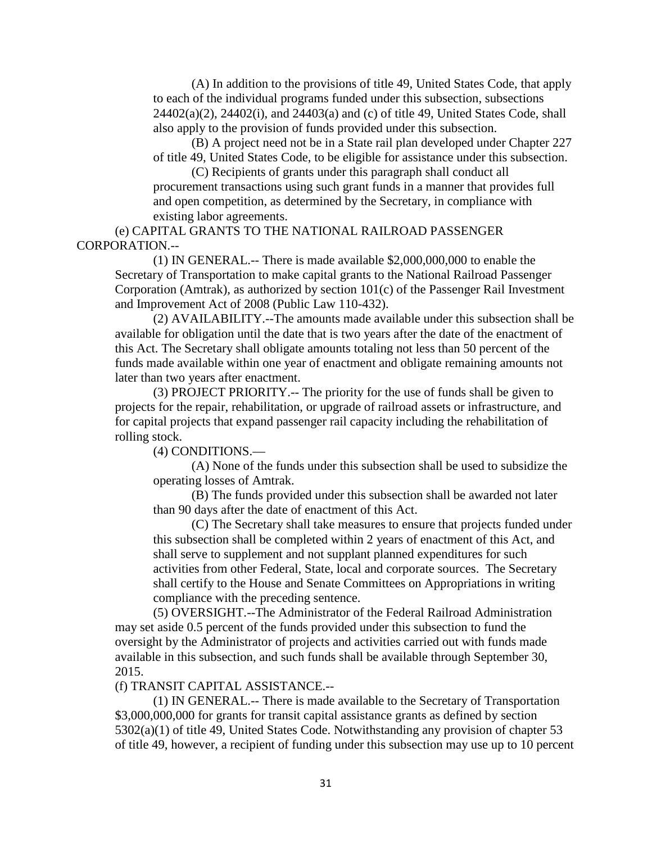(A) In addition to the provisions of title 49, United States Code, that apply to each of the individual programs funded under this subsection, subsections 24402(a)(2), 24402(i), and 24403(a) and (c) of title 49, United States Code, shall also apply to the provision of funds provided under this subsection.

(B) A project need not be in a State rail plan developed under Chapter 227 of title 49, United States Code, to be eligible for assistance under this subsection.

(C) Recipients of grants under this paragraph shall conduct all procurement transactions using such grant funds in a manner that provides full and open competition, as determined by the Secretary, in compliance with existing labor agreements.

(e) CAPITAL GRANTS TO THE NATIONAL RAILROAD PASSENGER CORPORATION.--

(1) IN GENERAL.-- There is made available \$2,000,000,000 to enable the Secretary of Transportation to make capital grants to the National Railroad Passenger Corporation (Amtrak), as authorized by section 101(c) of the Passenger Rail Investment and Improvement Act of 2008 (Public Law 110-432).

(2) AVAILABILITY.--The amounts made available under this subsection shall be available for obligation until the date that is two years after the date of the enactment of this Act. The Secretary shall obligate amounts totaling not less than 50 percent of the funds made available within one year of enactment and obligate remaining amounts not later than two years after enactment.

(3) PROJECT PRIORITY.-- The priority for the use of funds shall be given to projects for the repair, rehabilitation, or upgrade of railroad assets or infrastructure, and for capital projects that expand passenger rail capacity including the rehabilitation of rolling stock.

(4) CONDITIONS.—

(A) None of the funds under this subsection shall be used to subsidize the operating losses of Amtrak.

(B) The funds provided under this subsection shall be awarded not later than 90 days after the date of enactment of this Act.

(C) The Secretary shall take measures to ensure that projects funded under this subsection shall be completed within 2 years of enactment of this Act, and shall serve to supplement and not supplant planned expenditures for such activities from other Federal, State, local and corporate sources. The Secretary shall certify to the House and Senate Committees on Appropriations in writing compliance with the preceding sentence.

(5) OVERSIGHT.--The Administrator of the Federal Railroad Administration may set aside 0.5 percent of the funds provided under this subsection to fund the oversight by the Administrator of projects and activities carried out with funds made available in this subsection, and such funds shall be available through September 30, 2015.

(f) TRANSIT CAPITAL ASSISTANCE.--

(1) IN GENERAL.-- There is made available to the Secretary of Transportation \$3,000,000,000 for grants for transit capital assistance grants as defined by section 5302(a)(1) of title 49, United States Code. Notwithstanding any provision of chapter 53 of title 49, however, a recipient of funding under this subsection may use up to 10 percent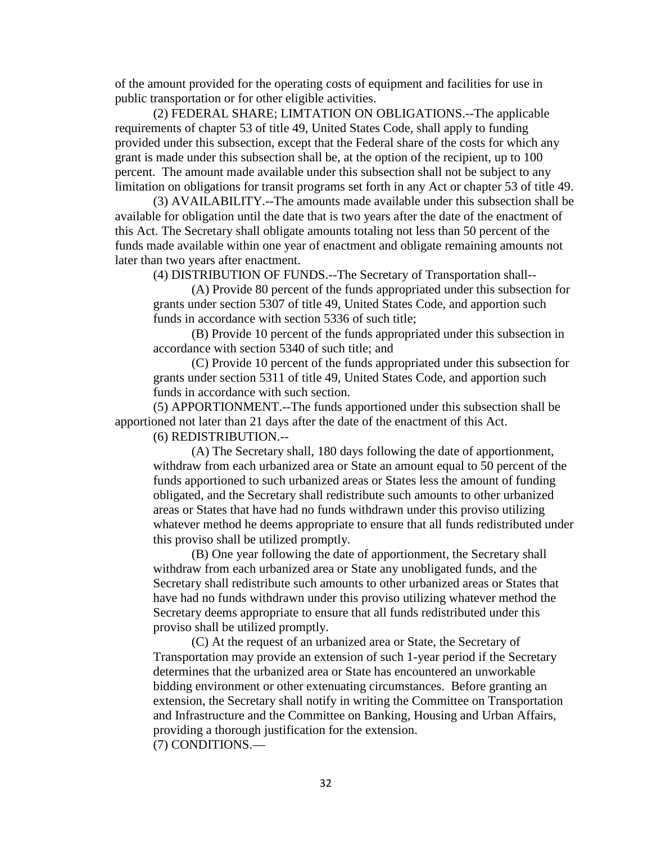of the amount provided for the operating costs of equipment and facilities for use in public transportation or for other eligible activities.

(2) FEDERAL SHARE; LIMTATION ON OBLIGATIONS.--The applicable requirements of chapter 53 of title 49, United States Code, shall apply to funding provided under this subsection, except that the Federal share of the costs for which any grant is made under this subsection shall be, at the option of the recipient, up to 100 percent. The amount made available under this subsection shall not be subject to any limitation on obligations for transit programs set forth in any Act or chapter 53 of title 49.

(3) AVAILABILITY.--The amounts made available under this subsection shall be available for obligation until the date that is two years after the date of the enactment of this Act. The Secretary shall obligate amounts totaling not less than 50 percent of the funds made available within one year of enactment and obligate remaining amounts not later than two years after enactment.

(4) DISTRIBUTION OF FUNDS.--The Secretary of Transportation shall--

(A) Provide 80 percent of the funds appropriated under this subsection for grants under section 5307 of title 49, United States Code, and apportion such funds in accordance with section 5336 of such title;

(B) Provide 10 percent of the funds appropriated under this subsection in accordance with section 5340 of such title; and

(C) Provide 10 percent of the funds appropriated under this subsection for grants under section 5311 of title 49, United States Code, and apportion such funds in accordance with such section.

(5) APPORTIONMENT.--The funds apportioned under this subsection shall be apportioned not later than 21 days after the date of the enactment of this Act.

(6) REDISTRIBUTION.--

(A) The Secretary shall, 180 days following the date of apportionment, withdraw from each urbanized area or State an amount equal to 50 percent of the funds apportioned to such urbanized areas or States less the amount of funding obligated, and the Secretary shall redistribute such amounts to other urbanized areas or States that have had no funds withdrawn under this proviso utilizing whatever method he deems appropriate to ensure that all funds redistributed under this proviso shall be utilized promptly.

(B) One year following the date of apportionment, the Secretary shall withdraw from each urbanized area or State any unobligated funds, and the Secretary shall redistribute such amounts to other urbanized areas or States that have had no funds withdrawn under this proviso utilizing whatever method the Secretary deems appropriate to ensure that all funds redistributed under this proviso shall be utilized promptly.

(C) At the request of an urbanized area or State, the Secretary of Transportation may provide an extension of such 1-year period if the Secretary determines that the urbanized area or State has encountered an unworkable bidding environment or other extenuating circumstances. Before granting an extension, the Secretary shall notify in writing the Committee on Transportation and Infrastructure and the Committee on Banking, Housing and Urban Affairs, providing a thorough justification for the extension. (7) CONDITIONS.—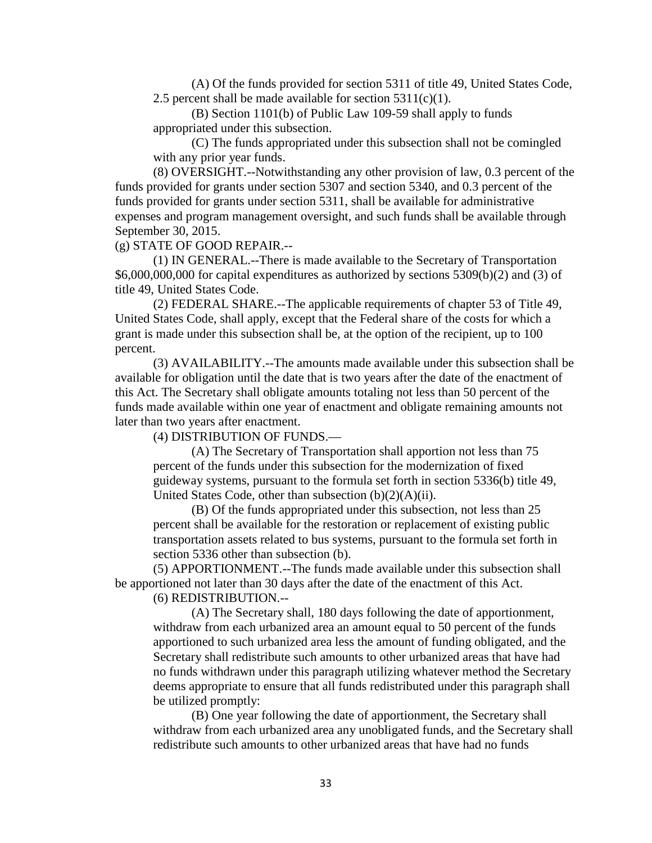(A) Of the funds provided for section 5311 of title 49, United States Code, 2.5 percent shall be made available for section  $5311(c)(1)$ .

(B) Section 1101(b) of Public Law 109-59 shall apply to funds appropriated under this subsection.

(C) The funds appropriated under this subsection shall not be comingled with any prior year funds.

(8) OVERSIGHT.--Notwithstanding any other provision of law, 0.3 percent of the funds provided for grants under section 5307 and section 5340, and 0.3 percent of the funds provided for grants under section 5311, shall be available for administrative expenses and program management oversight, and such funds shall be available through September 30, 2015.

(g) STATE OF GOOD REPAIR.--

(1) IN GENERAL.--There is made available to the Secretary of Transportation  $$6,000,000,000$  for capital expenditures as authorized by sections  $5309(b)(2)$  and  $(3)$  of title 49, United States Code.

(2) FEDERAL SHARE.--The applicable requirements of chapter 53 of Title 49, United States Code, shall apply, except that the Federal share of the costs for which a grant is made under this subsection shall be, at the option of the recipient, up to 100 percent.

(3) AVAILABILITY.--The amounts made available under this subsection shall be available for obligation until the date that is two years after the date of the enactment of this Act. The Secretary shall obligate amounts totaling not less than 50 percent of the funds made available within one year of enactment and obligate remaining amounts not later than two years after enactment.

(4) DISTRIBUTION OF FUNDS.—

(A) The Secretary of Transportation shall apportion not less than 75 percent of the funds under this subsection for the modernization of fixed guideway systems, pursuant to the formula set forth in section 5336(b) title 49, United States Code, other than subsection (b)(2)(A)(ii).

(B) Of the funds appropriated under this subsection, not less than 25 percent shall be available for the restoration or replacement of existing public transportation assets related to bus systems, pursuant to the formula set forth in section 5336 other than subsection (b).

(5) APPORTIONMENT.--The funds made available under this subsection shall be apportioned not later than 30 days after the date of the enactment of this Act.

(6) REDISTRIBUTION.--

(A) The Secretary shall, 180 days following the date of apportionment, withdraw from each urbanized area an amount equal to 50 percent of the funds apportioned to such urbanized area less the amount of funding obligated, and the Secretary shall redistribute such amounts to other urbanized areas that have had no funds withdrawn under this paragraph utilizing whatever method the Secretary deems appropriate to ensure that all funds redistributed under this paragraph shall be utilized promptly:

(B) One year following the date of apportionment, the Secretary shall withdraw from each urbanized area any unobligated funds, and the Secretary shall redistribute such amounts to other urbanized areas that have had no funds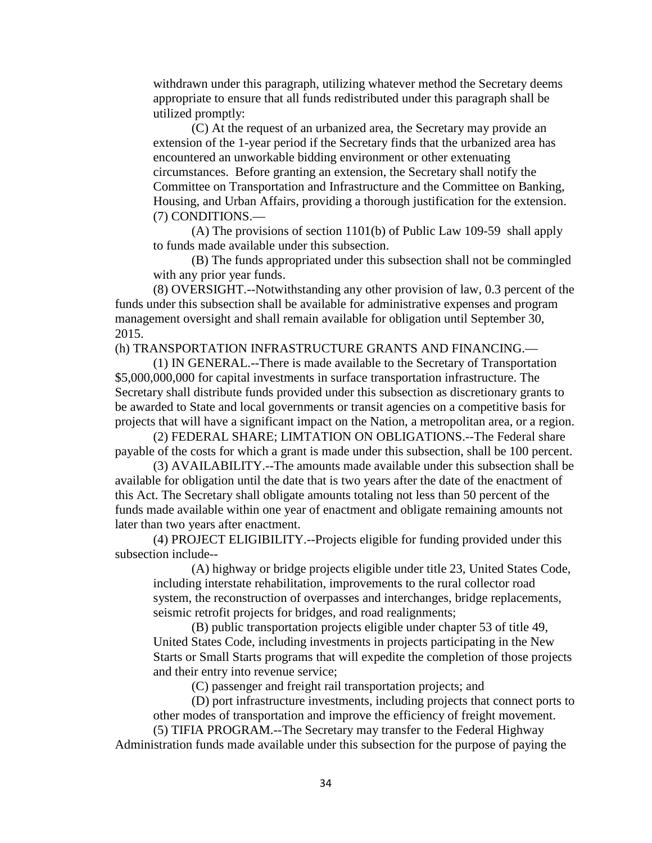withdrawn under this paragraph, utilizing whatever method the Secretary deems appropriate to ensure that all funds redistributed under this paragraph shall be utilized promptly:

(C) At the request of an urbanized area, the Secretary may provide an extension of the 1-year period if the Secretary finds that the urbanized area has encountered an unworkable bidding environment or other extenuating circumstances. Before granting an extension, the Secretary shall notify the Committee on Transportation and Infrastructure and the Committee on Banking, Housing, and Urban Affairs, providing a thorough justification for the extension. (7) CONDITIONS.—

(A) The provisions of section 1101(b) of Public Law 109-59 shall apply to funds made available under this subsection.

(B) The funds appropriated under this subsection shall not be commingled with any prior year funds.

(8) OVERSIGHT.--Notwithstanding any other provision of law, 0.3 percent of the funds under this subsection shall be available for administrative expenses and program management oversight and shall remain available for obligation until September 30, 2015.

(h) TRANSPORTATION INFRASTRUCTURE GRANTS AND FINANCING.—

(1) IN GENERAL.--There is made available to the Secretary of Transportation \$5,000,000,000 for capital investments in surface transportation infrastructure. The Secretary shall distribute funds provided under this subsection as discretionary grants to be awarded to State and local governments or transit agencies on a competitive basis for projects that will have a significant impact on the Nation, a metropolitan area, or a region.

(2) FEDERAL SHARE; LIMTATION ON OBLIGATIONS.--The Federal share payable of the costs for which a grant is made under this subsection, shall be 100 percent.

(3) AVAILABILITY.--The amounts made available under this subsection shall be available for obligation until the date that is two years after the date of the enactment of this Act. The Secretary shall obligate amounts totaling not less than 50 percent of the funds made available within one year of enactment and obligate remaining amounts not later than two years after enactment.

(4) PROJECT ELIGIBILITY.--Projects eligible for funding provided under this subsection include--

(A) highway or bridge projects eligible under title 23, United States Code, including interstate rehabilitation, improvements to the rural collector road system, the reconstruction of overpasses and interchanges, bridge replacements, seismic retrofit projects for bridges, and road realignments;

(B) public transportation projects eligible under chapter 53 of title 49, United States Code, including investments in projects participating in the New Starts or Small Starts programs that will expedite the completion of those projects and their entry into revenue service;

(C) passenger and freight rail transportation projects; and

(D) port infrastructure investments, including projects that connect ports to other modes of transportation and improve the efficiency of freight movement.

(5) TIFIA PROGRAM.--The Secretary may transfer to the Federal Highway Administration funds made available under this subsection for the purpose of paying the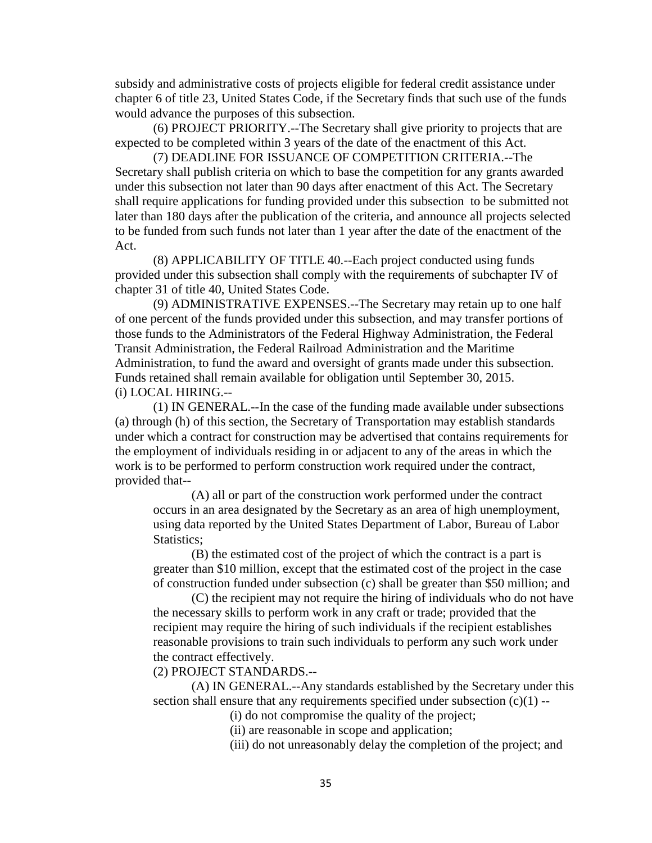subsidy and administrative costs of projects eligible for federal credit assistance under chapter 6 of title 23, United States Code, if the Secretary finds that such use of the funds would advance the purposes of this subsection.

(6) PROJECT PRIORITY.--The Secretary shall give priority to projects that are expected to be completed within 3 years of the date of the enactment of this Act.

(7) DEADLINE FOR ISSUANCE OF COMPETITION CRITERIA.--The Secretary shall publish criteria on which to base the competition for any grants awarded under this subsection not later than 90 days after enactment of this Act. The Secretary shall require applications for funding provided under this subsection to be submitted not later than 180 days after the publication of the criteria, and announce all projects selected to be funded from such funds not later than 1 year after the date of the enactment of the Act.

(8) APPLICABILITY OF TITLE 40.--Each project conducted using funds provided under this subsection shall comply with the requirements of subchapter IV of chapter 31 of title 40, United States Code.

(9) ADMINISTRATIVE EXPENSES.--The Secretary may retain up to one half of one percent of the funds provided under this subsection, and may transfer portions of those funds to the Administrators of the Federal Highway Administration, the Federal Transit Administration, the Federal Railroad Administration and the Maritime Administration, to fund the award and oversight of grants made under this subsection. Funds retained shall remain available for obligation until September 30, 2015. (i) LOCAL HIRING.--

(1) IN GENERAL.--In the case of the funding made available under subsections (a) through (h) of this section, the Secretary of Transportation may establish standards under which a contract for construction may be advertised that contains requirements for the employment of individuals residing in or adjacent to any of the areas in which the work is to be performed to perform construction work required under the contract, provided that--

(A) all or part of the construction work performed under the contract occurs in an area designated by the Secretary as an area of high unemployment, using data reported by the United States Department of Labor, Bureau of Labor Statistics;

(B) the estimated cost of the project of which the contract is a part is greater than \$10 million, except that the estimated cost of the project in the case of construction funded under subsection (c) shall be greater than \$50 million; and

(C) the recipient may not require the hiring of individuals who do not have the necessary skills to perform work in any craft or trade; provided that the recipient may require the hiring of such individuals if the recipient establishes reasonable provisions to train such individuals to perform any such work under the contract effectively.

(2) PROJECT STANDARDS.--

(A) IN GENERAL.--Any standards established by the Secretary under this section shall ensure that any requirements specified under subsection  $(c)(1)$  --

(i) do not compromise the quality of the project;

(ii) are reasonable in scope and application;

(iii) do not unreasonably delay the completion of the project; and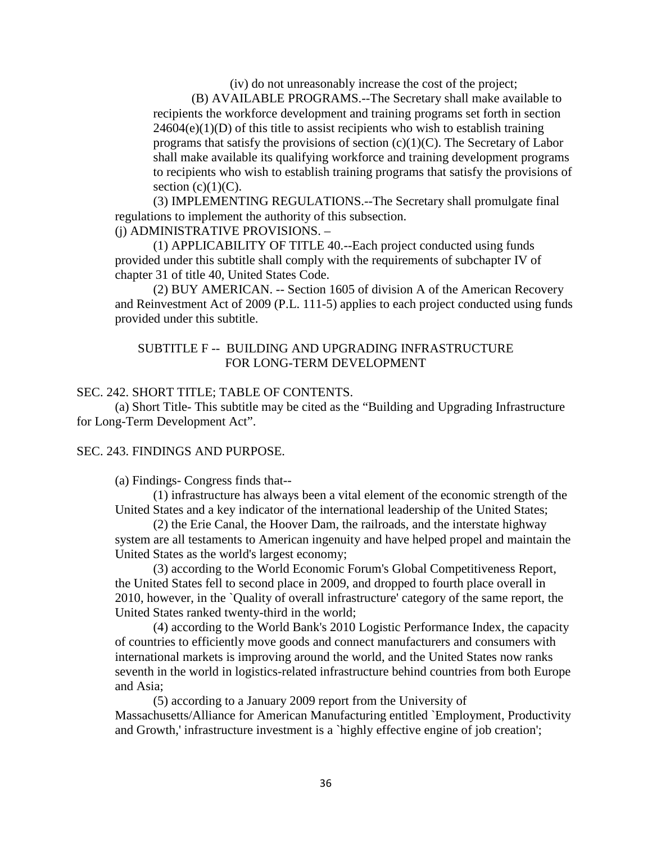(iv) do not unreasonably increase the cost of the project;

(B) AVAILABLE PROGRAMS.--The Secretary shall make available to recipients the workforce development and training programs set forth in section  $24604(e)(1)(D)$  of this title to assist recipients who wish to establish training programs that satisfy the provisions of section  $(c)(1)(C)$ . The Secretary of Labor shall make available its qualifying workforce and training development programs to recipients who wish to establish training programs that satisfy the provisions of section  $(c)(1)(C)$ .

(3) IMPLEMENTING REGULATIONS.--The Secretary shall promulgate final regulations to implement the authority of this subsection.

(j) ADMINISTRATIVE PROVISIONS. –

(1) APPLICABILITY OF TITLE 40.--Each project conducted using funds provided under this subtitle shall comply with the requirements of subchapter IV of chapter 31 of title 40, United States Code.

(2) BUY AMERICAN. -- Section 1605 of division A of the American Recovery and Reinvestment Act of 2009 (P.L. 111-5) applies to each project conducted using funds provided under this subtitle.

# SUBTITLE F -- BUILDING AND UPGRADING INFRASTRUCTURE FOR LONG-TERM DEVELOPMENT

## SEC. 242. SHORT TITLE; TABLE OF CONTENTS.

(a) Short Title- This subtitle may be cited as the "Building and Upgrading Infrastructure for Long-Term Development Act".

## SEC. 243. FINDINGS AND PURPOSE.

(a) Findings- Congress finds that--

(1) infrastructure has always been a vital element of the economic strength of the United States and a key indicator of the international leadership of the United States;

(2) the Erie Canal, the Hoover Dam, the railroads, and the interstate highway system are all testaments to American ingenuity and have helped propel and maintain the United States as the world's largest economy;

(3) according to the World Economic Forum's Global Competitiveness Report, the United States fell to second place in 2009, and dropped to fourth place overall in 2010, however, in the `Quality of overall infrastructure' category of the same report, the United States ranked twenty-third in the world;

(4) according to the World Bank's 2010 Logistic Performance Index, the capacity of countries to efficiently move goods and connect manufacturers and consumers with international markets is improving around the world, and the United States now ranks seventh in the world in logistics-related infrastructure behind countries from both Europe and Asia;

(5) according to a January 2009 report from the University of Massachusetts/Alliance for American Manufacturing entitled `Employment, Productivity and Growth,' infrastructure investment is a `highly effective engine of job creation';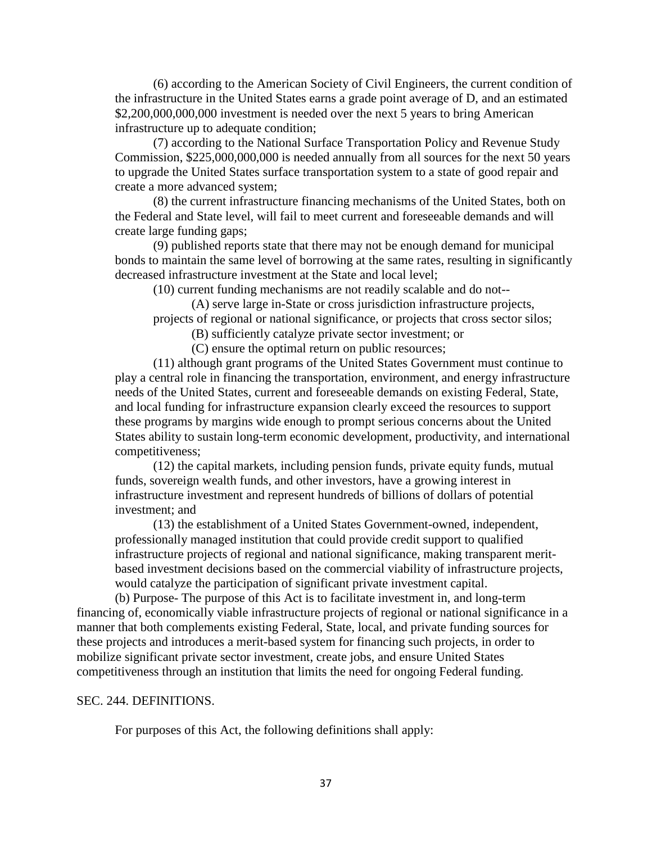(6) according to the American Society of Civil Engineers, the current condition of the infrastructure in the United States earns a grade point average of D, and an estimated \$2,200,000,000,000 investment is needed over the next 5 years to bring American infrastructure up to adequate condition;

(7) according to the National Surface Transportation Policy and Revenue Study Commission, \$225,000,000,000 is needed annually from all sources for the next 50 years to upgrade the United States surface transportation system to a state of good repair and create a more advanced system;

(8) the current infrastructure financing mechanisms of the United States, both on the Federal and State level, will fail to meet current and foreseeable demands and will create large funding gaps;

(9) published reports state that there may not be enough demand for municipal bonds to maintain the same level of borrowing at the same rates, resulting in significantly decreased infrastructure investment at the State and local level;

(10) current funding mechanisms are not readily scalable and do not--

(A) serve large in-State or cross jurisdiction infrastructure projects, projects of regional or national significance, or projects that cross sector silos;

(B) sufficiently catalyze private sector investment; or

(C) ensure the optimal return on public resources;

(11) although grant programs of the United States Government must continue to play a central role in financing the transportation, environment, and energy infrastructure needs of the United States, current and foreseeable demands on existing Federal, State, and local funding for infrastructure expansion clearly exceed the resources to support these programs by margins wide enough to prompt serious concerns about the United States ability to sustain long-term economic development, productivity, and international competitiveness;

(12) the capital markets, including pension funds, private equity funds, mutual funds, sovereign wealth funds, and other investors, have a growing interest in infrastructure investment and represent hundreds of billions of dollars of potential investment; and

(13) the establishment of a United States Government-owned, independent, professionally managed institution that could provide credit support to qualified infrastructure projects of regional and national significance, making transparent meritbased investment decisions based on the commercial viability of infrastructure projects, would catalyze the participation of significant private investment capital.

(b) Purpose- The purpose of this Act is to facilitate investment in, and long-term financing of, economically viable infrastructure projects of regional or national significance in a manner that both complements existing Federal, State, local, and private funding sources for these projects and introduces a merit-based system for financing such projects, in order to mobilize significant private sector investment, create jobs, and ensure United States competitiveness through an institution that limits the need for ongoing Federal funding.

#### SEC. 244. DEFINITIONS.

For purposes of this Act, the following definitions shall apply: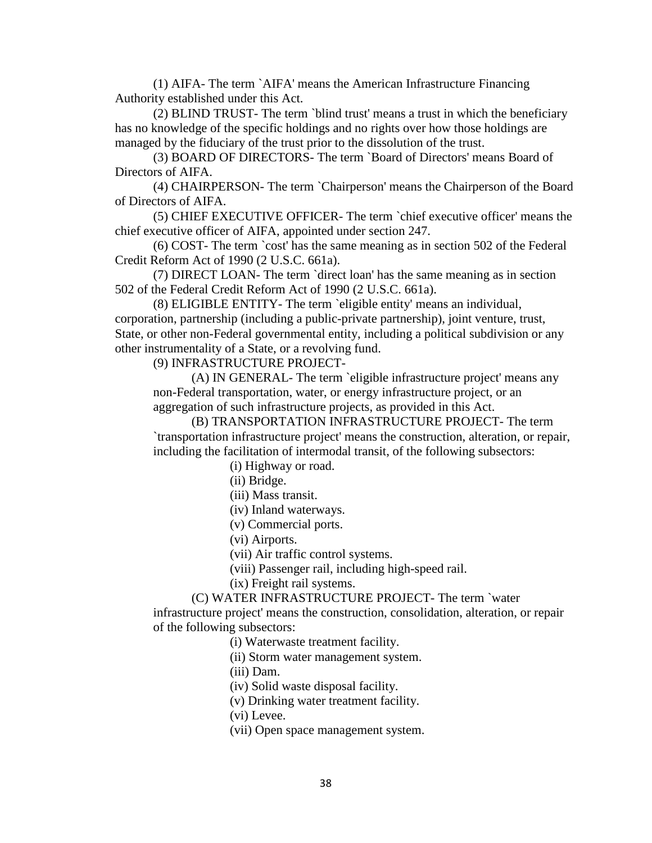(1) AIFA- The term `AIFA' means the American Infrastructure Financing Authority established under this Act.

(2) BLIND TRUST- The term `blind trust' means a trust in which the beneficiary has no knowledge of the specific holdings and no rights over how those holdings are managed by the fiduciary of the trust prior to the dissolution of the trust.

(3) BOARD OF DIRECTORS- The term `Board of Directors' means Board of Directors of AIFA.

(4) CHAIRPERSON- The term `Chairperson' means the Chairperson of the Board of Directors of AIFA.

(5) CHIEF EXECUTIVE OFFICER- The term `chief executive officer' means the chief executive officer of AIFA, appointed under section 247.

(6) COST- The term `cost' has the same meaning as in section 502 of the Federal Credit Reform Act of 1990 (2 U.S.C. 661a).

(7) DIRECT LOAN- The term `direct loan' has the same meaning as in section 502 of the Federal Credit Reform Act of 1990 (2 U.S.C. 661a).

(8) ELIGIBLE ENTITY- The term `eligible entity' means an individual, corporation, partnership (including a public-private partnership), joint venture, trust, State, or other non-Federal governmental entity, including a political subdivision or any other instrumentality of a State, or a revolving fund.

(9) INFRASTRUCTURE PROJECT-

(A) IN GENERAL- The term `eligible infrastructure project' means any non-Federal transportation, water, or energy infrastructure project, or an aggregation of such infrastructure projects, as provided in this Act.

(B) TRANSPORTATION INFRASTRUCTURE PROJECT- The term `transportation infrastructure project' means the construction, alteration, or repair, including the facilitation of intermodal transit, of the following subsectors:

(i) Highway or road.

(ii) Bridge.

(iii) Mass transit.

(iv) Inland waterways.

(v) Commercial ports.

(vi) Airports.

(vii) Air traffic control systems.

(viii) Passenger rail, including high-speed rail.

(ix) Freight rail systems.

(C) WATER INFRASTRUCTURE PROJECT- The term `water

infrastructure project' means the construction, consolidation, alteration, or repair of the following subsectors:

(i) Waterwaste treatment facility.

(ii) Storm water management system.

(iii) Dam.

(iv) Solid waste disposal facility.

(v) Drinking water treatment facility.

(vi) Levee.

(vii) Open space management system.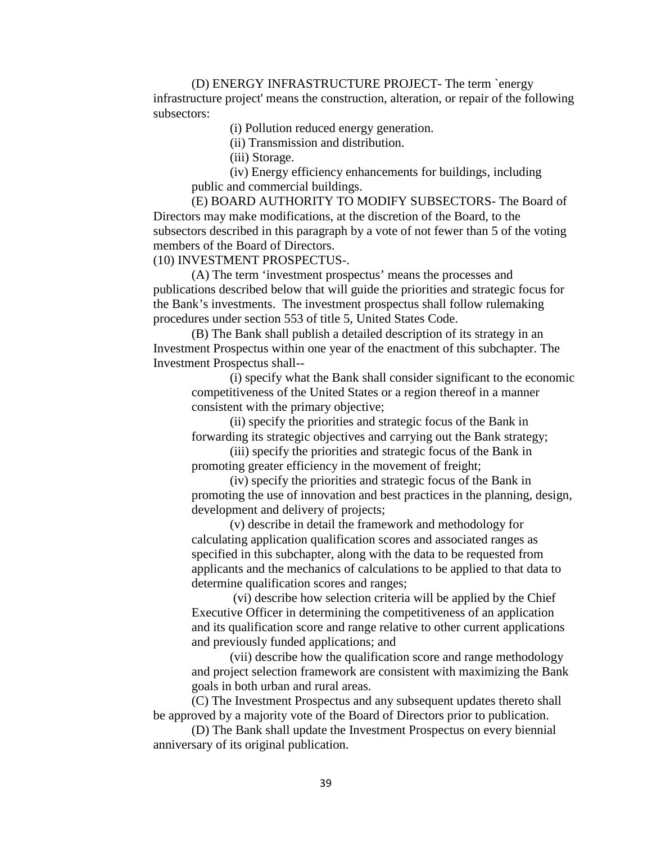(D) ENERGY INFRASTRUCTURE PROJECT- The term `energy infrastructure project' means the construction, alteration, or repair of the following subsectors:

(i) Pollution reduced energy generation.

(ii) Transmission and distribution.

(iii) Storage.

(iv) Energy efficiency enhancements for buildings, including public and commercial buildings.

(E) BOARD AUTHORITY TO MODIFY SUBSECTORS- The Board of Directors may make modifications, at the discretion of the Board, to the subsectors described in this paragraph by a vote of not fewer than 5 of the voting members of the Board of Directors.

(10) INVESTMENT PROSPECTUS-.

(A) The term 'investment prospectus' means the processes and publications described below that will guide the priorities and strategic focus for the Bank's investments. The investment prospectus shall follow rulemaking procedures under section 553 of title 5, United States Code.

(B) The Bank shall publish a detailed description of its strategy in an Investment Prospectus within one year of the enactment of this subchapter. The Investment Prospectus shall--

(i) specify what the Bank shall consider significant to the economic competitiveness of the United States or a region thereof in a manner consistent with the primary objective;

(ii) specify the priorities and strategic focus of the Bank in forwarding its strategic objectives and carrying out the Bank strategy;

(iii) specify the priorities and strategic focus of the Bank in promoting greater efficiency in the movement of freight;

(iv) specify the priorities and strategic focus of the Bank in promoting the use of innovation and best practices in the planning, design, development and delivery of projects;

(v) describe in detail the framework and methodology for calculating application qualification scores and associated ranges as specified in this subchapter, along with the data to be requested from applicants and the mechanics of calculations to be applied to that data to determine qualification scores and ranges;

(vi) describe how selection criteria will be applied by the Chief Executive Officer in determining the competitiveness of an application and its qualification score and range relative to other current applications and previously funded applications; and

(vii) describe how the qualification score and range methodology and project selection framework are consistent with maximizing the Bank goals in both urban and rural areas.

(C) The Investment Prospectus and any subsequent updates thereto shall be approved by a majority vote of the Board of Directors prior to publication.

(D) The Bank shall update the Investment Prospectus on every biennial anniversary of its original publication.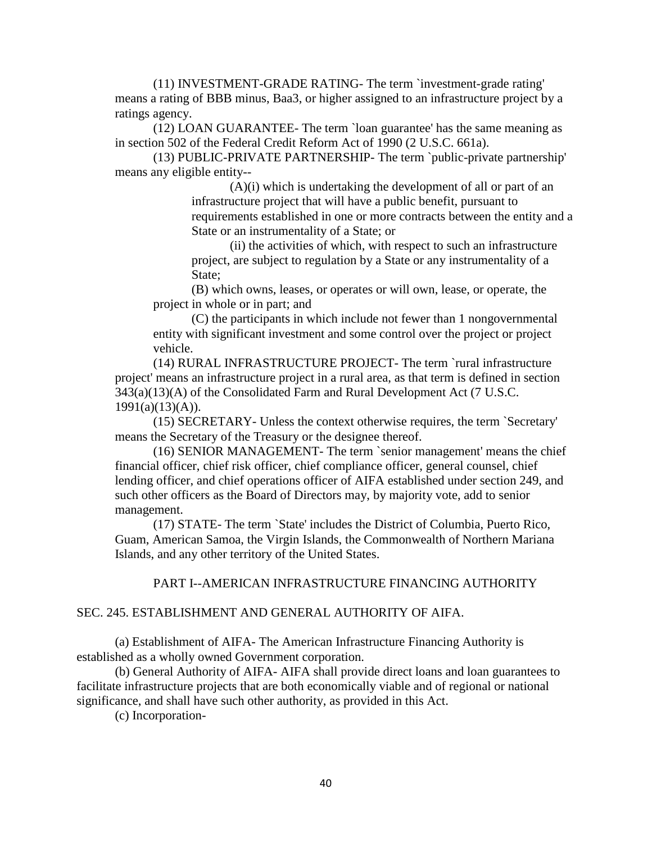(11) INVESTMENT-GRADE RATING- The term `investment-grade rating' means a rating of BBB minus, Baa3, or higher assigned to an infrastructure project by a ratings agency.

(12) LOAN GUARANTEE- The term `loan guarantee' has the same meaning as in section 502 of the Federal Credit Reform Act of 1990 (2 U.S.C. 661a).

(13) PUBLIC-PRIVATE PARTNERSHIP- The term `public-private partnership' means any eligible entity--

> $(A)(i)$  which is undertaking the development of all or part of an infrastructure project that will have a public benefit, pursuant to requirements established in one or more contracts between the entity and a State or an instrumentality of a State; or

(ii) the activities of which, with respect to such an infrastructure project, are subject to regulation by a State or any instrumentality of a State;

(B) which owns, leases, or operates or will own, lease, or operate, the project in whole or in part; and

(C) the participants in which include not fewer than 1 nongovernmental entity with significant investment and some control over the project or project vehicle.

(14) RURAL INFRASTRUCTURE PROJECT- The term `rural infrastructure project' means an infrastructure project in a rural area, as that term is defined in section 343(a)(13)(A) of the Consolidated Farm and Rural Development Act (7 U.S.C.  $1991(a)(13)(A)$ ).

(15) SECRETARY- Unless the context otherwise requires, the term `Secretary' means the Secretary of the Treasury or the designee thereof.

(16) SENIOR MANAGEMENT- The term `senior management' means the chief financial officer, chief risk officer, chief compliance officer, general counsel, chief lending officer, and chief operations officer of AIFA established under section 249, and such other officers as the Board of Directors may, by majority vote, add to senior management.

(17) STATE- The term `State' includes the District of Columbia, Puerto Rico, Guam, American Samoa, the Virgin Islands, the Commonwealth of Northern Mariana Islands, and any other territory of the United States.

## PART I--AMERICAN INFRASTRUCTURE FINANCING AUTHORITY

## SEC. 245. ESTABLISHMENT AND GENERAL AUTHORITY OF AIFA.

(a) Establishment of AIFA- The American Infrastructure Financing Authority is established as a wholly owned Government corporation.

(b) General Authority of AIFA- AIFA shall provide direct loans and loan guarantees to facilitate infrastructure projects that are both economically viable and of regional or national significance, and shall have such other authority, as provided in this Act.

(c) Incorporation-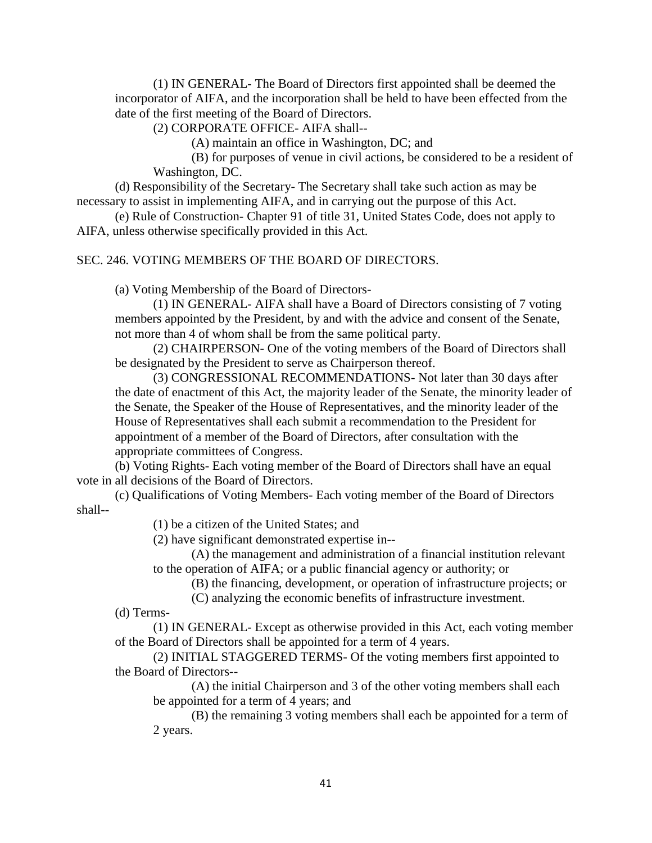(1) IN GENERAL- The Board of Directors first appointed shall be deemed the incorporator of AIFA, and the incorporation shall be held to have been effected from the date of the first meeting of the Board of Directors.

(2) CORPORATE OFFICE- AIFA shall--

(A) maintain an office in Washington, DC; and

(B) for purposes of venue in civil actions, be considered to be a resident of Washington, DC.

(d) Responsibility of the Secretary- The Secretary shall take such action as may be necessary to assist in implementing AIFA, and in carrying out the purpose of this Act.

(e) Rule of Construction- Chapter 91 of title 31, United States Code, does not apply to AIFA, unless otherwise specifically provided in this Act.

## SEC. 246. VOTING MEMBERS OF THE BOARD OF DIRECTORS.

(a) Voting Membership of the Board of Directors-

(1) IN GENERAL- AIFA shall have a Board of Directors consisting of 7 voting members appointed by the President, by and with the advice and consent of the Senate, not more than 4 of whom shall be from the same political party.

(2) CHAIRPERSON- One of the voting members of the Board of Directors shall be designated by the President to serve as Chairperson thereof.

(3) CONGRESSIONAL RECOMMENDATIONS- Not later than 30 days after the date of enactment of this Act, the majority leader of the Senate, the minority leader of the Senate, the Speaker of the House of Representatives, and the minority leader of the House of Representatives shall each submit a recommendation to the President for appointment of a member of the Board of Directors, after consultation with the appropriate committees of Congress.

(b) Voting Rights- Each voting member of the Board of Directors shall have an equal vote in all decisions of the Board of Directors.

(c) Qualifications of Voting Members- Each voting member of the Board of Directors shall--

(1) be a citizen of the United States; and

(2) have significant demonstrated expertise in--

(A) the management and administration of a financial institution relevant to the operation of AIFA; or a public financial agency or authority; or

(B) the financing, development, or operation of infrastructure projects; or

(C) analyzing the economic benefits of infrastructure investment.

(d) Terms-

(1) IN GENERAL- Except as otherwise provided in this Act, each voting member of the Board of Directors shall be appointed for a term of 4 years.

(2) INITIAL STAGGERED TERMS- Of the voting members first appointed to the Board of Directors--

(A) the initial Chairperson and 3 of the other voting members shall each be appointed for a term of 4 years; and

(B) the remaining 3 voting members shall each be appointed for a term of 2 years.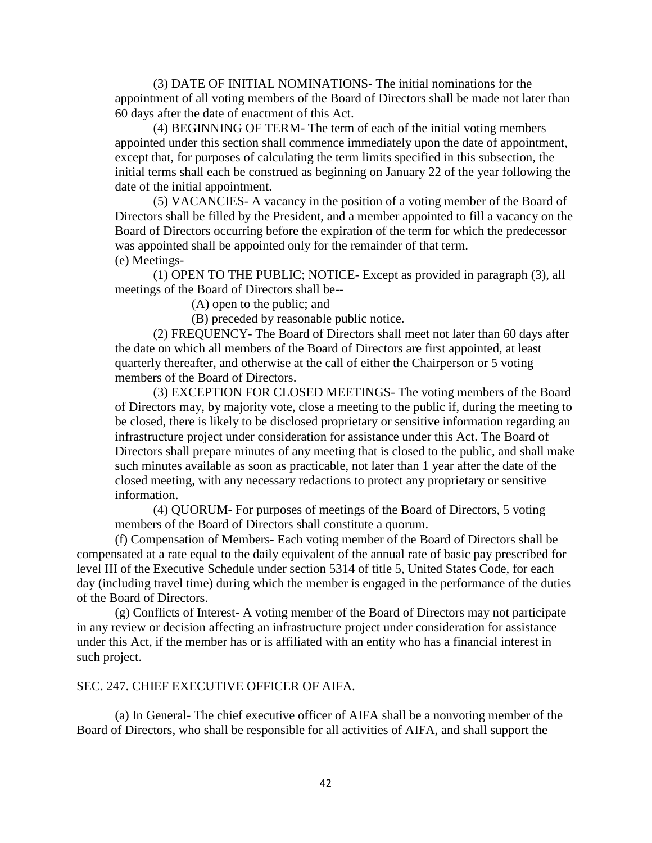(3) DATE OF INITIAL NOMINATIONS- The initial nominations for the appointment of all voting members of the Board of Directors shall be made not later than 60 days after the date of enactment of this Act.

(4) BEGINNING OF TERM- The term of each of the initial voting members appointed under this section shall commence immediately upon the date of appointment, except that, for purposes of calculating the term limits specified in this subsection, the initial terms shall each be construed as beginning on January 22 of the year following the date of the initial appointment.

(5) VACANCIES- A vacancy in the position of a voting member of the Board of Directors shall be filled by the President, and a member appointed to fill a vacancy on the Board of Directors occurring before the expiration of the term for which the predecessor was appointed shall be appointed only for the remainder of that term. (e) Meetings-

(1) OPEN TO THE PUBLIC; NOTICE- Except as provided in paragraph (3), all meetings of the Board of Directors shall be--

(A) open to the public; and

(B) preceded by reasonable public notice.

(2) FREQUENCY- The Board of Directors shall meet not later than 60 days after the date on which all members of the Board of Directors are first appointed, at least quarterly thereafter, and otherwise at the call of either the Chairperson or 5 voting members of the Board of Directors.

(3) EXCEPTION FOR CLOSED MEETINGS- The voting members of the Board of Directors may, by majority vote, close a meeting to the public if, during the meeting to be closed, there is likely to be disclosed proprietary or sensitive information regarding an infrastructure project under consideration for assistance under this Act. The Board of Directors shall prepare minutes of any meeting that is closed to the public, and shall make such minutes available as soon as practicable, not later than 1 year after the date of the closed meeting, with any necessary redactions to protect any proprietary or sensitive information.

(4) QUORUM- For purposes of meetings of the Board of Directors, 5 voting members of the Board of Directors shall constitute a quorum.

(f) Compensation of Members- Each voting member of the Board of Directors shall be compensated at a rate equal to the daily equivalent of the annual rate of basic pay prescribed for level III of the Executive Schedule under section 5314 of title 5, United States Code, for each day (including travel time) during which the member is engaged in the performance of the duties of the Board of Directors.

(g) Conflicts of Interest- A voting member of the Board of Directors may not participate in any review or decision affecting an infrastructure project under consideration for assistance under this Act, if the member has or is affiliated with an entity who has a financial interest in such project.

### SEC. 247. CHIEF EXECUTIVE OFFICER OF AIFA.

(a) In General- The chief executive officer of AIFA shall be a nonvoting member of the Board of Directors, who shall be responsible for all activities of AIFA, and shall support the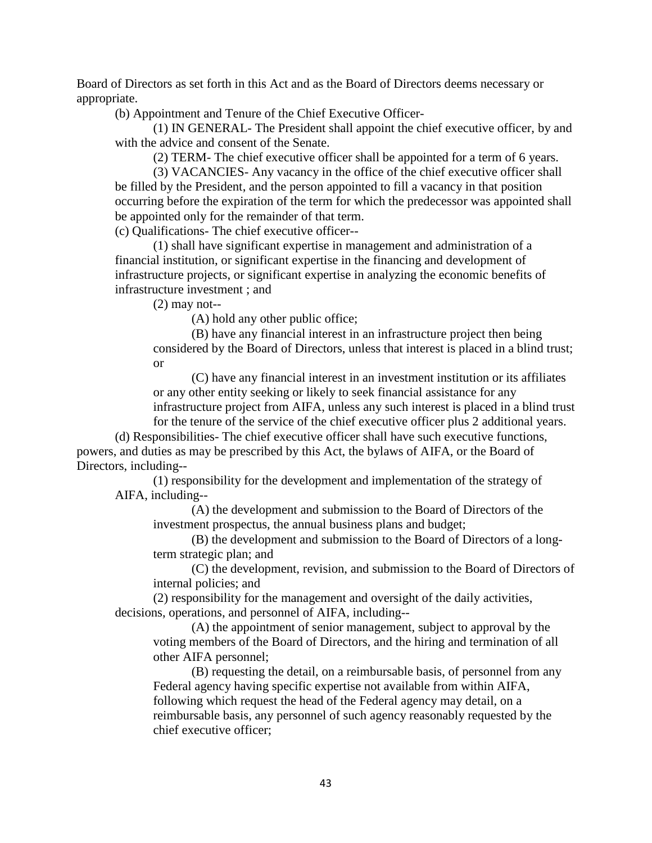Board of Directors as set forth in this Act and as the Board of Directors deems necessary or appropriate.

(b) Appointment and Tenure of the Chief Executive Officer-

(1) IN GENERAL- The President shall appoint the chief executive officer, by and with the advice and consent of the Senate.

(2) TERM- The chief executive officer shall be appointed for a term of 6 years.

(3) VACANCIES- Any vacancy in the office of the chief executive officer shall be filled by the President, and the person appointed to fill a vacancy in that position occurring before the expiration of the term for which the predecessor was appointed shall be appointed only for the remainder of that term.

(c) Qualifications- The chief executive officer--

(1) shall have significant expertise in management and administration of a financial institution, or significant expertise in the financing and development of infrastructure projects, or significant expertise in analyzing the economic benefits of infrastructure investment ; and

(2) may not--

(A) hold any other public office;

(B) have any financial interest in an infrastructure project then being considered by the Board of Directors, unless that interest is placed in a blind trust; or

(C) have any financial interest in an investment institution or its affiliates or any other entity seeking or likely to seek financial assistance for any infrastructure project from AIFA, unless any such interest is placed in a blind trust

for the tenure of the service of the chief executive officer plus 2 additional years. (d) Responsibilities- The chief executive officer shall have such executive functions, powers, and duties as may be prescribed by this Act, the bylaws of AIFA, or the Board of Directors, including--

(1) responsibility for the development and implementation of the strategy of AIFA, including--

(A) the development and submission to the Board of Directors of the investment prospectus, the annual business plans and budget;

(B) the development and submission to the Board of Directors of a longterm strategic plan; and

(C) the development, revision, and submission to the Board of Directors of internal policies; and

(2) responsibility for the management and oversight of the daily activities, decisions, operations, and personnel of AIFA, including--

(A) the appointment of senior management, subject to approval by the voting members of the Board of Directors, and the hiring and termination of all other AIFA personnel;

(B) requesting the detail, on a reimbursable basis, of personnel from any Federal agency having specific expertise not available from within AIFA, following which request the head of the Federal agency may detail, on a reimbursable basis, any personnel of such agency reasonably requested by the chief executive officer;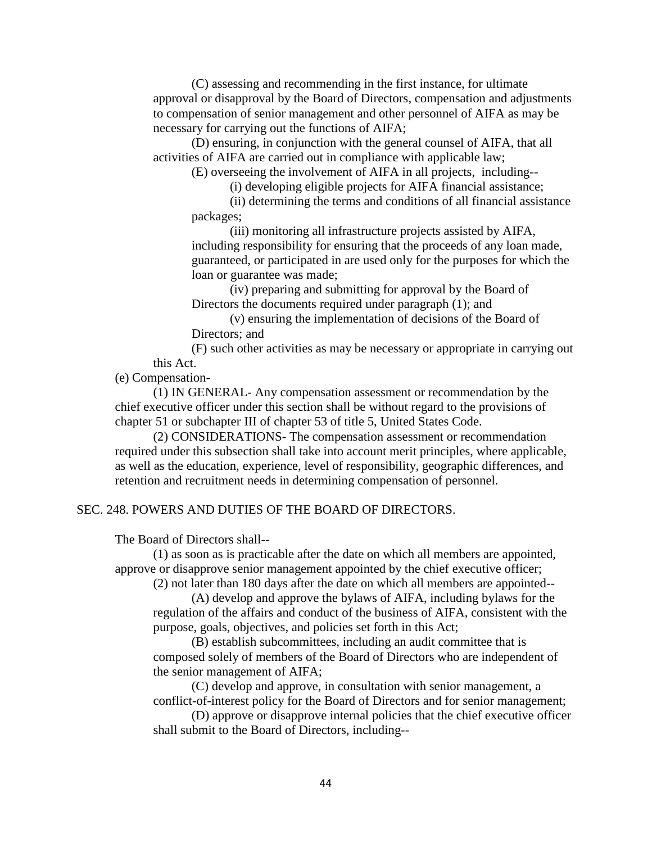(C) assessing and recommending in the first instance, for ultimate approval or disapproval by the Board of Directors, compensation and adjustments to compensation of senior management and other personnel of AIFA as may be necessary for carrying out the functions of AIFA;

(D) ensuring, in conjunction with the general counsel of AIFA, that all activities of AIFA are carried out in compliance with applicable law;

(E) overseeing the involvement of AIFA in all projects, including--

(i) developing eligible projects for AIFA financial assistance;

(ii) determining the terms and conditions of all financial assistance packages;

(iii) monitoring all infrastructure projects assisted by AIFA, including responsibility for ensuring that the proceeds of any loan made, guaranteed, or participated in are used only for the purposes for which the loan or guarantee was made;

(iv) preparing and submitting for approval by the Board of Directors the documents required under paragraph (1); and

(v) ensuring the implementation of decisions of the Board of Directors; and

(F) such other activities as may be necessary or appropriate in carrying out this Act.

(e) Compensation-

(1) IN GENERAL- Any compensation assessment or recommendation by the chief executive officer under this section shall be without regard to the provisions of chapter 51 or subchapter III of chapter 53 of title 5, United States Code.

(2) CONSIDERATIONS- The compensation assessment or recommendation required under this subsection shall take into account merit principles, where applicable, as well as the education, experience, level of responsibility, geographic differences, and retention and recruitment needs in determining compensation of personnel.

## SEC. 248. POWERS AND DUTIES OF THE BOARD OF DIRECTORS.

The Board of Directors shall--

(1) as soon as is practicable after the date on which all members are appointed, approve or disapprove senior management appointed by the chief executive officer;

(2) not later than 180 days after the date on which all members are appointed--

(A) develop and approve the bylaws of AIFA, including bylaws for the regulation of the affairs and conduct of the business of AIFA, consistent with the purpose, goals, objectives, and policies set forth in this Act;

(B) establish subcommittees, including an audit committee that is composed solely of members of the Board of Directors who are independent of the senior management of AIFA;

(C) develop and approve, in consultation with senior management, a conflict-of-interest policy for the Board of Directors and for senior management;

(D) approve or disapprove internal policies that the chief executive officer shall submit to the Board of Directors, including--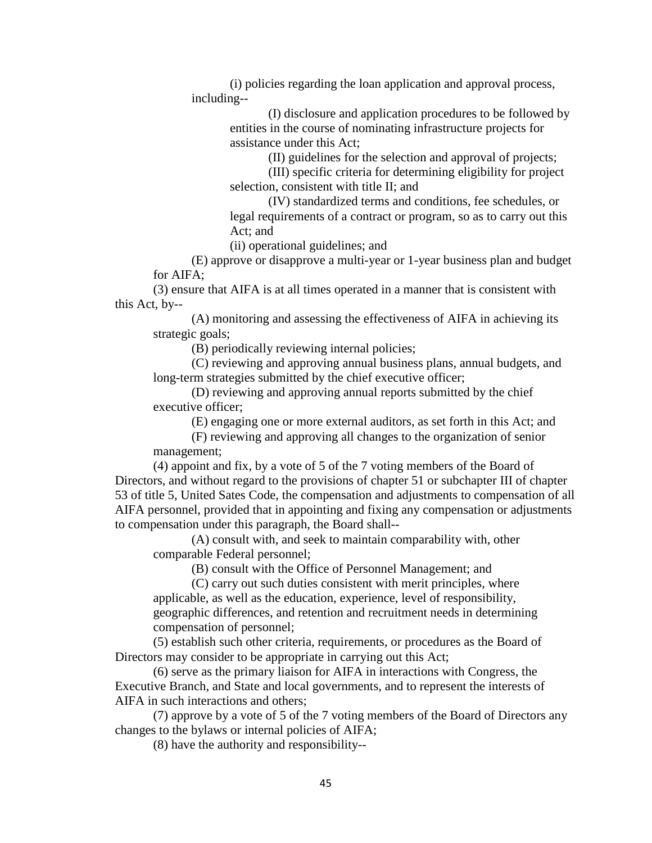(i) policies regarding the loan application and approval process, including--

> (I) disclosure and application procedures to be followed by entities in the course of nominating infrastructure projects for assistance under this Act;

> > (II) guidelines for the selection and approval of projects;

(III) specific criteria for determining eligibility for project selection, consistent with title II; and

(IV) standardized terms and conditions, fee schedules, or legal requirements of a contract or program, so as to carry out this Act; and

(ii) operational guidelines; and

(E) approve or disapprove a multi-year or 1-year business plan and budget for AIFA;

(3) ensure that AIFA is at all times operated in a manner that is consistent with this Act, by--

(A) monitoring and assessing the effectiveness of AIFA in achieving its strategic goals;

(B) periodically reviewing internal policies;

(C) reviewing and approving annual business plans, annual budgets, and long-term strategies submitted by the chief executive officer;

(D) reviewing and approving annual reports submitted by the chief executive officer;

(E) engaging one or more external auditors, as set forth in this Act; and

(F) reviewing and approving all changes to the organization of senior management;

(4) appoint and fix, by a vote of 5 of the 7 voting members of the Board of Directors, and without regard to the provisions of chapter 51 or subchapter III of chapter 53 of title 5, United Sates Code, the compensation and adjustments to compensation of all AIFA personnel, provided that in appointing and fixing any compensation or adjustments to compensation under this paragraph, the Board shall--

(A) consult with, and seek to maintain comparability with, other comparable Federal personnel;

(B) consult with the Office of Personnel Management; and

(C) carry out such duties consistent with merit principles, where applicable, as well as the education, experience, level of responsibility, geographic differences, and retention and recruitment needs in determining compensation of personnel;

(5) establish such other criteria, requirements, or procedures as the Board of Directors may consider to be appropriate in carrying out this Act;

(6) serve as the primary liaison for AIFA in interactions with Congress, the Executive Branch, and State and local governments, and to represent the interests of AIFA in such interactions and others;

(7) approve by a vote of 5 of the 7 voting members of the Board of Directors any changes to the bylaws or internal policies of AIFA;

(8) have the authority and responsibility--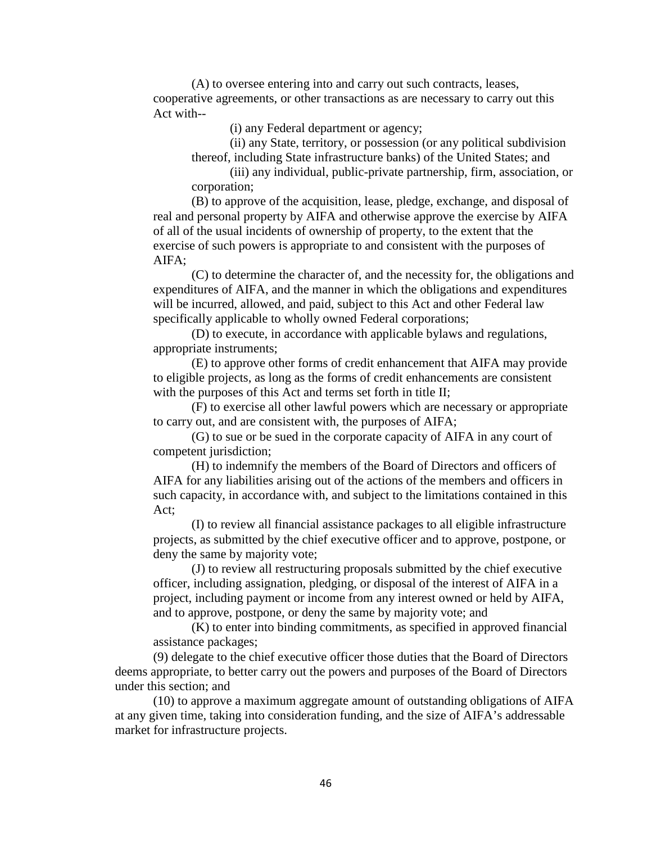(A) to oversee entering into and carry out such contracts, leases, cooperative agreements, or other transactions as are necessary to carry out this Act with--

(i) any Federal department or agency;

(ii) any State, territory, or possession (or any political subdivision thereof, including State infrastructure banks) of the United States; and

(iii) any individual, public-private partnership, firm, association, or corporation;

(B) to approve of the acquisition, lease, pledge, exchange, and disposal of real and personal property by AIFA and otherwise approve the exercise by AIFA of all of the usual incidents of ownership of property, to the extent that the exercise of such powers is appropriate to and consistent with the purposes of AIFA;

(C) to determine the character of, and the necessity for, the obligations and expenditures of AIFA, and the manner in which the obligations and expenditures will be incurred, allowed, and paid, subject to this Act and other Federal law specifically applicable to wholly owned Federal corporations;

(D) to execute, in accordance with applicable bylaws and regulations, appropriate instruments;

(E) to approve other forms of credit enhancement that AIFA may provide to eligible projects, as long as the forms of credit enhancements are consistent with the purposes of this Act and terms set forth in title II;

(F) to exercise all other lawful powers which are necessary or appropriate to carry out, and are consistent with, the purposes of AIFA;

(G) to sue or be sued in the corporate capacity of AIFA in any court of competent jurisdiction;

(H) to indemnify the members of the Board of Directors and officers of AIFA for any liabilities arising out of the actions of the members and officers in such capacity, in accordance with, and subject to the limitations contained in this Act;

(I) to review all financial assistance packages to all eligible infrastructure projects, as submitted by the chief executive officer and to approve, postpone, or deny the same by majority vote;

(J) to review all restructuring proposals submitted by the chief executive officer, including assignation, pledging, or disposal of the interest of AIFA in a project, including payment or income from any interest owned or held by AIFA, and to approve, postpone, or deny the same by majority vote; and

(K) to enter into binding commitments, as specified in approved financial assistance packages;

(9) delegate to the chief executive officer those duties that the Board of Directors deems appropriate, to better carry out the powers and purposes of the Board of Directors under this section; and

(10) to approve a maximum aggregate amount of outstanding obligations of AIFA at any given time, taking into consideration funding, and the size of AIFA's addressable market for infrastructure projects.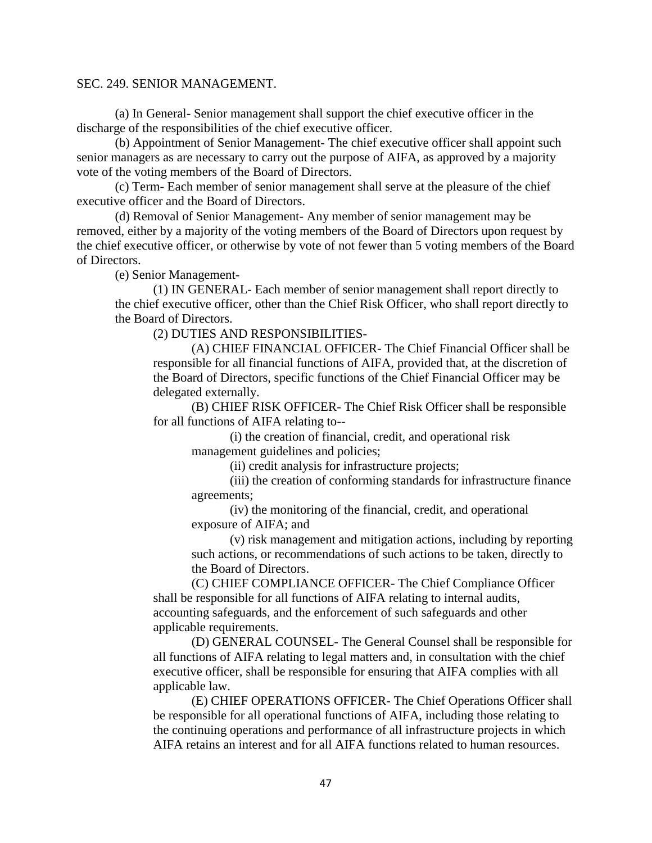### SEC. 249. SENIOR MANAGEMENT.

(a) In General- Senior management shall support the chief executive officer in the discharge of the responsibilities of the chief executive officer.

(b) Appointment of Senior Management- The chief executive officer shall appoint such senior managers as are necessary to carry out the purpose of AIFA, as approved by a majority vote of the voting members of the Board of Directors.

(c) Term- Each member of senior management shall serve at the pleasure of the chief executive officer and the Board of Directors.

(d) Removal of Senior Management- Any member of senior management may be removed, either by a majority of the voting members of the Board of Directors upon request by the chief executive officer, or otherwise by vote of not fewer than 5 voting members of the Board of Directors.

(e) Senior Management-

(1) IN GENERAL- Each member of senior management shall report directly to the chief executive officer, other than the Chief Risk Officer, who shall report directly to the Board of Directors.

(2) DUTIES AND RESPONSIBILITIES-

(A) CHIEF FINANCIAL OFFICER- The Chief Financial Officer shall be responsible for all financial functions of AIFA, provided that, at the discretion of the Board of Directors, specific functions of the Chief Financial Officer may be delegated externally.

(B) CHIEF RISK OFFICER- The Chief Risk Officer shall be responsible for all functions of AIFA relating to--

(i) the creation of financial, credit, and operational risk management guidelines and policies;

(ii) credit analysis for infrastructure projects;

(iii) the creation of conforming standards for infrastructure finance agreements;

(iv) the monitoring of the financial, credit, and operational exposure of AIFA; and

(v) risk management and mitigation actions, including by reporting such actions, or recommendations of such actions to be taken, directly to the Board of Directors.

(C) CHIEF COMPLIANCE OFFICER- The Chief Compliance Officer shall be responsible for all functions of AIFA relating to internal audits, accounting safeguards, and the enforcement of such safeguards and other applicable requirements.

(D) GENERAL COUNSEL- The General Counsel shall be responsible for all functions of AIFA relating to legal matters and, in consultation with the chief executive officer, shall be responsible for ensuring that AIFA complies with all applicable law.

(E) CHIEF OPERATIONS OFFICER- The Chief Operations Officer shall be responsible for all operational functions of AIFA, including those relating to the continuing operations and performance of all infrastructure projects in which AIFA retains an interest and for all AIFA functions related to human resources.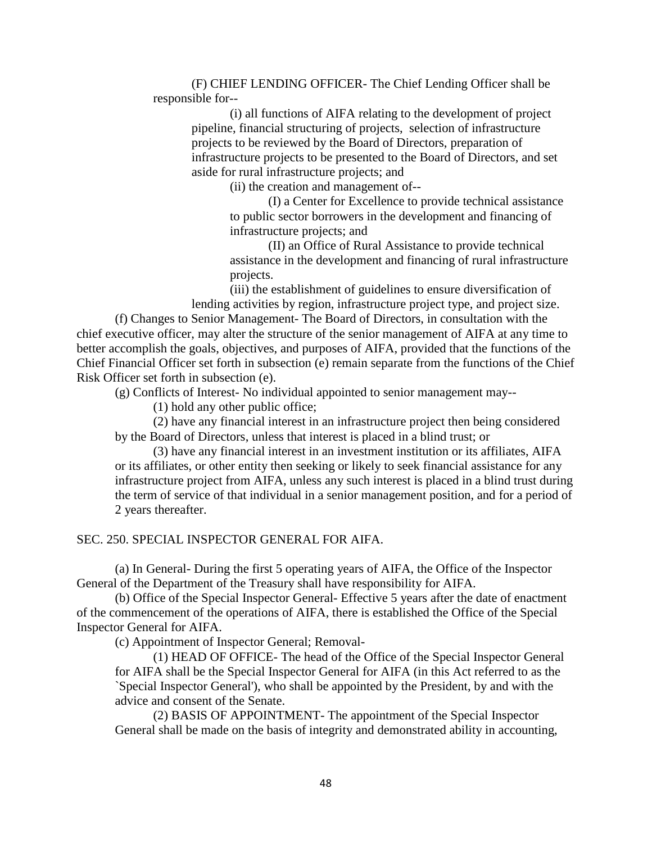(F) CHIEF LENDING OFFICER- The Chief Lending Officer shall be responsible for--

(i) all functions of AIFA relating to the development of project pipeline, financial structuring of projects, selection of infrastructure projects to be reviewed by the Board of Directors, preparation of infrastructure projects to be presented to the Board of Directors, and set aside for rural infrastructure projects; and

(ii) the creation and management of--

(I) a Center for Excellence to provide technical assistance to public sector borrowers in the development and financing of infrastructure projects; and

(II) an Office of Rural Assistance to provide technical assistance in the development and financing of rural infrastructure projects.

(iii) the establishment of guidelines to ensure diversification of lending activities by region, infrastructure project type, and project size.

(f) Changes to Senior Management- The Board of Directors, in consultation with the chief executive officer, may alter the structure of the senior management of AIFA at any time to better accomplish the goals, objectives, and purposes of AIFA, provided that the functions of the Chief Financial Officer set forth in subsection (e) remain separate from the functions of the Chief Risk Officer set forth in subsection (e).

(g) Conflicts of Interest- No individual appointed to senior management may--

(1) hold any other public office;

(2) have any financial interest in an infrastructure project then being considered by the Board of Directors, unless that interest is placed in a blind trust; or

(3) have any financial interest in an investment institution or its affiliates, AIFA or its affiliates, or other entity then seeking or likely to seek financial assistance for any infrastructure project from AIFA, unless any such interest is placed in a blind trust during the term of service of that individual in a senior management position, and for a period of 2 years thereafter.

### SEC. 250. SPECIAL INSPECTOR GENERAL FOR AIFA.

(a) In General- During the first 5 operating years of AIFA, the Office of the Inspector General of the Department of the Treasury shall have responsibility for AIFA.

(b) Office of the Special Inspector General- Effective 5 years after the date of enactment of the commencement of the operations of AIFA, there is established the Office of the Special Inspector General for AIFA.

(c) Appointment of Inspector General; Removal-

(1) HEAD OF OFFICE- The head of the Office of the Special Inspector General for AIFA shall be the Special Inspector General for AIFA (in this Act referred to as the `Special Inspector General'), who shall be appointed by the President, by and with the advice and consent of the Senate.

(2) BASIS OF APPOINTMENT- The appointment of the Special Inspector General shall be made on the basis of integrity and demonstrated ability in accounting,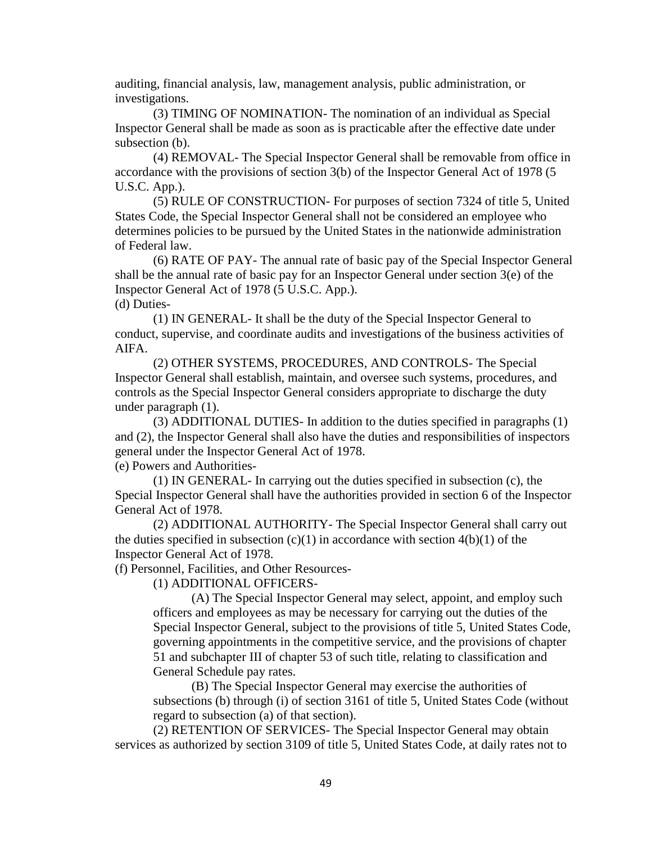auditing, financial analysis, law, management analysis, public administration, or investigations.

(3) TIMING OF NOMINATION- The nomination of an individual as Special Inspector General shall be made as soon as is practicable after the effective date under subsection (b).

(4) REMOVAL- The Special Inspector General shall be removable from office in accordance with the provisions of section 3(b) of the Inspector General Act of 1978 (5 U.S.C. App.).

(5) RULE OF CONSTRUCTION- For purposes of section 7324 of title 5, United States Code, the Special Inspector General shall not be considered an employee who determines policies to be pursued by the United States in the nationwide administration of Federal law.

(6) RATE OF PAY- The annual rate of basic pay of the Special Inspector General shall be the annual rate of basic pay for an Inspector General under section 3(e) of the Inspector General Act of 1978 (5 U.S.C. App.). (d) Duties-

(1) IN GENERAL- It shall be the duty of the Special Inspector General to conduct, supervise, and coordinate audits and investigations of the business activities of AIFA.

(2) OTHER SYSTEMS, PROCEDURES, AND CONTROLS- The Special Inspector General shall establish, maintain, and oversee such systems, procedures, and controls as the Special Inspector General considers appropriate to discharge the duty under paragraph (1).

(3) ADDITIONAL DUTIES- In addition to the duties specified in paragraphs (1) and (2), the Inspector General shall also have the duties and responsibilities of inspectors general under the Inspector General Act of 1978.

(e) Powers and Authorities-

(1) IN GENERAL- In carrying out the duties specified in subsection (c), the Special Inspector General shall have the authorities provided in section 6 of the Inspector General Act of 1978.

(2) ADDITIONAL AUTHORITY- The Special Inspector General shall carry out the duties specified in subsection  $(c)(1)$  in accordance with section  $4(b)(1)$  of the Inspector General Act of 1978.

(f) Personnel, Facilities, and Other Resources-

(1) ADDITIONAL OFFICERS-

(A) The Special Inspector General may select, appoint, and employ such officers and employees as may be necessary for carrying out the duties of the Special Inspector General, subject to the provisions of title 5, United States Code, governing appointments in the competitive service, and the provisions of chapter 51 and subchapter III of chapter 53 of such title, relating to classification and General Schedule pay rates.

(B) The Special Inspector General may exercise the authorities of subsections (b) through (i) of section 3161 of title 5, United States Code (without regard to subsection (a) of that section).

(2) RETENTION OF SERVICES- The Special Inspector General may obtain services as authorized by section 3109 of title 5, United States Code, at daily rates not to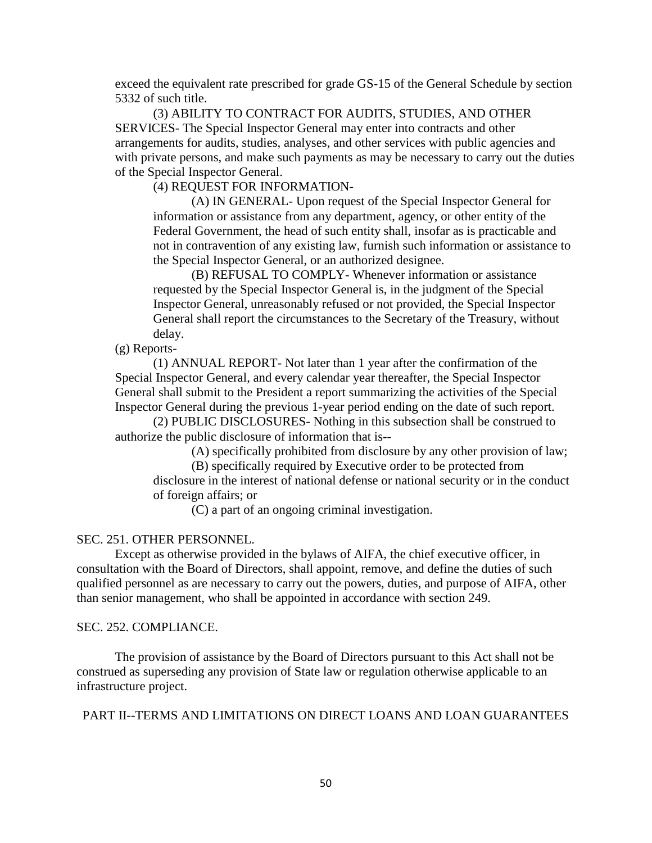exceed the equivalent rate prescribed for grade GS-15 of the General Schedule by section 5332 of such title.

(3) ABILITY TO CONTRACT FOR AUDITS, STUDIES, AND OTHER SERVICES- The Special Inspector General may enter into contracts and other arrangements for audits, studies, analyses, and other services with public agencies and with private persons, and make such payments as may be necessary to carry out the duties of the Special Inspector General.

(4) REQUEST FOR INFORMATION-

(A) IN GENERAL- Upon request of the Special Inspector General for information or assistance from any department, agency, or other entity of the Federal Government, the head of such entity shall, insofar as is practicable and not in contravention of any existing law, furnish such information or assistance to the Special Inspector General, or an authorized designee.

(B) REFUSAL TO COMPLY- Whenever information or assistance requested by the Special Inspector General is, in the judgment of the Special Inspector General, unreasonably refused or not provided, the Special Inspector General shall report the circumstances to the Secretary of the Treasury, without delay.

(g) Reports-

(1) ANNUAL REPORT- Not later than 1 year after the confirmation of the Special Inspector General, and every calendar year thereafter, the Special Inspector General shall submit to the President a report summarizing the activities of the Special Inspector General during the previous 1-year period ending on the date of such report.

(2) PUBLIC DISCLOSURES- Nothing in this subsection shall be construed to authorize the public disclosure of information that is--

(A) specifically prohibited from disclosure by any other provision of law;

(B) specifically required by Executive order to be protected from

disclosure in the interest of national defense or national security or in the conduct of foreign affairs; or

(C) a part of an ongoing criminal investigation.

### SEC. 251. OTHER PERSONNEL.

Except as otherwise provided in the bylaws of AIFA, the chief executive officer, in consultation with the Board of Directors, shall appoint, remove, and define the duties of such qualified personnel as are necessary to carry out the powers, duties, and purpose of AIFA, other than senior management, who shall be appointed in accordance with section 249.

#### SEC. 252. COMPLIANCE.

The provision of assistance by the Board of Directors pursuant to this Act shall not be construed as superseding any provision of State law or regulation otherwise applicable to an infrastructure project.

PART II--TERMS AND LIMITATIONS ON DIRECT LOANS AND LOAN GUARANTEES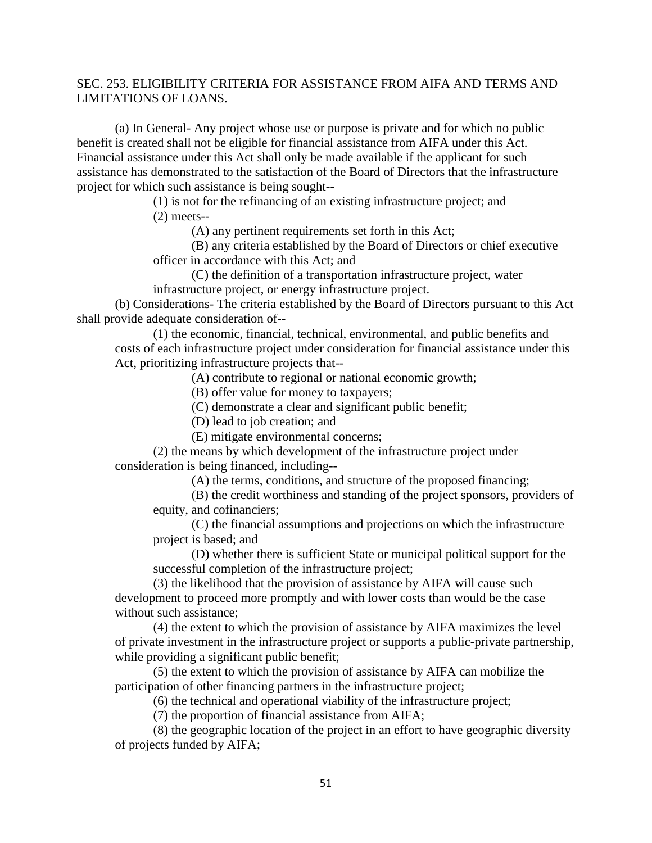# SEC. 253. ELIGIBILITY CRITERIA FOR ASSISTANCE FROM AIFA AND TERMS AND LIMITATIONS OF LOANS.

(a) In General- Any project whose use or purpose is private and for which no public benefit is created shall not be eligible for financial assistance from AIFA under this Act. Financial assistance under this Act shall only be made available if the applicant for such assistance has demonstrated to the satisfaction of the Board of Directors that the infrastructure project for which such assistance is being sought--

> (1) is not for the refinancing of an existing infrastructure project; and (2) meets--

> > (A) any pertinent requirements set forth in this Act;

(B) any criteria established by the Board of Directors or chief executive officer in accordance with this Act; and

(C) the definition of a transportation infrastructure project, water infrastructure project, or energy infrastructure project.

(b) Considerations- The criteria established by the Board of Directors pursuant to this Act shall provide adequate consideration of--

(1) the economic, financial, technical, environmental, and public benefits and costs of each infrastructure project under consideration for financial assistance under this Act, prioritizing infrastructure projects that--

(A) contribute to regional or national economic growth;

(B) offer value for money to taxpayers;

(C) demonstrate a clear and significant public benefit;

(D) lead to job creation; and

(E) mitigate environmental concerns;

(2) the means by which development of the infrastructure project under consideration is being financed, including--

(A) the terms, conditions, and structure of the proposed financing;

(B) the credit worthiness and standing of the project sponsors, providers of equity, and cofinanciers;

(C) the financial assumptions and projections on which the infrastructure project is based; and

(D) whether there is sufficient State or municipal political support for the successful completion of the infrastructure project;

(3) the likelihood that the provision of assistance by AIFA will cause such development to proceed more promptly and with lower costs than would be the case without such assistance;

(4) the extent to which the provision of assistance by AIFA maximizes the level of private investment in the infrastructure project or supports a public-private partnership, while providing a significant public benefit;

(5) the extent to which the provision of assistance by AIFA can mobilize the participation of other financing partners in the infrastructure project;

(6) the technical and operational viability of the infrastructure project;

(7) the proportion of financial assistance from AIFA;

(8) the geographic location of the project in an effort to have geographic diversity of projects funded by AIFA;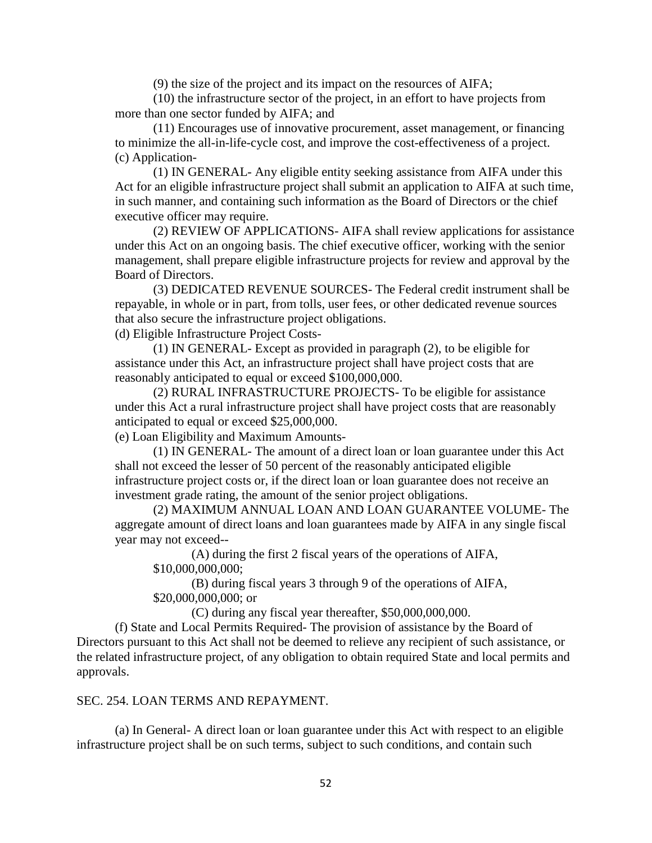(9) the size of the project and its impact on the resources of AIFA;

(10) the infrastructure sector of the project, in an effort to have projects from more than one sector funded by AIFA; and

(11) Encourages use of innovative procurement, asset management, or financing to minimize the all-in-life-cycle cost, and improve the cost-effectiveness of a project. (c) Application-

(1) IN GENERAL- Any eligible entity seeking assistance from AIFA under this Act for an eligible infrastructure project shall submit an application to AIFA at such time, in such manner, and containing such information as the Board of Directors or the chief executive officer may require.

(2) REVIEW OF APPLICATIONS- AIFA shall review applications for assistance under this Act on an ongoing basis. The chief executive officer, working with the senior management, shall prepare eligible infrastructure projects for review and approval by the Board of Directors.

(3) DEDICATED REVENUE SOURCES- The Federal credit instrument shall be repayable, in whole or in part, from tolls, user fees, or other dedicated revenue sources that also secure the infrastructure project obligations.

(d) Eligible Infrastructure Project Costs-

(1) IN GENERAL- Except as provided in paragraph (2), to be eligible for assistance under this Act, an infrastructure project shall have project costs that are reasonably anticipated to equal or exceed \$100,000,000.

(2) RURAL INFRASTRUCTURE PROJECTS- To be eligible for assistance under this Act a rural infrastructure project shall have project costs that are reasonably anticipated to equal or exceed \$25,000,000.

(e) Loan Eligibility and Maximum Amounts-

(1) IN GENERAL- The amount of a direct loan or loan guarantee under this Act shall not exceed the lesser of 50 percent of the reasonably anticipated eligible infrastructure project costs or, if the direct loan or loan guarantee does not receive an investment grade rating, the amount of the senior project obligations.

(2) MAXIMUM ANNUAL LOAN AND LOAN GUARANTEE VOLUME- The aggregate amount of direct loans and loan guarantees made by AIFA in any single fiscal year may not exceed--

(A) during the first 2 fiscal years of the operations of AIFA, \$10,000,000,000;

(B) during fiscal years 3 through 9 of the operations of AIFA, \$20,000,000,000; or

(C) during any fiscal year thereafter, \$50,000,000,000.

(f) State and Local Permits Required- The provision of assistance by the Board of Directors pursuant to this Act shall not be deemed to relieve any recipient of such assistance, or the related infrastructure project, of any obligation to obtain required State and local permits and approvals.

# SEC. 254. LOAN TERMS AND REPAYMENT.

(a) In General- A direct loan or loan guarantee under this Act with respect to an eligible infrastructure project shall be on such terms, subject to such conditions, and contain such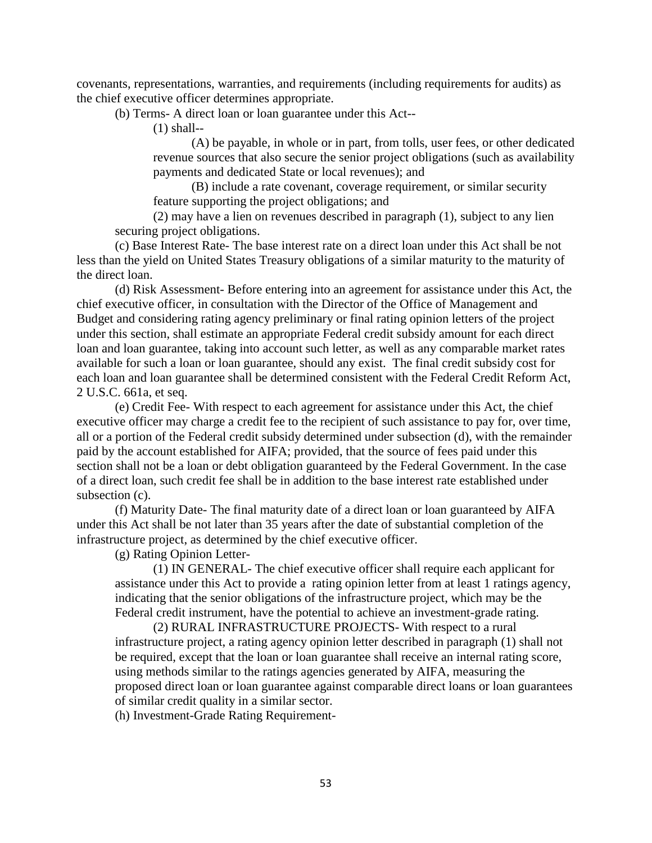covenants, representations, warranties, and requirements (including requirements for audits) as the chief executive officer determines appropriate.

(b) Terms- A direct loan or loan guarantee under this Act--

(1) shall--

(A) be payable, in whole or in part, from tolls, user fees, or other dedicated revenue sources that also secure the senior project obligations (such as availability payments and dedicated State or local revenues); and

(B) include a rate covenant, coverage requirement, or similar security feature supporting the project obligations; and

(2) may have a lien on revenues described in paragraph (1), subject to any lien securing project obligations.

(c) Base Interest Rate- The base interest rate on a direct loan under this Act shall be not less than the yield on United States Treasury obligations of a similar maturity to the maturity of the direct loan.

(d) Risk Assessment- Before entering into an agreement for assistance under this Act, the chief executive officer, in consultation with the Director of the Office of Management and Budget and considering rating agency preliminary or final rating opinion letters of the project under this section, shall estimate an appropriate Federal credit subsidy amount for each direct loan and loan guarantee, taking into account such letter, as well as any comparable market rates available for such a loan or loan guarantee, should any exist. The final credit subsidy cost for each loan and loan guarantee shall be determined consistent with the Federal Credit Reform Act, 2 U.S.C. 661a, et seq.

(e) Credit Fee- With respect to each agreement for assistance under this Act, the chief executive officer may charge a credit fee to the recipient of such assistance to pay for, over time, all or a portion of the Federal credit subsidy determined under subsection (d), with the remainder paid by the account established for AIFA; provided, that the source of fees paid under this section shall not be a loan or debt obligation guaranteed by the Federal Government. In the case of a direct loan, such credit fee shall be in addition to the base interest rate established under subsection (c).

(f) Maturity Date- The final maturity date of a direct loan or loan guaranteed by AIFA under this Act shall be not later than 35 years after the date of substantial completion of the infrastructure project, as determined by the chief executive officer.

(g) Rating Opinion Letter-

(1) IN GENERAL- The chief executive officer shall require each applicant for assistance under this Act to provide a rating opinion letter from at least 1 ratings agency, indicating that the senior obligations of the infrastructure project, which may be the Federal credit instrument, have the potential to achieve an investment-grade rating.

(2) RURAL INFRASTRUCTURE PROJECTS- With respect to a rural infrastructure project, a rating agency opinion letter described in paragraph (1) shall not be required, except that the loan or loan guarantee shall receive an internal rating score, using methods similar to the ratings agencies generated by AIFA, measuring the proposed direct loan or loan guarantee against comparable direct loans or loan guarantees of similar credit quality in a similar sector.

(h) Investment-Grade Rating Requirement-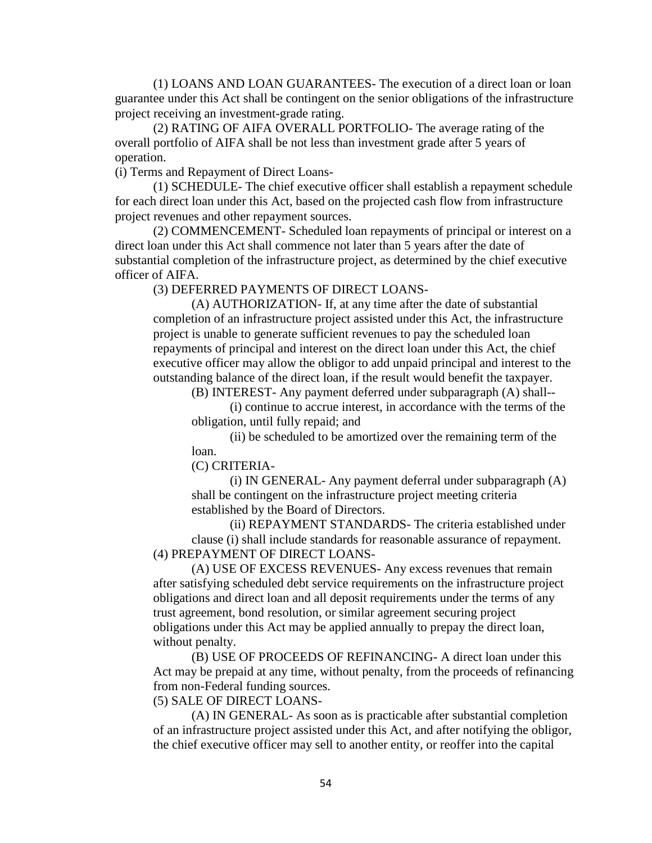(1) LOANS AND LOAN GUARANTEES- The execution of a direct loan or loan guarantee under this Act shall be contingent on the senior obligations of the infrastructure project receiving an investment-grade rating.

(2) RATING OF AIFA OVERALL PORTFOLIO- The average rating of the overall portfolio of AIFA shall be not less than investment grade after 5 years of operation.

(i) Terms and Repayment of Direct Loans-

(1) SCHEDULE- The chief executive officer shall establish a repayment schedule for each direct loan under this Act, based on the projected cash flow from infrastructure project revenues and other repayment sources.

(2) COMMENCEMENT- Scheduled loan repayments of principal or interest on a direct loan under this Act shall commence not later than 5 years after the date of substantial completion of the infrastructure project, as determined by the chief executive officer of AIFA.

(3) DEFERRED PAYMENTS OF DIRECT LOANS-

(A) AUTHORIZATION- If, at any time after the date of substantial completion of an infrastructure project assisted under this Act, the infrastructure project is unable to generate sufficient revenues to pay the scheduled loan repayments of principal and interest on the direct loan under this Act, the chief executive officer may allow the obligor to add unpaid principal and interest to the outstanding balance of the direct loan, if the result would benefit the taxpayer.

(B) INTEREST- Any payment deferred under subparagraph (A) shall--

(i) continue to accrue interest, in accordance with the terms of the obligation, until fully repaid; and

(ii) be scheduled to be amortized over the remaining term of the loan.

(C) CRITERIA-

(i) IN GENERAL- Any payment deferral under subparagraph (A) shall be contingent on the infrastructure project meeting criteria established by the Board of Directors.

(ii) REPAYMENT STANDARDS- The criteria established under clause (i) shall include standards for reasonable assurance of repayment. (4) PREPAYMENT OF DIRECT LOANS-

(A) USE OF EXCESS REVENUES- Any excess revenues that remain after satisfying scheduled debt service requirements on the infrastructure project obligations and direct loan and all deposit requirements under the terms of any trust agreement, bond resolution, or similar agreement securing project obligations under this Act may be applied annually to prepay the direct loan, without penalty.

(B) USE OF PROCEEDS OF REFINANCING- A direct loan under this Act may be prepaid at any time, without penalty, from the proceeds of refinancing from non-Federal funding sources.

(5) SALE OF DIRECT LOANS-

(A) IN GENERAL- As soon as is practicable after substantial completion of an infrastructure project assisted under this Act, and after notifying the obligor, the chief executive officer may sell to another entity, or reoffer into the capital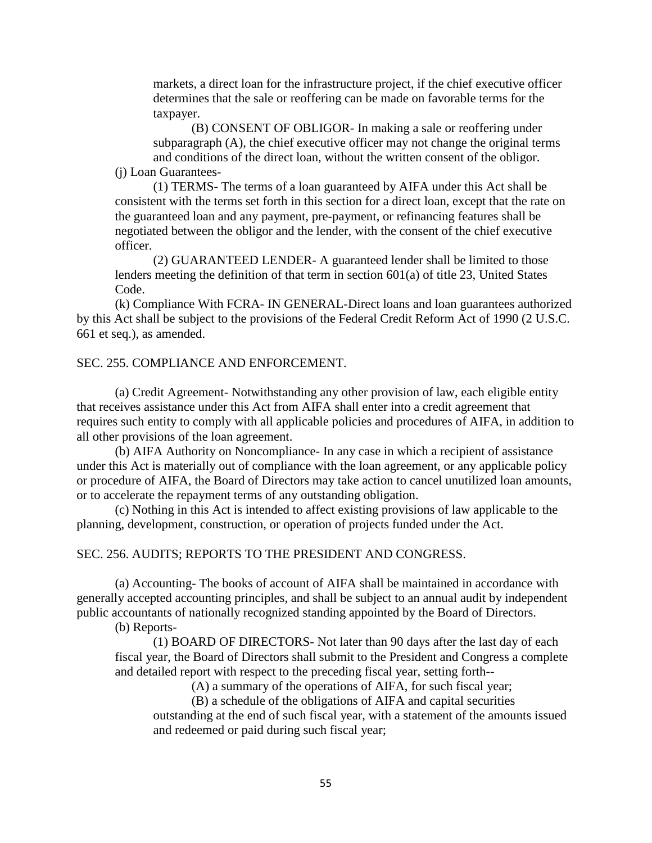markets, a direct loan for the infrastructure project, if the chief executive officer determines that the sale or reoffering can be made on favorable terms for the taxpayer.

(B) CONSENT OF OBLIGOR- In making a sale or reoffering under subparagraph (A), the chief executive officer may not change the original terms and conditions of the direct loan, without the written consent of the obligor.

(j) Loan Guarantees-

(1) TERMS- The terms of a loan guaranteed by AIFA under this Act shall be consistent with the terms set forth in this section for a direct loan, except that the rate on the guaranteed loan and any payment, pre-payment, or refinancing features shall be negotiated between the obligor and the lender, with the consent of the chief executive officer.

(2) GUARANTEED LENDER- A guaranteed lender shall be limited to those lenders meeting the definition of that term in section 601(a) of title 23, United States Code.

(k) Compliance With FCRA- IN GENERAL-Direct loans and loan guarantees authorized by this Act shall be subject to the provisions of the Federal Credit Reform Act of 1990 (2 U.S.C. 661 et seq.), as amended.

## SEC. 255. COMPLIANCE AND ENFORCEMENT.

(a) Credit Agreement- Notwithstanding any other provision of law, each eligible entity that receives assistance under this Act from AIFA shall enter into a credit agreement that requires such entity to comply with all applicable policies and procedures of AIFA, in addition to all other provisions of the loan agreement.

(b) AIFA Authority on Noncompliance- In any case in which a recipient of assistance under this Act is materially out of compliance with the loan agreement, or any applicable policy or procedure of AIFA, the Board of Directors may take action to cancel unutilized loan amounts, or to accelerate the repayment terms of any outstanding obligation.

(c) Nothing in this Act is intended to affect existing provisions of law applicable to the planning, development, construction, or operation of projects funded under the Act.

### SEC. 256. AUDITS; REPORTS TO THE PRESIDENT AND CONGRESS.

(a) Accounting- The books of account of AIFA shall be maintained in accordance with generally accepted accounting principles, and shall be subject to an annual audit by independent public accountants of nationally recognized standing appointed by the Board of Directors.

(b) Reports-

(1) BOARD OF DIRECTORS- Not later than 90 days after the last day of each fiscal year, the Board of Directors shall submit to the President and Congress a complete and detailed report with respect to the preceding fiscal year, setting forth--

(A) a summary of the operations of AIFA, for such fiscal year;

(B) a schedule of the obligations of AIFA and capital securities

outstanding at the end of such fiscal year, with a statement of the amounts issued and redeemed or paid during such fiscal year;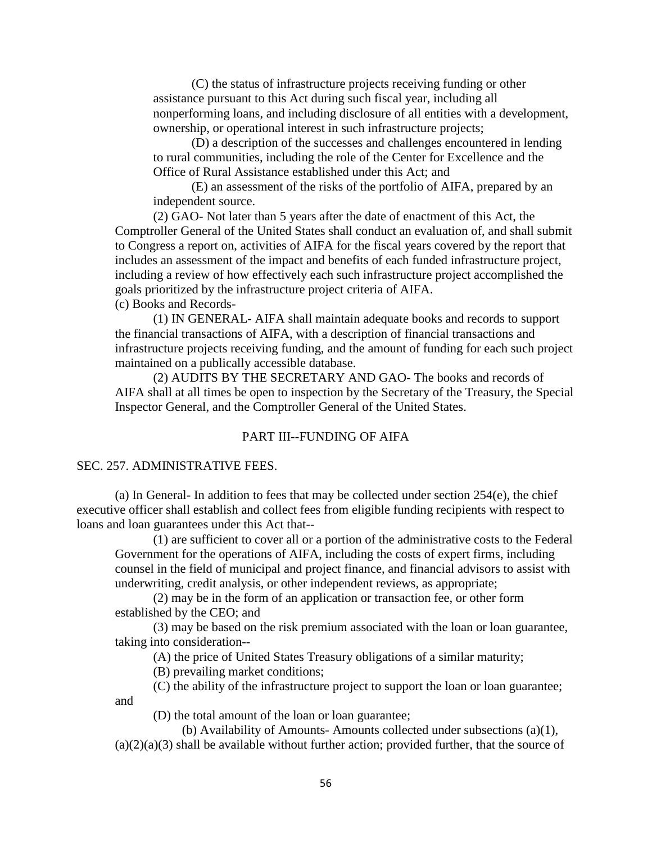(C) the status of infrastructure projects receiving funding or other assistance pursuant to this Act during such fiscal year, including all nonperforming loans, and including disclosure of all entities with a development, ownership, or operational interest in such infrastructure projects;

(D) a description of the successes and challenges encountered in lending to rural communities, including the role of the Center for Excellence and the Office of Rural Assistance established under this Act; and

(E) an assessment of the risks of the portfolio of AIFA, prepared by an independent source.

(2) GAO- Not later than 5 years after the date of enactment of this Act, the Comptroller General of the United States shall conduct an evaluation of, and shall submit to Congress a report on, activities of AIFA for the fiscal years covered by the report that includes an assessment of the impact and benefits of each funded infrastructure project, including a review of how effectively each such infrastructure project accomplished the goals prioritized by the infrastructure project criteria of AIFA.

(c) Books and Records-

(1) IN GENERAL- AIFA shall maintain adequate books and records to support the financial transactions of AIFA, with a description of financial transactions and infrastructure projects receiving funding, and the amount of funding for each such project maintained on a publically accessible database.

(2) AUDITS BY THE SECRETARY AND GAO- The books and records of AIFA shall at all times be open to inspection by the Secretary of the Treasury, the Special Inspector General, and the Comptroller General of the United States.

### PART III--FUNDING OF AIFA

#### SEC. 257. ADMINISTRATIVE FEES.

(a) In General- In addition to fees that may be collected under section 254(e), the chief executive officer shall establish and collect fees from eligible funding recipients with respect to loans and loan guarantees under this Act that--

(1) are sufficient to cover all or a portion of the administrative costs to the Federal Government for the operations of AIFA, including the costs of expert firms, including counsel in the field of municipal and project finance, and financial advisors to assist with underwriting, credit analysis, or other independent reviews, as appropriate;

(2) may be in the form of an application or transaction fee, or other form established by the CEO; and

(3) may be based on the risk premium associated with the loan or loan guarantee, taking into consideration--

(A) the price of United States Treasury obligations of a similar maturity;

(B) prevailing market conditions;

(C) the ability of the infrastructure project to support the loan or loan guarantee; and

(D) the total amount of the loan or loan guarantee;

(b) Availability of Amounts- Amounts collected under subsections (a)(1),

 $(a)(2)(a)(3)$  shall be available without further action; provided further, that the source of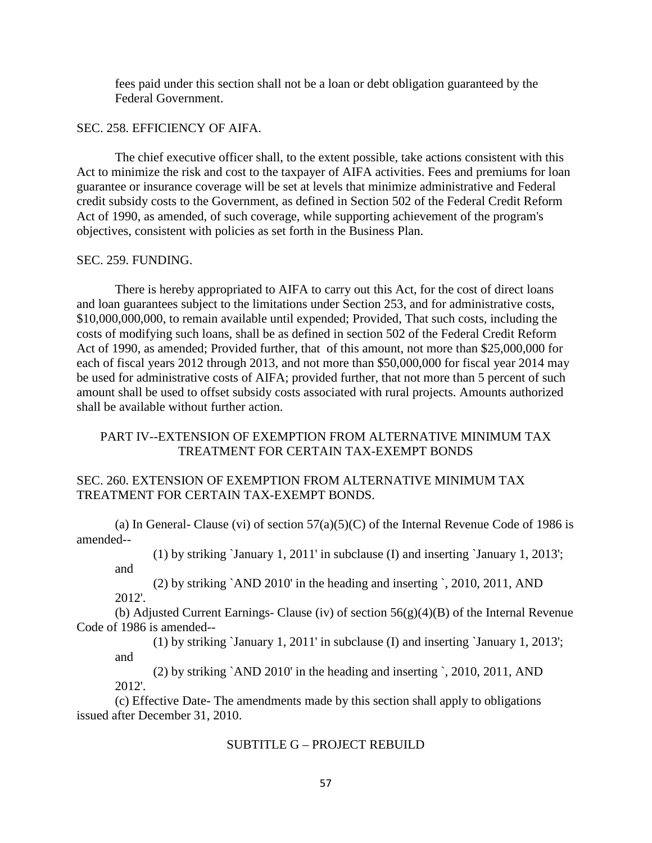fees paid under this section shall not be a loan or debt obligation guaranteed by the Federal Government.

### SEC. 258. EFFICIENCY OF AIFA.

The chief executive officer shall, to the extent possible, take actions consistent with this Act to minimize the risk and cost to the taxpayer of AIFA activities. Fees and premiums for loan guarantee or insurance coverage will be set at levels that minimize administrative and Federal credit subsidy costs to the Government, as defined in Section 502 of the Federal Credit Reform Act of 1990, as amended, of such coverage, while supporting achievement of the program's objectives, consistent with policies as set forth in the Business Plan.

### SEC. 259. FUNDING.

and

There is hereby appropriated to AIFA to carry out this Act, for the cost of direct loans and loan guarantees subject to the limitations under Section 253, and for administrative costs, \$10,000,000,000, to remain available until expended; Provided, That such costs, including the costs of modifying such loans, shall be as defined in section 502 of the Federal Credit Reform Act of 1990, as amended; Provided further, that of this amount, not more than \$25,000,000 for each of fiscal years 2012 through 2013, and not more than \$50,000,000 for fiscal year 2014 may be used for administrative costs of AIFA; provided further, that not more than 5 percent of such amount shall be used to offset subsidy costs associated with rural projects. Amounts authorized shall be available without further action.

# PART IV--EXTENSION OF EXEMPTION FROM ALTERNATIVE MINIMUM TAX TREATMENT FOR CERTAIN TAX-EXEMPT BONDS

# SEC. 260. EXTENSION OF EXEMPTION FROM ALTERNATIVE MINIMUM TAX TREATMENT FOR CERTAIN TAX-EXEMPT BONDS.

(a) In General- Clause (vi) of section  $57(a)(5)(C)$  of the Internal Revenue Code of 1986 is amended--

(1) by striking `January 1, 2011' in subclause (I) and inserting `January 1, 2013';

(2) by striking `AND 2010' in the heading and inserting `, 2010, 2011, AND 2012'.

(b) Adjusted Current Earnings- Clause (iv) of section  $56(g)(4)(B)$  of the Internal Revenue Code of 1986 is amended--

(1) by striking `January 1, 2011' in subclause (I) and inserting `January 1, 2013'; and

(2) by striking `AND 2010' in the heading and inserting `, 2010, 2011, AND 2012'.

(c) Effective Date- The amendments made by this section shall apply to obligations issued after December 31, 2010.

## SUBTITLE G – PROJECT REBUILD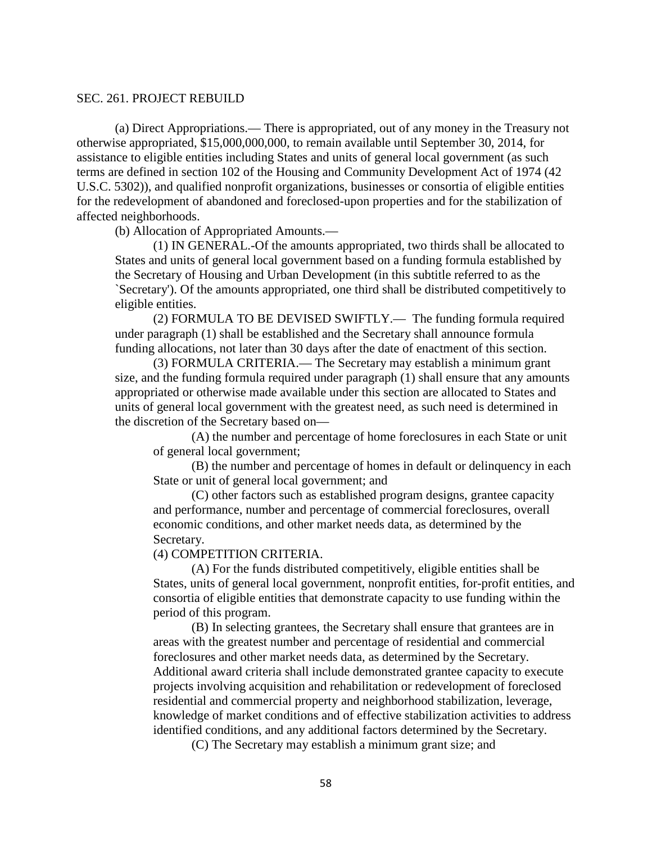### SEC. 261. PROJECT REBUILD

(a) Direct Appropriations.— There is appropriated, out of any money in the Treasury not otherwise appropriated, \$15,000,000,000, to remain available until September 30, 2014, for assistance to eligible entities including States and units of general local government (as such terms are defined in section 102 of the Housing and Community Development Act of 1974 (42 U.S.C. 5302)), and qualified nonprofit organizations, businesses or consortia of eligible entities for the redevelopment of abandoned and foreclosed-upon properties and for the stabilization of affected neighborhoods.

(b) Allocation of Appropriated Amounts.—

(1) IN GENERAL.-Of the amounts appropriated, two thirds shall be allocated to States and units of general local government based on a funding formula established by the Secretary of Housing and Urban Development (in this subtitle referred to as the `Secretary'). Of the amounts appropriated, one third shall be distributed competitively to eligible entities.

(2) FORMULA TO BE DEVISED SWIFTLY.— The funding formula required under paragraph (1) shall be established and the Secretary shall announce formula funding allocations, not later than 30 days after the date of enactment of this section.

(3) FORMULA CRITERIA.— The Secretary may establish a minimum grant size, and the funding formula required under paragraph (1) shall ensure that any amounts appropriated or otherwise made available under this section are allocated to States and units of general local government with the greatest need, as such need is determined in the discretion of the Secretary based on—

(A) the number and percentage of home foreclosures in each State or unit of general local government;

(B) the number and percentage of homes in default or delinquency in each State or unit of general local government; and

(C) other factors such as established program designs, grantee capacity and performance, number and percentage of commercial foreclosures, overall economic conditions, and other market needs data, as determined by the Secretary.

(4) COMPETITION CRITERIA.

(A) For the funds distributed competitively, eligible entities shall be States, units of general local government, nonprofit entities, for-profit entities, and consortia of eligible entities that demonstrate capacity to use funding within the period of this program.

(B) In selecting grantees, the Secretary shall ensure that grantees are in areas with the greatest number and percentage of residential and commercial foreclosures and other market needs data, as determined by the Secretary. Additional award criteria shall include demonstrated grantee capacity to execute projects involving acquisition and rehabilitation or redevelopment of foreclosed residential and commercial property and neighborhood stabilization, leverage, knowledge of market conditions and of effective stabilization activities to address identified conditions, and any additional factors determined by the Secretary.

(C) The Secretary may establish a minimum grant size; and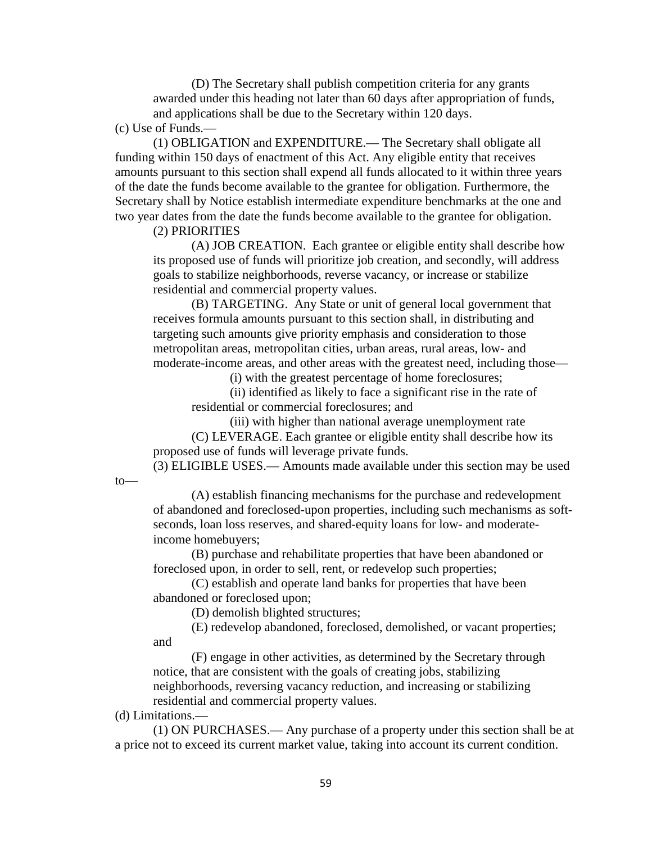(D) The Secretary shall publish competition criteria for any grants awarded under this heading not later than 60 days after appropriation of funds, and applications shall be due to the Secretary within 120 days.

(c) Use of Funds.—

(1) OBLIGATION and EXPENDITURE.— The Secretary shall obligate all funding within 150 days of enactment of this Act. Any eligible entity that receives amounts pursuant to this section shall expend all funds allocated to it within three years of the date the funds become available to the grantee for obligation. Furthermore, the Secretary shall by Notice establish intermediate expenditure benchmarks at the one and two year dates from the date the funds become available to the grantee for obligation.

(2) PRIORITIES

(A) JOB CREATION. Each grantee or eligible entity shall describe how its proposed use of funds will prioritize job creation, and secondly, will address goals to stabilize neighborhoods, reverse vacancy, or increase or stabilize residential and commercial property values.

(B) TARGETING. Any State or unit of general local government that receives formula amounts pursuant to this section shall, in distributing and targeting such amounts give priority emphasis and consideration to those metropolitan areas, metropolitan cities, urban areas, rural areas, low- and moderate-income areas, and other areas with the greatest need, including those—

(i) with the greatest percentage of home foreclosures;

(ii) identified as likely to face a significant rise in the rate of residential or commercial foreclosures; and

(iii) with higher than national average unemployment rate (C) LEVERAGE. Each grantee or eligible entity shall describe how its proposed use of funds will leverage private funds.

(3) ELIGIBLE USES.— Amounts made available under this section may be used

to—

(A) establish financing mechanisms for the purchase and redevelopment of abandoned and foreclosed-upon properties, including such mechanisms as softseconds, loan loss reserves, and shared-equity loans for low- and moderateincome homebuyers;

(B) purchase and rehabilitate properties that have been abandoned or foreclosed upon, in order to sell, rent, or redevelop such properties;

(C) establish and operate land banks for properties that have been abandoned or foreclosed upon;

(D) demolish blighted structures;

(E) redevelop abandoned, foreclosed, demolished, or vacant properties; and

(F) engage in other activities, as determined by the Secretary through notice, that are consistent with the goals of creating jobs, stabilizing neighborhoods, reversing vacancy reduction, and increasing or stabilizing residential and commercial property values.

(d) Limitations.—

(1) ON PURCHASES.— Any purchase of a property under this section shall be at a price not to exceed its current market value, taking into account its current condition.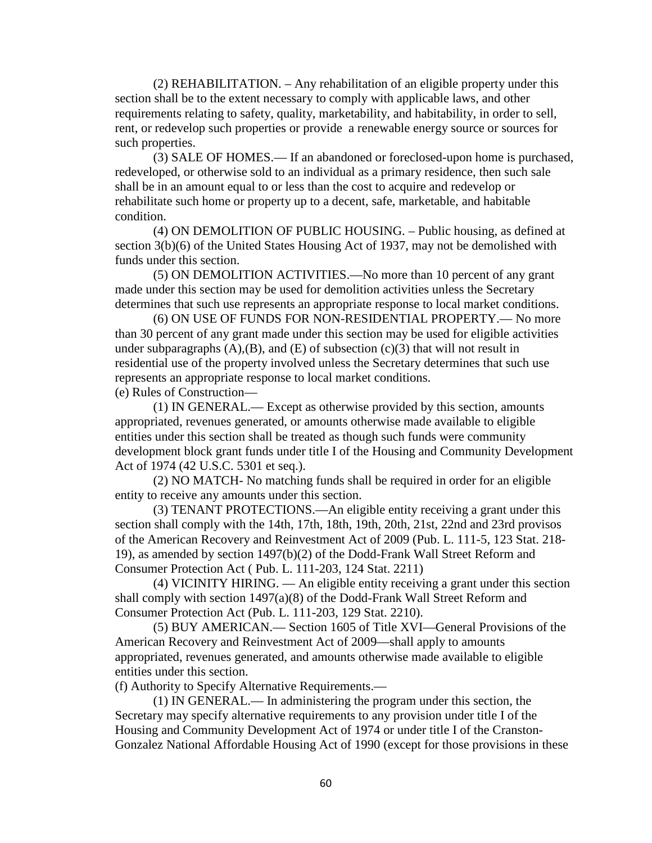(2) REHABILITATION. – Any rehabilitation of an eligible property under this section shall be to the extent necessary to comply with applicable laws, and other requirements relating to safety, quality, marketability, and habitability, in order to sell, rent, or redevelop such properties or provide a renewable energy source or sources for such properties.

(3) SALE OF HOMES.— If an abandoned or foreclosed-upon home is purchased, redeveloped, or otherwise sold to an individual as a primary residence, then such sale shall be in an amount equal to or less than the cost to acquire and redevelop or rehabilitate such home or property up to a decent, safe, marketable, and habitable condition.

(4) ON DEMOLITION OF PUBLIC HOUSING. – Public housing, as defined at section 3(b)(6) of the United States Housing Act of 1937, may not be demolished with funds under this section.

(5) ON DEMOLITION ACTIVITIES.—No more than 10 percent of any grant made under this section may be used for demolition activities unless the Secretary determines that such use represents an appropriate response to local market conditions.

(6) ON USE OF FUNDS FOR NON-RESIDENTIAL PROPERTY.— No more than 30 percent of any grant made under this section may be used for eligible activities under subparagraphs  $(A)$ , $(B)$ , and  $(E)$  of subsection  $(c)(3)$  that will not result in residential use of the property involved unless the Secretary determines that such use represents an appropriate response to local market conditions.

(e) Rules of Construction—

(1) IN GENERAL.— Except as otherwise provided by this section, amounts appropriated, revenues generated, or amounts otherwise made available to eligible entities under this section shall be treated as though such funds were community development block grant funds under title I of the Housing and Community Development Act of 1974 (42 U.S.C. 5301 et seq.).

(2) NO MATCH- No matching funds shall be required in order for an eligible entity to receive any amounts under this section.

(3) TENANT PROTECTIONS.—An eligible entity receiving a grant under this section shall comply with the 14th, 17th, 18th, 19th, 20th, 21st, 22nd and 23rd provisos of the American Recovery and Reinvestment Act of 2009 (Pub. L. 111-5, 123 Stat. 218- 19), as amended by section 1497(b)(2) of the Dodd-Frank Wall Street Reform and Consumer Protection Act ( Pub. L. 111-203, 124 Stat. 2211)

(4) VICINITY HIRING. — An eligible entity receiving a grant under this section shall comply with section 1497(a)(8) of the Dodd-Frank Wall Street Reform and Consumer Protection Act (Pub. L. 111-203, 129 Stat. 2210).

(5) BUY AMERICAN.— Section 1605 of Title XVI—General Provisions of the American Recovery and Reinvestment Act of 2009—shall apply to amounts appropriated, revenues generated, and amounts otherwise made available to eligible entities under this section.

(f) Authority to Specify Alternative Requirements.—

(1) IN GENERAL.— In administering the program under this section, the Secretary may specify alternative requirements to any provision under title I of the Housing and Community Development Act of 1974 or under title I of the Cranston-Gonzalez National Affordable Housing Act of 1990 (except for those provisions in these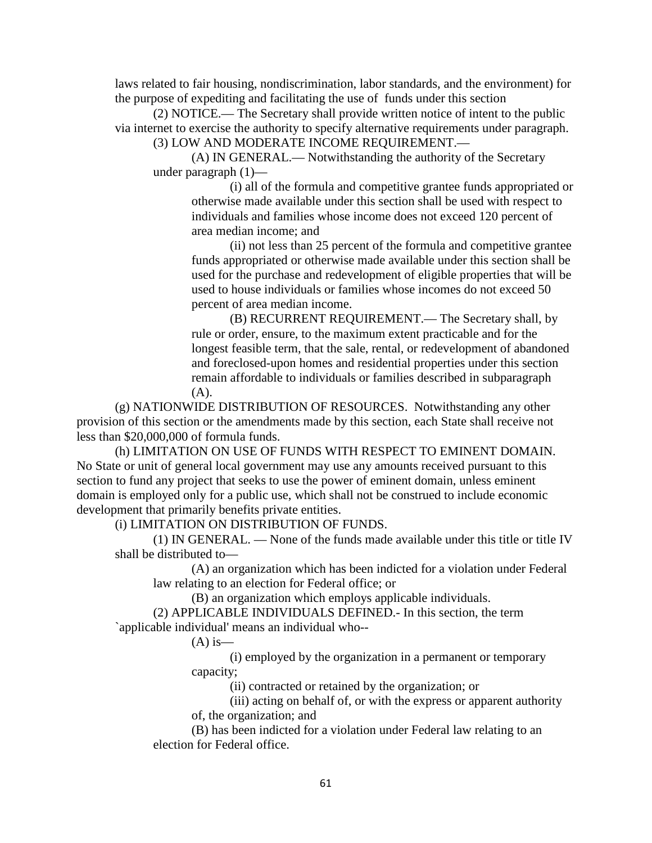laws related to fair housing, nondiscrimination, labor standards, and the environment) for the purpose of expediting and facilitating the use of funds under this section

(2) NOTICE.— The Secretary shall provide written notice of intent to the public via internet to exercise the authority to specify alternative requirements under paragraph.

(3) LOW AND MODERATE INCOME REQUIREMENT.—

(A) IN GENERAL.— Notwithstanding the authority of the Secretary under paragraph (1)—

(i) all of the formula and competitive grantee funds appropriated or otherwise made available under this section shall be used with respect to individuals and families whose income does not exceed 120 percent of area median income; and

(ii) not less than 25 percent of the formula and competitive grantee funds appropriated or otherwise made available under this section shall be used for the purchase and redevelopment of eligible properties that will be used to house individuals or families whose incomes do not exceed 50 percent of area median income.

(B) RECURRENT REQUIREMENT.— The Secretary shall, by rule or order, ensure, to the maximum extent practicable and for the longest feasible term, that the sale, rental, or redevelopment of abandoned and foreclosed-upon homes and residential properties under this section remain affordable to individuals or families described in subparagraph (A).

(g) NATIONWIDE DISTRIBUTION OF RESOURCES. Notwithstanding any other provision of this section or the amendments made by this section, each State shall receive not less than \$20,000,000 of formula funds.

(h) LIMITATION ON USE OF FUNDS WITH RESPECT TO EMINENT DOMAIN. No State or unit of general local government may use any amounts received pursuant to this section to fund any project that seeks to use the power of eminent domain, unless eminent domain is employed only for a public use, which shall not be construed to include economic development that primarily benefits private entities.

(i) LIMITATION ON DISTRIBUTION OF FUNDS.

(1) IN GENERAL. — None of the funds made available under this title or title IV shall be distributed to—

(A) an organization which has been indicted for a violation under Federal law relating to an election for Federal office; or

(B) an organization which employs applicable individuals.

(2) APPLICABLE INDIVIDUALS DEFINED.- In this section, the term `applicable individual' means an individual who--

 $(A)$  is —

(i) employed by the organization in a permanent or temporary capacity;

(ii) contracted or retained by the organization; or

(iii) acting on behalf of, or with the express or apparent authority of, the organization; and

(B) has been indicted for a violation under Federal law relating to an election for Federal office.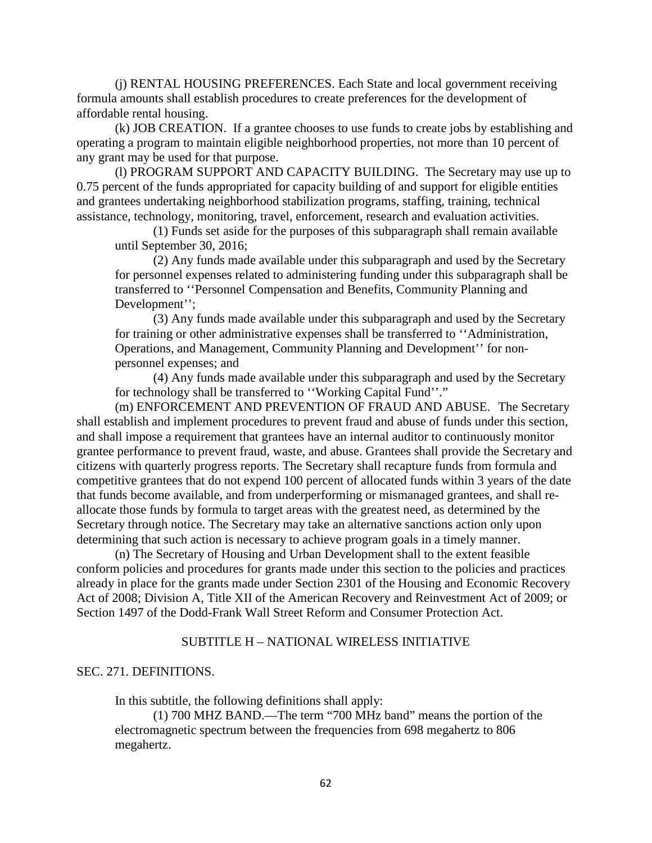(j) RENTAL HOUSING PREFERENCES. Each State and local government receiving formula amounts shall establish procedures to create preferences for the development of affordable rental housing.

(k) JOB CREATION. If a grantee chooses to use funds to create jobs by establishing and operating a program to maintain eligible neighborhood properties, not more than 10 percent of any grant may be used for that purpose.

(l) PROGRAM SUPPORT AND CAPACITY BUILDING. The Secretary may use up to 0.75 percent of the funds appropriated for capacity building of and support for eligible entities and grantees undertaking neighborhood stabilization programs, staffing, training, technical assistance, technology, monitoring, travel, enforcement, research and evaluation activities.

(1) Funds set aside for the purposes of this subparagraph shall remain available until September 30, 2016;

(2) Any funds made available under this subparagraph and used by the Secretary for personnel expenses related to administering funding under this subparagraph shall be transferred to ''Personnel Compensation and Benefits, Community Planning and Development'';

(3) Any funds made available under this subparagraph and used by the Secretary for training or other administrative expenses shall be transferred to ''Administration, Operations, and Management, Community Planning and Development'' for nonpersonnel expenses; and

(4) Any funds made available under this subparagraph and used by the Secretary for technology shall be transferred to ''Working Capital Fund''."

(m) ENFORCEMENT AND PREVENTION OF FRAUD AND ABUSE. The Secretary shall establish and implement procedures to prevent fraud and abuse of funds under this section, and shall impose a requirement that grantees have an internal auditor to continuously monitor grantee performance to prevent fraud, waste, and abuse. Grantees shall provide the Secretary and citizens with quarterly progress reports. The Secretary shall recapture funds from formula and competitive grantees that do not expend 100 percent of allocated funds within 3 years of the date that funds become available, and from underperforming or mismanaged grantees, and shall reallocate those funds by formula to target areas with the greatest need, as determined by the Secretary through notice. The Secretary may take an alternative sanctions action only upon determining that such action is necessary to achieve program goals in a timely manner.

(n) The Secretary of Housing and Urban Development shall to the extent feasible conform policies and procedures for grants made under this section to the policies and practices already in place for the grants made under Section 2301 of the Housing and Economic Recovery Act of 2008; Division A, Title XII of the American Recovery and Reinvestment Act of 2009; or Section 1497 of the Dodd-Frank Wall Street Reform and Consumer Protection Act.

### SUBTITLE H – NATIONAL WIRELESS INITIATIVE

### SEC. 271. DEFINITIONS.

In this subtitle, the following definitions shall apply:

(1) 700 MHZ BAND.—The term "700 MHz band" means the portion of the electromagnetic spectrum between the frequencies from 698 megahertz to 806 megahertz.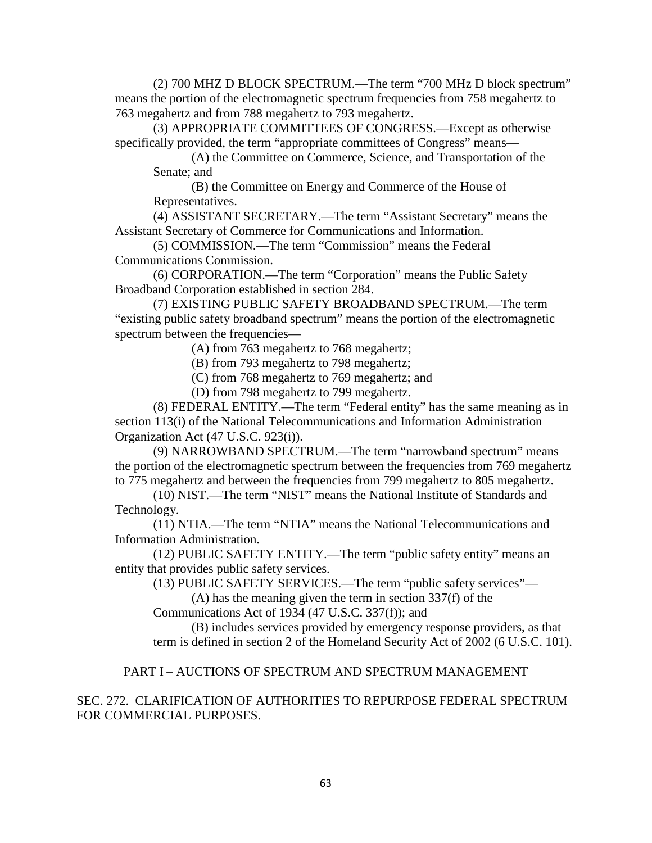(2) 700 MHZ D BLOCK SPECTRUM.—The term "700 MHz D block spectrum" means the portion of the electromagnetic spectrum frequencies from 758 megahertz to 763 megahertz and from 788 megahertz to 793 megahertz.

(3) APPROPRIATE COMMITTEES OF CONGRESS.—Except as otherwise specifically provided, the term "appropriate committees of Congress" means—

(A) the Committee on Commerce, Science, and Transportation of the Senate; and

(B) the Committee on Energy and Commerce of the House of Representatives.

(4) ASSISTANT SECRETARY.—The term "Assistant Secretary" means the Assistant Secretary of Commerce for Communications and Information.

(5) COMMISSION.—The term "Commission" means the Federal Communications Commission.

(6) CORPORATION.—The term "Corporation" means the Public Safety Broadband Corporation established in section 284.

(7) EXISTING PUBLIC SAFETY BROADBAND SPECTRUM.—The term "existing public safety broadband spectrum" means the portion of the electromagnetic spectrum between the frequencies—

(A) from 763 megahertz to 768 megahertz;

(B) from 793 megahertz to 798 megahertz;

(C) from 768 megahertz to 769 megahertz; and

(D) from 798 megahertz to 799 megahertz.

(8) FEDERAL ENTITY.—The term "Federal entity" has the same meaning as in section 113(i) of the National Telecommunications and Information Administration Organization Act (47 U.S.C. 923(i)).

(9) NARROWBAND SPECTRUM.—The term "narrowband spectrum" means the portion of the electromagnetic spectrum between the frequencies from 769 megahertz to 775 megahertz and between the frequencies from 799 megahertz to 805 megahertz.

(10) NIST.—The term "NIST" means the National Institute of Standards and Technology.

(11) NTIA.—The term "NTIA" means the National Telecommunications and Information Administration.

(12) PUBLIC SAFETY ENTITY.—The term "public safety entity" means an entity that provides public safety services.

(13) PUBLIC SAFETY SERVICES.—The term "public safety services"—

(A) has the meaning given the term in section 337(f) of the

Communications Act of 1934 (47 U.S.C. 337(f)); and

(B) includes services provided by emergency response providers, as that term is defined in section 2 of the Homeland Security Act of 2002 (6 U.S.C. 101).

## PART I – AUCTIONS OF SPECTRUM AND SPECTRUM MANAGEMENT

# SEC. 272. CLARIFICATION OF AUTHORITIES TO REPURPOSE FEDERAL SPECTRUM FOR COMMERCIAL PURPOSES.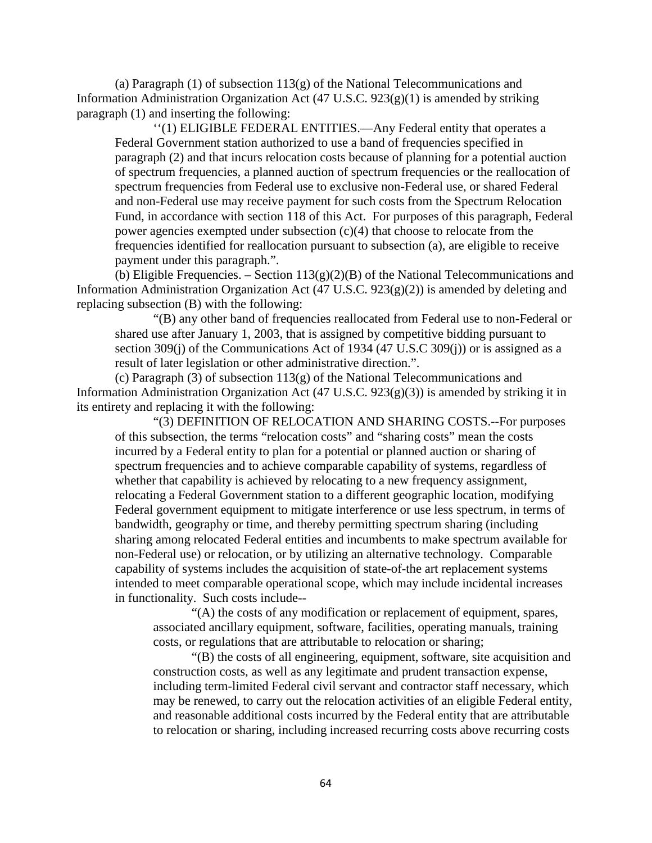(a) Paragraph  $(1)$  of subsection  $113(g)$  of the National Telecommunications and Information Administration Organization Act (47 U.S.C. 923(g)(1) is amended by striking paragraph (1) and inserting the following:

''(1) ELIGIBLE FEDERAL ENTITIES.—Any Federal entity that operates a Federal Government station authorized to use a band of frequencies specified in paragraph (2) and that incurs relocation costs because of planning for a potential auction of spectrum frequencies, a planned auction of spectrum frequencies or the reallocation of spectrum frequencies from Federal use to exclusive non-Federal use, or shared Federal and non-Federal use may receive payment for such costs from the Spectrum Relocation Fund, in accordance with section 118 of this Act. For purposes of this paragraph, Federal power agencies exempted under subsection (c)(4) that choose to relocate from the frequencies identified for reallocation pursuant to subsection (a), are eligible to receive payment under this paragraph.".

(b) Eligible Frequencies. – Section  $113(g)(2)(B)$  of the National Telecommunications and Information Administration Organization Act (47 U.S.C. 923(g)(2)) is amended by deleting and replacing subsection (B) with the following:

"(B) any other band of frequencies reallocated from Federal use to non-Federal or shared use after January 1, 2003, that is assigned by competitive bidding pursuant to section 309(j) of the Communications Act of 1934 (47 U.S.C 309(j)) or is assigned as a result of later legislation or other administrative direction.".

(c) Paragraph (3) of subsection 113(g) of the National Telecommunications and Information Administration Organization Act (47 U.S.C. 923(g)(3)) is amended by striking it in its entirety and replacing it with the following:

"(3) DEFINITION OF RELOCATION AND SHARING COSTS.--For purposes of this subsection, the terms "relocation costs" and "sharing costs" mean the costs incurred by a Federal entity to plan for a potential or planned auction or sharing of spectrum frequencies and to achieve comparable capability of systems, regardless of whether that capability is achieved by relocating to a new frequency assignment, relocating a Federal Government station to a different geographic location, modifying Federal government equipment to mitigate interference or use less spectrum, in terms of bandwidth, geography or time, and thereby permitting spectrum sharing (including sharing among relocated Federal entities and incumbents to make spectrum available for non-Federal use) or relocation, or by utilizing an alternative technology. Comparable capability of systems includes the acquisition of state-of-the art replacement systems intended to meet comparable operational scope, which may include incidental increases in functionality. Such costs include--

"(A) the costs of any modification or replacement of equipment, spares, associated ancillary equipment, software, facilities, operating manuals, training costs, or regulations that are attributable to relocation or sharing;

"(B) the costs of all engineering, equipment, software, site acquisition and construction costs, as well as any legitimate and prudent transaction expense, including term-limited Federal civil servant and contractor staff necessary, which may be renewed, to carry out the relocation activities of an eligible Federal entity, and reasonable additional costs incurred by the Federal entity that are attributable to relocation or sharing, including increased recurring costs above recurring costs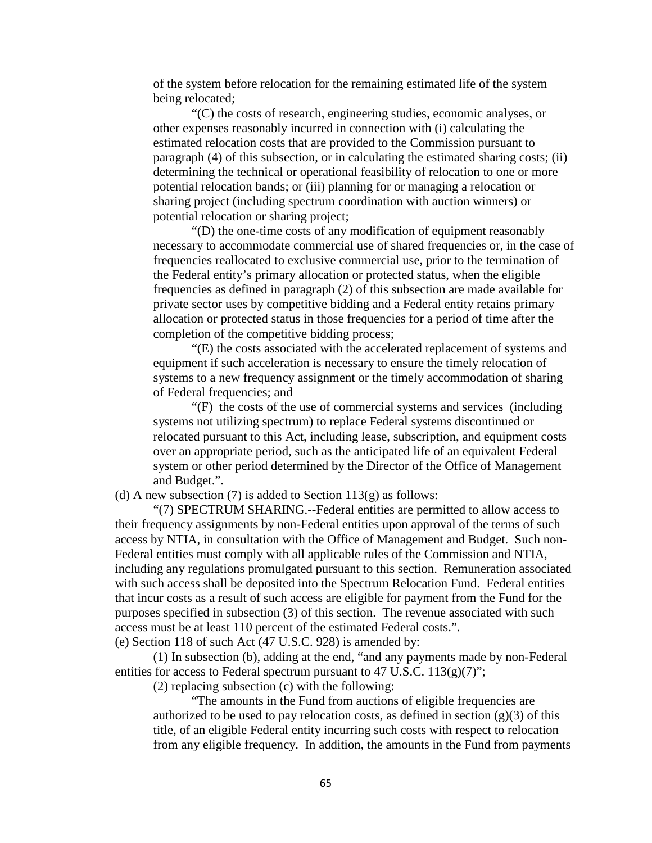of the system before relocation for the remaining estimated life of the system being relocated;

"(C) the costs of research, engineering studies, economic analyses, or other expenses reasonably incurred in connection with (i) calculating the estimated relocation costs that are provided to the Commission pursuant to paragraph (4) of this subsection, or in calculating the estimated sharing costs; (ii) determining the technical or operational feasibility of relocation to one or more potential relocation bands; or (iii) planning for or managing a relocation or sharing project (including spectrum coordination with auction winners) or potential relocation or sharing project;

"(D) the one-time costs of any modification of equipment reasonably necessary to accommodate commercial use of shared frequencies or, in the case of frequencies reallocated to exclusive commercial use, prior to the termination of the Federal entity's primary allocation or protected status, when the eligible frequencies as defined in paragraph (2) of this subsection are made available for private sector uses by competitive bidding and a Federal entity retains primary allocation or protected status in those frequencies for a period of time after the completion of the competitive bidding process;

"(E) the costs associated with the accelerated replacement of systems and equipment if such acceleration is necessary to ensure the timely relocation of systems to a new frequency assignment or the timely accommodation of sharing of Federal frequencies; and

"(F) the costs of the use of commercial systems and services (including systems not utilizing spectrum) to replace Federal systems discontinued or relocated pursuant to this Act, including lease, subscription, and equipment costs over an appropriate period, such as the anticipated life of an equivalent Federal system or other period determined by the Director of the Office of Management and Budget.".

(d) A new subsection (7) is added to Section  $113(g)$  as follows:

"(7) SPECTRUM SHARING.--Federal entities are permitted to allow access to their frequency assignments by non-Federal entities upon approval of the terms of such access by NTIA, in consultation with the Office of Management and Budget. Such non-Federal entities must comply with all applicable rules of the Commission and NTIA, including any regulations promulgated pursuant to this section. Remuneration associated with such access shall be deposited into the Spectrum Relocation Fund. Federal entities that incur costs as a result of such access are eligible for payment from the Fund for the purposes specified in subsection (3) of this section. The revenue associated with such access must be at least 110 percent of the estimated Federal costs.".

(e) Section 118 of such Act (47 U.S.C. 928) is amended by:

(1) In subsection (b), adding at the end, "and any payments made by non-Federal entities for access to Federal spectrum pursuant to 47 U.S.C.  $113(g)(7)$ ";

(2) replacing subsection (c) with the following:

"The amounts in the Fund from auctions of eligible frequencies are authorized to be used to pay relocation costs, as defined in section  $(g)(3)$  of this title, of an eligible Federal entity incurring such costs with respect to relocation from any eligible frequency. In addition, the amounts in the Fund from payments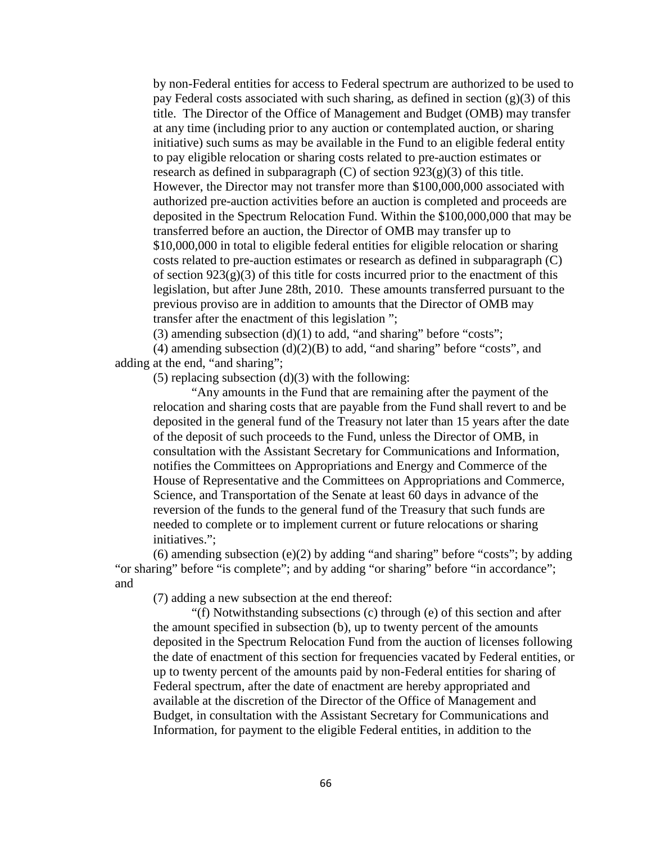by non-Federal entities for access to Federal spectrum are authorized to be used to pay Federal costs associated with such sharing, as defined in section  $(g)(3)$  of this title. The Director of the Office of Management and Budget (OMB) may transfer at any time (including prior to any auction or contemplated auction, or sharing initiative) such sums as may be available in the Fund to an eligible federal entity to pay eligible relocation or sharing costs related to pre-auction estimates or research as defined in subparagraph  $(C)$  of section  $923(g)(3)$  of this title. However, the Director may not transfer more than \$100,000,000 associated with authorized pre-auction activities before an auction is completed and proceeds are deposited in the Spectrum Relocation Fund. Within the \$100,000,000 that may be transferred before an auction, the Director of OMB may transfer up to \$10,000,000 in total to eligible federal entities for eligible relocation or sharing costs related to pre-auction estimates or research as defined in subparagraph (C) of section  $923(g)(3)$  of this title for costs incurred prior to the enactment of this legislation, but after June 28th, 2010. These amounts transferred pursuant to the previous proviso are in addition to amounts that the Director of OMB may transfer after the enactment of this legislation ";

(3) amending subsection  $(d)(1)$  to add, "and sharing" before "costs";

(4) amending subsection  $(d)(2)(B)$  to add, "and sharing" before "costs", and adding at the end, "and sharing";

 $(5)$  replacing subsection  $(d)(3)$  with the following:

"Any amounts in the Fund that are remaining after the payment of the relocation and sharing costs that are payable from the Fund shall revert to and be deposited in the general fund of the Treasury not later than 15 years after the date of the deposit of such proceeds to the Fund, unless the Director of OMB, in consultation with the Assistant Secretary for Communications and Information, notifies the Committees on Appropriations and Energy and Commerce of the House of Representative and the Committees on Appropriations and Commerce, Science, and Transportation of the Senate at least 60 days in advance of the reversion of the funds to the general fund of the Treasury that such funds are needed to complete or to implement current or future relocations or sharing initiatives.";

(6) amending subsection (e)(2) by adding "and sharing" before "costs"; by adding "or sharing" before "is complete"; and by adding "or sharing" before "in accordance"; and

(7) adding a new subsection at the end thereof:

"(f) Notwithstanding subsections (c) through (e) of this section and after the amount specified in subsection (b), up to twenty percent of the amounts deposited in the Spectrum Relocation Fund from the auction of licenses following the date of enactment of this section for frequencies vacated by Federal entities, or up to twenty percent of the amounts paid by non-Federal entities for sharing of Federal spectrum, after the date of enactment are hereby appropriated and available at the discretion of the Director of the Office of Management and Budget, in consultation with the Assistant Secretary for Communications and Information, for payment to the eligible Federal entities, in addition to the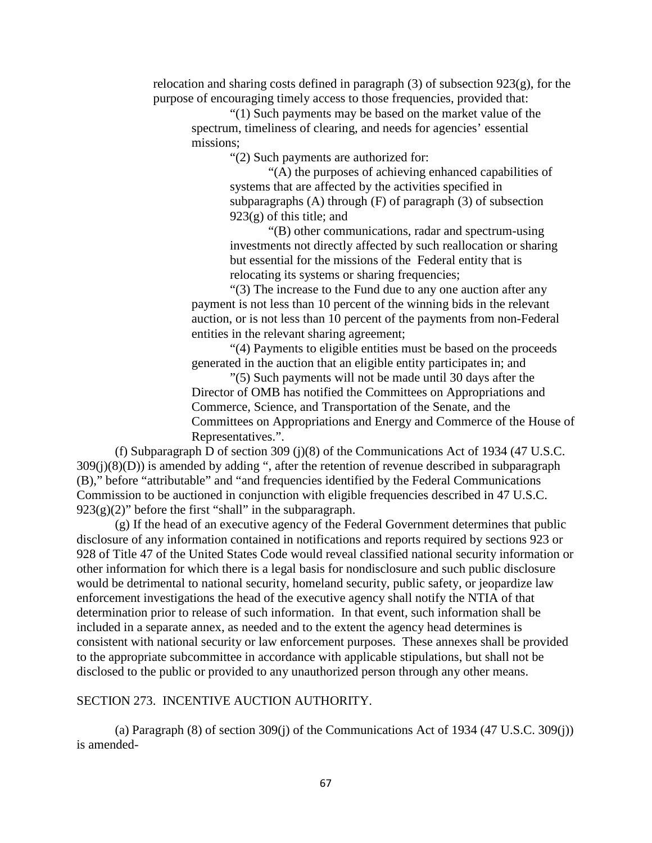relocation and sharing costs defined in paragraph (3) of subsection 923(g), for the purpose of encouraging timely access to those frequencies, provided that:

"(1) Such payments may be based on the market value of the spectrum, timeliness of clearing, and needs for agencies' essential missions;

"(2) Such payments are authorized for:

"(A) the purposes of achieving enhanced capabilities of systems that are affected by the activities specified in subparagraphs (A) through (F) of paragraph (3) of subsection  $923(g)$  of this title; and

"(B) other communications, radar and spectrum-using investments not directly affected by such reallocation or sharing but essential for the missions of the Federal entity that is relocating its systems or sharing frequencies;

"(3) The increase to the Fund due to any one auction after any payment is not less than 10 percent of the winning bids in the relevant auction, or is not less than 10 percent of the payments from non-Federal entities in the relevant sharing agreement;

"(4) Payments to eligible entities must be based on the proceeds generated in the auction that an eligible entity participates in; and

"(5) Such payments will not be made until 30 days after the Director of OMB has notified the Committees on Appropriations and Commerce, Science, and Transportation of the Senate, and the Committees on Appropriations and Energy and Commerce of the House of Representatives.".

(f) Subparagraph D of section 309 (j)(8) of the Communications Act of 1934 (47 U.S.C.  $309(j)(8)(D)$ ) is amended by adding ", after the retention of revenue described in subparagraph (B)," before "attributable" and "and frequencies identified by the Federal Communications Commission to be auctioned in conjunction with eligible frequencies described in 47 U.S.C.  $923(g)(2)$ " before the first "shall" in the subparagraph.

(g) If the head of an executive agency of the Federal Government determines that public disclosure of any information contained in notifications and reports required by sections 923 or 928 of Title 47 of the United States Code would reveal classified national security information or other information for which there is a legal basis for nondisclosure and such public disclosure would be detrimental to national security, homeland security, public safety, or jeopardize law enforcement investigations the head of the executive agency shall notify the NTIA of that determination prior to release of such information. In that event, such information shall be included in a separate annex, as needed and to the extent the agency head determines is consistent with national security or law enforcement purposes. These annexes shall be provided to the appropriate subcommittee in accordance with applicable stipulations, but shall not be disclosed to the public or provided to any unauthorized person through any other means.

### SECTION 273. INCENTIVE AUCTION AUTHORITY.

(a) Paragraph (8) of section 309(j) of the Communications Act of 1934 (47 U.S.C. 309(j)) is amended-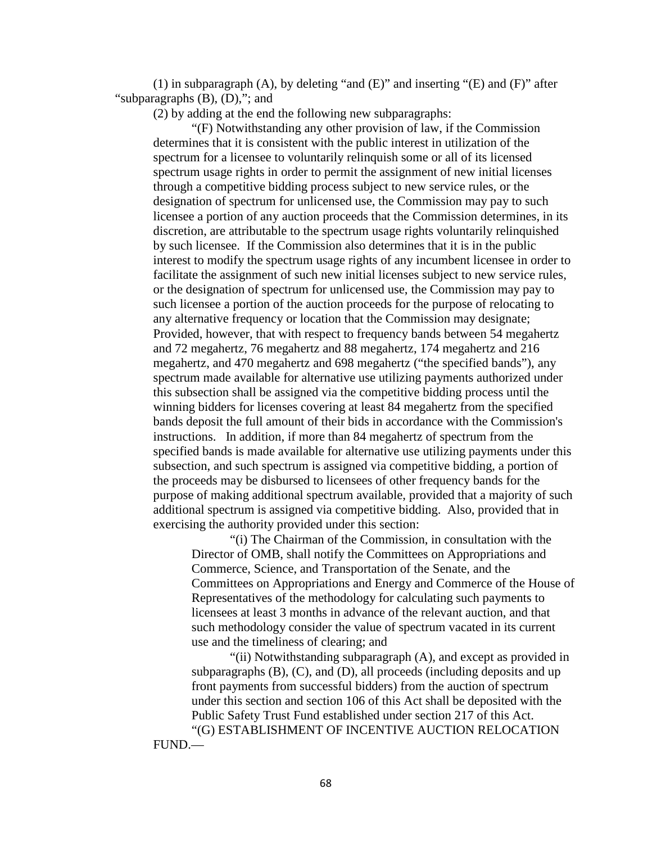(1) in subparagraph  $(A)$ , by deleting "and  $(E)$ " and inserting " $(E)$  and  $(F)$ " after "subparagraphs (B), (D),"; and

(2) by adding at the end the following new subparagraphs:

"(F) Notwithstanding any other provision of law, if the Commission determines that it is consistent with the public interest in utilization of the spectrum for a licensee to voluntarily relinquish some or all of its licensed spectrum usage rights in order to permit the assignment of new initial licenses through a competitive bidding process subject to new service rules, or the designation of spectrum for unlicensed use, the Commission may pay to such licensee a portion of any auction proceeds that the Commission determines, in its discretion, are attributable to the spectrum usage rights voluntarily relinquished by such licensee. If the Commission also determines that it is in the public interest to modify the spectrum usage rights of any incumbent licensee in order to facilitate the assignment of such new initial licenses subject to new service rules, or the designation of spectrum for unlicensed use, the Commission may pay to such licensee a portion of the auction proceeds for the purpose of relocating to any alternative frequency or location that the Commission may designate; Provided, however, that with respect to frequency bands between 54 megahertz and 72 megahertz, 76 megahertz and 88 megahertz, 174 megahertz and 216 megahertz, and 470 megahertz and 698 megahertz ("the specified bands"), any spectrum made available for alternative use utilizing payments authorized under this subsection shall be assigned via the competitive bidding process until the winning bidders for licenses covering at least 84 megahertz from the specified bands deposit the full amount of their bids in accordance with the Commission's instructions. In addition, if more than 84 megahertz of spectrum from the specified bands is made available for alternative use utilizing payments under this subsection, and such spectrum is assigned via competitive bidding, a portion of the proceeds may be disbursed to licensees of other frequency bands for the purpose of making additional spectrum available, provided that a majority of such additional spectrum is assigned via competitive bidding. Also, provided that in exercising the authority provided under this section:

"(i) The Chairman of the Commission, in consultation with the Director of OMB, shall notify the Committees on Appropriations and Commerce, Science, and Transportation of the Senate, and the Committees on Appropriations and Energy and Commerce of the House of Representatives of the methodology for calculating such payments to licensees at least 3 months in advance of the relevant auction, and that such methodology consider the value of spectrum vacated in its current use and the timeliness of clearing; and

"(ii) Notwithstanding subparagraph (A), and except as provided in subparagraphs (B), (C), and (D), all proceeds (including deposits and up front payments from successful bidders) from the auction of spectrum under this section and section 106 of this Act shall be deposited with the Public Safety Trust Fund established under section 217 of this Act. "(G) ESTABLISHMENT OF INCENTIVE AUCTION RELOCATION

FUND.—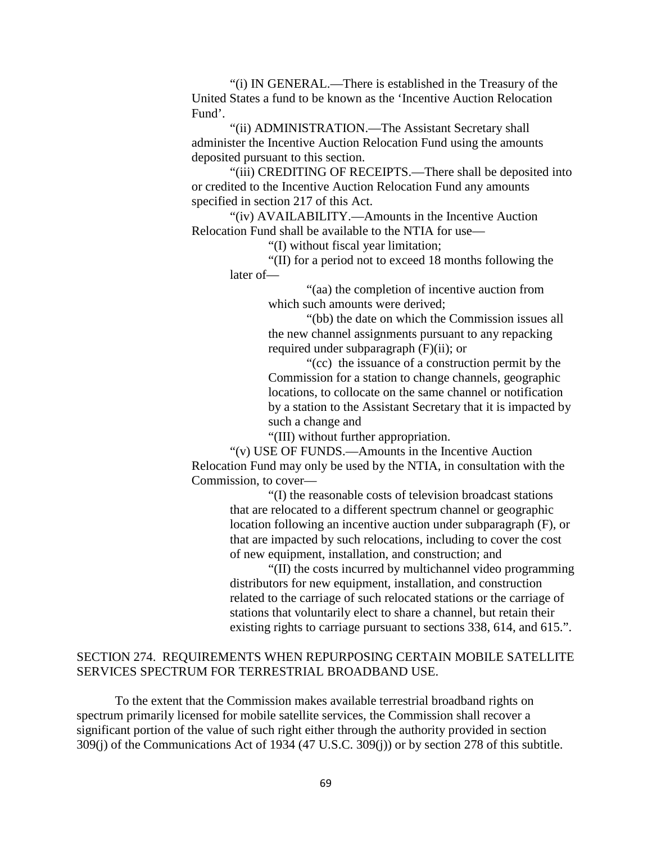"(i) IN GENERAL.—There is established in the Treasury of the United States a fund to be known as the 'Incentive Auction Relocation Fund'.

"(ii) ADMINISTRATION.—The Assistant Secretary shall administer the Incentive Auction Relocation Fund using the amounts deposited pursuant to this section.

"(iii) CREDITING OF RECEIPTS.—There shall be deposited into or credited to the Incentive Auction Relocation Fund any amounts specified in section 217 of this Act.

"(iv) AVAILABILITY.—Amounts in the Incentive Auction Relocation Fund shall be available to the NTIA for use—

"(I) without fiscal year limitation;

"(II) for a period not to exceed 18 months following the later of—

> "(aa) the completion of incentive auction from which such amounts were derived;

"(bb) the date on which the Commission issues all the new channel assignments pursuant to any repacking required under subparagraph (F)(ii); or

"(cc) the issuance of a construction permit by the Commission for a station to change channels, geographic locations, to collocate on the same channel or notification by a station to the Assistant Secretary that it is impacted by such a change and

"(III) without further appropriation.

"(v) USE OF FUNDS.—Amounts in the Incentive Auction Relocation Fund may only be used by the NTIA, in consultation with the Commission, to cover—

> "(I) the reasonable costs of television broadcast stations that are relocated to a different spectrum channel or geographic location following an incentive auction under subparagraph (F), or that are impacted by such relocations, including to cover the cost of new equipment, installation, and construction; and

"(II) the costs incurred by multichannel video programming distributors for new equipment, installation, and construction related to the carriage of such relocated stations or the carriage of stations that voluntarily elect to share a channel, but retain their existing rights to carriage pursuant to sections 338, 614, and 615.".

# SECTION 274. REQUIREMENTS WHEN REPURPOSING CERTAIN MOBILE SATELLITE SERVICES SPECTRUM FOR TERRESTRIAL BROADBAND USE.

To the extent that the Commission makes available terrestrial broadband rights on spectrum primarily licensed for mobile satellite services, the Commission shall recover a significant portion of the value of such right either through the authority provided in section 309(j) of the Communications Act of 1934 (47 U.S.C. 309(j)) or by section 278 of this subtitle.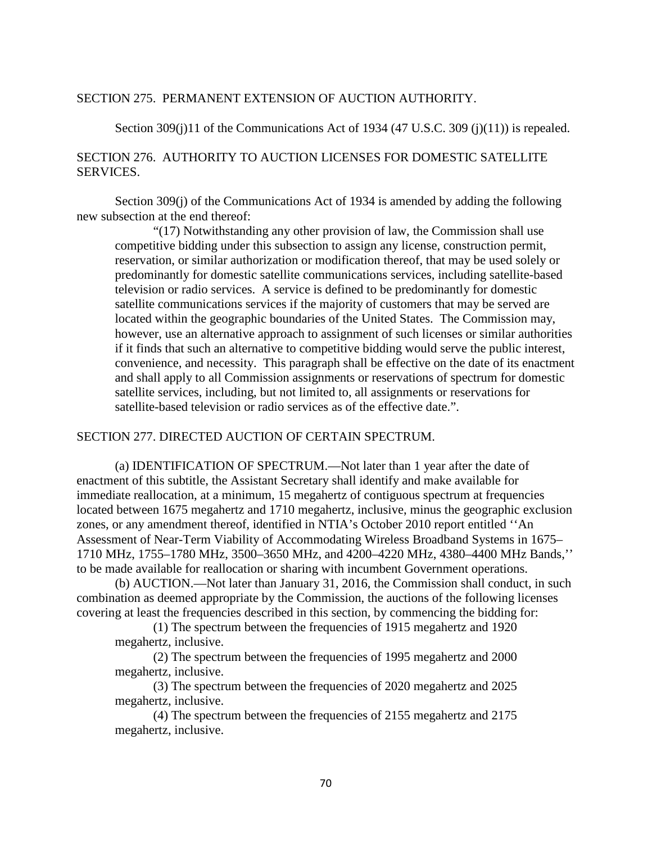### SECTION 275. PERMANENT EXTENSION OF AUCTION AUTHORITY.

Section 309(j)11 of the Communications Act of 1934 (47 U.S.C. 309 (j)(11)) is repealed.

# SECTION 276. AUTHORITY TO AUCTION LICENSES FOR DOMESTIC SATELLITE SERVICES.

Section 309(j) of the Communications Act of 1934 is amended by adding the following new subsection at the end thereof:

"(17) Notwithstanding any other provision of law, the Commission shall use competitive bidding under this subsection to assign any license, construction permit, reservation, or similar authorization or modification thereof, that may be used solely or predominantly for domestic satellite communications services, including satellite-based television or radio services. A service is defined to be predominantly for domestic satellite communications services if the majority of customers that may be served are located within the geographic boundaries of the United States. The Commission may, however, use an alternative approach to assignment of such licenses or similar authorities if it finds that such an alternative to competitive bidding would serve the public interest, convenience, and necessity. This paragraph shall be effective on the date of its enactment and shall apply to all Commission assignments or reservations of spectrum for domestic satellite services, including, but not limited to, all assignments or reservations for satellite-based television or radio services as of the effective date.".

### SECTION 277. DIRECTED AUCTION OF CERTAIN SPECTRUM.

(a) IDENTIFICATION OF SPECTRUM.—Not later than 1 year after the date of enactment of this subtitle, the Assistant Secretary shall identify and make available for immediate reallocation, at a minimum, 15 megahertz of contiguous spectrum at frequencies located between 1675 megahertz and 1710 megahertz, inclusive, minus the geographic exclusion zones, or any amendment thereof, identified in NTIA's October 2010 report entitled ''An Assessment of Near-Term Viability of Accommodating Wireless Broadband Systems in 1675– 1710 MHz, 1755–1780 MHz, 3500–3650 MHz, and 4200–4220 MHz, 4380–4400 MHz Bands,'' to be made available for reallocation or sharing with incumbent Government operations.

(b) AUCTION.—Not later than January 31, 2016, the Commission shall conduct, in such combination as deemed appropriate by the Commission, the auctions of the following licenses covering at least the frequencies described in this section, by commencing the bidding for:

(1) The spectrum between the frequencies of 1915 megahertz and 1920 megahertz, inclusive.

(2) The spectrum between the frequencies of 1995 megahertz and 2000 megahertz, inclusive.

(3) The spectrum between the frequencies of 2020 megahertz and 2025 megahertz, inclusive.

(4) The spectrum between the frequencies of 2155 megahertz and 2175 megahertz, inclusive.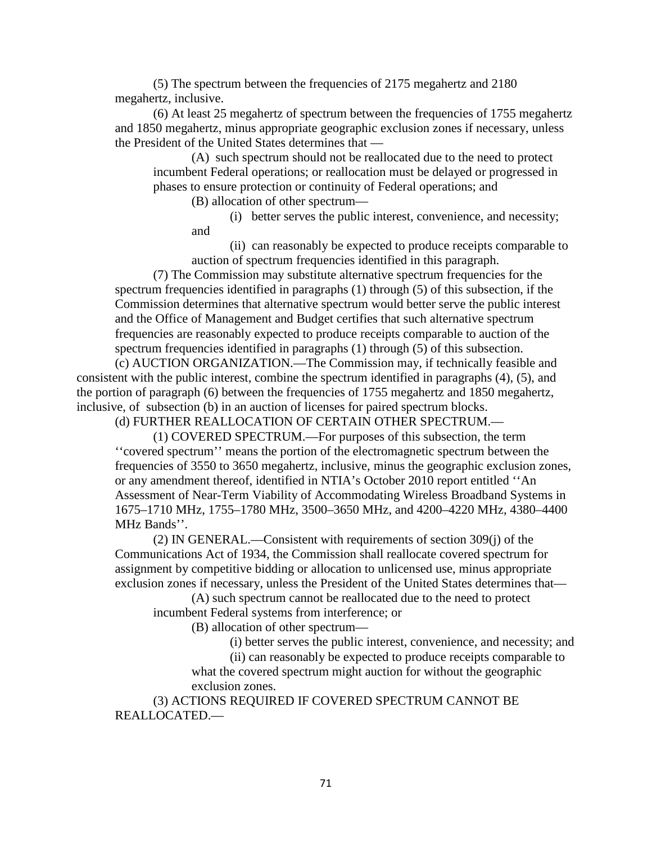(5) The spectrum between the frequencies of 2175 megahertz and 2180 megahertz, inclusive.

(6) At least 25 megahertz of spectrum between the frequencies of 1755 megahertz and 1850 megahertz, minus appropriate geographic exclusion zones if necessary, unless the President of the United States determines that —

(A) such spectrum should not be reallocated due to the need to protect incumbent Federal operations; or reallocation must be delayed or progressed in phases to ensure protection or continuity of Federal operations; and

(B) allocation of other spectrum—

(i) better serves the public interest, convenience, and necessity; and

(ii) can reasonably be expected to produce receipts comparable to auction of spectrum frequencies identified in this paragraph.

(7) The Commission may substitute alternative spectrum frequencies for the spectrum frequencies identified in paragraphs (1) through (5) of this subsection, if the Commission determines that alternative spectrum would better serve the public interest and the Office of Management and Budget certifies that such alternative spectrum frequencies are reasonably expected to produce receipts comparable to auction of the spectrum frequencies identified in paragraphs (1) through (5) of this subsection.

(c) AUCTION ORGANIZATION.—The Commission may, if technically feasible and consistent with the public interest, combine the spectrum identified in paragraphs (4), (5), and the portion of paragraph (6) between the frequencies of 1755 megahertz and 1850 megahertz, inclusive, of subsection (b) in an auction of licenses for paired spectrum blocks.

(d) FURTHER REALLOCATION OF CERTAIN OTHER SPECTRUM.—

(1) COVERED SPECTRUM.—For purposes of this subsection, the term ''covered spectrum'' means the portion of the electromagnetic spectrum between the frequencies of 3550 to 3650 megahertz, inclusive, minus the geographic exclusion zones, or any amendment thereof, identified in NTIA's October 2010 report entitled ''An Assessment of Near-Term Viability of Accommodating Wireless Broadband Systems in 1675–1710 MHz, 1755–1780 MHz, 3500–3650 MHz, and 4200–4220 MHz, 4380–4400 MHz Bands''.

(2) IN GENERAL.—Consistent with requirements of section 309(j) of the Communications Act of 1934, the Commission shall reallocate covered spectrum for assignment by competitive bidding or allocation to unlicensed use, minus appropriate exclusion zones if necessary, unless the President of the United States determines that—

(A) such spectrum cannot be reallocated due to the need to protect incumbent Federal systems from interference; or

(B) allocation of other spectrum—

(i) better serves the public interest, convenience, and necessity; and

(ii) can reasonably be expected to produce receipts comparable to what the covered spectrum might auction for without the geographic exclusion zones.

(3) ACTIONS REQUIRED IF COVERED SPECTRUM CANNOT BE REALLOCATED.—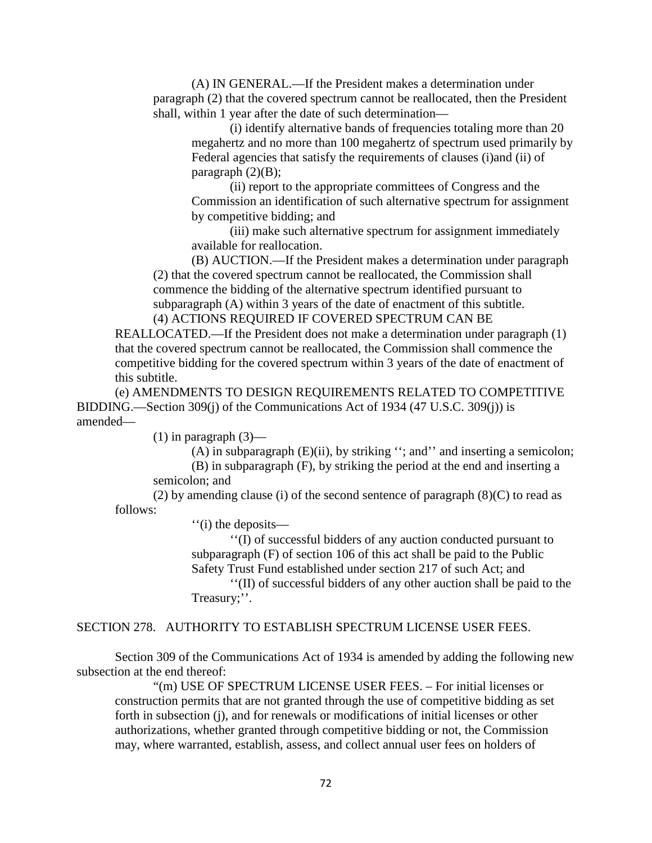(A) IN GENERAL.—If the President makes a determination under paragraph (2) that the covered spectrum cannot be reallocated, then the President shall, within 1 year after the date of such determination—

(i) identify alternative bands of frequencies totaling more than 20 megahertz and no more than 100 megahertz of spectrum used primarily by Federal agencies that satisfy the requirements of clauses (i)and (ii) of paragraph  $(2)(B)$ ;

(ii) report to the appropriate committees of Congress and the Commission an identification of such alternative spectrum for assignment by competitive bidding; and

(iii) make such alternative spectrum for assignment immediately available for reallocation.

(B) AUCTION.—If the President makes a determination under paragraph (2) that the covered spectrum cannot be reallocated, the Commission shall commence the bidding of the alternative spectrum identified pursuant to subparagraph (A) within 3 years of the date of enactment of this subtitle. (4) ACTIONS REQUIRED IF COVERED SPECTRUM CAN BE

REALLOCATED.—If the President does not make a determination under paragraph (1) that the covered spectrum cannot be reallocated, the Commission shall commence the competitive bidding for the covered spectrum within 3 years of the date of enactment of this subtitle.

(e) AMENDMENTS TO DESIGN REQUIREMENTS RELATED TO COMPETITIVE BIDDING.—Section 309(j) of the Communications Act of 1934 (47 U.S.C. 309(j)) is amended—

 $(1)$  in paragraph  $(3)$ —

(A) in subparagraph (E)(ii), by striking ''; and'' and inserting a semicolon; (B) in subparagraph (F), by striking the period at the end and inserting a

semicolon; and

(2) by amending clause (i) of the second sentence of paragraph  $(8)(C)$  to read as follows:

''(i) the deposits—

''(I) of successful bidders of any auction conducted pursuant to subparagraph (F) of section 106 of this act shall be paid to the Public Safety Trust Fund established under section 217 of such Act; and

''(II) of successful bidders of any other auction shall be paid to the Treasury;''.

SECTION 278. AUTHORITY TO ESTABLISH SPECTRUM LICENSE USER FEES.

Section 309 of the Communications Act of 1934 is amended by adding the following new subsection at the end thereof:

"(m) USE OF SPECTRUM LICENSE USER FEES. – For initial licenses or construction permits that are not granted through the use of competitive bidding as set forth in subsection (j), and for renewals or modifications of initial licenses or other authorizations, whether granted through competitive bidding or not, the Commission may, where warranted, establish, assess, and collect annual user fees on holders of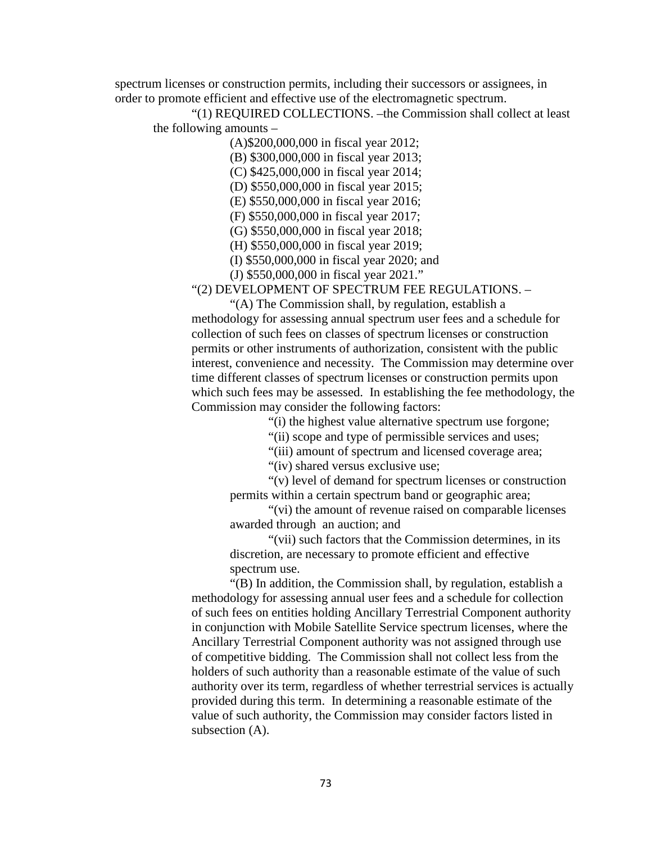spectrum licenses or construction permits, including their successors or assignees, in order to promote efficient and effective use of the electromagnetic spectrum.

"(1) REQUIRED COLLECTIONS. –the Commission shall collect at least the following amounts –

(A)\$200,000,000 in fiscal year 2012;

(B) \$300,000,000 in fiscal year 2013;

(C) \$425,000,000 in fiscal year 2014;

(D) \$550,000,000 in fiscal year 2015;

(E) \$550,000,000 in fiscal year 2016;

(F) \$550,000,000 in fiscal year 2017;

(G) \$550,000,000 in fiscal year 2018;

(H) \$550,000,000 in fiscal year 2019;

(I) \$550,000,000 in fiscal year 2020; and

(J) \$550,000,000 in fiscal year 2021."

"(2) DEVELOPMENT OF SPECTRUM FEE REGULATIONS. –

"(A) The Commission shall, by regulation, establish a methodology for assessing annual spectrum user fees and a schedule for collection of such fees on classes of spectrum licenses or construction permits or other instruments of authorization, consistent with the public interest, convenience and necessity. The Commission may determine over time different classes of spectrum licenses or construction permits upon which such fees may be assessed. In establishing the fee methodology, the Commission may consider the following factors:

"(i) the highest value alternative spectrum use forgone;

"(ii) scope and type of permissible services and uses;

"(iii) amount of spectrum and licensed coverage area;

"(iv) shared versus exclusive use;

"(v) level of demand for spectrum licenses or construction permits within a certain spectrum band or geographic area;

"(vi) the amount of revenue raised on comparable licenses awarded through an auction; and

"(vii) such factors that the Commission determines, in its discretion, are necessary to promote efficient and effective spectrum use.

"(B) In addition, the Commission shall, by regulation, establish a methodology for assessing annual user fees and a schedule for collection of such fees on entities holding Ancillary Terrestrial Component authority in conjunction with Mobile Satellite Service spectrum licenses, where the Ancillary Terrestrial Component authority was not assigned through use of competitive bidding. The Commission shall not collect less from the holders of such authority than a reasonable estimate of the value of such authority over its term, regardless of whether terrestrial services is actually provided during this term. In determining a reasonable estimate of the value of such authority, the Commission may consider factors listed in subsection (A).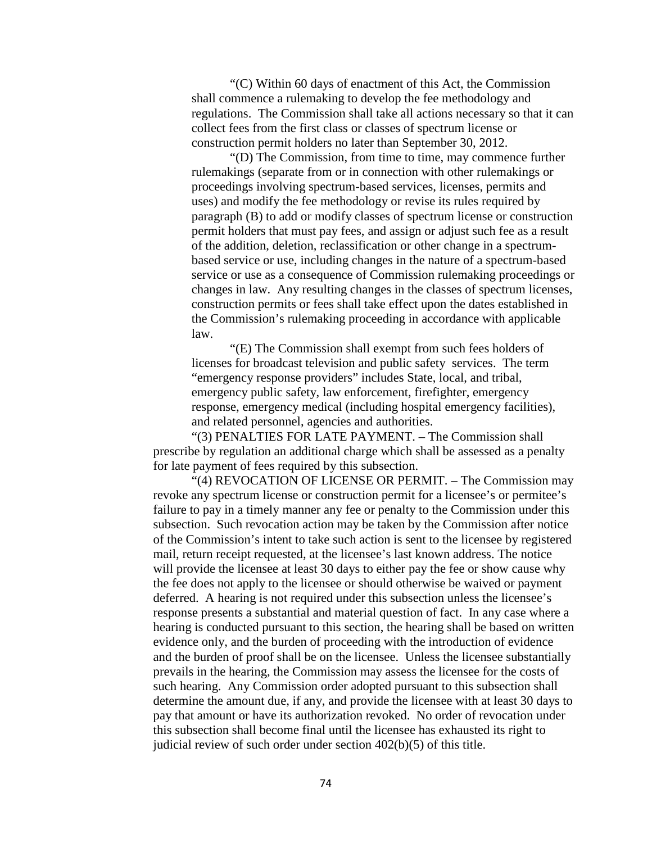"(C) Within 60 days of enactment of this Act, the Commission shall commence a rulemaking to develop the fee methodology and regulations. The Commission shall take all actions necessary so that it can collect fees from the first class or classes of spectrum license or construction permit holders no later than September 30, 2012.

"(D) The Commission, from time to time, may commence further rulemakings (separate from or in connection with other rulemakings or proceedings involving spectrum-based services, licenses, permits and uses) and modify the fee methodology or revise its rules required by paragraph (B) to add or modify classes of spectrum license or construction permit holders that must pay fees, and assign or adjust such fee as a result of the addition, deletion, reclassification or other change in a spectrumbased service or use, including changes in the nature of a spectrum-based service or use as a consequence of Commission rulemaking proceedings or changes in law. Any resulting changes in the classes of spectrum licenses, construction permits or fees shall take effect upon the dates established in the Commission's rulemaking proceeding in accordance with applicable law.

"(E) The Commission shall exempt from such fees holders of licenses for broadcast television and public safety services. The term "emergency response providers" includes State, local, and tribal, emergency public safety, law enforcement, firefighter, emergency response, emergency medical (including hospital emergency facilities), and related personnel, agencies and authorities.

"(3) PENALTIES FOR LATE PAYMENT. – The Commission shall prescribe by regulation an additional charge which shall be assessed as a penalty for late payment of fees required by this subsection.

"(4) REVOCATION OF LICENSE OR PERMIT. – The Commission may revoke any spectrum license or construction permit for a licensee's or permitee's failure to pay in a timely manner any fee or penalty to the Commission under this subsection. Such revocation action may be taken by the Commission after notice of the Commission's intent to take such action is sent to the licensee by registered mail, return receipt requested, at the licensee's last known address. The notice will provide the licensee at least 30 days to either pay the fee or show cause why the fee does not apply to the licensee or should otherwise be waived or payment deferred. A hearing is not required under this subsection unless the licensee's response presents a substantial and material question of fact. In any case where a hearing is conducted pursuant to this section, the hearing shall be based on written evidence only, and the burden of proceeding with the introduction of evidence and the burden of proof shall be on the licensee. Unless the licensee substantially prevails in the hearing, the Commission may assess the licensee for the costs of such hearing. Any Commission order adopted pursuant to this subsection shall determine the amount due, if any, and provide the licensee with at least 30 days to pay that amount or have its authorization revoked. No order of revocation under this subsection shall become final until the licensee has exhausted its right to judicial review of such order under section 402(b)(5) of this title.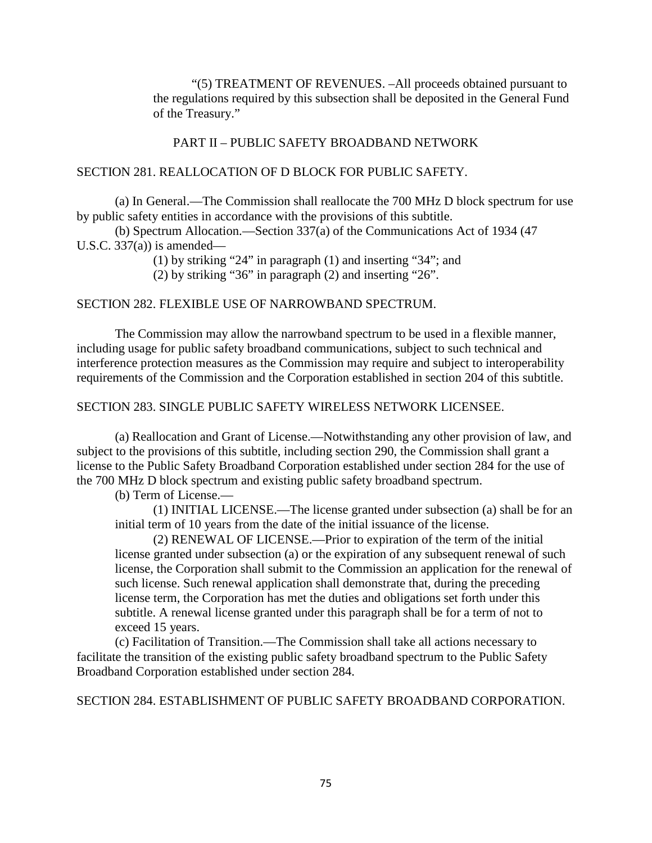"(5) TREATMENT OF REVENUES. –All proceeds obtained pursuant to the regulations required by this subsection shall be deposited in the General Fund of the Treasury."

## PART II – PUBLIC SAFETY BROADBAND NETWORK

## SECTION 281. REALLOCATION OF D BLOCK FOR PUBLIC SAFETY.

(a) In General.—The Commission shall reallocate the 700 MHz D block spectrum for use by public safety entities in accordance with the provisions of this subtitle.

(b) Spectrum Allocation.—Section 337(a) of the Communications Act of 1934 (47 U.S.C.  $337(a)$  is amended—

(1) by striking "24" in paragraph (1) and inserting "34"; and

(2) by striking "36" in paragraph (2) and inserting "26".

## SECTION 282. FLEXIBLE USE OF NARROWBAND SPECTRUM.

The Commission may allow the narrowband spectrum to be used in a flexible manner, including usage for public safety broadband communications, subject to such technical and interference protection measures as the Commission may require and subject to interoperability requirements of the Commission and the Corporation established in section 204 of this subtitle.

## SECTION 283. SINGLE PUBLIC SAFETY WIRELESS NETWORK LICENSEE.

(a) Reallocation and Grant of License.—Notwithstanding any other provision of law, and subject to the provisions of this subtitle, including section 290, the Commission shall grant a license to the Public Safety Broadband Corporation established under section 284 for the use of the 700 MHz D block spectrum and existing public safety broadband spectrum.

(b) Term of License.—

(1) INITIAL LICENSE.—The license granted under subsection (a) shall be for an initial term of 10 years from the date of the initial issuance of the license.

(2) RENEWAL OF LICENSE.—Prior to expiration of the term of the initial license granted under subsection (a) or the expiration of any subsequent renewal of such license, the Corporation shall submit to the Commission an application for the renewal of such license. Such renewal application shall demonstrate that, during the preceding license term, the Corporation has met the duties and obligations set forth under this subtitle. A renewal license granted under this paragraph shall be for a term of not to exceed 15 years.

(c) Facilitation of Transition.—The Commission shall take all actions necessary to facilitate the transition of the existing public safety broadband spectrum to the Public Safety Broadband Corporation established under section 284.

SECTION 284. ESTABLISHMENT OF PUBLIC SAFETY BROADBAND CORPORATION.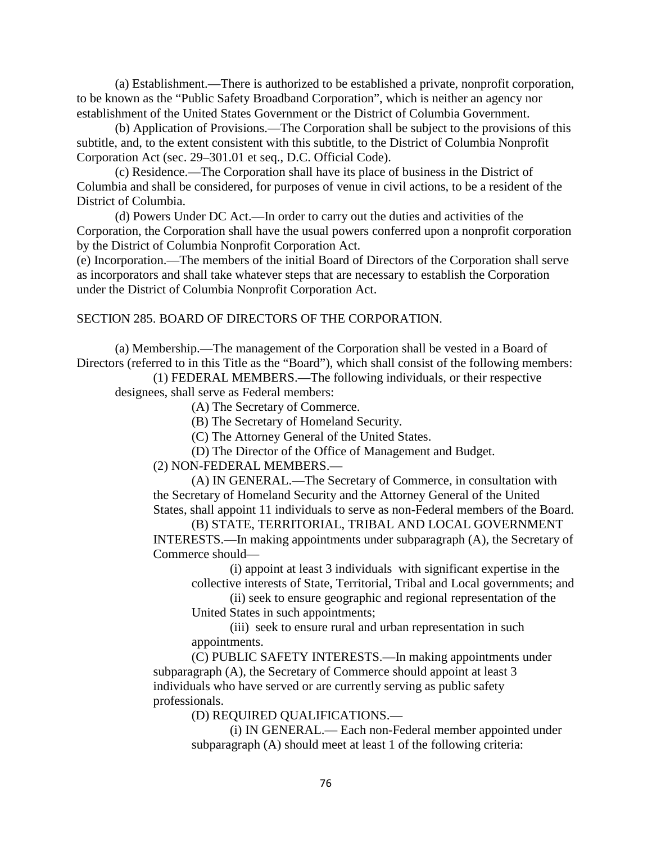(a) Establishment.—There is authorized to be established a private, nonprofit corporation, to be known as the "Public Safety Broadband Corporation", which is neither an agency nor establishment of the United States Government or the District of Columbia Government.

(b) Application of Provisions.—The Corporation shall be subject to the provisions of this subtitle, and, to the extent consistent with this subtitle, to the District of Columbia Nonprofit Corporation Act (sec. 29–301.01 et seq., D.C. Official Code).

(c) Residence.—The Corporation shall have its place of business in the District of Columbia and shall be considered, for purposes of venue in civil actions, to be a resident of the District of Columbia.

(d) Powers Under DC Act.—In order to carry out the duties and activities of the Corporation, the Corporation shall have the usual powers conferred upon a nonprofit corporation by the District of Columbia Nonprofit Corporation Act.

(e) Incorporation.—The members of the initial Board of Directors of the Corporation shall serve as incorporators and shall take whatever steps that are necessary to establish the Corporation under the District of Columbia Nonprofit Corporation Act.

## SECTION 285. BOARD OF DIRECTORS OF THE CORPORATION.

(a) Membership.—The management of the Corporation shall be vested in a Board of Directors (referred to in this Title as the "Board"), which shall consist of the following members:

(1) FEDERAL MEMBERS.—The following individuals, or their respective designees, shall serve as Federal members:

(A) The Secretary of Commerce.

(B) The Secretary of Homeland Security.

(C) The Attorney General of the United States.

(D) The Director of the Office of Management and Budget.

(2) NON-FEDERAL MEMBERS.—

(A) IN GENERAL.—The Secretary of Commerce, in consultation with the Secretary of Homeland Security and the Attorney General of the United States, shall appoint 11 individuals to serve as non-Federal members of the Board.

(B) STATE, TERRITORIAL, TRIBAL AND LOCAL GOVERNMENT INTERESTS.—In making appointments under subparagraph (A), the Secretary of Commerce should—

(i) appoint at least 3 individuals with significant expertise in the collective interests of State, Territorial, Tribal and Local governments; and

(ii) seek to ensure geographic and regional representation of the United States in such appointments;

(iii) seek to ensure rural and urban representation in such appointments.

(C) PUBLIC SAFETY INTERESTS.—In making appointments under subparagraph (A), the Secretary of Commerce should appoint at least 3 individuals who have served or are currently serving as public safety professionals.

(D) REQUIRED QUALIFICATIONS.—

(i) IN GENERAL.— Each non-Federal member appointed under subparagraph (A) should meet at least 1 of the following criteria: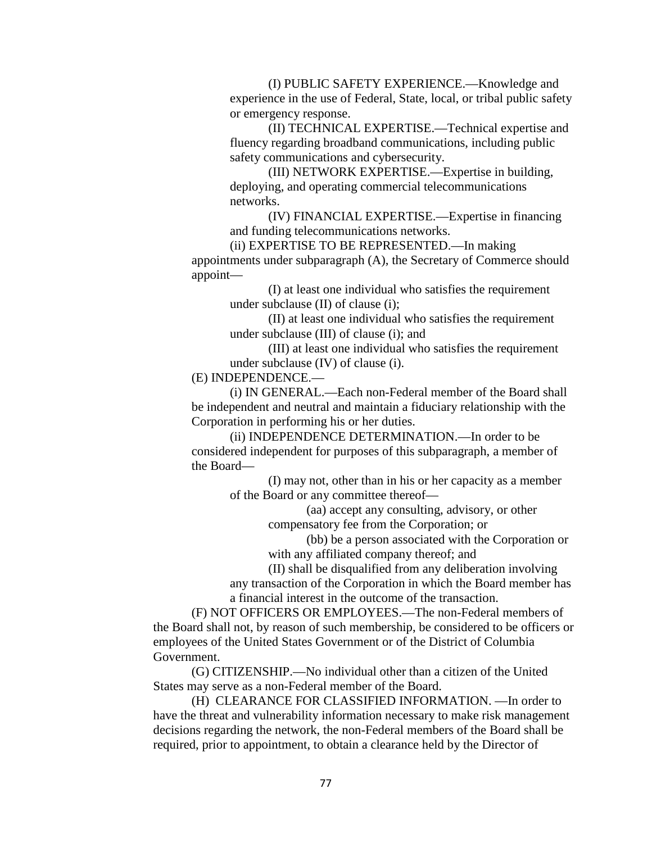(I) PUBLIC SAFETY EXPERIENCE.—Knowledge and experience in the use of Federal, State, local, or tribal public safety or emergency response.

(II) TECHNICAL EXPERTISE.—Technical expertise and fluency regarding broadband communications, including public safety communications and cybersecurity.

(III) NETWORK EXPERTISE.—Expertise in building, deploying, and operating commercial telecommunications networks.

(IV) FINANCIAL EXPERTISE.—Expertise in financing and funding telecommunications networks.

(ii) EXPERTISE TO BE REPRESENTED.—In making appointments under subparagraph (A), the Secretary of Commerce should appoint—

> (I) at least one individual who satisfies the requirement under subclause (II) of clause (i);

> (II) at least one individual who satisfies the requirement under subclause (III) of clause (i); and

(III) at least one individual who satisfies the requirement under subclause (IV) of clause (i).

(E) INDEPENDENCE.—

(i) IN GENERAL.—Each non-Federal member of the Board shall be independent and neutral and maintain a fiduciary relationship with the Corporation in performing his or her duties.

(ii) INDEPENDENCE DETERMINATION.—In order to be considered independent for purposes of this subparagraph, a member of the Board—

(I) may not, other than in his or her capacity as a member of the Board or any committee thereof—

> (aa) accept any consulting, advisory, or other compensatory fee from the Corporation; or

(bb) be a person associated with the Corporation or with any affiliated company thereof; and

(II) shall be disqualified from any deliberation involving any transaction of the Corporation in which the Board member has a financial interest in the outcome of the transaction.

(F) NOT OFFICERS OR EMPLOYEES.—The non-Federal members of the Board shall not, by reason of such membership, be considered to be officers or employees of the United States Government or of the District of Columbia Government.

(G) CITIZENSHIP.—No individual other than a citizen of the United States may serve as a non-Federal member of the Board.

(H) CLEARANCE FOR CLASSIFIED INFORMATION. —In order to have the threat and vulnerability information necessary to make risk management decisions regarding the network, the non-Federal members of the Board shall be required, prior to appointment, to obtain a clearance held by the Director of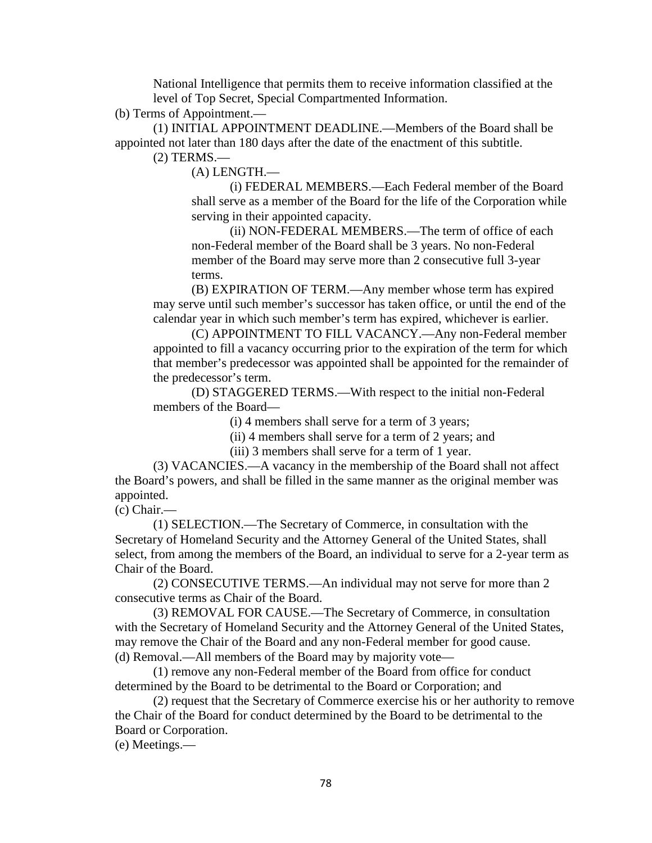National Intelligence that permits them to receive information classified at the level of Top Secret, Special Compartmented Information.

(b) Terms of Appointment.—

(1) INITIAL APPOINTMENT DEADLINE.—Members of the Board shall be appointed not later than 180 days after the date of the enactment of this subtitle.

(2) TERMS.—

(A) LENGTH.—

(i) FEDERAL MEMBERS.—Each Federal member of the Board shall serve as a member of the Board for the life of the Corporation while serving in their appointed capacity.

(ii) NON-FEDERAL MEMBERS.—The term of office of each non-Federal member of the Board shall be 3 years. No non-Federal member of the Board may serve more than 2 consecutive full 3-year terms.

(B) EXPIRATION OF TERM.—Any member whose term has expired may serve until such member's successor has taken office, or until the end of the calendar year in which such member's term has expired, whichever is earlier.

(C) APPOINTMENT TO FILL VACANCY.—Any non-Federal member appointed to fill a vacancy occurring prior to the expiration of the term for which that member's predecessor was appointed shall be appointed for the remainder of the predecessor's term.

(D) STAGGERED TERMS.—With respect to the initial non-Federal members of the Board—

(i) 4 members shall serve for a term of 3 years;

(ii) 4 members shall serve for a term of 2 years; and

(iii) 3 members shall serve for a term of 1 year.

(3) VACANCIES.—A vacancy in the membership of the Board shall not affect the Board's powers, and shall be filled in the same manner as the original member was appointed.

(c) Chair.—

(1) SELECTION.—The Secretary of Commerce, in consultation with the Secretary of Homeland Security and the Attorney General of the United States, shall select, from among the members of the Board, an individual to serve for a 2-year term as Chair of the Board.

(2) CONSECUTIVE TERMS.—An individual may not serve for more than 2 consecutive terms as Chair of the Board.

(3) REMOVAL FOR CAUSE.—The Secretary of Commerce, in consultation with the Secretary of Homeland Security and the Attorney General of the United States, may remove the Chair of the Board and any non-Federal member for good cause. (d) Removal.—All members of the Board may by majority vote—

(1) remove any non-Federal member of the Board from office for conduct determined by the Board to be detrimental to the Board or Corporation; and

(2) request that the Secretary of Commerce exercise his or her authority to remove the Chair of the Board for conduct determined by the Board to be detrimental to the Board or Corporation.

(e) Meetings.—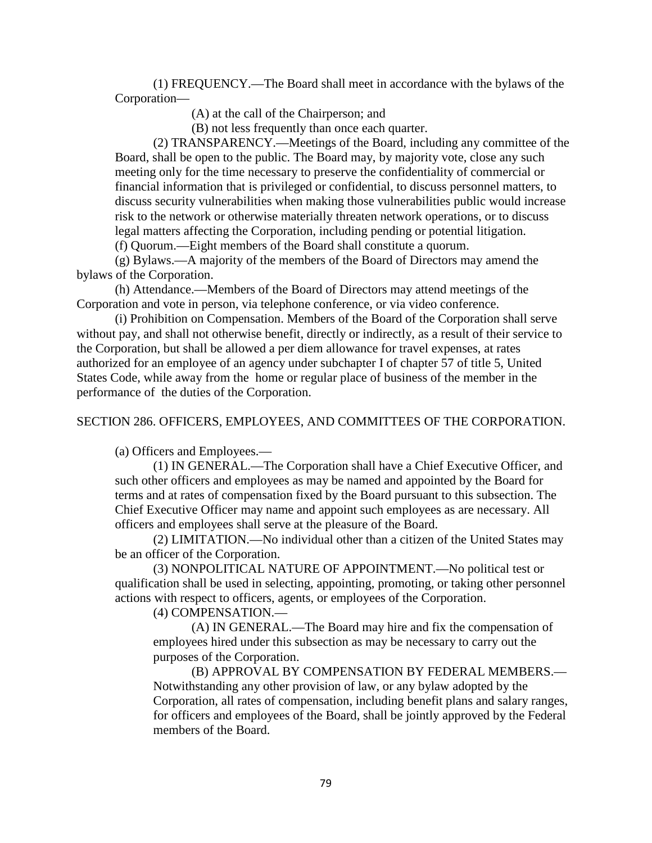(1) FREQUENCY.—The Board shall meet in accordance with the bylaws of the Corporation—

(A) at the call of the Chairperson; and

(B) not less frequently than once each quarter.

(2) TRANSPARENCY.—Meetings of the Board, including any committee of the Board, shall be open to the public. The Board may, by majority vote, close any such meeting only for the time necessary to preserve the confidentiality of commercial or financial information that is privileged or confidential, to discuss personnel matters, to discuss security vulnerabilities when making those vulnerabilities public would increase risk to the network or otherwise materially threaten network operations, or to discuss legal matters affecting the Corporation, including pending or potential litigation.

(f) Quorum.—Eight members of the Board shall constitute a quorum.

(g) Bylaws.—A majority of the members of the Board of Directors may amend the bylaws of the Corporation.

(h) Attendance.—Members of the Board of Directors may attend meetings of the Corporation and vote in person, via telephone conference, or via video conference.

(i) Prohibition on Compensation. Members of the Board of the Corporation shall serve without pay, and shall not otherwise benefit, directly or indirectly, as a result of their service to the Corporation, but shall be allowed a per diem allowance for travel expenses, at rates authorized for an employee of an agency under subchapter I of chapter 57 of title 5, United States Code, while away from the home or regular place of business of the member in the performance of the duties of the Corporation.

SECTION 286. OFFICERS, EMPLOYEES, AND COMMITTEES OF THE CORPORATION.

(a) Officers and Employees.—

(1) IN GENERAL.—The Corporation shall have a Chief Executive Officer, and such other officers and employees as may be named and appointed by the Board for terms and at rates of compensation fixed by the Board pursuant to this subsection. The Chief Executive Officer may name and appoint such employees as are necessary. All officers and employees shall serve at the pleasure of the Board.

(2) LIMITATION.—No individual other than a citizen of the United States may be an officer of the Corporation.

(3) NONPOLITICAL NATURE OF APPOINTMENT.—No political test or qualification shall be used in selecting, appointing, promoting, or taking other personnel actions with respect to officers, agents, or employees of the Corporation.

(4) COMPENSATION.—

(A) IN GENERAL.—The Board may hire and fix the compensation of employees hired under this subsection as may be necessary to carry out the purposes of the Corporation.

(B) APPROVAL BY COMPENSATION BY FEDERAL MEMBERS.— Notwithstanding any other provision of law, or any bylaw adopted by the Corporation, all rates of compensation, including benefit plans and salary ranges, for officers and employees of the Board, shall be jointly approved by the Federal members of the Board.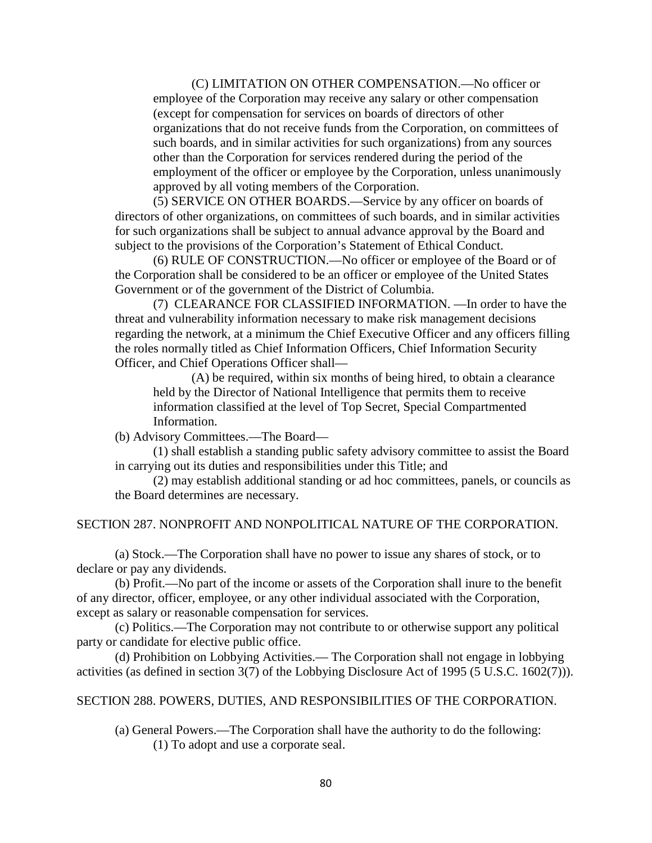(C) LIMITATION ON OTHER COMPENSATION.—No officer or employee of the Corporation may receive any salary or other compensation (except for compensation for services on boards of directors of other organizations that do not receive funds from the Corporation, on committees of such boards, and in similar activities for such organizations) from any sources other than the Corporation for services rendered during the period of the employment of the officer or employee by the Corporation, unless unanimously approved by all voting members of the Corporation.

(5) SERVICE ON OTHER BOARDS.—Service by any officer on boards of directors of other organizations, on committees of such boards, and in similar activities for such organizations shall be subject to annual advance approval by the Board and subject to the provisions of the Corporation's Statement of Ethical Conduct.

(6) RULE OF CONSTRUCTION.—No officer or employee of the Board or of the Corporation shall be considered to be an officer or employee of the United States Government or of the government of the District of Columbia.

(7) CLEARANCE FOR CLASSIFIED INFORMATION. —In order to have the threat and vulnerability information necessary to make risk management decisions regarding the network, at a minimum the Chief Executive Officer and any officers filling the roles normally titled as Chief Information Officers, Chief Information Security Officer, and Chief Operations Officer shall—

(A) be required, within six months of being hired, to obtain a clearance held by the Director of National Intelligence that permits them to receive information classified at the level of Top Secret, Special Compartmented Information.

(b) Advisory Committees.—The Board—

(1) shall establish a standing public safety advisory committee to assist the Board in carrying out its duties and responsibilities under this Title; and

(2) may establish additional standing or ad hoc committees, panels, or councils as the Board determines are necessary.

#### SECTION 287. NONPROFIT AND NONPOLITICAL NATURE OF THE CORPORATION.

(a) Stock.—The Corporation shall have no power to issue any shares of stock, or to declare or pay any dividends.

(b) Profit.—No part of the income or assets of the Corporation shall inure to the benefit of any director, officer, employee, or any other individual associated with the Corporation, except as salary or reasonable compensation for services.

(c) Politics.—The Corporation may not contribute to or otherwise support any political party or candidate for elective public office.

(d) Prohibition on Lobbying Activities.— The Corporation shall not engage in lobbying activities (as defined in section 3(7) of the Lobbying Disclosure Act of 1995 (5 U.S.C. 1602(7))).

#### SECTION 288. POWERS, DUTIES, AND RESPONSIBILITIES OF THE CORPORATION.

(a) General Powers.—The Corporation shall have the authority to do the following: (1) To adopt and use a corporate seal.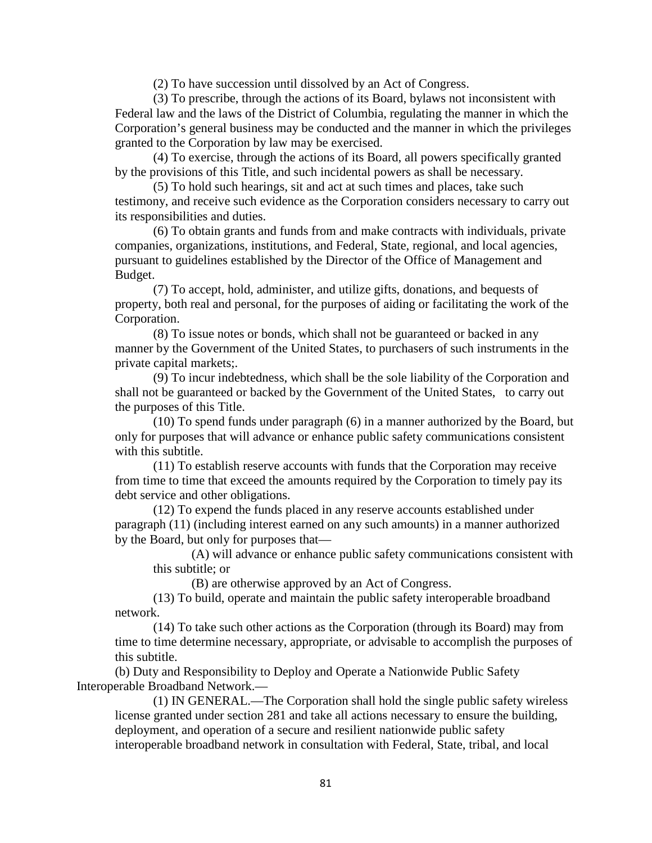(2) To have succession until dissolved by an Act of Congress.

(3) To prescribe, through the actions of its Board, bylaws not inconsistent with Federal law and the laws of the District of Columbia, regulating the manner in which the Corporation's general business may be conducted and the manner in which the privileges granted to the Corporation by law may be exercised.

(4) To exercise, through the actions of its Board, all powers specifically granted by the provisions of this Title, and such incidental powers as shall be necessary.

(5) To hold such hearings, sit and act at such times and places, take such testimony, and receive such evidence as the Corporation considers necessary to carry out its responsibilities and duties.

(6) To obtain grants and funds from and make contracts with individuals, private companies, organizations, institutions, and Federal, State, regional, and local agencies, pursuant to guidelines established by the Director of the Office of Management and Budget.

(7) To accept, hold, administer, and utilize gifts, donations, and bequests of property, both real and personal, for the purposes of aiding or facilitating the work of the Corporation.

(8) To issue notes or bonds, which shall not be guaranteed or backed in any manner by the Government of the United States, to purchasers of such instruments in the private capital markets;.

(9) To incur indebtedness, which shall be the sole liability of the Corporation and shall not be guaranteed or backed by the Government of the United States, to carry out the purposes of this Title.

(10) To spend funds under paragraph (6) in a manner authorized by the Board, but only for purposes that will advance or enhance public safety communications consistent with this subtitle.

(11) To establish reserve accounts with funds that the Corporation may receive from time to time that exceed the amounts required by the Corporation to timely pay its debt service and other obligations.

(12) To expend the funds placed in any reserve accounts established under paragraph (11) (including interest earned on any such amounts) in a manner authorized by the Board, but only for purposes that—

(A) will advance or enhance public safety communications consistent with this subtitle; or

(B) are otherwise approved by an Act of Congress.

(13) To build, operate and maintain the public safety interoperable broadband network.

(14) To take such other actions as the Corporation (through its Board) may from time to time determine necessary, appropriate, or advisable to accomplish the purposes of this subtitle.

(b) Duty and Responsibility to Deploy and Operate a Nationwide Public Safety Interoperable Broadband Network.—

(1) IN GENERAL.—The Corporation shall hold the single public safety wireless license granted under section 281 and take all actions necessary to ensure the building, deployment, and operation of a secure and resilient nationwide public safety interoperable broadband network in consultation with Federal, State, tribal, and local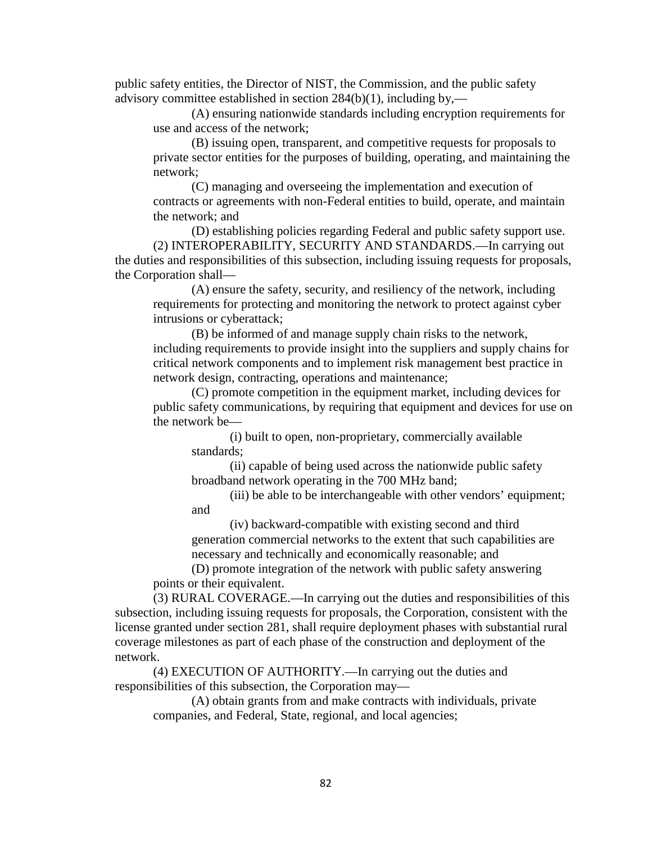public safety entities, the Director of NIST, the Commission, and the public safety advisory committee established in section 284(b)(1), including by,—

(A) ensuring nationwide standards including encryption requirements for use and access of the network;

(B) issuing open, transparent, and competitive requests for proposals to private sector entities for the purposes of building, operating, and maintaining the network;

(C) managing and overseeing the implementation and execution of contracts or agreements with non-Federal entities to build, operate, and maintain the network; and

(D) establishing policies regarding Federal and public safety support use. (2) INTEROPERABILITY, SECURITY AND STANDARDS.—In carrying out the duties and responsibilities of this subsection, including issuing requests for proposals, the Corporation shall—

(A) ensure the safety, security, and resiliency of the network, including requirements for protecting and monitoring the network to protect against cyber intrusions or cyberattack;

(B) be informed of and manage supply chain risks to the network, including requirements to provide insight into the suppliers and supply chains for critical network components and to implement risk management best practice in network design, contracting, operations and maintenance;

(C) promote competition in the equipment market, including devices for public safety communications, by requiring that equipment and devices for use on the network be—

(i) built to open, non-proprietary, commercially available standards;

(ii) capable of being used across the nationwide public safety broadband network operating in the 700 MHz band;

(iii) be able to be interchangeable with other vendors' equipment; and

(iv) backward-compatible with existing second and third generation commercial networks to the extent that such capabilities are necessary and technically and economically reasonable; and

(D) promote integration of the network with public safety answering points or their equivalent.

(3) RURAL COVERAGE.—In carrying out the duties and responsibilities of this subsection, including issuing requests for proposals, the Corporation, consistent with the license granted under section 281, shall require deployment phases with substantial rural coverage milestones as part of each phase of the construction and deployment of the network.

(4) EXECUTION OF AUTHORITY.—In carrying out the duties and responsibilities of this subsection, the Corporation may—

(A) obtain grants from and make contracts with individuals, private companies, and Federal, State, regional, and local agencies;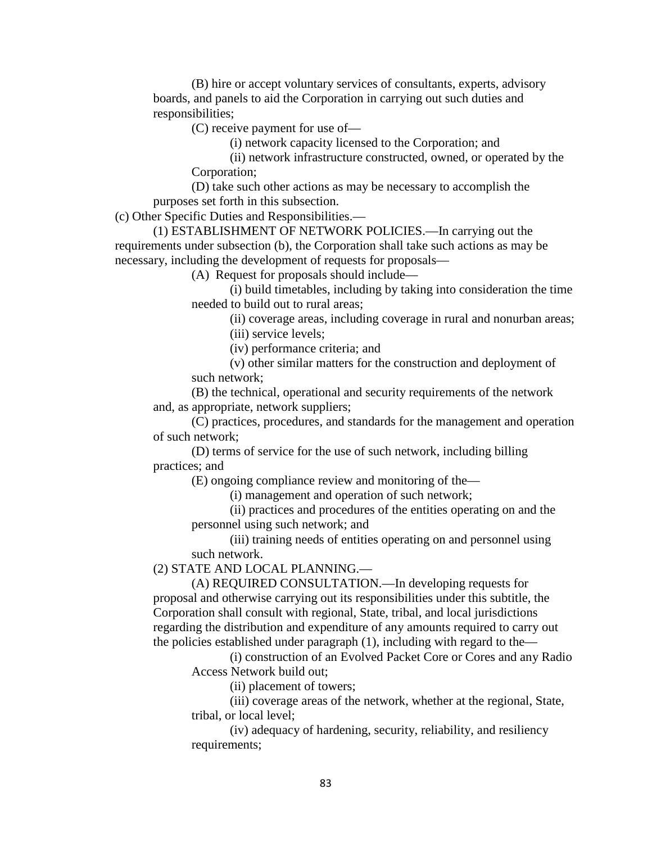(B) hire or accept voluntary services of consultants, experts, advisory boards, and panels to aid the Corporation in carrying out such duties and responsibilities;

(C) receive payment for use of—

(i) network capacity licensed to the Corporation; and

(ii) network infrastructure constructed, owned, or operated by the Corporation;

(D) take such other actions as may be necessary to accomplish the purposes set forth in this subsection.

(c) Other Specific Duties and Responsibilities.—

(1) ESTABLISHMENT OF NETWORK POLICIES.—In carrying out the requirements under subsection (b), the Corporation shall take such actions as may be necessary, including the development of requests for proposals—

(A) Request for proposals should include—

(i) build timetables, including by taking into consideration the time needed to build out to rural areas;

(ii) coverage areas, including coverage in rural and nonurban areas; (iii) service levels;

(iv) performance criteria; and

(v) other similar matters for the construction and deployment of such network;

(B) the technical, operational and security requirements of the network and, as appropriate, network suppliers;

(C) practices, procedures, and standards for the management and operation of such network;

(D) terms of service for the use of such network, including billing practices; and

(E) ongoing compliance review and monitoring of the—

(i) management and operation of such network;

(ii) practices and procedures of the entities operating on and the personnel using such network; and

(iii) training needs of entities operating on and personnel using such network.

(2) STATE AND LOCAL PLANNING.—

(A) REQUIRED CONSULTATION.—In developing requests for proposal and otherwise carrying out its responsibilities under this subtitle, the Corporation shall consult with regional, State, tribal, and local jurisdictions regarding the distribution and expenditure of any amounts required to carry out the policies established under paragraph (1), including with regard to the—

(i) construction of an Evolved Packet Core or Cores and any Radio Access Network build out;

(ii) placement of towers;

(iii) coverage areas of the network, whether at the regional, State, tribal, or local level;

(iv) adequacy of hardening, security, reliability, and resiliency requirements;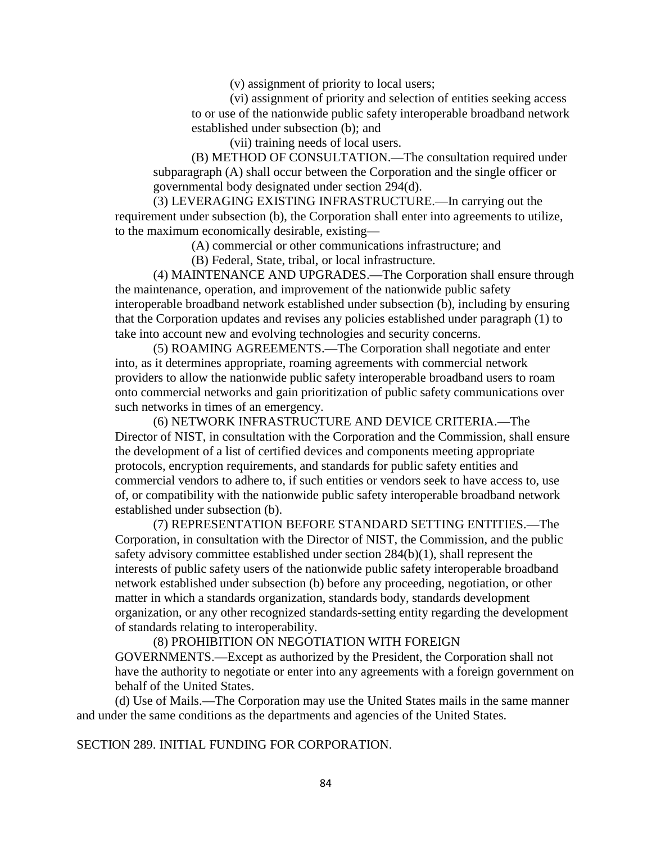(v) assignment of priority to local users;

(vi) assignment of priority and selection of entities seeking access to or use of the nationwide public safety interoperable broadband network established under subsection (b); and

(vii) training needs of local users.

(B) METHOD OF CONSULTATION.—The consultation required under subparagraph (A) shall occur between the Corporation and the single officer or governmental body designated under section 294(d).

(3) LEVERAGING EXISTING INFRASTRUCTURE.—In carrying out the requirement under subsection (b), the Corporation shall enter into agreements to utilize, to the maximum economically desirable, existing—

(A) commercial or other communications infrastructure; and

(B) Federal, State, tribal, or local infrastructure.

(4) MAINTENANCE AND UPGRADES.—The Corporation shall ensure through the maintenance, operation, and improvement of the nationwide public safety interoperable broadband network established under subsection (b), including by ensuring that the Corporation updates and revises any policies established under paragraph (1) to take into account new and evolving technologies and security concerns.

(5) ROAMING AGREEMENTS.—The Corporation shall negotiate and enter into, as it determines appropriate, roaming agreements with commercial network providers to allow the nationwide public safety interoperable broadband users to roam onto commercial networks and gain prioritization of public safety communications over such networks in times of an emergency.

(6) NETWORK INFRASTRUCTURE AND DEVICE CRITERIA.—The Director of NIST, in consultation with the Corporation and the Commission, shall ensure the development of a list of certified devices and components meeting appropriate protocols, encryption requirements, and standards for public safety entities and commercial vendors to adhere to, if such entities or vendors seek to have access to, use of, or compatibility with the nationwide public safety interoperable broadband network established under subsection (b).

(7) REPRESENTATION BEFORE STANDARD SETTING ENTITIES.—The Corporation, in consultation with the Director of NIST, the Commission, and the public safety advisory committee established under section 284(b)(1), shall represent the interests of public safety users of the nationwide public safety interoperable broadband network established under subsection (b) before any proceeding, negotiation, or other matter in which a standards organization, standards body, standards development organization, or any other recognized standards-setting entity regarding the development of standards relating to interoperability.

(8) PROHIBITION ON NEGOTIATION WITH FOREIGN GOVERNMENTS.—Except as authorized by the President, the Corporation shall not have the authority to negotiate or enter into any agreements with a foreign government on behalf of the United States.

(d) Use of Mails.—The Corporation may use the United States mails in the same manner and under the same conditions as the departments and agencies of the United States.

SECTION 289. INITIAL FUNDING FOR CORPORATION.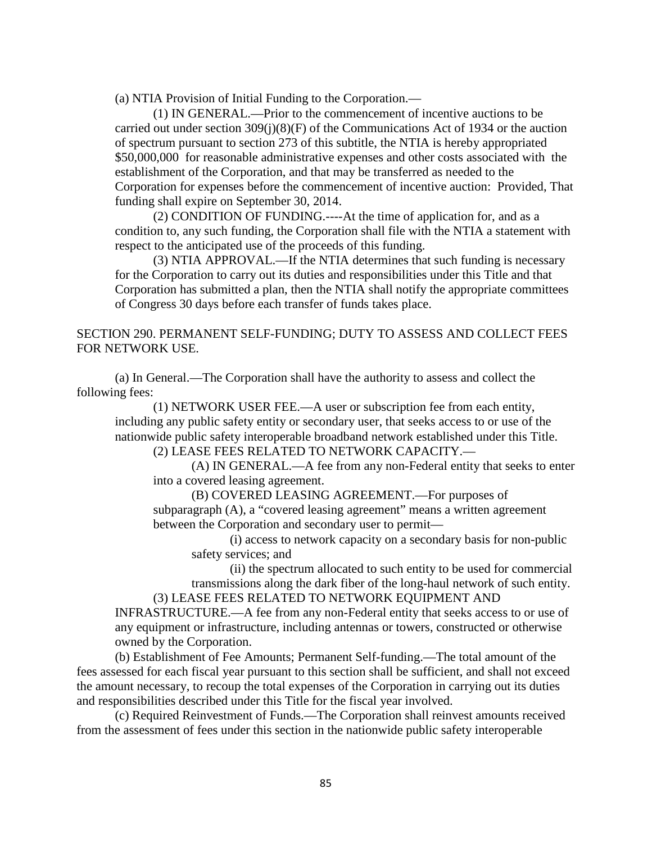(a) NTIA Provision of Initial Funding to the Corporation.—

(1) IN GENERAL.—Prior to the commencement of incentive auctions to be carried out under section  $309(j)(8)(F)$  of the Communications Act of 1934 or the auction of spectrum pursuant to section 273 of this subtitle, the NTIA is hereby appropriated \$50,000,000 for reasonable administrative expenses and other costs associated with the establishment of the Corporation, and that may be transferred as needed to the Corporation for expenses before the commencement of incentive auction: Provided, That funding shall expire on September 30, 2014.

(2) CONDITION OF FUNDING.----At the time of application for, and as a condition to, any such funding, the Corporation shall file with the NTIA a statement with respect to the anticipated use of the proceeds of this funding.

(3) NTIA APPROVAL.—If the NTIA determines that such funding is necessary for the Corporation to carry out its duties and responsibilities under this Title and that Corporation has submitted a plan, then the NTIA shall notify the appropriate committees of Congress 30 days before each transfer of funds takes place.

# SECTION 290. PERMANENT SELF-FUNDING; DUTY TO ASSESS AND COLLECT FEES FOR NETWORK USE.

(a) In General.—The Corporation shall have the authority to assess and collect the following fees:

(1) NETWORK USER FEE.—A user or subscription fee from each entity, including any public safety entity or secondary user, that seeks access to or use of the nationwide public safety interoperable broadband network established under this Title.

(2) LEASE FEES RELATED TO NETWORK CAPACITY.—

(A) IN GENERAL.—A fee from any non-Federal entity that seeks to enter into a covered leasing agreement.

(B) COVERED LEASING AGREEMENT.—For purposes of subparagraph (A), a "covered leasing agreement" means a written agreement between the Corporation and secondary user to permit—

(i) access to network capacity on a secondary basis for non-public safety services; and

(ii) the spectrum allocated to such entity to be used for commercial transmissions along the dark fiber of the long-haul network of such entity. (3) LEASE FEES RELATED TO NETWORK EQUIPMENT AND

INFRASTRUCTURE.—A fee from any non-Federal entity that seeks access to or use of any equipment or infrastructure, including antennas or towers, constructed or otherwise owned by the Corporation.

(b) Establishment of Fee Amounts; Permanent Self-funding.—The total amount of the fees assessed for each fiscal year pursuant to this section shall be sufficient, and shall not exceed the amount necessary, to recoup the total expenses of the Corporation in carrying out its duties and responsibilities described under this Title for the fiscal year involved.

(c) Required Reinvestment of Funds.—The Corporation shall reinvest amounts received from the assessment of fees under this section in the nationwide public safety interoperable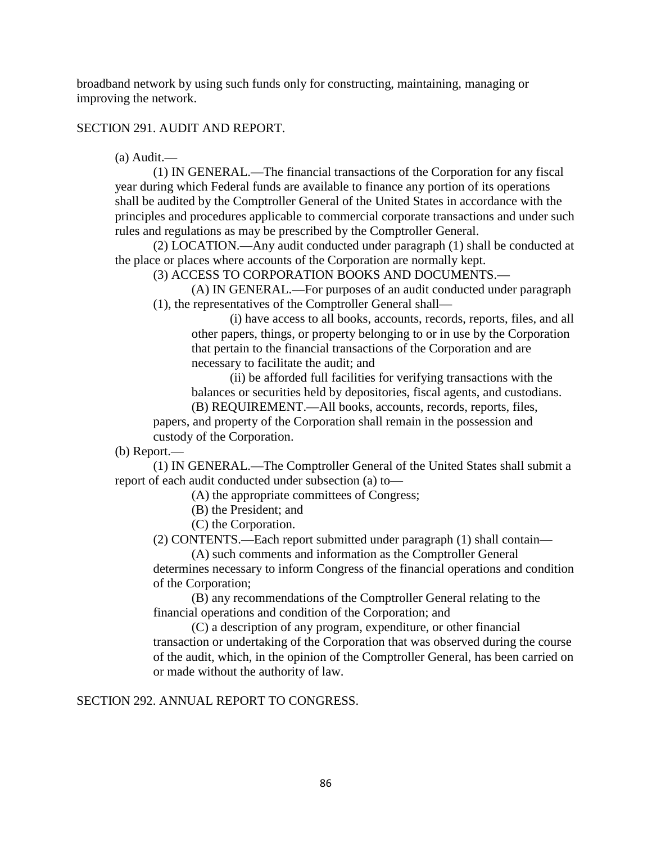broadband network by using such funds only for constructing, maintaining, managing or improving the network.

SECTION 291. AUDIT AND REPORT.

(a) Audit.—

(1) IN GENERAL.—The financial transactions of the Corporation for any fiscal year during which Federal funds are available to finance any portion of its operations shall be audited by the Comptroller General of the United States in accordance with the principles and procedures applicable to commercial corporate transactions and under such rules and regulations as may be prescribed by the Comptroller General.

(2) LOCATION.—Any audit conducted under paragraph (1) shall be conducted at the place or places where accounts of the Corporation are normally kept.

(3) ACCESS TO CORPORATION BOOKS AND DOCUMENTS.—

(A) IN GENERAL.—For purposes of an audit conducted under paragraph (1), the representatives of the Comptroller General shall—

(i) have access to all books, accounts, records, reports, files, and all other papers, things, or property belonging to or in use by the Corporation that pertain to the financial transactions of the Corporation and are necessary to facilitate the audit; and

(ii) be afforded full facilities for verifying transactions with the balances or securities held by depositories, fiscal agents, and custodians.

(B) REQUIREMENT.—All books, accounts, records, reports, files, papers, and property of the Corporation shall remain in the possession and

custody of the Corporation.

(b) Report.—

(1) IN GENERAL.—The Comptroller General of the United States shall submit a report of each audit conducted under subsection (a) to—

(A) the appropriate committees of Congress;

(B) the President; and

(C) the Corporation.

(2) CONTENTS.—Each report submitted under paragraph (1) shall contain—

(A) such comments and information as the Comptroller General determines necessary to inform Congress of the financial operations and condition of the Corporation;

(B) any recommendations of the Comptroller General relating to the financial operations and condition of the Corporation; and

(C) a description of any program, expenditure, or other financial transaction or undertaking of the Corporation that was observed during the course of the audit, which, in the opinion of the Comptroller General, has been carried on or made without the authority of law.

SECTION 292. ANNUAL REPORT TO CONGRESS.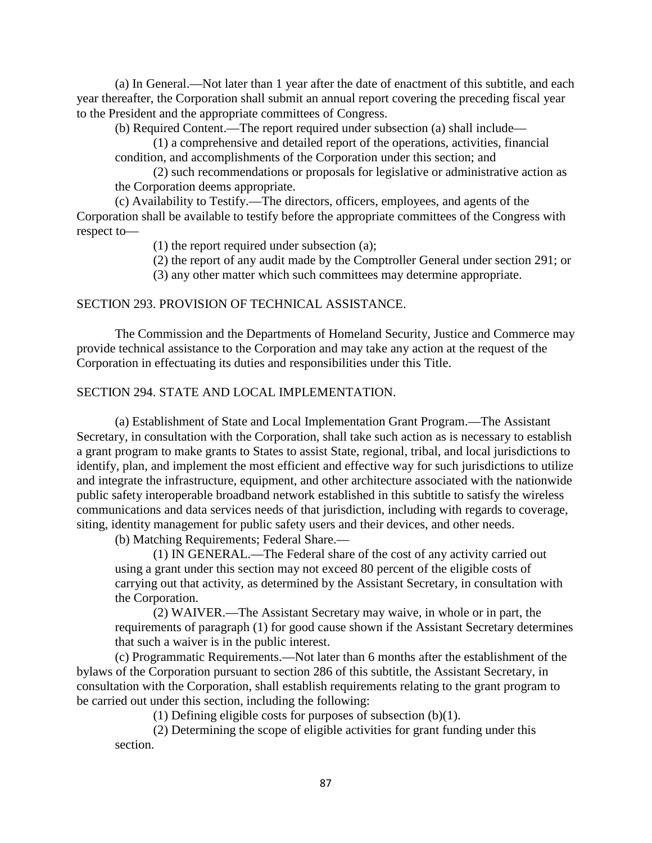(a) In General.—Not later than 1 year after the date of enactment of this subtitle, and each year thereafter, the Corporation shall submit an annual report covering the preceding fiscal year to the President and the appropriate committees of Congress.

(b) Required Content.—The report required under subsection (a) shall include—

(1) a comprehensive and detailed report of the operations, activities, financial condition, and accomplishments of the Corporation under this section; and

(2) such recommendations or proposals for legislative or administrative action as the Corporation deems appropriate.

(c) Availability to Testify.—The directors, officers, employees, and agents of the Corporation shall be available to testify before the appropriate committees of the Congress with respect to—

(1) the report required under subsection (a);

(2) the report of any audit made by the Comptroller General under section 291; or

(3) any other matter which such committees may determine appropriate.

#### SECTION 293. PROVISION OF TECHNICAL ASSISTANCE.

The Commission and the Departments of Homeland Security, Justice and Commerce may provide technical assistance to the Corporation and may take any action at the request of the Corporation in effectuating its duties and responsibilities under this Title.

## SECTION 294. STATE AND LOCAL IMPLEMENTATION.

(a) Establishment of State and Local Implementation Grant Program.—The Assistant Secretary, in consultation with the Corporation, shall take such action as is necessary to establish a grant program to make grants to States to assist State, regional, tribal, and local jurisdictions to identify, plan, and implement the most efficient and effective way for such jurisdictions to utilize and integrate the infrastructure, equipment, and other architecture associated with the nationwide public safety interoperable broadband network established in this subtitle to satisfy the wireless communications and data services needs of that jurisdiction, including with regards to coverage, siting, identity management for public safety users and their devices, and other needs.

(b) Matching Requirements; Federal Share.—

(1) IN GENERAL.—The Federal share of the cost of any activity carried out using a grant under this section may not exceed 80 percent of the eligible costs of carrying out that activity, as determined by the Assistant Secretary, in consultation with the Corporation.

(2) WAIVER.—The Assistant Secretary may waive, in whole or in part, the requirements of paragraph (1) for good cause shown if the Assistant Secretary determines that such a waiver is in the public interest.

(c) Programmatic Requirements.—Not later than 6 months after the establishment of the bylaws of the Corporation pursuant to section 286 of this subtitle, the Assistant Secretary, in consultation with the Corporation, shall establish requirements relating to the grant program to be carried out under this section, including the following:

(1) Defining eligible costs for purposes of subsection (b)(1).

(2) Determining the scope of eligible activities for grant funding under this section.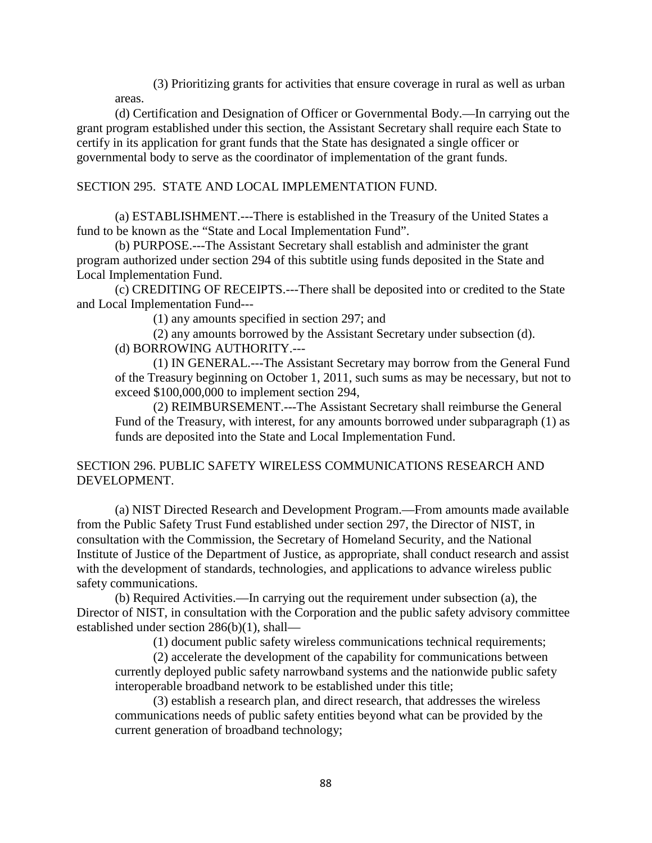(3) Prioritizing grants for activities that ensure coverage in rural as well as urban areas.

(d) Certification and Designation of Officer or Governmental Body.—In carrying out the grant program established under this section, the Assistant Secretary shall require each State to certify in its application for grant funds that the State has designated a single officer or governmental body to serve as the coordinator of implementation of the grant funds.

## SECTION 295. STATE AND LOCAL IMPLEMENTATION FUND.

(a) ESTABLISHMENT.---There is established in the Treasury of the United States a fund to be known as the "State and Local Implementation Fund".

(b) PURPOSE.---The Assistant Secretary shall establish and administer the grant program authorized under section 294 of this subtitle using funds deposited in the State and Local Implementation Fund.

(c) CREDITING OF RECEIPTS.---There shall be deposited into or credited to the State and Local Implementation Fund---

(1) any amounts specified in section 297; and

(2) any amounts borrowed by the Assistant Secretary under subsection (d). (d) BORROWING AUTHORITY.---

(1) IN GENERAL.---The Assistant Secretary may borrow from the General Fund of the Treasury beginning on October 1, 2011, such sums as may be necessary, but not to exceed \$100,000,000 to implement section 294,

(2) REIMBURSEMENT.---The Assistant Secretary shall reimburse the General Fund of the Treasury, with interest, for any amounts borrowed under subparagraph (1) as funds are deposited into the State and Local Implementation Fund.

## SECTION 296. PUBLIC SAFETY WIRELESS COMMUNICATIONS RESEARCH AND DEVELOPMENT.

(a) NIST Directed Research and Development Program.—From amounts made available from the Public Safety Trust Fund established under section 297, the Director of NIST, in consultation with the Commission, the Secretary of Homeland Security, and the National Institute of Justice of the Department of Justice, as appropriate, shall conduct research and assist with the development of standards, technologies, and applications to advance wireless public safety communications.

(b) Required Activities.—In carrying out the requirement under subsection (a), the Director of NIST, in consultation with the Corporation and the public safety advisory committee established under section 286(b)(1), shall—

(1) document public safety wireless communications technical requirements;

(2) accelerate the development of the capability for communications between currently deployed public safety narrowband systems and the nationwide public safety interoperable broadband network to be established under this title;

(3) establish a research plan, and direct research, that addresses the wireless communications needs of public safety entities beyond what can be provided by the current generation of broadband technology;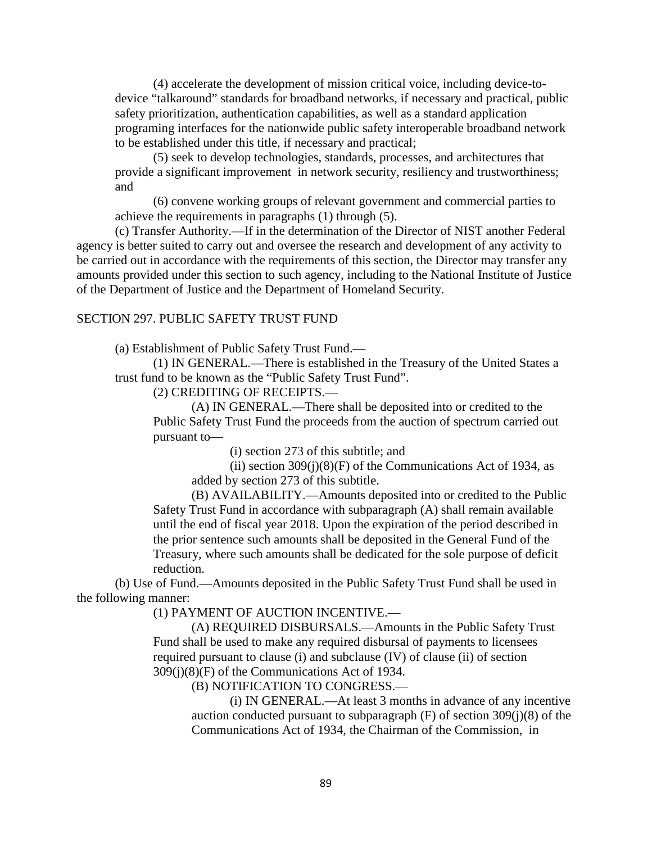(4) accelerate the development of mission critical voice, including device-todevice "talkaround" standards for broadband networks, if necessary and practical, public safety prioritization, authentication capabilities, as well as a standard application programing interfaces for the nationwide public safety interoperable broadband network to be established under this title, if necessary and practical;

(5) seek to develop technologies, standards, processes, and architectures that provide a significant improvement in network security, resiliency and trustworthiness; and

(6) convene working groups of relevant government and commercial parties to achieve the requirements in paragraphs (1) through (5).

(c) Transfer Authority.—If in the determination of the Director of NIST another Federal agency is better suited to carry out and oversee the research and development of any activity to be carried out in accordance with the requirements of this section, the Director may transfer any amounts provided under this section to such agency, including to the National Institute of Justice of the Department of Justice and the Department of Homeland Security.

#### SECTION 297. PUBLIC SAFETY TRUST FUND

(a) Establishment of Public Safety Trust Fund.—

(1) IN GENERAL.—There is established in the Treasury of the United States a trust fund to be known as the "Public Safety Trust Fund".

(2) CREDITING OF RECEIPTS.—

(A) IN GENERAL.—There shall be deposited into or credited to the Public Safety Trust Fund the proceeds from the auction of spectrum carried out pursuant to—

(i) section 273 of this subtitle; and

(ii) section  $309(j)(8)(F)$  of the Communications Act of 1934, as added by section 273 of this subtitle.

(B) AVAILABILITY.—Amounts deposited into or credited to the Public Safety Trust Fund in accordance with subparagraph (A) shall remain available until the end of fiscal year 2018. Upon the expiration of the period described in the prior sentence such amounts shall be deposited in the General Fund of the Treasury, where such amounts shall be dedicated for the sole purpose of deficit reduction.

(b) Use of Fund.—Amounts deposited in the Public Safety Trust Fund shall be used in the following manner:

(1) PAYMENT OF AUCTION INCENTIVE.—

(A) REQUIRED DISBURSALS.—Amounts in the Public Safety Trust Fund shall be used to make any required disbursal of payments to licensees required pursuant to clause (i) and subclause (IV) of clause (ii) of section 309(j)(8)(F) of the Communications Act of 1934.

(B) NOTIFICATION TO CONGRESS.—

(i) IN GENERAL.—At least 3 months in advance of any incentive auction conducted pursuant to subparagraph (F) of section 309(j)(8) of the Communications Act of 1934, the Chairman of the Commission, in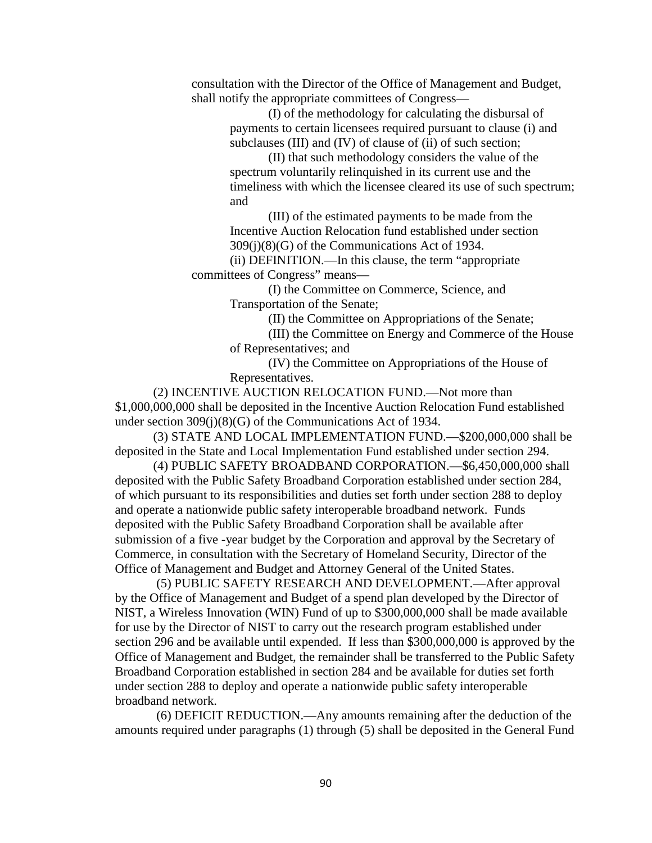consultation with the Director of the Office of Management and Budget, shall notify the appropriate committees of Congress—

> (I) of the methodology for calculating the disbursal of payments to certain licensees required pursuant to clause (i) and subclauses (III) and (IV) of clause of (ii) of such section;

(II) that such methodology considers the value of the spectrum voluntarily relinquished in its current use and the timeliness with which the licensee cleared its use of such spectrum; and

(III) of the estimated payments to be made from the Incentive Auction Relocation fund established under section 309(j)(8)(G) of the Communications Act of 1934.

(ii) DEFINITION.—In this clause, the term "appropriate committees of Congress" means—

> (I) the Committee on Commerce, Science, and Transportation of the Senate;

> > (II) the Committee on Appropriations of the Senate;

(III) the Committee on Energy and Commerce of the House of Representatives; and

(IV) the Committee on Appropriations of the House of Representatives.

(2) INCENTIVE AUCTION RELOCATION FUND.—Not more than \$1,000,000,000 shall be deposited in the Incentive Auction Relocation Fund established under section 309(j)(8)(G) of the Communications Act of 1934.

(3) STATE AND LOCAL IMPLEMENTATION FUND.—\$200,000,000 shall be deposited in the State and Local Implementation Fund established under section 294.

(4) PUBLIC SAFETY BROADBAND CORPORATION.—\$6,450,000,000 shall deposited with the Public Safety Broadband Corporation established under section 284, of which pursuant to its responsibilities and duties set forth under section 288 to deploy and operate a nationwide public safety interoperable broadband network. Funds deposited with the Public Safety Broadband Corporation shall be available after submission of a five -year budget by the Corporation and approval by the Secretary of Commerce, in consultation with the Secretary of Homeland Security, Director of the Office of Management and Budget and Attorney General of the United States.

(5) PUBLIC SAFETY RESEARCH AND DEVELOPMENT.—After approval by the Office of Management and Budget of a spend plan developed by the Director of NIST, a Wireless Innovation (WIN) Fund of up to \$300,000,000 shall be made available for use by the Director of NIST to carry out the research program established under section 296 and be available until expended. If less than \$300,000,000 is approved by the Office of Management and Budget, the remainder shall be transferred to the Public Safety Broadband Corporation established in section 284 and be available for duties set forth under section 288 to deploy and operate a nationwide public safety interoperable broadband network.

(6) DEFICIT REDUCTION.—Any amounts remaining after the deduction of the amounts required under paragraphs (1) through (5) shall be deposited in the General Fund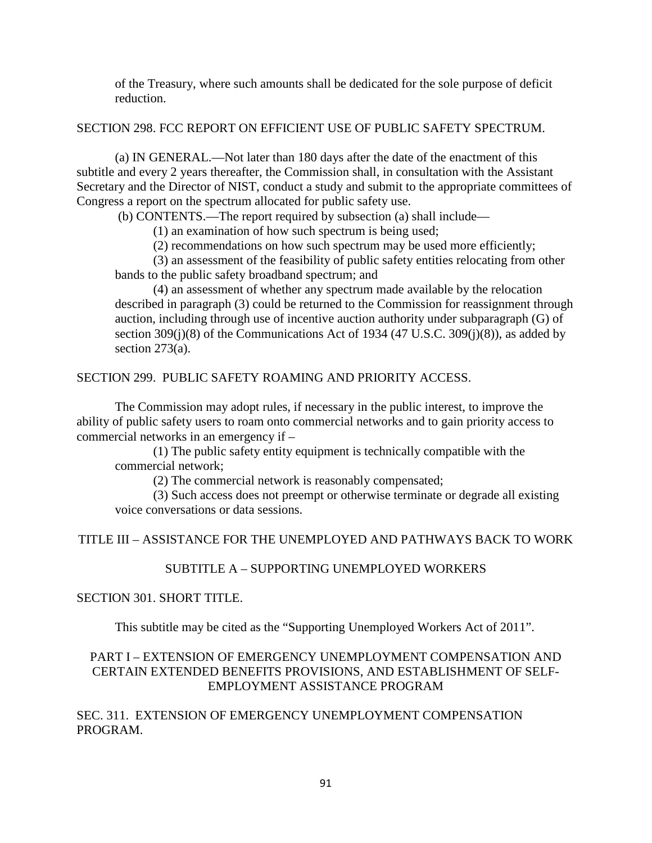of the Treasury, where such amounts shall be dedicated for the sole purpose of deficit reduction.

## SECTION 298. FCC REPORT ON EFFICIENT USE OF PUBLIC SAFETY SPECTRUM.

(a) IN GENERAL.—Not later than 180 days after the date of the enactment of this subtitle and every 2 years thereafter, the Commission shall, in consultation with the Assistant Secretary and the Director of NIST, conduct a study and submit to the appropriate committees of Congress a report on the spectrum allocated for public safety use.

(b) CONTENTS.—The report required by subsection (a) shall include—

(1) an examination of how such spectrum is being used;

(2) recommendations on how such spectrum may be used more efficiently;

(3) an assessment of the feasibility of public safety entities relocating from other bands to the public safety broadband spectrum; and

(4) an assessment of whether any spectrum made available by the relocation described in paragraph (3) could be returned to the Commission for reassignment through auction, including through use of incentive auction authority under subparagraph (G) of section  $309(j)(8)$  of the Communications Act of 1934 (47 U.S.C. 309 $(j)(8)$ ), as added by section 273(a).

## SECTION 299. PUBLIC SAFETY ROAMING AND PRIORITY ACCESS.

The Commission may adopt rules, if necessary in the public interest, to improve the ability of public safety users to roam onto commercial networks and to gain priority access to commercial networks in an emergency if –

(1) The public safety entity equipment is technically compatible with the commercial network;

(2) The commercial network is reasonably compensated;

(3) Such access does not preempt or otherwise terminate or degrade all existing voice conversations or data sessions.

# TITLE III – ASSISTANCE FOR THE UNEMPLOYED AND PATHWAYS BACK TO WORK

# SUBTITLE A – SUPPORTING UNEMPLOYED WORKERS

## SECTION 301. SHORT TITLE.

This subtitle may be cited as the "Supporting Unemployed Workers Act of 2011".

# PART I – EXTENSION OF EMERGENCY UNEMPLOYMENT COMPENSATION AND CERTAIN EXTENDED BENEFITS PROVISIONS, AND ESTABLISHMENT OF SELF-EMPLOYMENT ASSISTANCE PROGRAM

SEC. 311. EXTENSION OF EMERGENCY UNEMPLOYMENT COMPENSATION PROGRAM.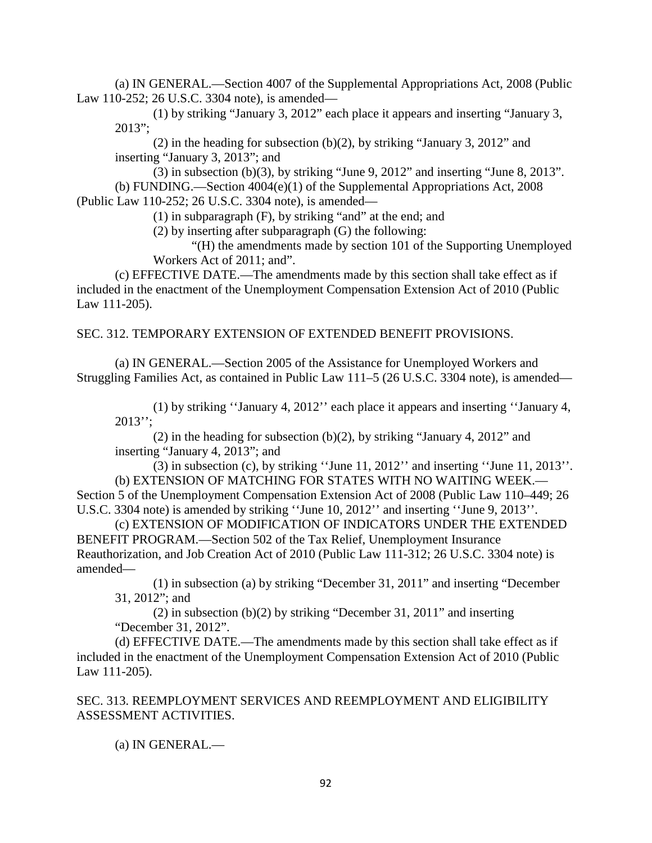(a) IN GENERAL.—Section 4007 of the Supplemental Appropriations Act, 2008 (Public Law 110-252; 26 U.S.C. 3304 note), is amended—

(1) by striking "January 3, 2012" each place it appears and inserting "January 3,  $2013$ ";

(2) in the heading for subsection (b)(2), by striking "January 3, 2012" and inserting "January 3, 2013"; and

(3) in subsection (b)(3), by striking "June 9, 2012" and inserting "June 8, 2013". (b) FUNDING.—Section 4004(e)(1) of the Supplemental Appropriations Act, 2008 (Public Law 110-252; 26 U.S.C. 3304 note), is amended—

(1) in subparagraph (F), by striking "and" at the end; and

(2) by inserting after subparagraph (G) the following:

"(H) the amendments made by section 101 of the Supporting Unemployed Workers Act of 2011; and".

(c) EFFECTIVE DATE.—The amendments made by this section shall take effect as if included in the enactment of the Unemployment Compensation Extension Act of 2010 (Public Law 111-205).

## SEC. 312. TEMPORARY EXTENSION OF EXTENDED BENEFIT PROVISIONS.

(a) IN GENERAL.—Section 2005 of the Assistance for Unemployed Workers and Struggling Families Act, as contained in Public Law 111–5 (26 U.S.C. 3304 note), is amended—

(1) by striking ''January 4, 2012'' each place it appears and inserting ''January 4,  $2013"$ ;

(2) in the heading for subsection (b)(2), by striking "January 4, 2012" and inserting "January 4, 2013"; and

(3) in subsection (c), by striking ''June 11, 2012'' and inserting ''June 11, 2013''. (b) EXTENSION OF MATCHING FOR STATES WITH NO WAITING WEEK.—

Section 5 of the Unemployment Compensation Extension Act of 2008 (Public Law 110–449; 26 U.S.C. 3304 note) is amended by striking ''June 10, 2012'' and inserting ''June 9, 2013''.

(c) EXTENSION OF MODIFICATION OF INDICATORS UNDER THE EXTENDED BENEFIT PROGRAM.—Section 502 of the Tax Relief, Unemployment Insurance Reauthorization, and Job Creation Act of 2010 (Public Law 111-312; 26 U.S.C. 3304 note) is amended—

(1) in subsection (a) by striking "December 31, 2011" and inserting "December 31, 2012"; and

(2) in subsection (b)(2) by striking "December 31, 2011" and inserting "December 31, 2012".

(d) EFFECTIVE DATE.—The amendments made by this section shall take effect as if included in the enactment of the Unemployment Compensation Extension Act of 2010 (Public Law 111-205).

SEC. 313. REEMPLOYMENT SERVICES AND REEMPLOYMENT AND ELIGIBILITY ASSESSMENT ACTIVITIES.

(a) IN GENERAL.—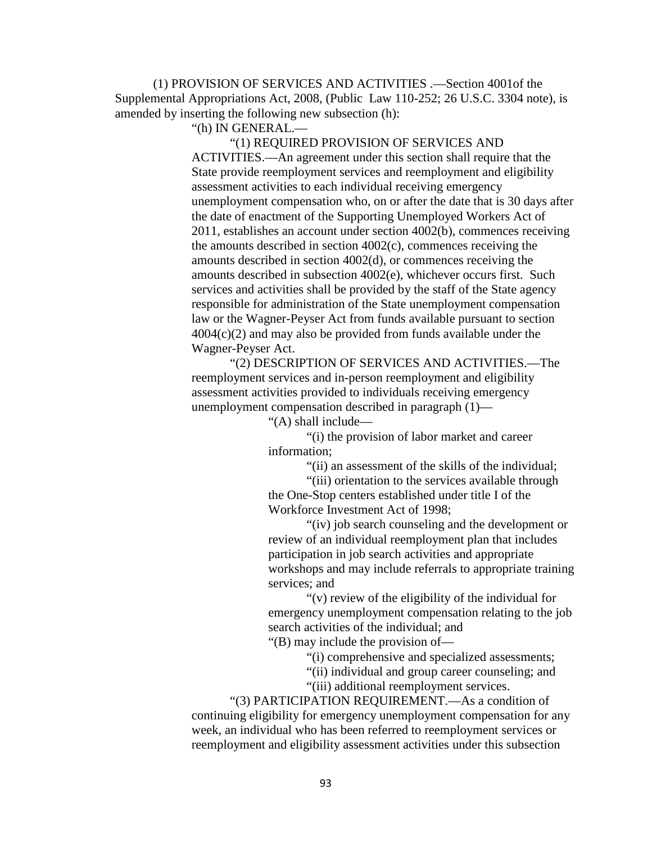(1) PROVISION OF SERVICES AND ACTIVITIES .—Section 4001of the Supplemental Appropriations Act, 2008, (Public Law 110-252; 26 U.S.C. 3304 note), is amended by inserting the following new subsection (h):

"(h) IN GENERAL.—

"(1) REQUIRED PROVISION OF SERVICES AND ACTIVITIES.—An agreement under this section shall require that the State provide reemployment services and reemployment and eligibility assessment activities to each individual receiving emergency unemployment compensation who, on or after the date that is 30 days after the date of enactment of the Supporting Unemployed Workers Act of 2011, establishes an account under section 4002(b), commences receiving the amounts described in section 4002(c), commences receiving the amounts described in section 4002(d), or commences receiving the amounts described in subsection 4002(e), whichever occurs first. Such services and activities shall be provided by the staff of the State agency responsible for administration of the State unemployment compensation law or the Wagner-Peyser Act from funds available pursuant to section 4004(c)(2) and may also be provided from funds available under the Wagner-Peyser Act.

"(2) DESCRIPTION OF SERVICES AND ACTIVITIES.—The reemployment services and in-person reemployment and eligibility assessment activities provided to individuals receiving emergency unemployment compensation described in paragraph (1)—

"(A) shall include—

"(i) the provision of labor market and career information;

"(ii) an assessment of the skills of the individual;

"(iii) orientation to the services available through the One-Stop centers established under title I of the Workforce Investment Act of 1998;

"(iv) job search counseling and the development or review of an individual reemployment plan that includes participation in job search activities and appropriate workshops and may include referrals to appropriate training services; and

"(v) review of the eligibility of the individual for emergency unemployment compensation relating to the job search activities of the individual; and

"(B) may include the provision of—

"(i) comprehensive and specialized assessments;

"(ii) individual and group career counseling; and

"(iii) additional reemployment services.

"(3) PARTICIPATION REQUIREMENT.—As a condition of continuing eligibility for emergency unemployment compensation for any week, an individual who has been referred to reemployment services or reemployment and eligibility assessment activities under this subsection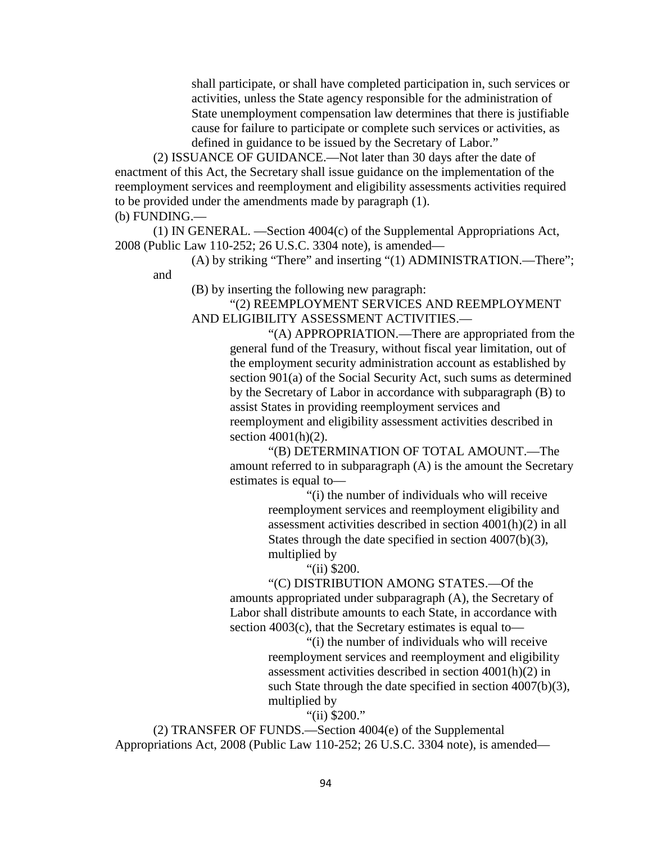shall participate, or shall have completed participation in, such services or activities, unless the State agency responsible for the administration of State unemployment compensation law determines that there is justifiable cause for failure to participate or complete such services or activities, as defined in guidance to be issued by the Secretary of Labor."

(2) ISSUANCE OF GUIDANCE.—Not later than 30 days after the date of enactment of this Act, the Secretary shall issue guidance on the implementation of the reemployment services and reemployment and eligibility assessments activities required to be provided under the amendments made by paragraph (1).

(b) FUNDING.—

(1) IN GENERAL. —Section 4004(c) of the Supplemental Appropriations Act, 2008 (Public Law 110-252; 26 U.S.C. 3304 note), is amended—

(A) by striking "There" and inserting "(1) ADMINISTRATION.—There"; and

(B) by inserting the following new paragraph:

"(2) REEMPLOYMENT SERVICES AND REEMPLOYMENT AND ELIGIBILITY ASSESSMENT ACTIVITIES.—

> "(A) APPROPRIATION.—There are appropriated from the general fund of the Treasury, without fiscal year limitation, out of the employment security administration account as established by section 901(a) of the Social Security Act, such sums as determined by the Secretary of Labor in accordance with subparagraph (B) to assist States in providing reemployment services and reemployment and eligibility assessment activities described in section 4001(h)(2).

> "(B) DETERMINATION OF TOTAL AMOUNT.—The amount referred to in subparagraph (A) is the amount the Secretary estimates is equal to—

"(i) the number of individuals who will receive reemployment services and reemployment eligibility and assessment activities described in section 4001(h)(2) in all States through the date specified in section 4007(b)(3), multiplied by

"(ii) \$200.

"(C) DISTRIBUTION AMONG STATES.—Of the amounts appropriated under subparagraph (A), the Secretary of Labor shall distribute amounts to each State, in accordance with section 4003(c), that the Secretary estimates is equal to—

> "(i) the number of individuals who will receive reemployment services and reemployment and eligibility assessment activities described in section 4001(h)(2) in such State through the date specified in section 4007(b)(3), multiplied by

> > "(ii) \$200."

(2) TRANSFER OF FUNDS.—Section 4004(e) of the Supplemental Appropriations Act, 2008 (Public Law 110-252; 26 U.S.C. 3304 note), is amended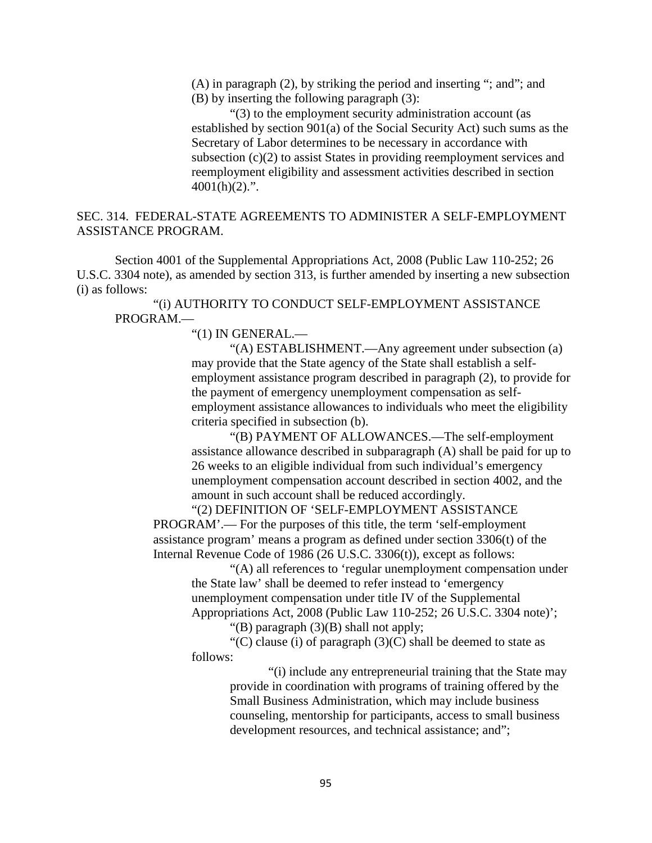(A) in paragraph (2), by striking the period and inserting "; and"; and

(B) by inserting the following paragraph (3):

"(3) to the employment security administration account (as established by section 901(a) of the Social Security Act) such sums as the Secretary of Labor determines to be necessary in accordance with subsection (c)(2) to assist States in providing reemployment services and reemployment eligibility and assessment activities described in section  $4001(h)(2)$ .".

## SEC. 314. FEDERAL-STATE AGREEMENTS TO ADMINISTER A SELF-EMPLOYMENT ASSISTANCE PROGRAM.

Section 4001 of the Supplemental Appropriations Act, 2008 (Public Law 110-252; 26 U.S.C. 3304 note), as amended by section 313, is further amended by inserting a new subsection (i) as follows:

"(i) AUTHORITY TO CONDUCT SELF-EMPLOYMENT ASSISTANCE PROGRAM.—

"(1) IN GENERAL.—

"(A) ESTABLISHMENT.—Any agreement under subsection (a) may provide that the State agency of the State shall establish a selfemployment assistance program described in paragraph (2), to provide for the payment of emergency unemployment compensation as selfemployment assistance allowances to individuals who meet the eligibility criteria specified in subsection (b).

"(B) PAYMENT OF ALLOWANCES.—The self-employment assistance allowance described in subparagraph (A) shall be paid for up to 26 weeks to an eligible individual from such individual's emergency unemployment compensation account described in section 4002, and the amount in such account shall be reduced accordingly.

"(2) DEFINITION OF 'SELF-EMPLOYMENT ASSISTANCE PROGRAM'.— For the purposes of this title, the term 'self-employment assistance program' means a program as defined under section 3306(t) of the Internal Revenue Code of 1986 (26 U.S.C. 3306(t)), except as follows:

"(A) all references to 'regular unemployment compensation under the State law' shall be deemed to refer instead to 'emergency unemployment compensation under title IV of the Supplemental Appropriations Act, 2008 (Public Law 110-252; 26 U.S.C. 3304 note)';

"(B) paragraph (3)(B) shall not apply;

"(C) clause (i) of paragraph  $(3)(C)$  shall be deemed to state as follows:

> "(i) include any entrepreneurial training that the State may provide in coordination with programs of training offered by the Small Business Administration, which may include business counseling, mentorship for participants, access to small business development resources, and technical assistance; and";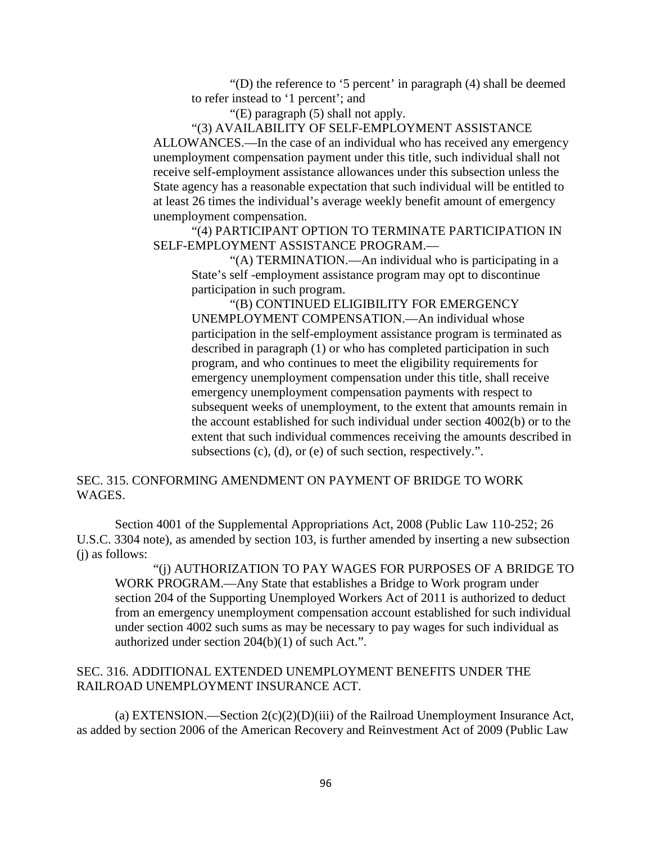"(D) the reference to '5 percent' in paragraph (4) shall be deemed to refer instead to '1 percent'; and

"(E) paragraph (5) shall not apply.

"(3) AVAILABILITY OF SELF-EMPLOYMENT ASSISTANCE ALLOWANCES.—In the case of an individual who has received any emergency unemployment compensation payment under this title, such individual shall not receive self-employment assistance allowances under this subsection unless the State agency has a reasonable expectation that such individual will be entitled to at least 26 times the individual's average weekly benefit amount of emergency unemployment compensation.

"(4) PARTICIPANT OPTION TO TERMINATE PARTICIPATION IN SELF-EMPLOYMENT ASSISTANCE PROGRAM.—

"(A) TERMINATION.—An individual who is participating in a State's self -employment assistance program may opt to discontinue participation in such program.

"(B) CONTINUED ELIGIBILITY FOR EMERGENCY UNEMPLOYMENT COMPENSATION.—An individual whose participation in the self-employment assistance program is terminated as described in paragraph (1) or who has completed participation in such program, and who continues to meet the eligibility requirements for emergency unemployment compensation under this title, shall receive emergency unemployment compensation payments with respect to subsequent weeks of unemployment, to the extent that amounts remain in the account established for such individual under section 4002(b) or to the extent that such individual commences receiving the amounts described in subsections (c), (d), or (e) of such section, respectively.".

## SEC. 315. CONFORMING AMENDMENT ON PAYMENT OF BRIDGE TO WORK WAGES.

Section 4001 of the Supplemental Appropriations Act, 2008 (Public Law 110-252; 26 U.S.C. 3304 note), as amended by section 103, is further amended by inserting a new subsection (j) as follows:

"(j) AUTHORIZATION TO PAY WAGES FOR PURPOSES OF A BRIDGE TO WORK PROGRAM.—Any State that establishes a Bridge to Work program under section 204 of the Supporting Unemployed Workers Act of 2011 is authorized to deduct from an emergency unemployment compensation account established for such individual under section 4002 such sums as may be necessary to pay wages for such individual as authorized under section 204(b)(1) of such Act.".

## SEC. 316. ADDITIONAL EXTENDED UNEMPLOYMENT BENEFITS UNDER THE RAILROAD UNEMPLOYMENT INSURANCE ACT.

(a) EXTENSION.—Section  $2(c)(2)(D)(iii)$  of the Railroad Unemployment Insurance Act, as added by section 2006 of the American Recovery and Reinvestment Act of 2009 (Public Law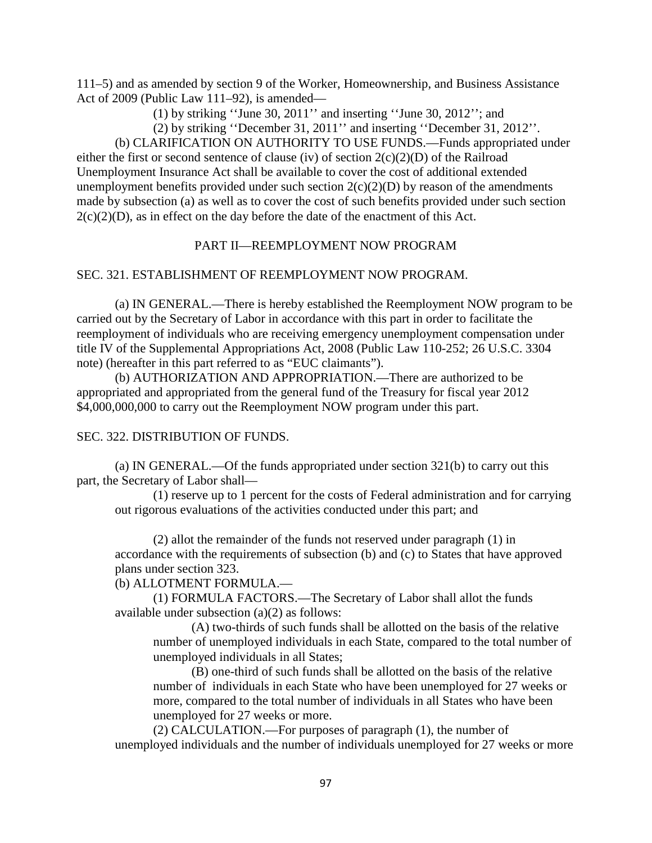111–5) and as amended by section 9 of the Worker, Homeownership, and Business Assistance Act of 2009 (Public Law 111–92), is amended—

(1) by striking ''June 30, 2011'' and inserting ''June 30, 2012''; and

(2) by striking ''December 31, 2011'' and inserting ''December 31, 2012''.

(b) CLARIFICATION ON AUTHORITY TO USE FUNDS.—Funds appropriated under either the first or second sentence of clause (iv) of section 2(c)(2)(D) of the Railroad Unemployment Insurance Act shall be available to cover the cost of additional extended unemployment benefits provided under such section  $2(c)(2)(D)$  by reason of the amendments made by subsection (a) as well as to cover the cost of such benefits provided under such section  $2(c)(2)(D)$ , as in effect on the day before the date of the enactment of this Act.

## PART II—REEMPLOYMENT NOW PROGRAM

## SEC. 321. ESTABLISHMENT OF REEMPLOYMENT NOW PROGRAM.

(a) IN GENERAL.—There is hereby established the Reemployment NOW program to be carried out by the Secretary of Labor in accordance with this part in order to facilitate the reemployment of individuals who are receiving emergency unemployment compensation under title IV of the Supplemental Appropriations Act, 2008 (Public Law 110-252; 26 U.S.C. 3304 note) (hereafter in this part referred to as "EUC claimants").

(b) AUTHORIZATION AND APPROPRIATION.—There are authorized to be appropriated and appropriated from the general fund of the Treasury for fiscal year 2012 \$4,000,000,000 to carry out the Reemployment NOW program under this part.

## SEC. 322. DISTRIBUTION OF FUNDS.

(a) IN GENERAL.—Of the funds appropriated under section 321(b) to carry out this part, the Secretary of Labor shall—

(1) reserve up to 1 percent for the costs of Federal administration and for carrying out rigorous evaluations of the activities conducted under this part; and

(2) allot the remainder of the funds not reserved under paragraph (1) in accordance with the requirements of subsection (b) and (c) to States that have approved plans under section 323.

(b) ALLOTMENT FORMULA.—

(1) FORMULA FACTORS.—The Secretary of Labor shall allot the funds available under subsection (a)(2) as follows:

(A) two-thirds of such funds shall be allotted on the basis of the relative number of unemployed individuals in each State, compared to the total number of unemployed individuals in all States;

(B) one-third of such funds shall be allotted on the basis of the relative number of individuals in each State who have been unemployed for 27 weeks or more, compared to the total number of individuals in all States who have been unemployed for 27 weeks or more.

(2) CALCULATION.—For purposes of paragraph (1), the number of unemployed individuals and the number of individuals unemployed for 27 weeks or more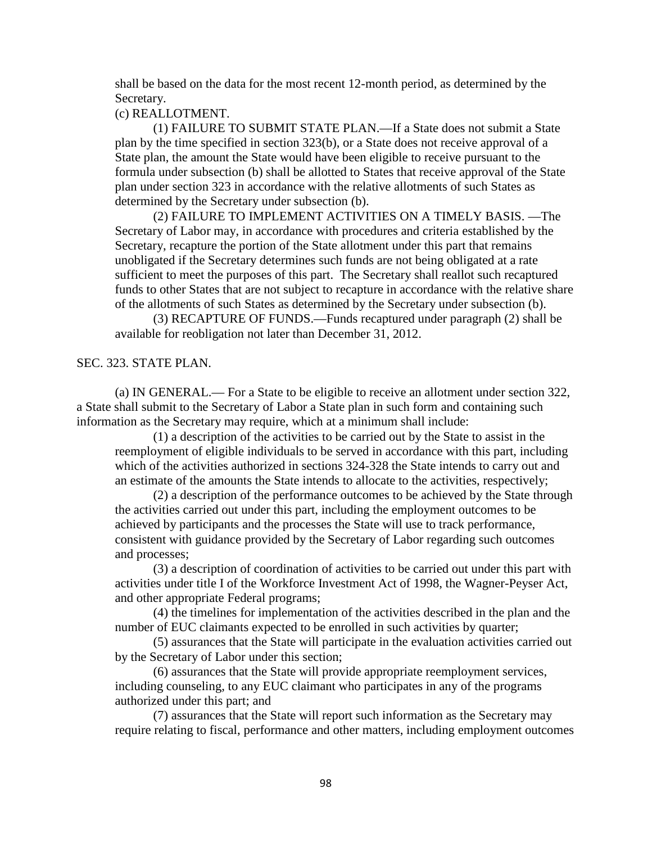shall be based on the data for the most recent 12-month period, as determined by the Secretary.

#### (c) REALLOTMENT.

(1) FAILURE TO SUBMIT STATE PLAN.—If a State does not submit a State plan by the time specified in section 323(b), or a State does not receive approval of a State plan, the amount the State would have been eligible to receive pursuant to the formula under subsection (b) shall be allotted to States that receive approval of the State plan under section 323 in accordance with the relative allotments of such States as determined by the Secretary under subsection (b).

(2) FAILURE TO IMPLEMENT ACTIVITIES ON A TIMELY BASIS. —The Secretary of Labor may, in accordance with procedures and criteria established by the Secretary, recapture the portion of the State allotment under this part that remains unobligated if the Secretary determines such funds are not being obligated at a rate sufficient to meet the purposes of this part. The Secretary shall reallot such recaptured funds to other States that are not subject to recapture in accordance with the relative share of the allotments of such States as determined by the Secretary under subsection (b).

(3) RECAPTURE OF FUNDS.—Funds recaptured under paragraph (2) shall be available for reobligation not later than December 31, 2012.

#### SEC. 323. STATE PLAN.

(a) IN GENERAL.— For a State to be eligible to receive an allotment under section 322, a State shall submit to the Secretary of Labor a State plan in such form and containing such information as the Secretary may require, which at a minimum shall include:

(1) a description of the activities to be carried out by the State to assist in the reemployment of eligible individuals to be served in accordance with this part, including which of the activities authorized in sections 324-328 the State intends to carry out and an estimate of the amounts the State intends to allocate to the activities, respectively;

(2) a description of the performance outcomes to be achieved by the State through the activities carried out under this part, including the employment outcomes to be achieved by participants and the processes the State will use to track performance, consistent with guidance provided by the Secretary of Labor regarding such outcomes and processes;

(3) a description of coordination of activities to be carried out under this part with activities under title I of the Workforce Investment Act of 1998, the Wagner-Peyser Act, and other appropriate Federal programs;

(4) the timelines for implementation of the activities described in the plan and the number of EUC claimants expected to be enrolled in such activities by quarter;

(5) assurances that the State will participate in the evaluation activities carried out by the Secretary of Labor under this section;

(6) assurances that the State will provide appropriate reemployment services, including counseling, to any EUC claimant who participates in any of the programs authorized under this part; and

(7) assurances that the State will report such information as the Secretary may require relating to fiscal, performance and other matters, including employment outcomes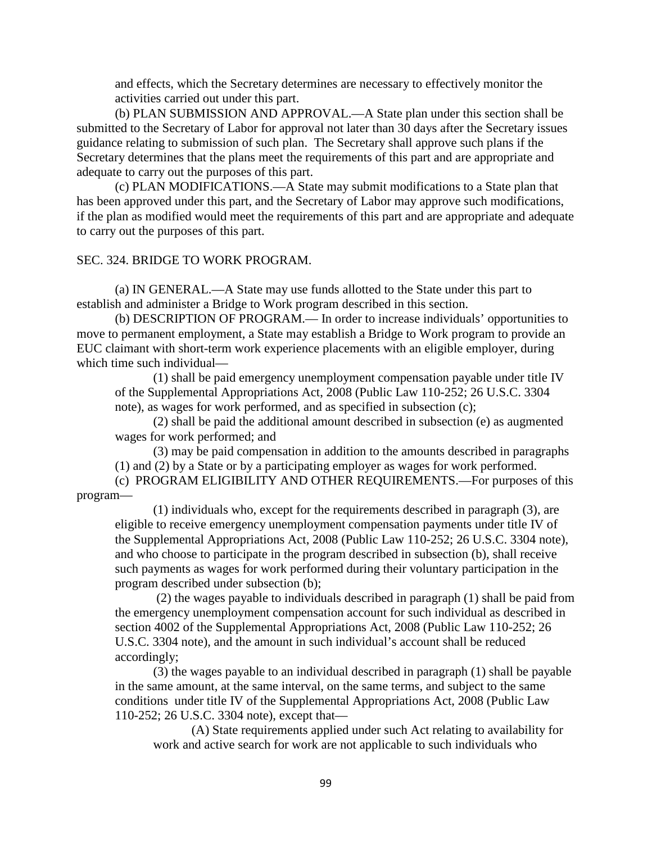and effects, which the Secretary determines are necessary to effectively monitor the activities carried out under this part.

(b) PLAN SUBMISSION AND APPROVAL.—A State plan under this section shall be submitted to the Secretary of Labor for approval not later than 30 days after the Secretary issues guidance relating to submission of such plan. The Secretary shall approve such plans if the Secretary determines that the plans meet the requirements of this part and are appropriate and adequate to carry out the purposes of this part.

(c) PLAN MODIFICATIONS.—A State may submit modifications to a State plan that has been approved under this part, and the Secretary of Labor may approve such modifications, if the plan as modified would meet the requirements of this part and are appropriate and adequate to carry out the purposes of this part.

#### SEC. 324. BRIDGE TO WORK PROGRAM.

(a) IN GENERAL.—A State may use funds allotted to the State under this part to establish and administer a Bridge to Work program described in this section.

(b) DESCRIPTION OF PROGRAM.— In order to increase individuals' opportunities to move to permanent employment, a State may establish a Bridge to Work program to provide an EUC claimant with short-term work experience placements with an eligible employer, during which time such individual—

(1) shall be paid emergency unemployment compensation payable under title IV of the Supplemental Appropriations Act, 2008 (Public Law 110-252; 26 U.S.C. 3304 note), as wages for work performed, and as specified in subsection (c);

(2) shall be paid the additional amount described in subsection (e) as augmented wages for work performed; and

(3) may be paid compensation in addition to the amounts described in paragraphs (1) and (2) by a State or by a participating employer as wages for work performed.

(c) PROGRAM ELIGIBILITY AND OTHER REQUIREMENTS.—For purposes of this program—

(1) individuals who, except for the requirements described in paragraph (3), are eligible to receive emergency unemployment compensation payments under title IV of the Supplemental Appropriations Act, 2008 (Public Law 110-252; 26 U.S.C. 3304 note), and who choose to participate in the program described in subsection (b), shall receive such payments as wages for work performed during their voluntary participation in the program described under subsection (b);

(2) the wages payable to individuals described in paragraph (1) shall be paid from the emergency unemployment compensation account for such individual as described in section 4002 of the Supplemental Appropriations Act, 2008 (Public Law 110-252; 26 U.S.C. 3304 note), and the amount in such individual's account shall be reduced accordingly;

(3) the wages payable to an individual described in paragraph (1) shall be payable in the same amount, at the same interval, on the same terms, and subject to the same conditions under title IV of the Supplemental Appropriations Act, 2008 (Public Law 110-252; 26 U.S.C. 3304 note), except that—

(A) State requirements applied under such Act relating to availability for work and active search for work are not applicable to such individuals who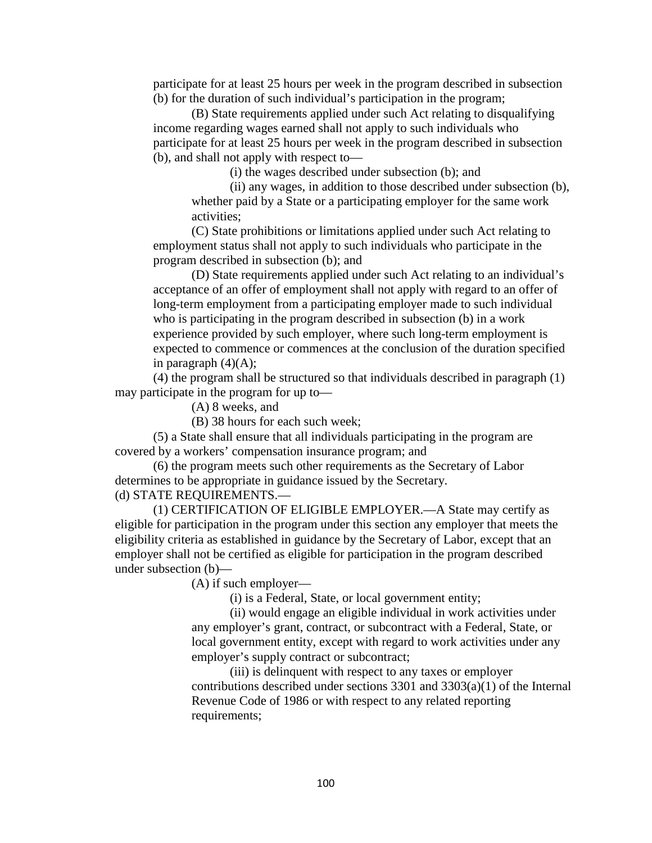participate for at least 25 hours per week in the program described in subsection (b) for the duration of such individual's participation in the program;

(B) State requirements applied under such Act relating to disqualifying income regarding wages earned shall not apply to such individuals who participate for at least 25 hours per week in the program described in subsection (b), and shall not apply with respect to—

(i) the wages described under subsection (b); and

(ii) any wages, in addition to those described under subsection (b), whether paid by a State or a participating employer for the same work activities;

(C) State prohibitions or limitations applied under such Act relating to employment status shall not apply to such individuals who participate in the program described in subsection (b); and

(D) State requirements applied under such Act relating to an individual's acceptance of an offer of employment shall not apply with regard to an offer of long-term employment from a participating employer made to such individual who is participating in the program described in subsection (b) in a work experience provided by such employer, where such long-term employment is expected to commence or commences at the conclusion of the duration specified in paragraph  $(4)(A)$ ;

(4) the program shall be structured so that individuals described in paragraph (1) may participate in the program for up to—

(A) 8 weeks, and

(B) 38 hours for each such week;

(5) a State shall ensure that all individuals participating in the program are covered by a workers' compensation insurance program; and

(6) the program meets such other requirements as the Secretary of Labor determines to be appropriate in guidance issued by the Secretary.

#### (d) STATE REQUIREMENTS.—

(1) CERTIFICATION OF ELIGIBLE EMPLOYER.—A State may certify as eligible for participation in the program under this section any employer that meets the eligibility criteria as established in guidance by the Secretary of Labor, except that an employer shall not be certified as eligible for participation in the program described under subsection (b)—

(A) if such employer—

(i) is a Federal, State, or local government entity;

(ii) would engage an eligible individual in work activities under any employer's grant, contract, or subcontract with a Federal, State, or local government entity, except with regard to work activities under any employer's supply contract or subcontract;

(iii) is delinquent with respect to any taxes or employer contributions described under sections 3301 and 3303(a)(1) of the Internal Revenue Code of 1986 or with respect to any related reporting requirements;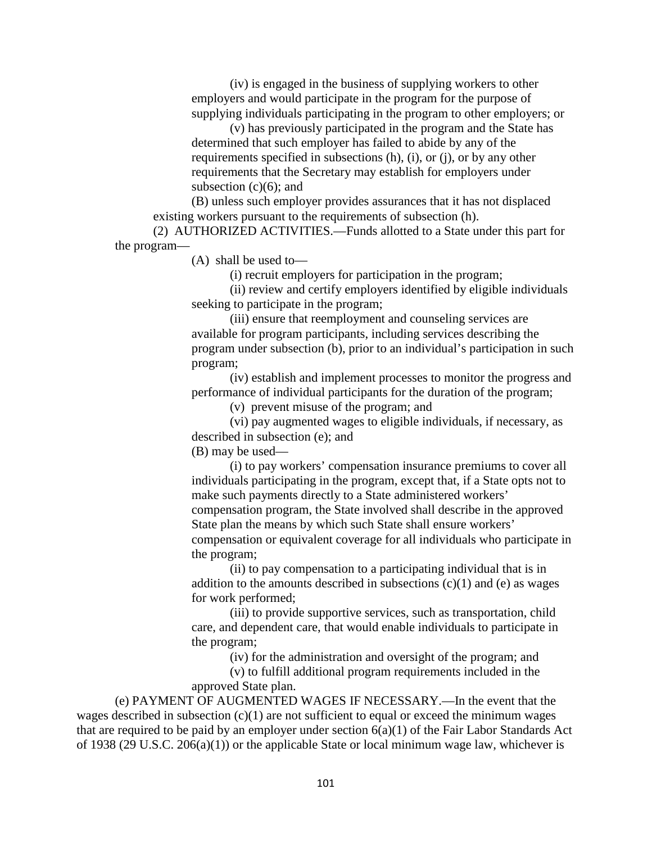(iv) is engaged in the business of supplying workers to other employers and would participate in the program for the purpose of supplying individuals participating in the program to other employers; or

(v) has previously participated in the program and the State has determined that such employer has failed to abide by any of the requirements specified in subsections (h), (i), or (j), or by any other requirements that the Secretary may establish for employers under subsection  $(c)(6)$ ; and

(B) unless such employer provides assurances that it has not displaced existing workers pursuant to the requirements of subsection (h).

(2) AUTHORIZED ACTIVITIES.—Funds allotted to a State under this part for the program—

(A) shall be used to—

(i) recruit employers for participation in the program;

(ii) review and certify employers identified by eligible individuals seeking to participate in the program;

(iii) ensure that reemployment and counseling services are available for program participants, including services describing the program under subsection (b), prior to an individual's participation in such program;

(iv) establish and implement processes to monitor the progress and performance of individual participants for the duration of the program;

(v) prevent misuse of the program; and

(vi) pay augmented wages to eligible individuals, if necessary, as described in subsection (e); and

(B) may be used—

(i) to pay workers' compensation insurance premiums to cover all individuals participating in the program, except that, if a State opts not to make such payments directly to a State administered workers' compensation program, the State involved shall describe in the approved State plan the means by which such State shall ensure workers' compensation or equivalent coverage for all individuals who participate in the program;

(ii) to pay compensation to a participating individual that is in addition to the amounts described in subsections  $(c)(1)$  and  $(e)$  as wages for work performed;

(iii) to provide supportive services, such as transportation, child care, and dependent care, that would enable individuals to participate in the program;

(iv) for the administration and oversight of the program; and

(v) to fulfill additional program requirements included in the approved State plan.

(e) PAYMENT OF AUGMENTED WAGES IF NECESSARY.—In the event that the wages described in subsection  $(c)(1)$  are not sufficient to equal or exceed the minimum wages that are required to be paid by an employer under section 6(a)(1) of the Fair Labor Standards Act of 1938 (29 U.S.C. 206(a)(1)) or the applicable State or local minimum wage law, whichever is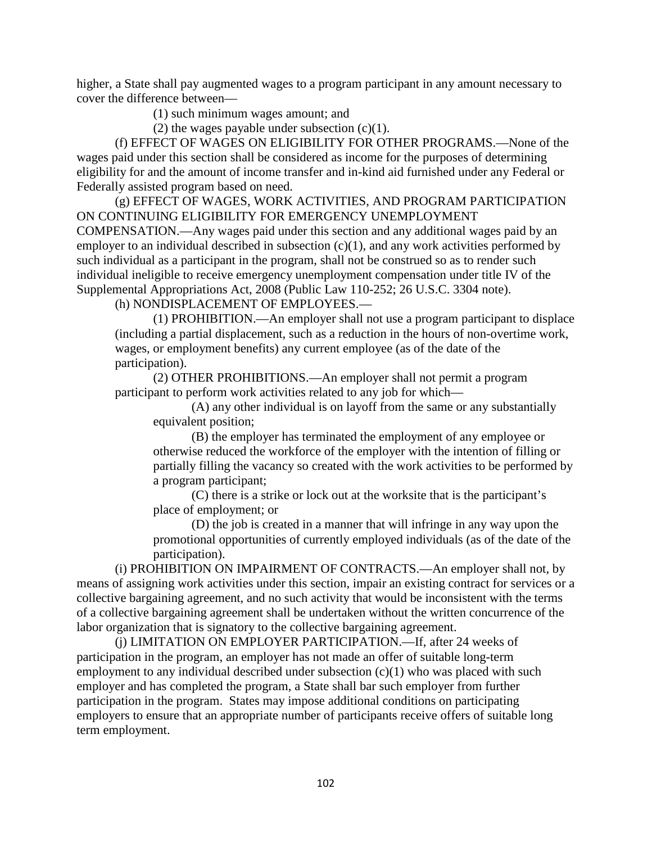higher, a State shall pay augmented wages to a program participant in any amount necessary to cover the difference between—

(1) such minimum wages amount; and

(2) the wages payable under subsection (c)(1).

(f) EFFECT OF WAGES ON ELIGIBILITY FOR OTHER PROGRAMS.—None of the wages paid under this section shall be considered as income for the purposes of determining eligibility for and the amount of income transfer and in-kind aid furnished under any Federal or Federally assisted program based on need.

(g) EFFECT OF WAGES, WORK ACTIVITIES, AND PROGRAM PARTICIPATION ON CONTINUING ELIGIBILITY FOR EMERGENCY UNEMPLOYMENT COMPENSATION.—Any wages paid under this section and any additional wages paid by an employer to an individual described in subsection  $(c)(1)$ , and any work activities performed by such individual as a participant in the program, shall not be construed so as to render such individual ineligible to receive emergency unemployment compensation under title IV of the Supplemental Appropriations Act, 2008 (Public Law 110-252; 26 U.S.C. 3304 note).

(h) NONDISPLACEMENT OF EMPLOYEES.—

(1) PROHIBITION.—An employer shall not use a program participant to displace (including a partial displacement, such as a reduction in the hours of non-overtime work, wages, or employment benefits) any current employee (as of the date of the participation).

(2) OTHER PROHIBITIONS.—An employer shall not permit a program participant to perform work activities related to any job for which—

(A) any other individual is on layoff from the same or any substantially equivalent position;

(B) the employer has terminated the employment of any employee or otherwise reduced the workforce of the employer with the intention of filling or partially filling the vacancy so created with the work activities to be performed by a program participant;

(C) there is a strike or lock out at the worksite that is the participant's place of employment; or

(D) the job is created in a manner that will infringe in any way upon the promotional opportunities of currently employed individuals (as of the date of the participation).

(i) PROHIBITION ON IMPAIRMENT OF CONTRACTS.—An employer shall not, by means of assigning work activities under this section, impair an existing contract for services or a collective bargaining agreement, and no such activity that would be inconsistent with the terms of a collective bargaining agreement shall be undertaken without the written concurrence of the labor organization that is signatory to the collective bargaining agreement.

(j) LIMITATION ON EMPLOYER PARTICIPATION.—If, after 24 weeks of participation in the program, an employer has not made an offer of suitable long-term employment to any individual described under subsection  $(c)(1)$  who was placed with such employer and has completed the program, a State shall bar such employer from further participation in the program. States may impose additional conditions on participating employers to ensure that an appropriate number of participants receive offers of suitable long term employment.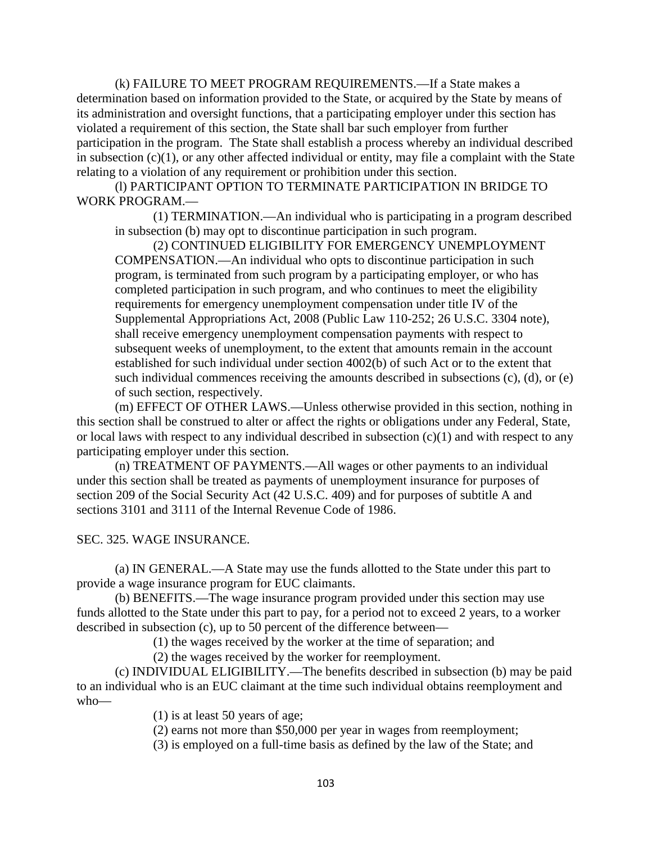(k) FAILURE TO MEET PROGRAM REQUIREMENTS.—If a State makes a determination based on information provided to the State, or acquired by the State by means of its administration and oversight functions, that a participating employer under this section has violated a requirement of this section, the State shall bar such employer from further participation in the program. The State shall establish a process whereby an individual described in subsection  $(c)(1)$ , or any other affected individual or entity, may file a complaint with the State relating to a violation of any requirement or prohibition under this section.

(l) PARTICIPANT OPTION TO TERMINATE PARTICIPATION IN BRIDGE TO WORK PROGRAM.—

(1) TERMINATION.—An individual who is participating in a program described in subsection (b) may opt to discontinue participation in such program.

(2) CONTINUED ELIGIBILITY FOR EMERGENCY UNEMPLOYMENT COMPENSATION.—An individual who opts to discontinue participation in such program, is terminated from such program by a participating employer, or who has completed participation in such program, and who continues to meet the eligibility requirements for emergency unemployment compensation under title IV of the Supplemental Appropriations Act, 2008 (Public Law 110-252; 26 U.S.C. 3304 note), shall receive emergency unemployment compensation payments with respect to subsequent weeks of unemployment, to the extent that amounts remain in the account established for such individual under section 4002(b) of such Act or to the extent that such individual commences receiving the amounts described in subsections (c), (d), or (e) of such section, respectively.

(m) EFFECT OF OTHER LAWS.—Unless otherwise provided in this section, nothing in this section shall be construed to alter or affect the rights or obligations under any Federal, State, or local laws with respect to any individual described in subsection  $(c)(1)$  and with respect to any participating employer under this section.

(n) TREATMENT OF PAYMENTS.—All wages or other payments to an individual under this section shall be treated as payments of unemployment insurance for purposes of section 209 of the Social Security Act (42 U.S.C. 409) and for purposes of subtitle A and sections 3101 and 3111 of the Internal Revenue Code of 1986.

SEC. 325. WAGE INSURANCE.

(a) IN GENERAL.—A State may use the funds allotted to the State under this part to provide a wage insurance program for EUC claimants.

(b) BENEFITS.—The wage insurance program provided under this section may use funds allotted to the State under this part to pay, for a period not to exceed 2 years, to a worker described in subsection (c), up to 50 percent of the difference between—

(1) the wages received by the worker at the time of separation; and

(2) the wages received by the worker for reemployment.

(c) INDIVIDUAL ELIGIBILITY.—The benefits described in subsection (b) may be paid to an individual who is an EUC claimant at the time such individual obtains reemployment and who—

(1) is at least 50 years of age;

(2) earns not more than \$50,000 per year in wages from reemployment;

(3) is employed on a full-time basis as defined by the law of the State; and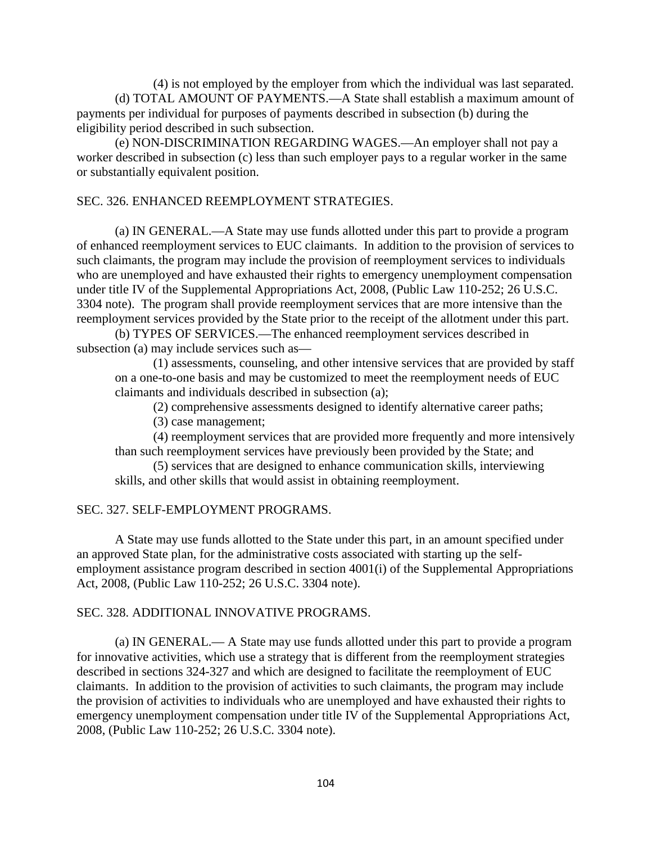(4) is not employed by the employer from which the individual was last separated. (d) TOTAL AMOUNT OF PAYMENTS.—A State shall establish a maximum amount of payments per individual for purposes of payments described in subsection (b) during the eligibility period described in such subsection.

(e) NON-DISCRIMINATION REGARDING WAGES.—An employer shall not pay a worker described in subsection (c) less than such employer pays to a regular worker in the same or substantially equivalent position.

## SEC. 326. ENHANCED REEMPLOYMENT STRATEGIES.

(a) IN GENERAL.—A State may use funds allotted under this part to provide a program of enhanced reemployment services to EUC claimants. In addition to the provision of services to such claimants, the program may include the provision of reemployment services to individuals who are unemployed and have exhausted their rights to emergency unemployment compensation under title IV of the Supplemental Appropriations Act, 2008, (Public Law 110-252; 26 U.S.C. 3304 note). The program shall provide reemployment services that are more intensive than the reemployment services provided by the State prior to the receipt of the allotment under this part.

(b) TYPES OF SERVICES.—The enhanced reemployment services described in subsection (a) may include services such as—

(1) assessments, counseling, and other intensive services that are provided by staff on a one-to-one basis and may be customized to meet the reemployment needs of EUC claimants and individuals described in subsection (a);

(2) comprehensive assessments designed to identify alternative career paths;

(3) case management;

(4) reemployment services that are provided more frequently and more intensively than such reemployment services have previously been provided by the State; and

(5) services that are designed to enhance communication skills, interviewing skills, and other skills that would assist in obtaining reemployment.

## SEC. 327. SELF-EMPLOYMENT PROGRAMS.

A State may use funds allotted to the State under this part, in an amount specified under an approved State plan, for the administrative costs associated with starting up the selfemployment assistance program described in section 4001(i) of the Supplemental Appropriations Act, 2008, (Public Law 110-252; 26 U.S.C. 3304 note).

## SEC. 328. ADDITIONAL INNOVATIVE PROGRAMS.

(a) IN GENERAL.— A State may use funds allotted under this part to provide a program for innovative activities, which use a strategy that is different from the reemployment strategies described in sections 324-327 and which are designed to facilitate the reemployment of EUC claimants. In addition to the provision of activities to such claimants, the program may include the provision of activities to individuals who are unemployed and have exhausted their rights to emergency unemployment compensation under title IV of the Supplemental Appropriations Act, 2008, (Public Law 110-252; 26 U.S.C. 3304 note).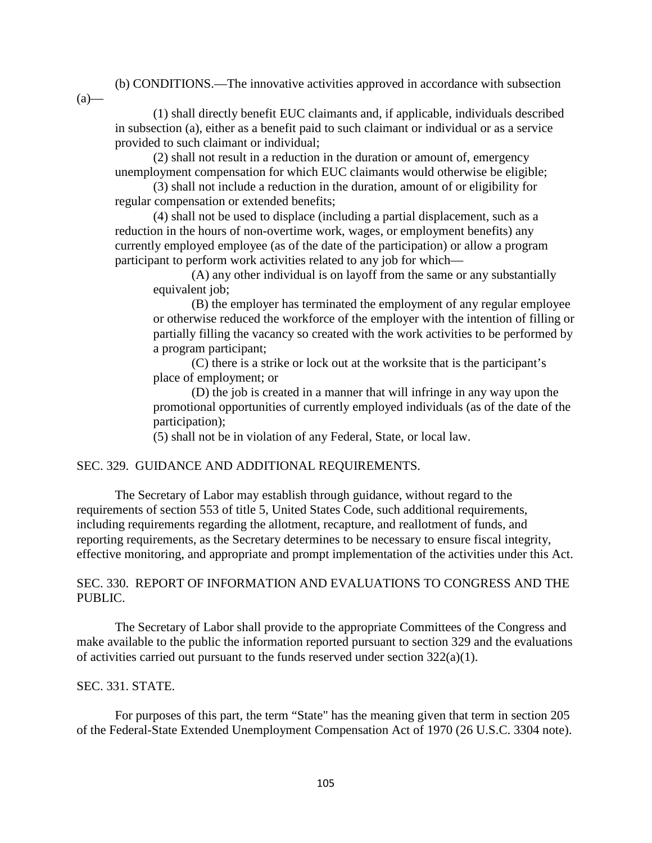(b) CONDITIONS.—The innovative activities approved in accordance with subsection

 $(a)$ —

(1) shall directly benefit EUC claimants and, if applicable, individuals described in subsection (a), either as a benefit paid to such claimant or individual or as a service provided to such claimant or individual;

(2) shall not result in a reduction in the duration or amount of, emergency unemployment compensation for which EUC claimants would otherwise be eligible;

(3) shall not include a reduction in the duration, amount of or eligibility for regular compensation or extended benefits;

(4) shall not be used to displace (including a partial displacement, such as a reduction in the hours of non-overtime work, wages, or employment benefits) any currently employed employee (as of the date of the participation) or allow a program participant to perform work activities related to any job for which—

(A) any other individual is on layoff from the same or any substantially equivalent job;

(B) the employer has terminated the employment of any regular employee or otherwise reduced the workforce of the employer with the intention of filling or partially filling the vacancy so created with the work activities to be performed by a program participant;

(C) there is a strike or lock out at the worksite that is the participant's place of employment; or

(D) the job is created in a manner that will infringe in any way upon the promotional opportunities of currently employed individuals (as of the date of the participation);

(5) shall not be in violation of any Federal, State, or local law.

## SEC. 329. GUIDANCE AND ADDITIONAL REQUIREMENTS.

The Secretary of Labor may establish through guidance, without regard to the requirements of section 553 of title 5, United States Code, such additional requirements, including requirements regarding the allotment, recapture, and reallotment of funds, and reporting requirements, as the Secretary determines to be necessary to ensure fiscal integrity, effective monitoring, and appropriate and prompt implementation of the activities under this Act.

## SEC. 330. REPORT OF INFORMATION AND EVALUATIONS TO CONGRESS AND THE PUBLIC.

The Secretary of Labor shall provide to the appropriate Committees of the Congress and make available to the public the information reported pursuant to section 329 and the evaluations of activities carried out pursuant to the funds reserved under section  $322(a)(1)$ .

## SEC. 331. STATE.

For purposes of this part, the term "State" has the meaning given that term in section 205 of the Federal-State Extended Unemployment Compensation Act of 1970 (26 U.S.C. 3304 note).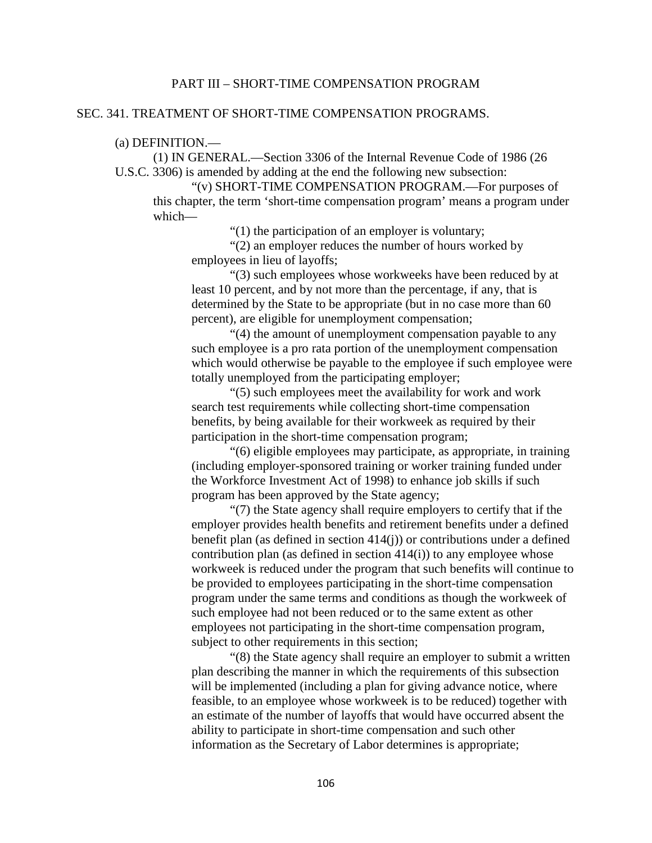## PART III – SHORT-TIME COMPENSATION PROGRAM

#### SEC. 341. TREATMENT OF SHORT-TIME COMPENSATION PROGRAMS.

#### (a) DEFINITION.—

(1) IN GENERAL.—Section 3306 of the Internal Revenue Code of 1986 (26 U.S.C. 3306) is amended by adding at the end the following new subsection:

"(v) SHORT-TIME COMPENSATION PROGRAM.—For purposes of this chapter, the term 'short-time compensation program' means a program under which—

"(1) the participation of an employer is voluntary;

"(2) an employer reduces the number of hours worked by employees in lieu of layoffs;

"(3) such employees whose workweeks have been reduced by at least 10 percent, and by not more than the percentage, if any, that is determined by the State to be appropriate (but in no case more than 60 percent), are eligible for unemployment compensation;

"(4) the amount of unemployment compensation payable to any such employee is a pro rata portion of the unemployment compensation which would otherwise be payable to the employee if such employee were totally unemployed from the participating employer;

"(5) such employees meet the availability for work and work search test requirements while collecting short-time compensation benefits, by being available for their workweek as required by their participation in the short-time compensation program;

"(6) eligible employees may participate, as appropriate, in training (including employer-sponsored training or worker training funded under the Workforce Investment Act of 1998) to enhance job skills if such program has been approved by the State agency;

"(7) the State agency shall require employers to certify that if the employer provides health benefits and retirement benefits under a defined benefit plan (as defined in section 414(j)) or contributions under a defined contribution plan (as defined in section 414(i)) to any employee whose workweek is reduced under the program that such benefits will continue to be provided to employees participating in the short-time compensation program under the same terms and conditions as though the workweek of such employee had not been reduced or to the same extent as other employees not participating in the short-time compensation program, subject to other requirements in this section;

"(8) the State agency shall require an employer to submit a written plan describing the manner in which the requirements of this subsection will be implemented (including a plan for giving advance notice, where feasible, to an employee whose workweek is to be reduced) together with an estimate of the number of layoffs that would have occurred absent the ability to participate in short-time compensation and such other information as the Secretary of Labor determines is appropriate;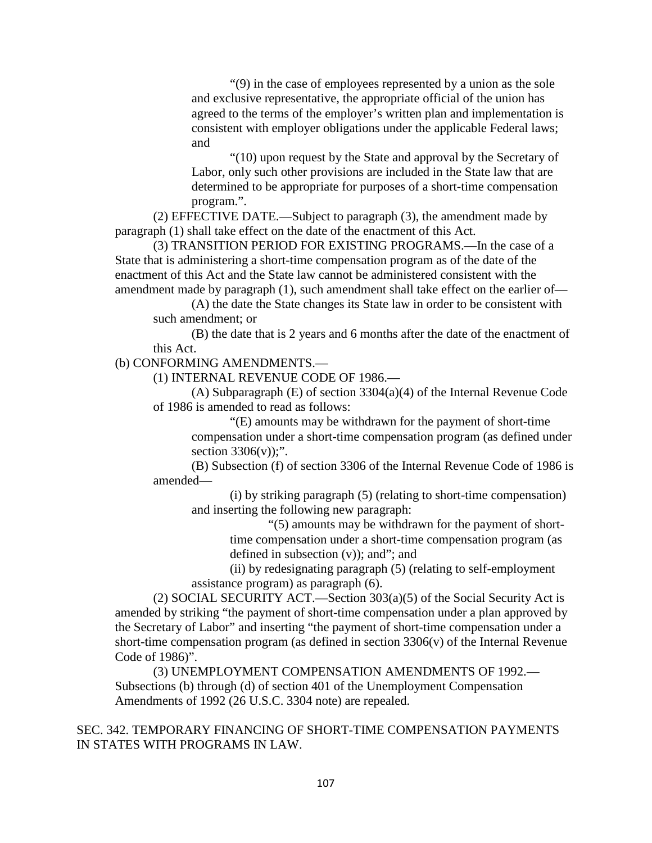"(9) in the case of employees represented by a union as the sole and exclusive representative, the appropriate official of the union has agreed to the terms of the employer's written plan and implementation is consistent with employer obligations under the applicable Federal laws; and

"(10) upon request by the State and approval by the Secretary of Labor, only such other provisions are included in the State law that are determined to be appropriate for purposes of a short-time compensation program.".

(2) EFFECTIVE DATE.—Subject to paragraph (3), the amendment made by paragraph (1) shall take effect on the date of the enactment of this Act.

(3) TRANSITION PERIOD FOR EXISTING PROGRAMS.—In the case of a State that is administering a short-time compensation program as of the date of the enactment of this Act and the State law cannot be administered consistent with the amendment made by paragraph (1), such amendment shall take effect on the earlier of—

(A) the date the State changes its State law in order to be consistent with such amendment; or

(B) the date that is 2 years and 6 months after the date of the enactment of this Act.

(b) CONFORMING AMENDMENTS.—

(1) INTERNAL REVENUE CODE OF 1986.—

(A) Subparagraph (E) of section 3304(a)(4) of the Internal Revenue Code of 1986 is amended to read as follows:

"(E) amounts may be withdrawn for the payment of short-time compensation under a short-time compensation program (as defined under section  $3306(v)$ ;".

(B) Subsection (f) of section 3306 of the Internal Revenue Code of 1986 is amended—

(i) by striking paragraph (5) (relating to short-time compensation) and inserting the following new paragraph:

"(5) amounts may be withdrawn for the payment of shorttime compensation under a short-time compensation program (as defined in subsection (v)); and"; and

(ii) by redesignating paragraph (5) (relating to self-employment assistance program) as paragraph (6).

(2) SOCIAL SECURITY ACT.—Section  $303(a)(5)$  of the Social Security Act is amended by striking "the payment of short-time compensation under a plan approved by the Secretary of Labor" and inserting "the payment of short-time compensation under a short-time compensation program (as defined in section  $3306(v)$  of the Internal Revenue Code of 1986)".

(3) UNEMPLOYMENT COMPENSATION AMENDMENTS OF 1992.— Subsections (b) through (d) of section 401 of the Unemployment Compensation Amendments of 1992 (26 U.S.C. 3304 note) are repealed.

SEC. 342. TEMPORARY FINANCING OF SHORT-TIME COMPENSATION PAYMENTS IN STATES WITH PROGRAMS IN LAW.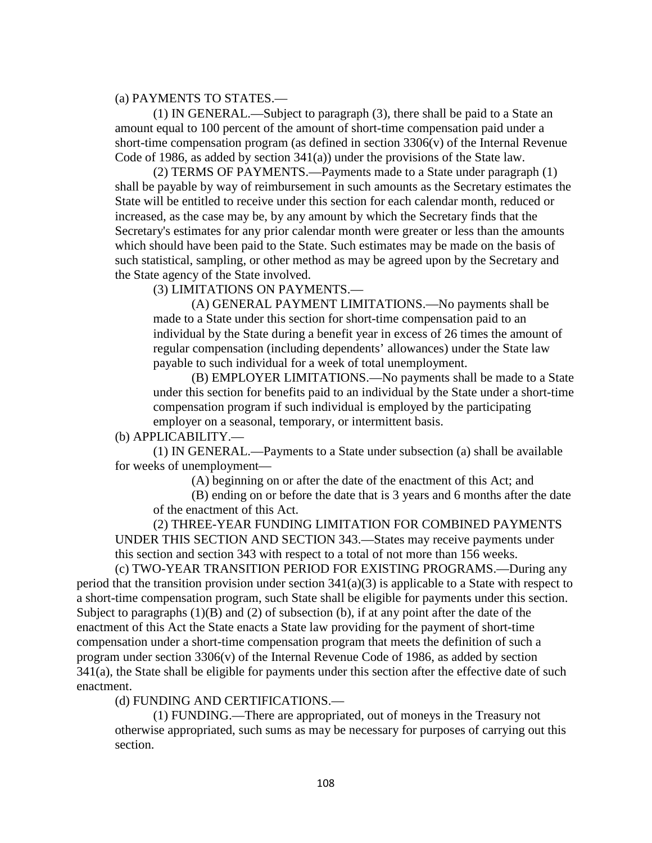(a) PAYMENTS TO STATES.—

(1) IN GENERAL.—Subject to paragraph (3), there shall be paid to a State an amount equal to 100 percent of the amount of short-time compensation paid under a short-time compensation program (as defined in section  $3306(v)$ ) of the Internal Revenue Code of 1986, as added by section  $341(a)$ ) under the provisions of the State law.

(2) TERMS OF PAYMENTS.—Payments made to a State under paragraph (1) shall be payable by way of reimbursement in such amounts as the Secretary estimates the State will be entitled to receive under this section for each calendar month, reduced or increased, as the case may be, by any amount by which the Secretary finds that the Secretary's estimates for any prior calendar month were greater or less than the amounts which should have been paid to the State. Such estimates may be made on the basis of such statistical, sampling, or other method as may be agreed upon by the Secretary and the State agency of the State involved.

(3) LIMITATIONS ON PAYMENTS.—

(A) GENERAL PAYMENT LIMITATIONS.—No payments shall be made to a State under this section for short-time compensation paid to an individual by the State during a benefit year in excess of 26 times the amount of regular compensation (including dependents' allowances) under the State law payable to such individual for a week of total unemployment.

(B) EMPLOYER LIMITATIONS.—No payments shall be made to a State under this section for benefits paid to an individual by the State under a short-time compensation program if such individual is employed by the participating employer on a seasonal, temporary, or intermittent basis.

(b) APPLICABILITY.—

(1) IN GENERAL.—Payments to a State under subsection (a) shall be available for weeks of unemployment—

(A) beginning on or after the date of the enactment of this Act; and

(B) ending on or before the date that is 3 years and 6 months after the date of the enactment of this Act.

(2) THREE-YEAR FUNDING LIMITATION FOR COMBINED PAYMENTS UNDER THIS SECTION AND SECTION 343.—States may receive payments under this section and section 343 with respect to a total of not more than 156 weeks.

(c) TWO-YEAR TRANSITION PERIOD FOR EXISTING PROGRAMS.—During any period that the transition provision under section  $341(a)(3)$  is applicable to a State with respect to a short-time compensation program, such State shall be eligible for payments under this section. Subject to paragraphs  $(1)(B)$  and  $(2)$  of subsection  $(b)$ , if at any point after the date of the enactment of this Act the State enacts a State law providing for the payment of short-time compensation under a short-time compensation program that meets the definition of such a program under section 3306(v) of the Internal Revenue Code of 1986, as added by section 341(a), the State shall be eligible for payments under this section after the effective date of such enactment.

(d) FUNDING AND CERTIFICATIONS.—

(1) FUNDING.—There are appropriated, out of moneys in the Treasury not otherwise appropriated, such sums as may be necessary for purposes of carrying out this section.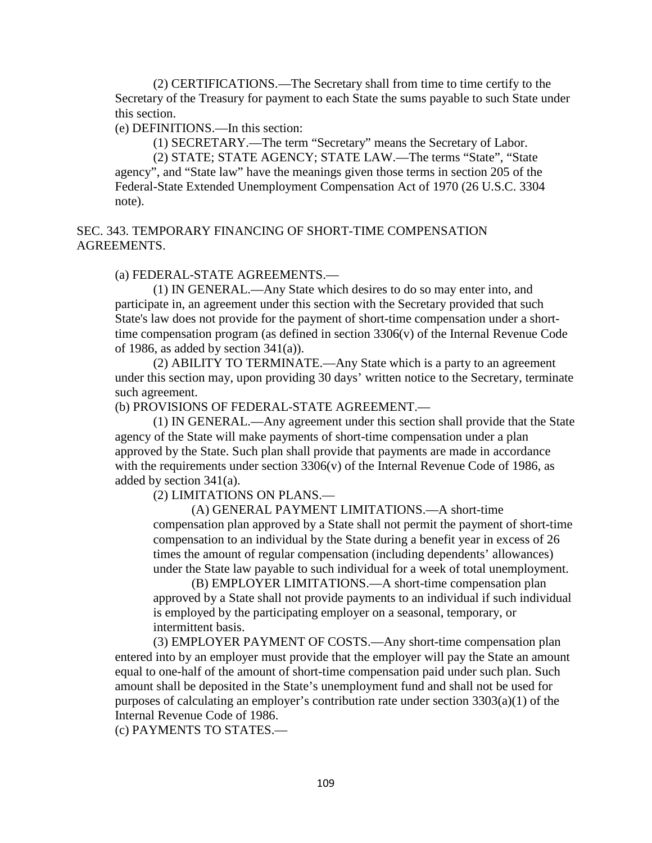(2) CERTIFICATIONS.—The Secretary shall from time to time certify to the Secretary of the Treasury for payment to each State the sums payable to such State under this section.

(e) DEFINITIONS.—In this section:

(1) SECRETARY.—The term "Secretary" means the Secretary of Labor.

(2) STATE; STATE AGENCY; STATE LAW.—The terms "State", "State agency", and "State law" have the meanings given those terms in section 205 of the Federal-State Extended Unemployment Compensation Act of 1970 (26 U.S.C. 3304 note).

SEC. 343. TEMPORARY FINANCING OF SHORT-TIME COMPENSATION AGREEMENTS.

(a) FEDERAL-STATE AGREEMENTS.—

(1) IN GENERAL.—Any State which desires to do so may enter into, and participate in, an agreement under this section with the Secretary provided that such State's law does not provide for the payment of short-time compensation under a shorttime compensation program (as defined in section 3306(v) of the Internal Revenue Code of 1986, as added by section 341(a)).

(2) ABILITY TO TERMINATE.—Any State which is a party to an agreement under this section may, upon providing 30 days' written notice to the Secretary, terminate such agreement.

(b) PROVISIONS OF FEDERAL-STATE AGREEMENT.—

(1) IN GENERAL.—Any agreement under this section shall provide that the State agency of the State will make payments of short-time compensation under a plan approved by the State. Such plan shall provide that payments are made in accordance with the requirements under section  $3306(v)$  of the Internal Revenue Code of 1986, as added by section 341(a).

(2) LIMITATIONS ON PLANS.—

(A) GENERAL PAYMENT LIMITATIONS.—A short-time compensation plan approved by a State shall not permit the payment of short-time compensation to an individual by the State during a benefit year in excess of 26 times the amount of regular compensation (including dependents' allowances) under the State law payable to such individual for a week of total unemployment.

(B) EMPLOYER LIMITATIONS.—A short-time compensation plan approved by a State shall not provide payments to an individual if such individual is employed by the participating employer on a seasonal, temporary, or intermittent basis.

(3) EMPLOYER PAYMENT OF COSTS.—Any short-time compensation plan entered into by an employer must provide that the employer will pay the State an amount equal to one-half of the amount of short-time compensation paid under such plan. Such amount shall be deposited in the State's unemployment fund and shall not be used for purposes of calculating an employer's contribution rate under section 3303(a)(1) of the Internal Revenue Code of 1986.

(c) PAYMENTS TO STATES.—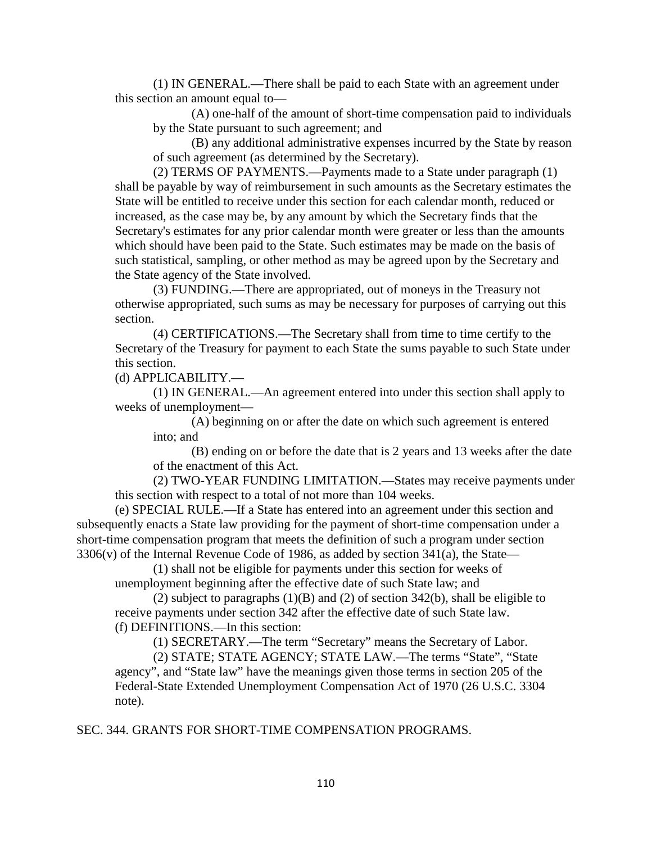(1) IN GENERAL.—There shall be paid to each State with an agreement under this section an amount equal to—

(A) one-half of the amount of short-time compensation paid to individuals by the State pursuant to such agreement; and

(B) any additional administrative expenses incurred by the State by reason of such agreement (as determined by the Secretary).

(2) TERMS OF PAYMENTS.—Payments made to a State under paragraph (1) shall be payable by way of reimbursement in such amounts as the Secretary estimates the State will be entitled to receive under this section for each calendar month, reduced or increased, as the case may be, by any amount by which the Secretary finds that the Secretary's estimates for any prior calendar month were greater or less than the amounts which should have been paid to the State. Such estimates may be made on the basis of such statistical, sampling, or other method as may be agreed upon by the Secretary and the State agency of the State involved.

(3) FUNDING.—There are appropriated, out of moneys in the Treasury not otherwise appropriated, such sums as may be necessary for purposes of carrying out this section.

(4) CERTIFICATIONS.—The Secretary shall from time to time certify to the Secretary of the Treasury for payment to each State the sums payable to such State under this section.

(d) APPLICABILITY.—

(1) IN GENERAL.—An agreement entered into under this section shall apply to weeks of unemployment—

(A) beginning on or after the date on which such agreement is entered into; and

(B) ending on or before the date that is 2 years and 13 weeks after the date of the enactment of this Act.

(2) TWO-YEAR FUNDING LIMITATION.—States may receive payments under this section with respect to a total of not more than 104 weeks.

(e) SPECIAL RULE.—If a State has entered into an agreement under this section and subsequently enacts a State law providing for the payment of short-time compensation under a short-time compensation program that meets the definition of such a program under section 3306(v) of the Internal Revenue Code of 1986, as added by section 341(a), the State—

(1) shall not be eligible for payments under this section for weeks of unemployment beginning after the effective date of such State law; and

(2) subject to paragraphs (1)(B) and (2) of section 342(b), shall be eligible to receive payments under section 342 after the effective date of such State law. (f) DEFINITIONS.—In this section:

(1) SECRETARY.—The term "Secretary" means the Secretary of Labor.

(2) STATE; STATE AGENCY; STATE LAW.—The terms "State", "State agency", and "State law" have the meanings given those terms in section 205 of the Federal-State Extended Unemployment Compensation Act of 1970 (26 U.S.C. 3304 note).

## SEC. 344. GRANTS FOR SHORT-TIME COMPENSATION PROGRAMS.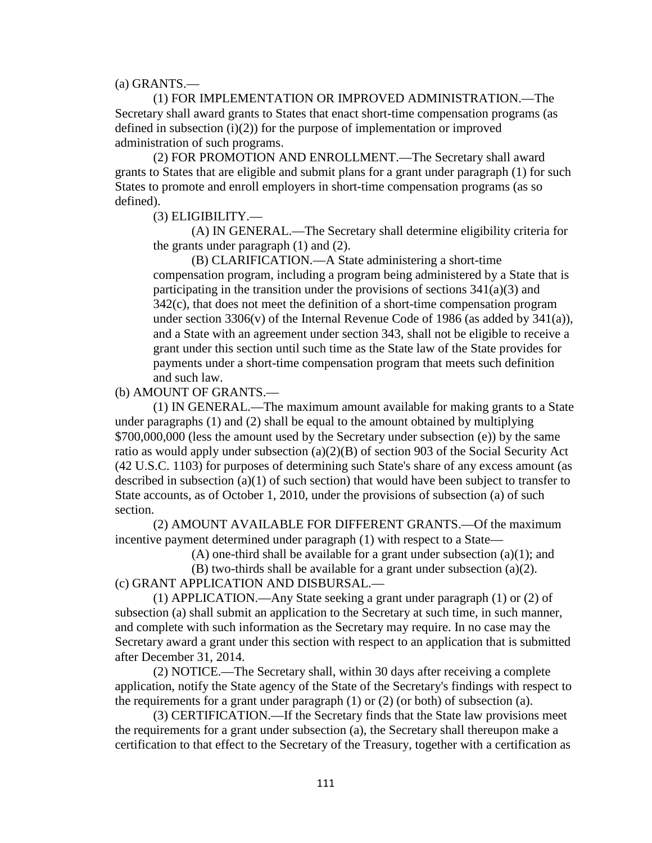(a) GRANTS.—

(1) FOR IMPLEMENTATION OR IMPROVED ADMINISTRATION.—The Secretary shall award grants to States that enact short-time compensation programs (as defined in subsection (i)(2)) for the purpose of implementation or improved administration of such programs.

(2) FOR PROMOTION AND ENROLLMENT.—The Secretary shall award grants to States that are eligible and submit plans for a grant under paragraph (1) for such States to promote and enroll employers in short-time compensation programs (as so defined).

(3) ELIGIBILITY.—

(A) IN GENERAL.—The Secretary shall determine eligibility criteria for the grants under paragraph (1) and (2).

(B) CLARIFICATION.—A State administering a short-time compensation program, including a program being administered by a State that is participating in the transition under the provisions of sections  $341(a)(3)$  and 342(c), that does not meet the definition of a short-time compensation program under section  $3306(v)$  of the Internal Revenue Code of 1986 (as added by  $341(a)$ ), and a State with an agreement under section 343, shall not be eligible to receive a grant under this section until such time as the State law of the State provides for payments under a short-time compensation program that meets such definition and such law.

(b) AMOUNT OF GRANTS.—

(1) IN GENERAL.—The maximum amount available for making grants to a State under paragraphs (1) and (2) shall be equal to the amount obtained by multiplying \$700,000,000 (less the amount used by the Secretary under subsection (e)) by the same ratio as would apply under subsection (a)(2)(B) of section 903 of the Social Security Act (42 U.S.C. 1103) for purposes of determining such State's share of any excess amount (as described in subsection (a)(1) of such section) that would have been subject to transfer to State accounts, as of October 1, 2010, under the provisions of subsection (a) of such section.

(2) AMOUNT AVAILABLE FOR DIFFERENT GRANTS.—Of the maximum incentive payment determined under paragraph (1) with respect to a State—

(A) one-third shall be available for a grant under subsection (a)(1); and

(B) two-thirds shall be available for a grant under subsection (a)(2). (c) GRANT APPLICATION AND DISBURSAL.—

(1) APPLICATION.—Any State seeking a grant under paragraph (1) or (2) of subsection (a) shall submit an application to the Secretary at such time, in such manner, and complete with such information as the Secretary may require. In no case may the Secretary award a grant under this section with respect to an application that is submitted after December 31, 2014.

(2) NOTICE.—The Secretary shall, within 30 days after receiving a complete application, notify the State agency of the State of the Secretary's findings with respect to the requirements for a grant under paragraph (1) or (2) (or both) of subsection (a).

(3) CERTIFICATION.—If the Secretary finds that the State law provisions meet the requirements for a grant under subsection (a), the Secretary shall thereupon make a certification to that effect to the Secretary of the Treasury, together with a certification as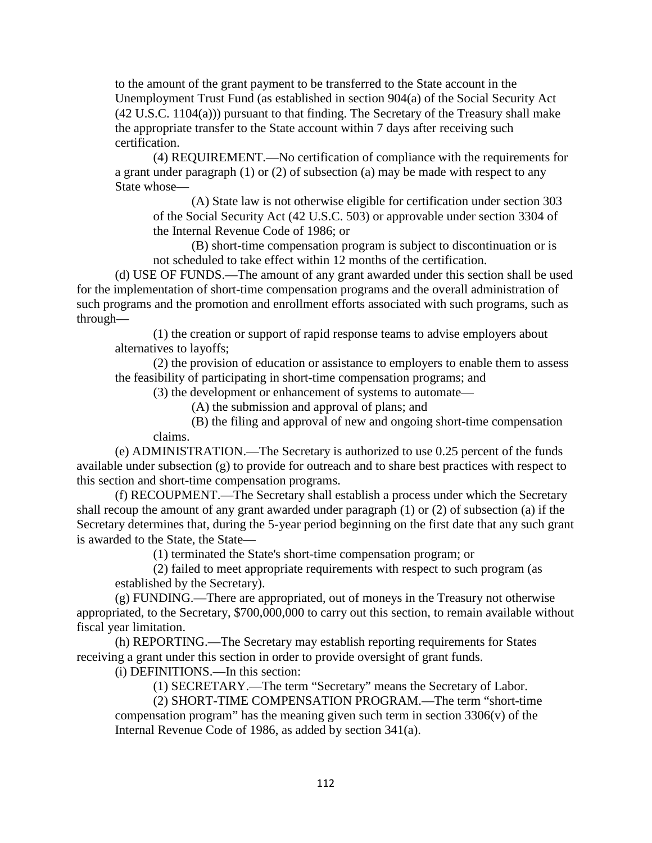to the amount of the grant payment to be transferred to the State account in the Unemployment Trust Fund (as established in section 904(a) of the Social Security Act (42 U.S.C. 1104(a))) pursuant to that finding. The Secretary of the Treasury shall make the appropriate transfer to the State account within 7 days after receiving such certification.

(4) REQUIREMENT.—No certification of compliance with the requirements for a grant under paragraph (1) or (2) of subsection (a) may be made with respect to any State whose—

(A) State law is not otherwise eligible for certification under section 303 of the Social Security Act (42 U.S.C. 503) or approvable under section 3304 of the Internal Revenue Code of 1986; or

(B) short-time compensation program is subject to discontinuation or is not scheduled to take effect within 12 months of the certification.

(d) USE OF FUNDS.—The amount of any grant awarded under this section shall be used for the implementation of short-time compensation programs and the overall administration of such programs and the promotion and enrollment efforts associated with such programs, such as through—

(1) the creation or support of rapid response teams to advise employers about alternatives to layoffs;

(2) the provision of education or assistance to employers to enable them to assess the feasibility of participating in short-time compensation programs; and

(3) the development or enhancement of systems to automate—

(A) the submission and approval of plans; and

(B) the filing and approval of new and ongoing short-time compensation claims.

(e) ADMINISTRATION.—The Secretary is authorized to use 0.25 percent of the funds available under subsection (g) to provide for outreach and to share best practices with respect to this section and short-time compensation programs.

(f) RECOUPMENT.—The Secretary shall establish a process under which the Secretary shall recoup the amount of any grant awarded under paragraph (1) or (2) of subsection (a) if the Secretary determines that, during the 5-year period beginning on the first date that any such grant is awarded to the State, the State—

(1) terminated the State's short-time compensation program; or

(2) failed to meet appropriate requirements with respect to such program (as established by the Secretary).

(g) FUNDING.—There are appropriated, out of moneys in the Treasury not otherwise appropriated, to the Secretary, \$700,000,000 to carry out this section, to remain available without fiscal year limitation.

(h) REPORTING.—The Secretary may establish reporting requirements for States receiving a grant under this section in order to provide oversight of grant funds.

(i) DEFINITIONS.—In this section:

(1) SECRETARY.—The term "Secretary" means the Secretary of Labor.

(2) SHORT-TIME COMPENSATION PROGRAM.—The term "short-time

compensation program" has the meaning given such term in section  $3306(v)$  of the Internal Revenue Code of 1986, as added by section 341(a).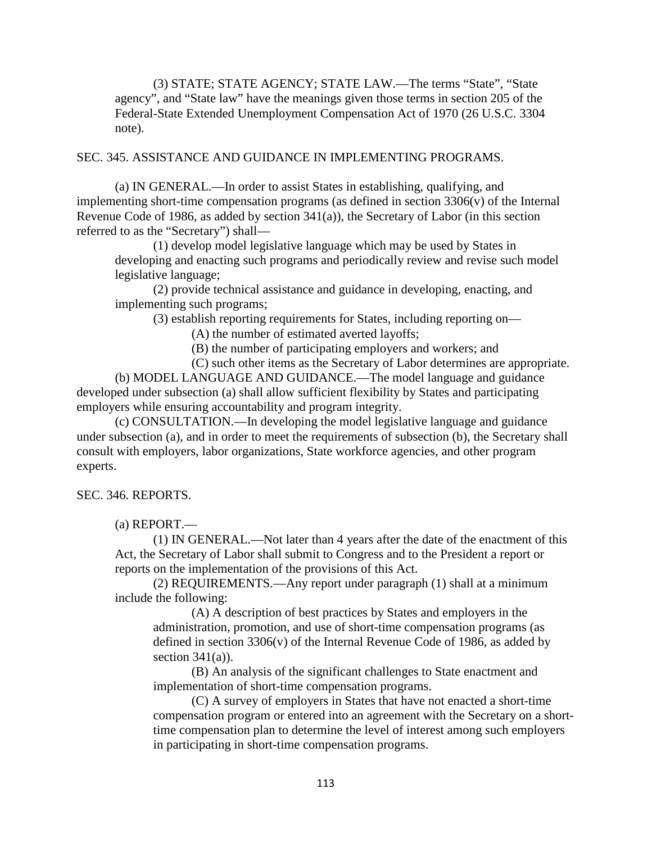(3) STATE; STATE AGENCY; STATE LAW.—The terms "State", "State agency", and "State law" have the meanings given those terms in section 205 of the Federal-State Extended Unemployment Compensation Act of 1970 (26 U.S.C. 3304 note).

### SEC. 345. ASSISTANCE AND GUIDANCE IN IMPLEMENTING PROGRAMS.

(a) IN GENERAL.—In order to assist States in establishing, qualifying, and implementing short-time compensation programs (as defined in section 3306(v) of the Internal Revenue Code of 1986, as added by section 341(a)), the Secretary of Labor (in this section referred to as the "Secretary") shall—

(1) develop model legislative language which may be used by States in developing and enacting such programs and periodically review and revise such model legislative language;

(2) provide technical assistance and guidance in developing, enacting, and implementing such programs;

(3) establish reporting requirements for States, including reporting on—

(A) the number of estimated averted layoffs;

(B) the number of participating employers and workers; and

(C) such other items as the Secretary of Labor determines are appropriate.

(b) MODEL LANGUAGE AND GUIDANCE.—The model language and guidance developed under subsection (a) shall allow sufficient flexibility by States and participating employers while ensuring accountability and program integrity.

(c) CONSULTATION.—In developing the model legislative language and guidance under subsection (a), and in order to meet the requirements of subsection (b), the Secretary shall consult with employers, labor organizations, State workforce agencies, and other program experts.

SEC. 346. REPORTS.

(a) REPORT.—

(1) IN GENERAL.—Not later than 4 years after the date of the enactment of this Act, the Secretary of Labor shall submit to Congress and to the President a report or reports on the implementation of the provisions of this Act.

(2) REQUIREMENTS.—Any report under paragraph (1) shall at a minimum include the following:

(A) A description of best practices by States and employers in the administration, promotion, and use of short-time compensation programs (as defined in section  $3306(v)$  of the Internal Revenue Code of 1986, as added by section  $341(a)$ ).

(B) An analysis of the significant challenges to State enactment and implementation of short-time compensation programs.

(C) A survey of employers in States that have not enacted a short-time compensation program or entered into an agreement with the Secretary on a shorttime compensation plan to determine the level of interest among such employers in participating in short-time compensation programs.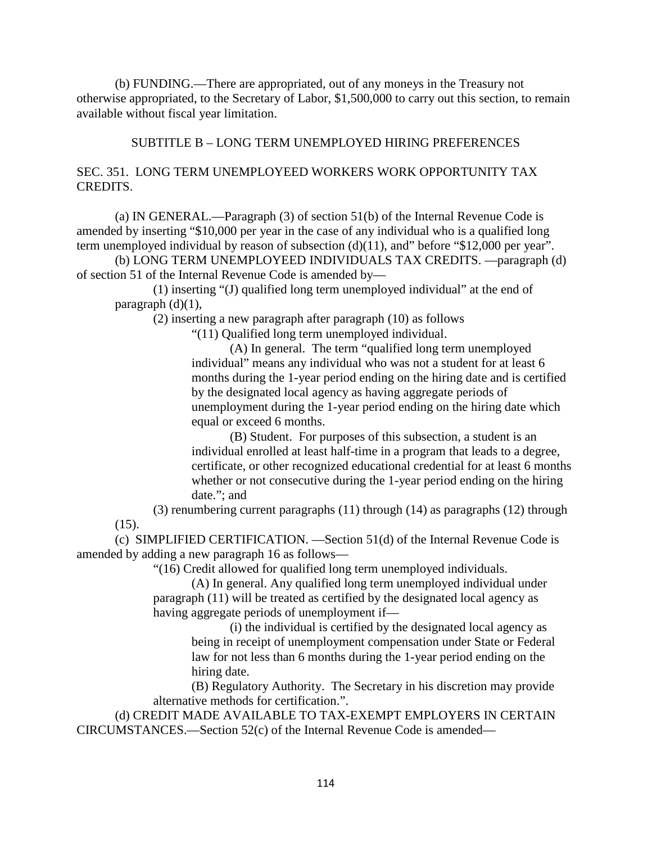(b) FUNDING.—There are appropriated, out of any moneys in the Treasury not otherwise appropriated, to the Secretary of Labor, \$1,500,000 to carry out this section, to remain available without fiscal year limitation.

# SUBTITLE B – LONG TERM UNEMPLOYED HIRING PREFERENCES

## SEC. 351. LONG TERM UNEMPLOYEED WORKERS WORK OPPORTUNITY TAX CREDITS.

(a) IN GENERAL.—Paragraph (3) of section 51(b) of the Internal Revenue Code is amended by inserting "\$10,000 per year in the case of any individual who is a qualified long term unemployed individual by reason of subsection (d)(11), and" before "\$12,000 per year".

(b) LONG TERM UNEMPLOYEED INDIVIDUALS TAX CREDITS. —paragraph (d) of section 51 of the Internal Revenue Code is amended by—

(1) inserting "(J) qualified long term unemployed individual" at the end of paragraph  $(d)(1)$ ,

(2) inserting a new paragraph after paragraph (10) as follows

"(11) Qualified long term unemployed individual.

(A) In general. The term "qualified long term unemployed individual" means any individual who was not a student for at least 6 months during the 1-year period ending on the hiring date and is certified by the designated local agency as having aggregate periods of unemployment during the 1-year period ending on the hiring date which equal or exceed 6 months.

(B) Student. For purposes of this subsection, a student is an individual enrolled at least half-time in a program that leads to a degree, certificate, or other recognized educational credential for at least 6 months whether or not consecutive during the 1-year period ending on the hiring date."; and

(3) renumbering current paragraphs (11) through (14) as paragraphs (12) through (15).

(c) SIMPLIFIED CERTIFICATION. —Section 51(d) of the Internal Revenue Code is amended by adding a new paragraph 16 as follows—

"(16) Credit allowed for qualified long term unemployed individuals.

(A) In general. Any qualified long term unemployed individual under paragraph (11) will be treated as certified by the designated local agency as having aggregate periods of unemployment if—

(i) the individual is certified by the designated local agency as being in receipt of unemployment compensation under State or Federal law for not less than 6 months during the 1-year period ending on the hiring date.

(B) Regulatory Authority. The Secretary in his discretion may provide alternative methods for certification.".

(d) CREDIT MADE AVAILABLE TO TAX-EXEMPT EMPLOYERS IN CERTAIN CIRCUMSTANCES.—Section 52(c) of the Internal Revenue Code is amended—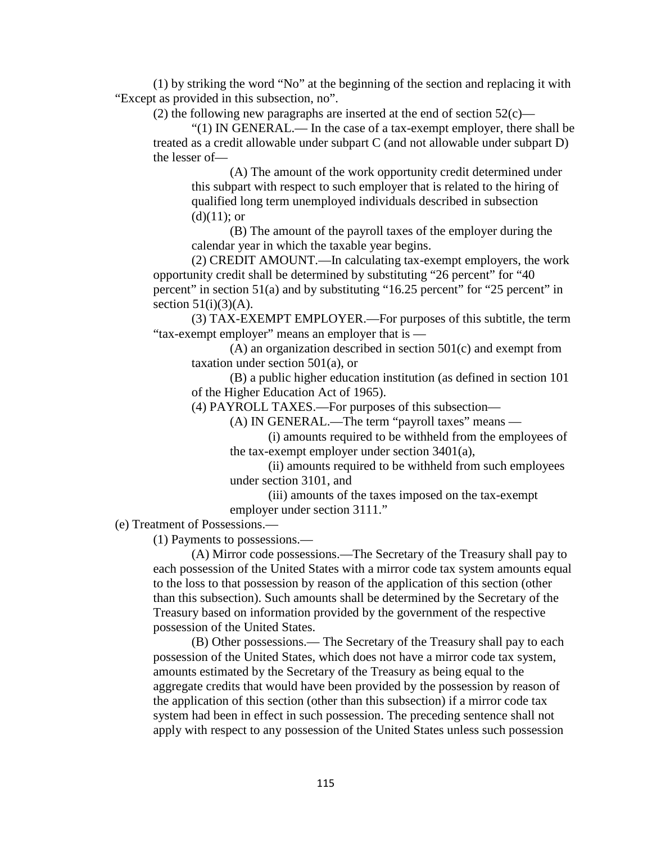(1) by striking the word "No" at the beginning of the section and replacing it with "Except as provided in this subsection, no".

(2) the following new paragraphs are inserted at the end of section  $52(c)$ —

"(1) IN GENERAL.— In the case of a tax-exempt employer, there shall be treated as a credit allowable under subpart C (and not allowable under subpart D) the lesser of—

(A) The amount of the work opportunity credit determined under this subpart with respect to such employer that is related to the hiring of qualified long term unemployed individuals described in subsection  $(d)(11);$  or

(B) The amount of the payroll taxes of the employer during the calendar year in which the taxable year begins.

(2) CREDIT AMOUNT.—In calculating tax-exempt employers, the work opportunity credit shall be determined by substituting "26 percent" for "40 percent" in section 51(a) and by substituting "16.25 percent" for "25 percent" in section  $51(i)(3)(A)$ .

(3) TAX-EXEMPT EMPLOYER.—For purposes of this subtitle, the term "tax-exempt employer" means an employer that is —

(A) an organization described in section 501(c) and exempt from taxation under section 501(a), or

(B) a public higher education institution (as defined in section 101 of the Higher Education Act of 1965).

(4) PAYROLL TAXES.—For purposes of this subsection—

(A) IN GENERAL.—The term "payroll taxes" means —

(i) amounts required to be withheld from the employees of the tax-exempt employer under section 3401(a),

(ii) amounts required to be withheld from such employees under section 3101, and

(iii) amounts of the taxes imposed on the tax-exempt employer under section 3111."

(e) Treatment of Possessions.—

(1) Payments to possessions.—

(A) Mirror code possessions.—The Secretary of the Treasury shall pay to each possession of the United States with a mirror code tax system amounts equal to the loss to that possession by reason of the application of this section (other than this subsection). Such amounts shall be determined by the Secretary of the Treasury based on information provided by the government of the respective possession of the United States.

(B) Other possessions.— The Secretary of the Treasury shall pay to each possession of the United States, which does not have a mirror code tax system, amounts estimated by the Secretary of the Treasury as being equal to the aggregate credits that would have been provided by the possession by reason of the application of this section (other than this subsection) if a mirror code tax system had been in effect in such possession. The preceding sentence shall not apply with respect to any possession of the United States unless such possession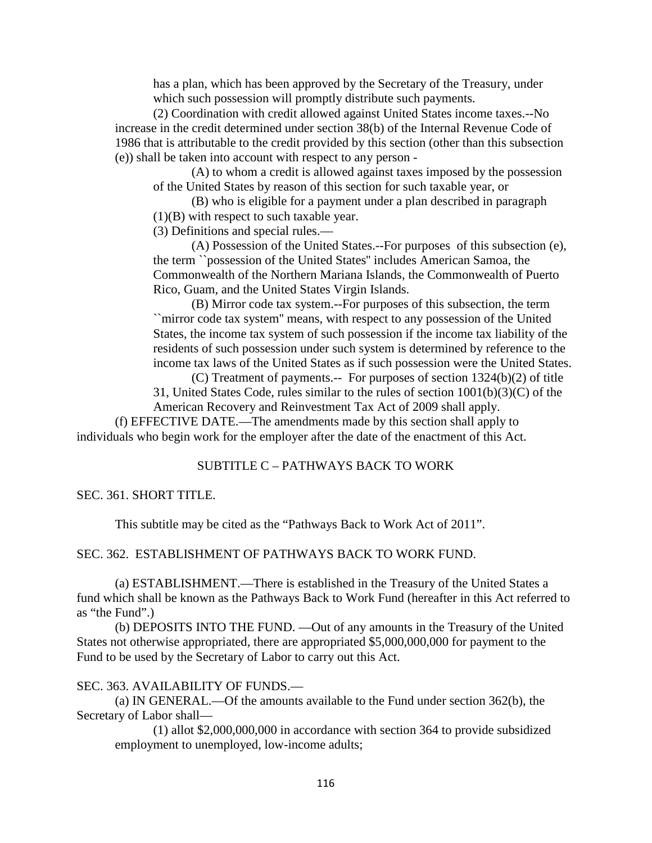has a plan, which has been approved by the Secretary of the Treasury, under which such possession will promptly distribute such payments.

(2) Coordination with credit allowed against United States income taxes.--No increase in the credit determined under section 38(b) of the Internal Revenue Code of 1986 that is attributable to the credit provided by this section (other than this subsection (e)) shall be taken into account with respect to any person -

(A) to whom a credit is allowed against taxes imposed by the possession of the United States by reason of this section for such taxable year, or

(B) who is eligible for a payment under a plan described in paragraph (1)(B) with respect to such taxable year.

(3) Definitions and special rules.—

(A) Possession of the United States.--For purposes of this subsection (e), the term ``possession of the United States'' includes American Samoa, the Commonwealth of the Northern Mariana Islands, the Commonwealth of Puerto Rico, Guam, and the United States Virgin Islands.

(B) Mirror code tax system.--For purposes of this subsection, the term ``mirror code tax system'' means, with respect to any possession of the United States, the income tax system of such possession if the income tax liability of the residents of such possession under such system is determined by reference to the income tax laws of the United States as if such possession were the United States.

(C) Treatment of payments.-- For purposes of section 1324(b)(2) of title 31, United States Code, rules similar to the rules of section 1001(b)(3)(C) of the

American Recovery and Reinvestment Tax Act of 2009 shall apply.

(f) EFFECTIVE DATE.—The amendments made by this section shall apply to individuals who begin work for the employer after the date of the enactment of this Act.

### SUBTITLE C – PATHWAYS BACK TO WORK

#### SEC. 361. SHORT TITLE.

This subtitle may be cited as the "Pathways Back to Work Act of 2011".

### SEC. 362. ESTABLISHMENT OF PATHWAYS BACK TO WORK FUND.

(a) ESTABLISHMENT.—There is established in the Treasury of the United States a fund which shall be known as the Pathways Back to Work Fund (hereafter in this Act referred to as "the Fund".)

(b) DEPOSITS INTO THE FUND. —Out of any amounts in the Treasury of the United States not otherwise appropriated, there are appropriated \$5,000,000,000 for payment to the Fund to be used by the Secretary of Labor to carry out this Act.

#### SEC. 363. AVAILABILITY OF FUNDS.—

(a) IN GENERAL.—Of the amounts available to the Fund under section 362(b), the Secretary of Labor shall—

(1) allot \$2,000,000,000 in accordance with section 364 to provide subsidized employment to unemployed, low-income adults;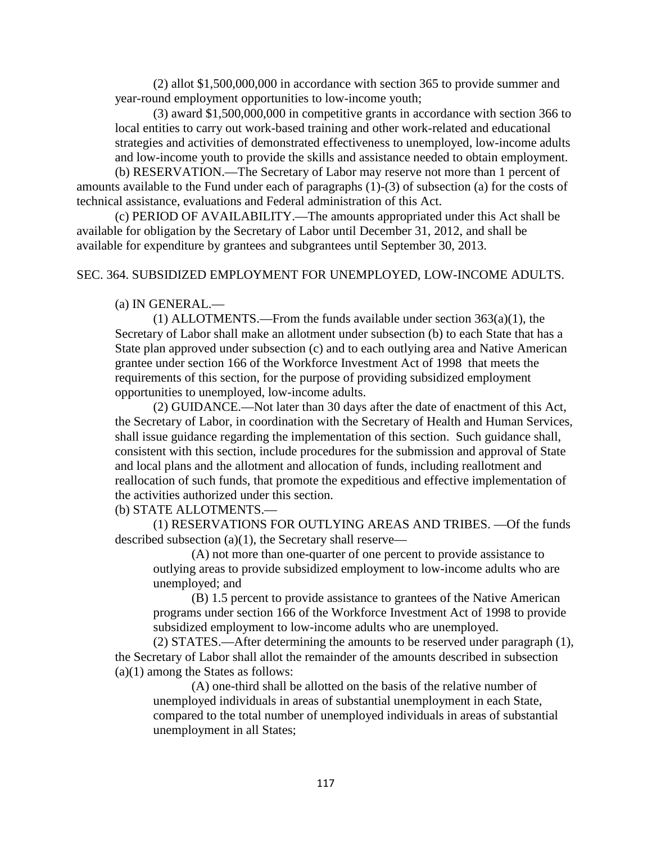(2) allot \$1,500,000,000 in accordance with section 365 to provide summer and year-round employment opportunities to low-income youth;

(3) award \$1,500,000,000 in competitive grants in accordance with section 366 to local entities to carry out work-based training and other work-related and educational strategies and activities of demonstrated effectiveness to unemployed, low-income adults and low-income youth to provide the skills and assistance needed to obtain employment.

(b) RESERVATION.—The Secretary of Labor may reserve not more than 1 percent of amounts available to the Fund under each of paragraphs (1)-(3) of subsection (a) for the costs of technical assistance, evaluations and Federal administration of this Act.

(c) PERIOD OF AVAILABILITY.—The amounts appropriated under this Act shall be available for obligation by the Secretary of Labor until December 31, 2012, and shall be available for expenditure by grantees and subgrantees until September 30, 2013.

### SEC. 364. SUBSIDIZED EMPLOYMENT FOR UNEMPLOYED, LOW-INCOME ADULTS.

### (a) IN GENERAL.—

(1) ALLOTMENTS.—From the funds available under section 363(a)(1), the Secretary of Labor shall make an allotment under subsection (b) to each State that has a State plan approved under subsection (c) and to each outlying area and Native American grantee under section 166 of the Workforce Investment Act of 1998 that meets the requirements of this section, for the purpose of providing subsidized employment opportunities to unemployed, low-income adults.

(2) GUIDANCE.—Not later than 30 days after the date of enactment of this Act, the Secretary of Labor, in coordination with the Secretary of Health and Human Services, shall issue guidance regarding the implementation of this section. Such guidance shall, consistent with this section, include procedures for the submission and approval of State and local plans and the allotment and allocation of funds, including reallotment and reallocation of such funds, that promote the expeditious and effective implementation of the activities authorized under this section.

### (b) STATE ALLOTMENTS.—

(1) RESERVATIONS FOR OUTLYING AREAS AND TRIBES. —Of the funds described subsection (a)(1), the Secretary shall reserve—

(A) not more than one-quarter of one percent to provide assistance to outlying areas to provide subsidized employment to low-income adults who are unemployed; and

(B) 1.5 percent to provide assistance to grantees of the Native American programs under section 166 of the Workforce Investment Act of 1998 to provide subsidized employment to low-income adults who are unemployed.

(2) STATES.—After determining the amounts to be reserved under paragraph (1), the Secretary of Labor shall allot the remainder of the amounts described in subsection (a)(1) among the States as follows:

(A) one-third shall be allotted on the basis of the relative number of unemployed individuals in areas of substantial unemployment in each State, compared to the total number of unemployed individuals in areas of substantial unemployment in all States;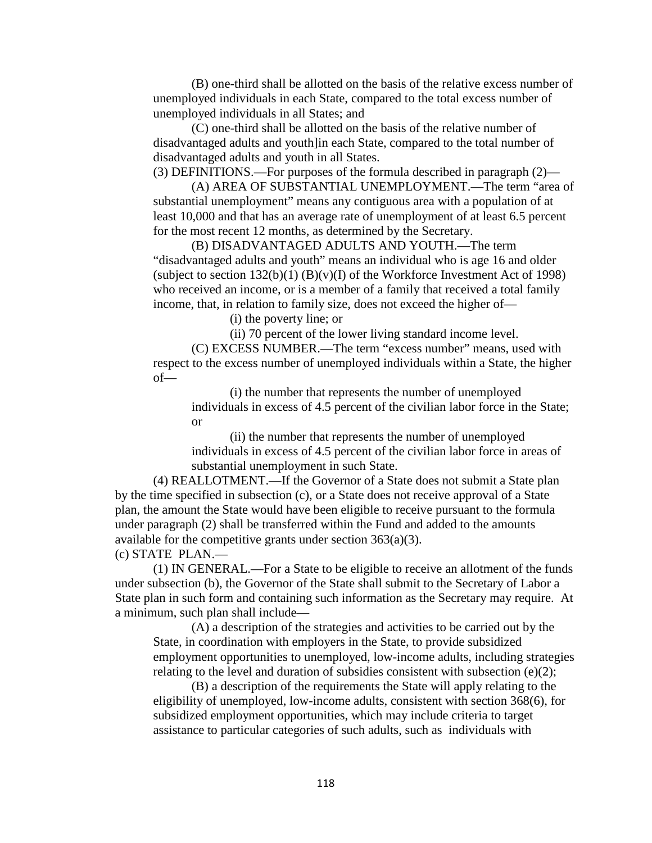(B) one-third shall be allotted on the basis of the relative excess number of unemployed individuals in each State, compared to the total excess number of unemployed individuals in all States; and

(C) one-third shall be allotted on the basis of the relative number of disadvantaged adults and youth]in each State, compared to the total number of disadvantaged adults and youth in all States.

(3) DEFINITIONS.—For purposes of the formula described in paragraph (2)—

(A) AREA OF SUBSTANTIAL UNEMPLOYMENT.—The term "area of substantial unemployment" means any contiguous area with a population of at least 10,000 and that has an average rate of unemployment of at least 6.5 percent for the most recent 12 months, as determined by the Secretary.

(B) DISADVANTAGED ADULTS AND YOUTH.—The term "disadvantaged adults and youth" means an individual who is age 16 and older (subject to section  $132(b)(1)$  (B)(v)(I) of the Workforce Investment Act of 1998) who received an income, or is a member of a family that received a total family income, that, in relation to family size, does not exceed the higher of—

(i) the poverty line; or

(ii) 70 percent of the lower living standard income level.

(C) EXCESS NUMBER.—The term "excess number" means, used with respect to the excess number of unemployed individuals within a State, the higher  $of$ 

(i) the number that represents the number of unemployed individuals in excess of 4.5 percent of the civilian labor force in the State; or

(ii) the number that represents the number of unemployed individuals in excess of 4.5 percent of the civilian labor force in areas of substantial unemployment in such State.

(4) REALLOTMENT.—If the Governor of a State does not submit a State plan by the time specified in subsection (c), or a State does not receive approval of a State plan, the amount the State would have been eligible to receive pursuant to the formula under paragraph (2) shall be transferred within the Fund and added to the amounts available for the competitive grants under section  $363(a)(3)$ .

(c) STATE PLAN.—

(1) IN GENERAL.—For a State to be eligible to receive an allotment of the funds under subsection (b), the Governor of the State shall submit to the Secretary of Labor a State plan in such form and containing such information as the Secretary may require. At a minimum, such plan shall include—

(A) a description of the strategies and activities to be carried out by the State, in coordination with employers in the State, to provide subsidized employment opportunities to unemployed, low-income adults, including strategies relating to the level and duration of subsidies consistent with subsection  $(e)(2)$ ;

(B) a description of the requirements the State will apply relating to the eligibility of unemployed, low-income adults, consistent with section 368(6), for subsidized employment opportunities, which may include criteria to target assistance to particular categories of such adults, such as individuals with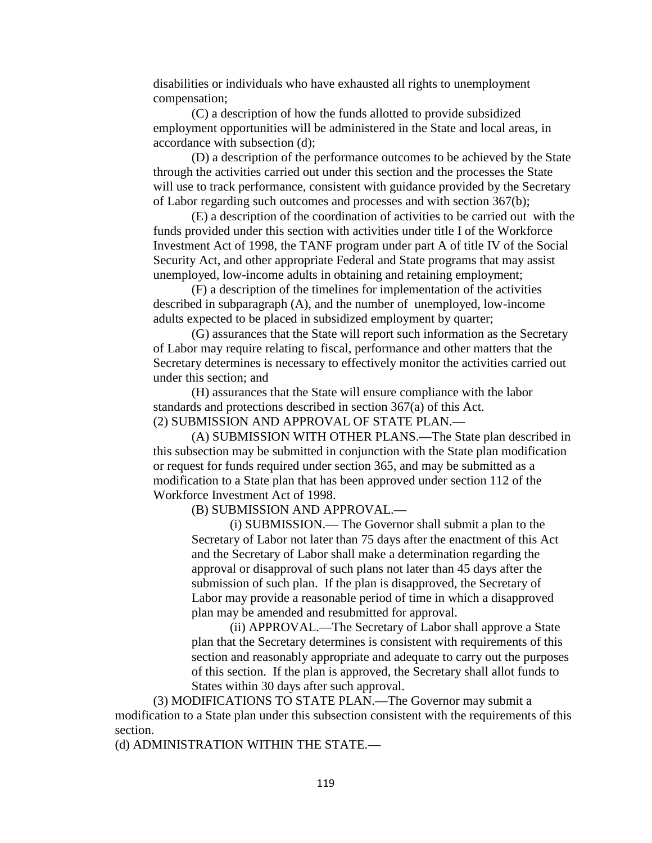disabilities or individuals who have exhausted all rights to unemployment compensation;

(C) a description of how the funds allotted to provide subsidized employment opportunities will be administered in the State and local areas, in accordance with subsection (d);

(D) a description of the performance outcomes to be achieved by the State through the activities carried out under this section and the processes the State will use to track performance, consistent with guidance provided by the Secretary of Labor regarding such outcomes and processes and with section 367(b);

(E) a description of the coordination of activities to be carried out with the funds provided under this section with activities under title I of the Workforce Investment Act of 1998, the TANF program under part A of title IV of the Social Security Act, and other appropriate Federal and State programs that may assist unemployed, low-income adults in obtaining and retaining employment;

(F) a description of the timelines for implementation of the activities described in subparagraph (A), and the number of unemployed, low-income adults expected to be placed in subsidized employment by quarter;

(G) assurances that the State will report such information as the Secretary of Labor may require relating to fiscal, performance and other matters that the Secretary determines is necessary to effectively monitor the activities carried out under this section; and

(H) assurances that the State will ensure compliance with the labor standards and protections described in section 367(a) of this Act. (2) SUBMISSION AND APPROVAL OF STATE PLAN.—

(A) SUBMISSION WITH OTHER PLANS.—The State plan described in this subsection may be submitted in conjunction with the State plan modification or request for funds required under section 365, and may be submitted as a modification to a State plan that has been approved under section 112 of the Workforce Investment Act of 1998.

(B) SUBMISSION AND APPROVAL.—

(i) SUBMISSION.— The Governor shall submit a plan to the Secretary of Labor not later than 75 days after the enactment of this Act and the Secretary of Labor shall make a determination regarding the approval or disapproval of such plans not later than 45 days after the submission of such plan. If the plan is disapproved, the Secretary of Labor may provide a reasonable period of time in which a disapproved plan may be amended and resubmitted for approval.

(ii) APPROVAL.—The Secretary of Labor shall approve a State plan that the Secretary determines is consistent with requirements of this section and reasonably appropriate and adequate to carry out the purposes of this section. If the plan is approved, the Secretary shall allot funds to States within 30 days after such approval.

(3) MODIFICATIONS TO STATE PLAN.—The Governor may submit a modification to a State plan under this subsection consistent with the requirements of this section.

(d) ADMINISTRATION WITHIN THE STATE.—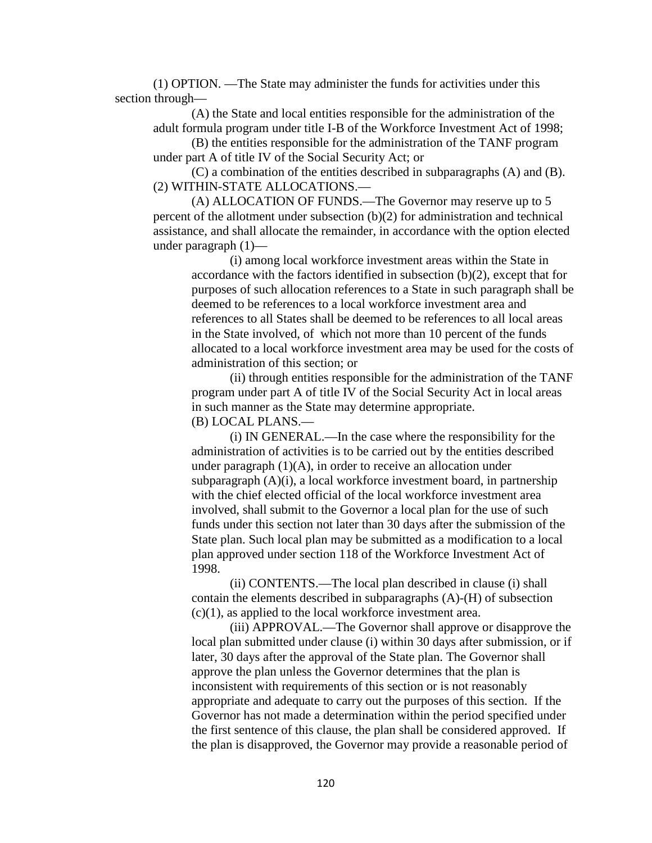(1) OPTION. —The State may administer the funds for activities under this section through—

(A) the State and local entities responsible for the administration of the adult formula program under title I-B of the Workforce Investment Act of 1998;

(B) the entities responsible for the administration of the TANF program under part A of title IV of the Social Security Act; or

(C) a combination of the entities described in subparagraphs (A) and (B). (2) WITHIN-STATE ALLOCATIONS.—

(A) ALLOCATION OF FUNDS.—The Governor may reserve up to 5 percent of the allotment under subsection (b)(2) for administration and technical assistance, and shall allocate the remainder, in accordance with the option elected under paragraph (1)—

(i) among local workforce investment areas within the State in accordance with the factors identified in subsection (b)(2), except that for purposes of such allocation references to a State in such paragraph shall be deemed to be references to a local workforce investment area and references to all States shall be deemed to be references to all local areas in the State involved, of which not more than 10 percent of the funds allocated to a local workforce investment area may be used for the costs of administration of this section; or

(ii) through entities responsible for the administration of the TANF program under part A of title IV of the Social Security Act in local areas in such manner as the State may determine appropriate. (B) LOCAL PLANS.—

(i) IN GENERAL.—In the case where the responsibility for the administration of activities is to be carried out by the entities described under paragraph  $(1)(A)$ , in order to receive an allocation under subparagraph (A)(i), a local workforce investment board, in partnership with the chief elected official of the local workforce investment area involved, shall submit to the Governor a local plan for the use of such funds under this section not later than 30 days after the submission of the State plan. Such local plan may be submitted as a modification to a local plan approved under section 118 of the Workforce Investment Act of 1998.

(ii) CONTENTS.—The local plan described in clause (i) shall contain the elements described in subparagraphs (A)-(H) of subsection  $(c)(1)$ , as applied to the local workforce investment area.

(iii) APPROVAL.—The Governor shall approve or disapprove the local plan submitted under clause (i) within 30 days after submission, or if later, 30 days after the approval of the State plan. The Governor shall approve the plan unless the Governor determines that the plan is inconsistent with requirements of this section or is not reasonably appropriate and adequate to carry out the purposes of this section. If the Governor has not made a determination within the period specified under the first sentence of this clause, the plan shall be considered approved. If the plan is disapproved, the Governor may provide a reasonable period of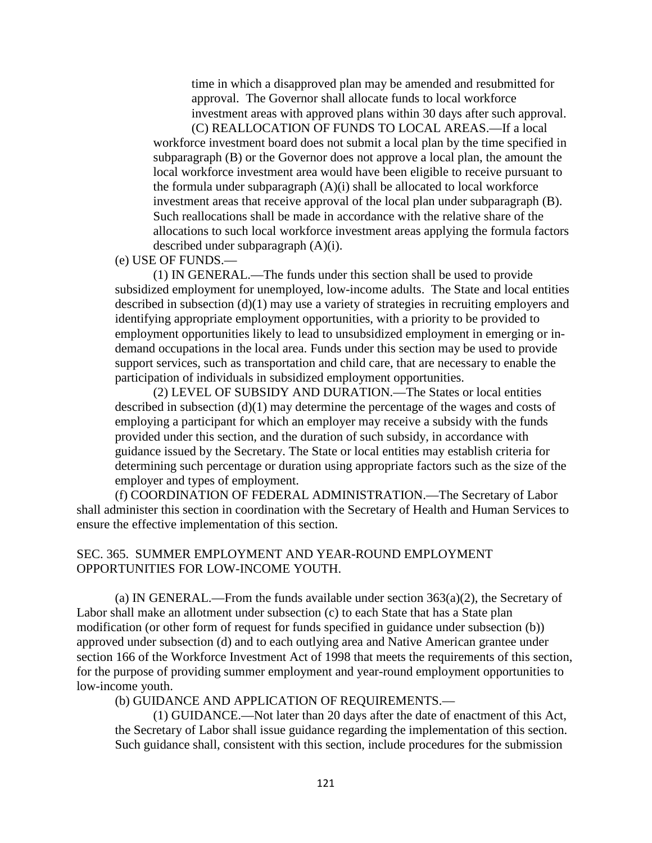time in which a disapproved plan may be amended and resubmitted for approval. The Governor shall allocate funds to local workforce investment areas with approved plans within 30 days after such approval.

(C) REALLOCATION OF FUNDS TO LOCAL AREAS.—If a local workforce investment board does not submit a local plan by the time specified in subparagraph (B) or the Governor does not approve a local plan, the amount the local workforce investment area would have been eligible to receive pursuant to the formula under subparagraph  $(A)(i)$  shall be allocated to local workforce investment areas that receive approval of the local plan under subparagraph (B). Such reallocations shall be made in accordance with the relative share of the allocations to such local workforce investment areas applying the formula factors described under subparagraph (A)(i).

## (e) USE OF FUNDS.—

(1) IN GENERAL.—The funds under this section shall be used to provide subsidized employment for unemployed, low-income adults. The State and local entities described in subsection (d)(1) may use a variety of strategies in recruiting employers and identifying appropriate employment opportunities, with a priority to be provided to employment opportunities likely to lead to unsubsidized employment in emerging or indemand occupations in the local area. Funds under this section may be used to provide support services, such as transportation and child care, that are necessary to enable the participation of individuals in subsidized employment opportunities.

(2) LEVEL OF SUBSIDY AND DURATION.—The States or local entities described in subsection (d)(1) may determine the percentage of the wages and costs of employing a participant for which an employer may receive a subsidy with the funds provided under this section, and the duration of such subsidy, in accordance with guidance issued by the Secretary. The State or local entities may establish criteria for determining such percentage or duration using appropriate factors such as the size of the employer and types of employment.

(f) COORDINATION OF FEDERAL ADMINISTRATION.—The Secretary of Labor shall administer this section in coordination with the Secretary of Health and Human Services to ensure the effective implementation of this section.

### SEC. 365. SUMMER EMPLOYMENT AND YEAR-ROUND EMPLOYMENT OPPORTUNITIES FOR LOW-INCOME YOUTH.

(a) IN GENERAL.—From the funds available under section  $363(a)(2)$ , the Secretary of Labor shall make an allotment under subsection (c) to each State that has a State plan modification (or other form of request for funds specified in guidance under subsection (b)) approved under subsection (d) and to each outlying area and Native American grantee under section 166 of the Workforce Investment Act of 1998 that meets the requirements of this section, for the purpose of providing summer employment and year-round employment opportunities to low-income youth.

(b) GUIDANCE AND APPLICATION OF REQUIREMENTS.—

(1) GUIDANCE.—Not later than 20 days after the date of enactment of this Act, the Secretary of Labor shall issue guidance regarding the implementation of this section. Such guidance shall, consistent with this section, include procedures for the submission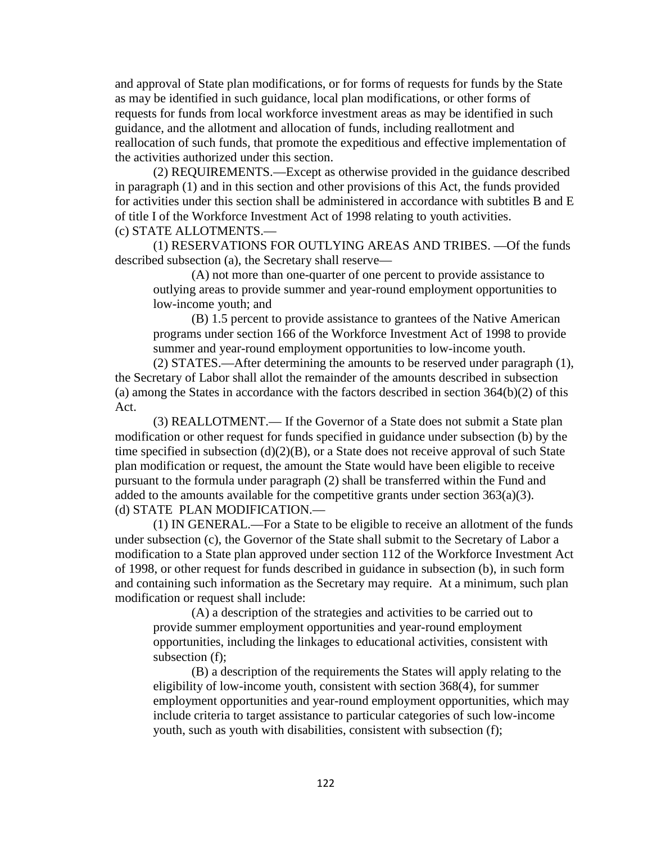and approval of State plan modifications, or for forms of requests for funds by the State as may be identified in such guidance, local plan modifications, or other forms of requests for funds from local workforce investment areas as may be identified in such guidance, and the allotment and allocation of funds, including reallotment and reallocation of such funds, that promote the expeditious and effective implementation of the activities authorized under this section.

(2) REQUIREMENTS.—Except as otherwise provided in the guidance described in paragraph (1) and in this section and other provisions of this Act, the funds provided for activities under this section shall be administered in accordance with subtitles B and E of title I of the Workforce Investment Act of 1998 relating to youth activities. (c) STATE ALLOTMENTS.—

(1) RESERVATIONS FOR OUTLYING AREAS AND TRIBES. —Of the funds described subsection (a), the Secretary shall reserve—

(A) not more than one-quarter of one percent to provide assistance to outlying areas to provide summer and year-round employment opportunities to low-income youth; and

(B) 1.5 percent to provide assistance to grantees of the Native American programs under section 166 of the Workforce Investment Act of 1998 to provide summer and year-round employment opportunities to low-income youth.

(2) STATES.—After determining the amounts to be reserved under paragraph (1), the Secretary of Labor shall allot the remainder of the amounts described in subsection (a) among the States in accordance with the factors described in section 364(b)(2) of this Act.

(3) REALLOTMENT.— If the Governor of a State does not submit a State plan modification or other request for funds specified in guidance under subsection (b) by the time specified in subsection  $(d)(2)(B)$ , or a State does not receive approval of such State plan modification or request, the amount the State would have been eligible to receive pursuant to the formula under paragraph (2) shall be transferred within the Fund and added to the amounts available for the competitive grants under section  $363(a)(3)$ . (d) STATE PLAN MODIFICATION.—

(1) IN GENERAL.—For a State to be eligible to receive an allotment of the funds under subsection (c), the Governor of the State shall submit to the Secretary of Labor a modification to a State plan approved under section 112 of the Workforce Investment Act of 1998, or other request for funds described in guidance in subsection (b), in such form and containing such information as the Secretary may require. At a minimum, such plan modification or request shall include:

(A) a description of the strategies and activities to be carried out to provide summer employment opportunities and year-round employment opportunities, including the linkages to educational activities, consistent with subsection (f);

(B) a description of the requirements the States will apply relating to the eligibility of low-income youth, consistent with section 368(4), for summer employment opportunities and year-round employment opportunities, which may include criteria to target assistance to particular categories of such low-income youth, such as youth with disabilities, consistent with subsection (f);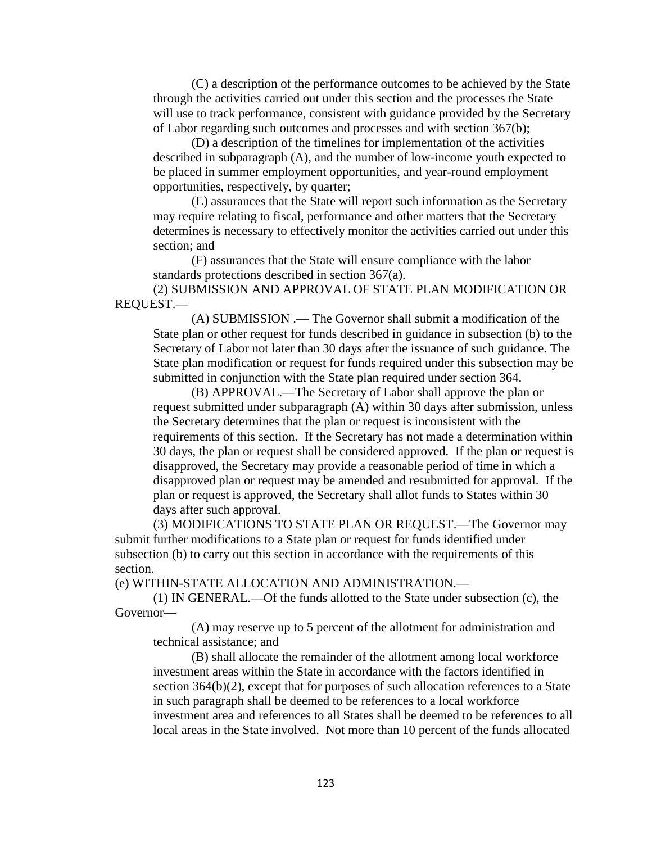(C) a description of the performance outcomes to be achieved by the State through the activities carried out under this section and the processes the State will use to track performance, consistent with guidance provided by the Secretary of Labor regarding such outcomes and processes and with section 367(b);

(D) a description of the timelines for implementation of the activities described in subparagraph (A), and the number of low-income youth expected to be placed in summer employment opportunities, and year-round employment opportunities, respectively, by quarter;

(E) assurances that the State will report such information as the Secretary may require relating to fiscal, performance and other matters that the Secretary determines is necessary to effectively monitor the activities carried out under this section; and

(F) assurances that the State will ensure compliance with the labor standards protections described in section 367(a).

(2) SUBMISSION AND APPROVAL OF STATE PLAN MODIFICATION OR REQUEST.—

(A) SUBMISSION .— The Governor shall submit a modification of the State plan or other request for funds described in guidance in subsection (b) to the Secretary of Labor not later than 30 days after the issuance of such guidance. The State plan modification or request for funds required under this subsection may be submitted in conjunction with the State plan required under section 364.

(B) APPROVAL.—The Secretary of Labor shall approve the plan or request submitted under subparagraph (A) within 30 days after submission, unless the Secretary determines that the plan or request is inconsistent with the requirements of this section. If the Secretary has not made a determination within 30 days, the plan or request shall be considered approved. If the plan or request is disapproved, the Secretary may provide a reasonable period of time in which a disapproved plan or request may be amended and resubmitted for approval. If the plan or request is approved, the Secretary shall allot funds to States within 30 days after such approval.

(3) MODIFICATIONS TO STATE PLAN OR REQUEST.—The Governor may submit further modifications to a State plan or request for funds identified under subsection (b) to carry out this section in accordance with the requirements of this section.

(e) WITHIN-STATE ALLOCATION AND ADMINISTRATION.—

(1) IN GENERAL.—Of the funds allotted to the State under subsection (c), the Governor—

(A) may reserve up to 5 percent of the allotment for administration and technical assistance; and

(B) shall allocate the remainder of the allotment among local workforce investment areas within the State in accordance with the factors identified in section 364(b)(2), except that for purposes of such allocation references to a State in such paragraph shall be deemed to be references to a local workforce investment area and references to all States shall be deemed to be references to all local areas in the State involved. Not more than 10 percent of the funds allocated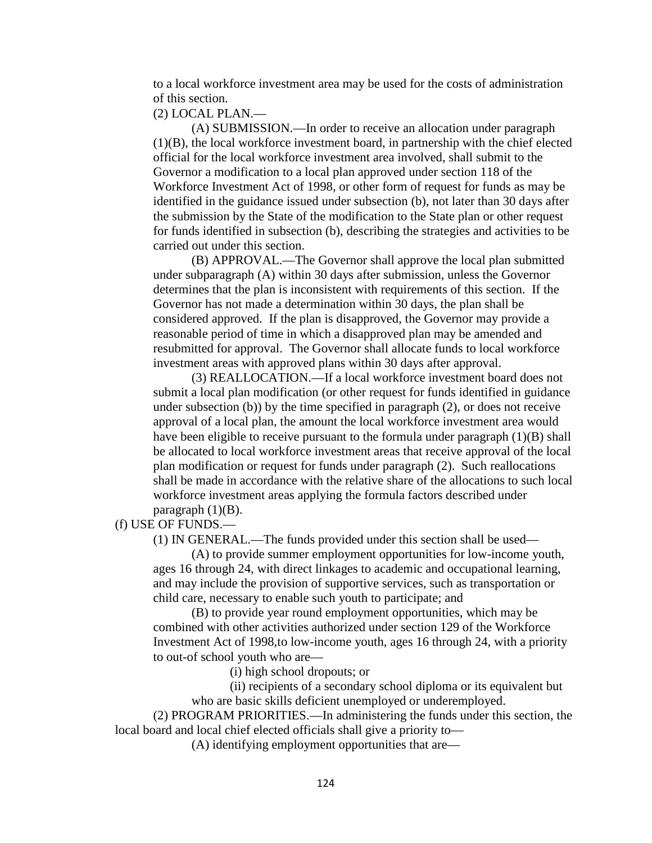to a local workforce investment area may be used for the costs of administration of this section.

#### (2) LOCAL PLAN.—

(A) SUBMISSION.—In order to receive an allocation under paragraph (1)(B), the local workforce investment board, in partnership with the chief elected official for the local workforce investment area involved, shall submit to the Governor a modification to a local plan approved under section 118 of the Workforce Investment Act of 1998, or other form of request for funds as may be identified in the guidance issued under subsection (b), not later than 30 days after the submission by the State of the modification to the State plan or other request for funds identified in subsection (b), describing the strategies and activities to be carried out under this section.

(B) APPROVAL.—The Governor shall approve the local plan submitted under subparagraph (A) within 30 days after submission, unless the Governor determines that the plan is inconsistent with requirements of this section. If the Governor has not made a determination within 30 days, the plan shall be considered approved. If the plan is disapproved, the Governor may provide a reasonable period of time in which a disapproved plan may be amended and resubmitted for approval. The Governor shall allocate funds to local workforce investment areas with approved plans within 30 days after approval.

(3) REALLOCATION.—If a local workforce investment board does not submit a local plan modification (or other request for funds identified in guidance under subsection (b)) by the time specified in paragraph (2), or does not receive approval of a local plan, the amount the local workforce investment area would have been eligible to receive pursuant to the formula under paragraph  $(1)(B)$  shall be allocated to local workforce investment areas that receive approval of the local plan modification or request for funds under paragraph (2). Such reallocations shall be made in accordance with the relative share of the allocations to such local workforce investment areas applying the formula factors described under paragraph  $(1)(B)$ .

(f) USE OF FUNDS.—

(1) IN GENERAL.—The funds provided under this section shall be used—

(A) to provide summer employment opportunities for low-income youth, ages 16 through 24, with direct linkages to academic and occupational learning, and may include the provision of supportive services, such as transportation or child care, necessary to enable such youth to participate; and

(B) to provide year round employment opportunities, which may be combined with other activities authorized under section 129 of the Workforce Investment Act of 1998,to low-income youth, ages 16 through 24, with a priority to out-of school youth who are—

(i) high school dropouts; or

(ii) recipients of a secondary school diploma or its equivalent but who are basic skills deficient unemployed or underemployed.

(2) PROGRAM PRIORITIES.—In administering the funds under this section, the local board and local chief elected officials shall give a priority to—

(A) identifying employment opportunities that are—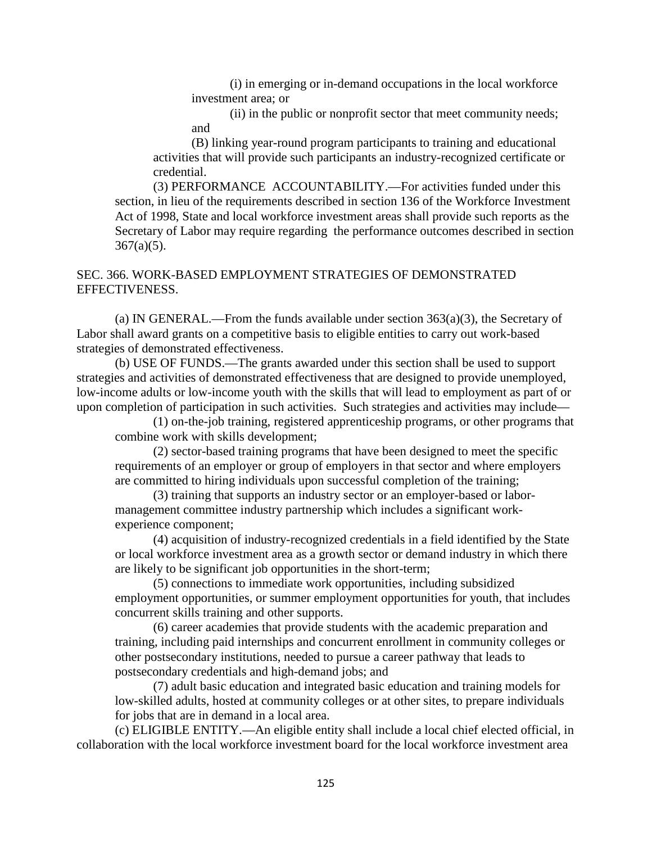(i) in emerging or in-demand occupations in the local workforce investment area; or

(ii) in the public or nonprofit sector that meet community needs; and

(B) linking year-round program participants to training and educational activities that will provide such participants an industry-recognized certificate or credential.

(3) PERFORMANCE ACCOUNTABILITY.—For activities funded under this section, in lieu of the requirements described in section 136 of the Workforce Investment Act of 1998, State and local workforce investment areas shall provide such reports as the Secretary of Labor may require regarding the performance outcomes described in section  $367(a)(5)$ .

## SEC. 366. WORK-BASED EMPLOYMENT STRATEGIES OF DEMONSTRATED EFFECTIVENESS.

(a) IN GENERAL.—From the funds available under section 363(a)(3), the Secretary of Labor shall award grants on a competitive basis to eligible entities to carry out work-based strategies of demonstrated effectiveness.

(b) USE OF FUNDS.—The grants awarded under this section shall be used to support strategies and activities of demonstrated effectiveness that are designed to provide unemployed, low-income adults or low-income youth with the skills that will lead to employment as part of or upon completion of participation in such activities. Such strategies and activities may include—

(1) on-the-job training, registered apprenticeship programs, or other programs that combine work with skills development;

(2) sector-based training programs that have been designed to meet the specific requirements of an employer or group of employers in that sector and where employers are committed to hiring individuals upon successful completion of the training;

(3) training that supports an industry sector or an employer-based or labormanagement committee industry partnership which includes a significant workexperience component;

(4) acquisition of industry-recognized credentials in a field identified by the State or local workforce investment area as a growth sector or demand industry in which there are likely to be significant job opportunities in the short-term;

(5) connections to immediate work opportunities, including subsidized employment opportunities, or summer employment opportunities for youth, that includes concurrent skills training and other supports.

(6) career academies that provide students with the academic preparation and training, including paid internships and concurrent enrollment in community colleges or other postsecondary institutions, needed to pursue a career pathway that leads to postsecondary credentials and high-demand jobs; and

(7) adult basic education and integrated basic education and training models for low-skilled adults, hosted at community colleges or at other sites, to prepare individuals for jobs that are in demand in a local area.

(c) ELIGIBLE ENTITY.—An eligible entity shall include a local chief elected official, in collaboration with the local workforce investment board for the local workforce investment area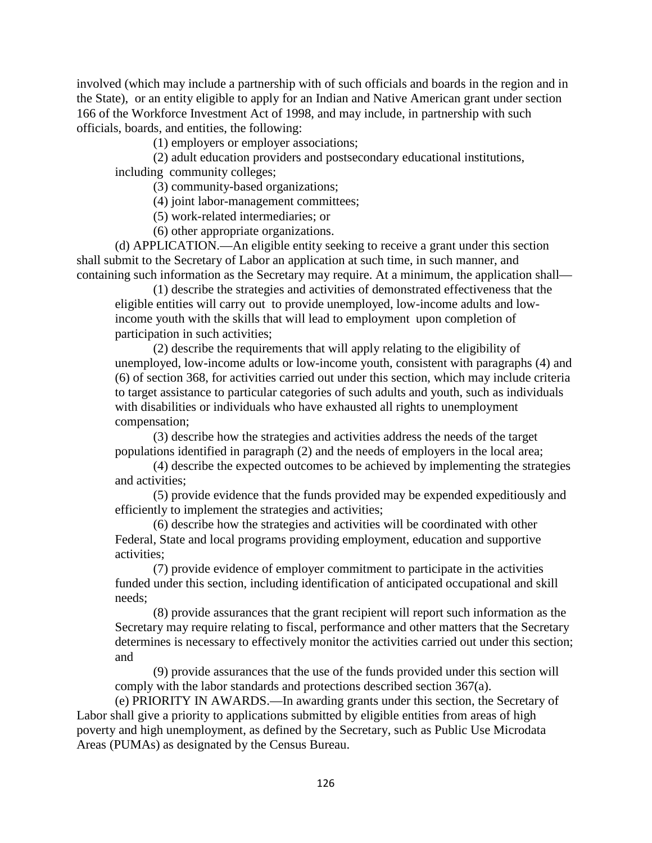involved (which may include a partnership with of such officials and boards in the region and in the State), or an entity eligible to apply for an Indian and Native American grant under section 166 of the Workforce Investment Act of 1998, and may include, in partnership with such officials, boards, and entities, the following:

(1) employers or employer associations;

(2) adult education providers and postsecondary educational institutions, including community colleges;

(3) community-based organizations;

(4) joint labor-management committees;

(5) work-related intermediaries; or

(6) other appropriate organizations.

(d) APPLICATION.—An eligible entity seeking to receive a grant under this section shall submit to the Secretary of Labor an application at such time, in such manner, and containing such information as the Secretary may require. At a minimum, the application shall—

(1) describe the strategies and activities of demonstrated effectiveness that the eligible entities will carry out to provide unemployed, low-income adults and lowincome youth with the skills that will lead to employment upon completion of participation in such activities;

(2) describe the requirements that will apply relating to the eligibility of unemployed, low-income adults or low-income youth, consistent with paragraphs (4) and (6) of section 368, for activities carried out under this section, which may include criteria to target assistance to particular categories of such adults and youth, such as individuals with disabilities or individuals who have exhausted all rights to unemployment compensation;

(3) describe how the strategies and activities address the needs of the target populations identified in paragraph (2) and the needs of employers in the local area;

(4) describe the expected outcomes to be achieved by implementing the strategies and activities;

(5) provide evidence that the funds provided may be expended expeditiously and efficiently to implement the strategies and activities;

(6) describe how the strategies and activities will be coordinated with other Federal, State and local programs providing employment, education and supportive activities;

(7) provide evidence of employer commitment to participate in the activities funded under this section, including identification of anticipated occupational and skill needs;

(8) provide assurances that the grant recipient will report such information as the Secretary may require relating to fiscal, performance and other matters that the Secretary determines is necessary to effectively monitor the activities carried out under this section; and

(9) provide assurances that the use of the funds provided under this section will comply with the labor standards and protections described section 367(a).

(e) PRIORITY IN AWARDS.—In awarding grants under this section, the Secretary of Labor shall give a priority to applications submitted by eligible entities from areas of high poverty and high unemployment, as defined by the Secretary, such as Public Use Microdata Areas (PUMAs) as designated by the Census Bureau.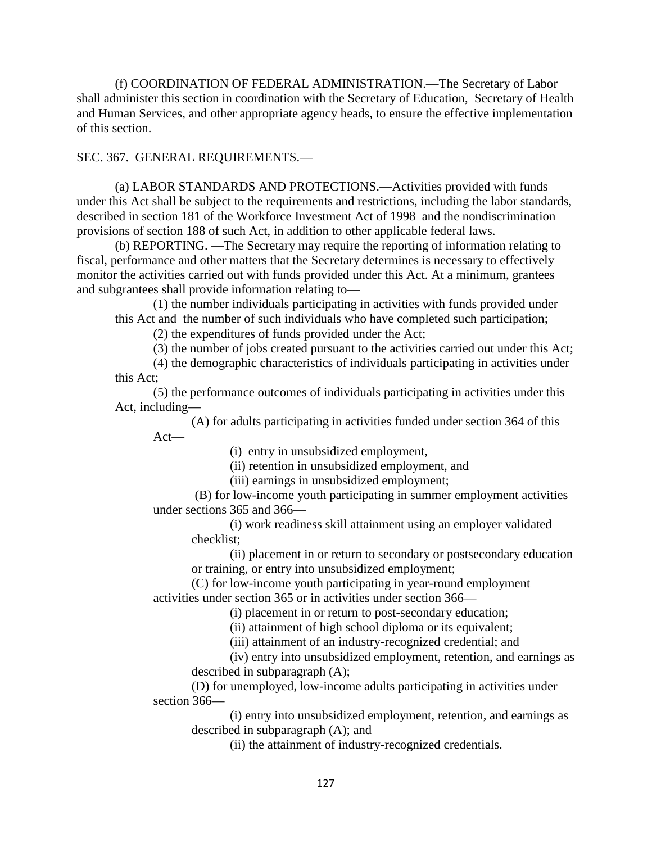(f) COORDINATION OF FEDERAL ADMINISTRATION.—The Secretary of Labor shall administer this section in coordination with the Secretary of Education, Secretary of Health and Human Services, and other appropriate agency heads, to ensure the effective implementation of this section.

## SEC. 367. GENERAL REQUIREMENTS.—

(a) LABOR STANDARDS AND PROTECTIONS.—Activities provided with funds under this Act shall be subject to the requirements and restrictions, including the labor standards, described in section 181 of the Workforce Investment Act of 1998 and the nondiscrimination provisions of section 188 of such Act, in addition to other applicable federal laws.

(b) REPORTING. —The Secretary may require the reporting of information relating to fiscal, performance and other matters that the Secretary determines is necessary to effectively monitor the activities carried out with funds provided under this Act. At a minimum, grantees and subgrantees shall provide information relating to—

(1) the number individuals participating in activities with funds provided under this Act and the number of such individuals who have completed such participation;

(2) the expenditures of funds provided under the Act;

(3) the number of jobs created pursuant to the activities carried out under this Act;

(4) the demographic characteristics of individuals participating in activities under this Act;

(5) the performance outcomes of individuals participating in activities under this Act, including—

(A) for adults participating in activities funded under section 364 of this Act—

(i) entry in unsubsidized employment,

(ii) retention in unsubsidized employment, and

(iii) earnings in unsubsidized employment;

(B) for low-income youth participating in summer employment activities under sections 365 and 366—

(i) work readiness skill attainment using an employer validated checklist;

(ii) placement in or return to secondary or postsecondary education or training, or entry into unsubsidized employment;

(C) for low-income youth participating in year-round employment activities under section 365 or in activities under section 366—

(i) placement in or return to post-secondary education;

(ii) attainment of high school diploma or its equivalent;

(iii) attainment of an industry-recognized credential; and

(iv) entry into unsubsidized employment, retention, and earnings as described in subparagraph (A);

(D) for unemployed, low-income adults participating in activities under section 366—

(i) entry into unsubsidized employment, retention, and earnings as described in subparagraph (A); and

(ii) the attainment of industry-recognized credentials.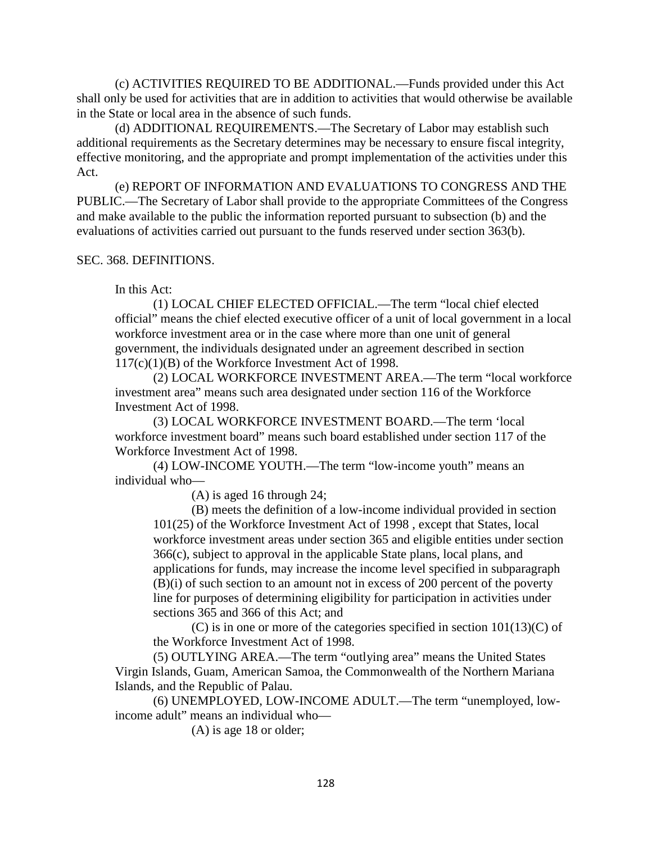(c) ACTIVITIES REQUIRED TO BE ADDITIONAL.—Funds provided under this Act shall only be used for activities that are in addition to activities that would otherwise be available in the State or local area in the absence of such funds.

(d) ADDITIONAL REQUIREMENTS.—The Secretary of Labor may establish such additional requirements as the Secretary determines may be necessary to ensure fiscal integrity, effective monitoring, and the appropriate and prompt implementation of the activities under this Act.

(e) REPORT OF INFORMATION AND EVALUATIONS TO CONGRESS AND THE PUBLIC.—The Secretary of Labor shall provide to the appropriate Committees of the Congress and make available to the public the information reported pursuant to subsection (b) and the evaluations of activities carried out pursuant to the funds reserved under section 363(b).

## SEC. 368. DEFINITIONS.

In this Act:

(1) LOCAL CHIEF ELECTED OFFICIAL.—The term "local chief elected official" means the chief elected executive officer of a unit of local government in a local workforce investment area or in the case where more than one unit of general government, the individuals designated under an agreement described in section 117(c)(1)(B) of the Workforce Investment Act of 1998.

(2) LOCAL WORKFORCE INVESTMENT AREA.—The term "local workforce investment area" means such area designated under section 116 of the Workforce Investment Act of 1998.

(3) LOCAL WORKFORCE INVESTMENT BOARD.—The term 'local workforce investment board" means such board established under section 117 of the Workforce Investment Act of 1998.

(4) LOW-INCOME YOUTH.—The term "low-income youth" means an individual who—

(A) is aged 16 through 24;

(B) meets the definition of a low-income individual provided in section 101(25) of the Workforce Investment Act of 1998 , except that States, local workforce investment areas under section 365 and eligible entities under section 366(c), subject to approval in the applicable State plans, local plans, and applications for funds, may increase the income level specified in subparagraph (B)(i) of such section to an amount not in excess of 200 percent of the poverty line for purposes of determining eligibility for participation in activities under sections 365 and 366 of this Act; and

 $(C)$  is in one or more of the categories specified in section  $101(13)(C)$  of the Workforce Investment Act of 1998.

(5) OUTLYING AREA.—The term "outlying area" means the United States Virgin Islands, Guam, American Samoa, the Commonwealth of the Northern Mariana Islands, and the Republic of Palau.

(6) UNEMPLOYED, LOW-INCOME ADULT.—The term "unemployed, lowincome adult" means an individual who—

(A) is age 18 or older;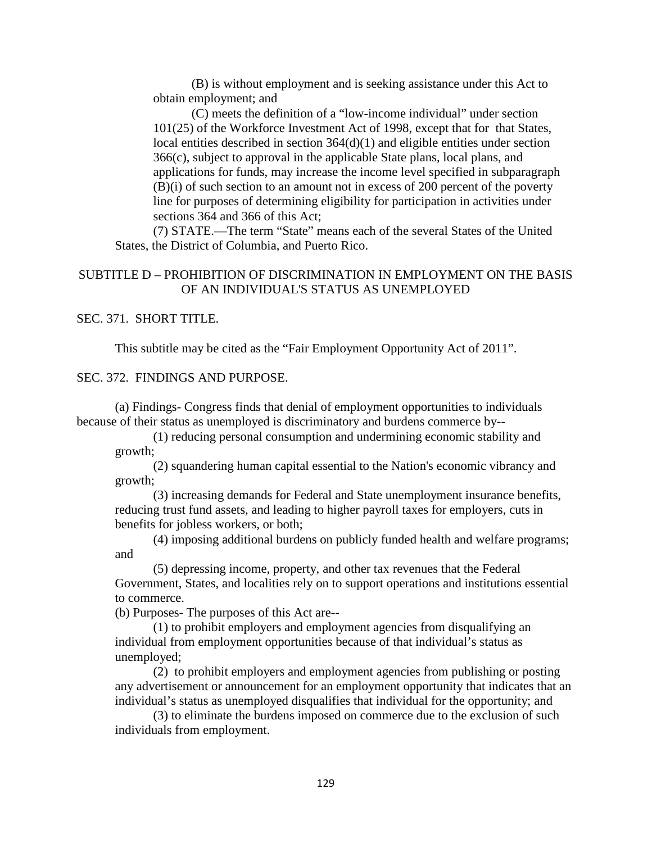(B) is without employment and is seeking assistance under this Act to obtain employment; and

(C) meets the definition of a "low-income individual" under section 101(25) of the Workforce Investment Act of 1998, except that for that States, local entities described in section 364(d)(1) and eligible entities under section 366(c), subject to approval in the applicable State plans, local plans, and applications for funds, may increase the income level specified in subparagraph (B)(i) of such section to an amount not in excess of 200 percent of the poverty line for purposes of determining eligibility for participation in activities under sections 364 and 366 of this Act;

(7) STATE.—The term "State" means each of the several States of the United States, the District of Columbia, and Puerto Rico.

## SUBTITLE D – PROHIBITION OF DISCRIMINATION IN EMPLOYMENT ON THE BASIS OF AN INDIVIDUAL'S STATUS AS UNEMPLOYED

## SEC. 371. SHORT TITLE.

This subtitle may be cited as the "Fair Employment Opportunity Act of 2011".

### SEC. 372. FINDINGS AND PURPOSE.

(a) Findings- Congress finds that denial of employment opportunities to individuals because of their status as unemployed is discriminatory and burdens commerce by--

(1) reducing personal consumption and undermining economic stability and growth;

(2) squandering human capital essential to the Nation's economic vibrancy and growth;

(3) increasing demands for Federal and State unemployment insurance benefits, reducing trust fund assets, and leading to higher payroll taxes for employers, cuts in benefits for jobless workers, or both;

(4) imposing additional burdens on publicly funded health and welfare programs; and

(5) depressing income, property, and other tax revenues that the Federal Government, States, and localities rely on to support operations and institutions essential to commerce.

(b) Purposes- The purposes of this Act are--

(1) to prohibit employers and employment agencies from disqualifying an individual from employment opportunities because of that individual's status as unemployed;

(2) to prohibit employers and employment agencies from publishing or posting any advertisement or announcement for an employment opportunity that indicates that an individual's status as unemployed disqualifies that individual for the opportunity; and

(3) to eliminate the burdens imposed on commerce due to the exclusion of such individuals from employment.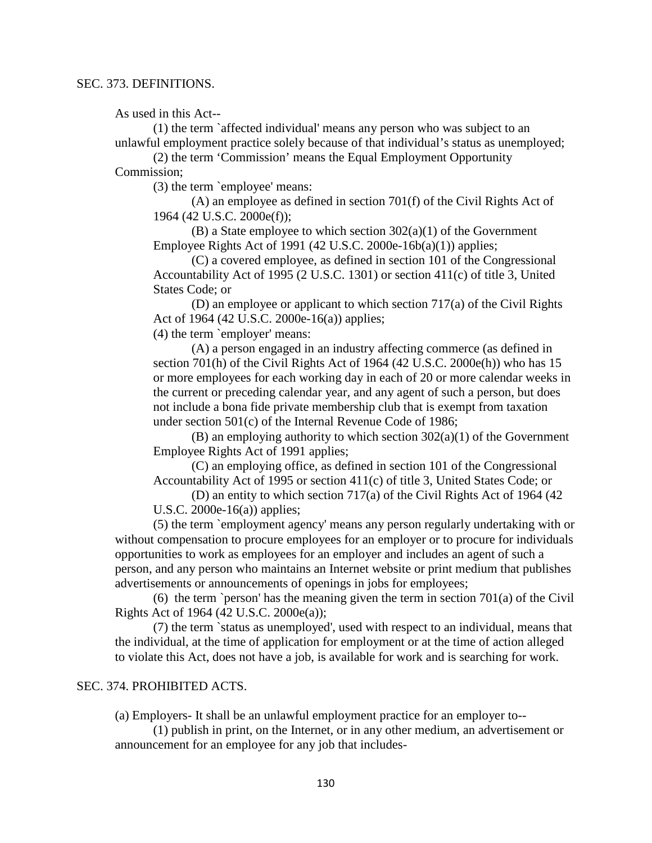As used in this Act--

(1) the term `affected individual' means any person who was subject to an unlawful employment practice solely because of that individual's status as unemployed;

(2) the term 'Commission' means the Equal Employment Opportunity Commission;

(3) the term `employee' means:

(A) an employee as defined in section 701(f) of the Civil Rights Act of 1964 (42 U.S.C. 2000e(f));

(B) a State employee to which section 302(a)(1) of the Government Employee Rights Act of 1991 (42 U.S.C. 2000e-16b(a)(1)) applies;

(C) a covered employee, as defined in section 101 of the Congressional Accountability Act of 1995 (2 U.S.C. 1301) or section 411(c) of title 3, United States Code; or

(D) an employee or applicant to which section 717(a) of the Civil Rights Act of 1964 (42 U.S.C. 2000e-16(a)) applies;

(4) the term `employer' means:

(A) a person engaged in an industry affecting commerce (as defined in section 701(h) of the Civil Rights Act of 1964 (42 U.S.C. 2000e(h)) who has 15 or more employees for each working day in each of 20 or more calendar weeks in the current or preceding calendar year, and any agent of such a person, but does not include a bona fide private membership club that is exempt from taxation under section 501(c) of the Internal Revenue Code of 1986;

(B) an employing authority to which section  $302(a)(1)$  of the Government Employee Rights Act of 1991 applies;

(C) an employing office, as defined in section 101 of the Congressional Accountability Act of 1995 or section 411(c) of title 3, United States Code; or

(D) an entity to which section 717(a) of the Civil Rights Act of 1964 (42 U.S.C. 2000e-16(a)) applies;

(5) the term `employment agency' means any person regularly undertaking with or without compensation to procure employees for an employer or to procure for individuals opportunities to work as employees for an employer and includes an agent of such a person, and any person who maintains an Internet website or print medium that publishes advertisements or announcements of openings in jobs for employees;

(6) the term `person' has the meaning given the term in section  $701(a)$  of the Civil Rights Act of 1964 (42 U.S.C. 2000e(a));

(7) the term `status as unemployed', used with respect to an individual, means that the individual, at the time of application for employment or at the time of action alleged to violate this Act, does not have a job, is available for work and is searching for work.

### SEC. 374. PROHIBITED ACTS.

(a) Employers- It shall be an unlawful employment practice for an employer to--

(1) publish in print, on the Internet, or in any other medium, an advertisement or announcement for an employee for any job that includes-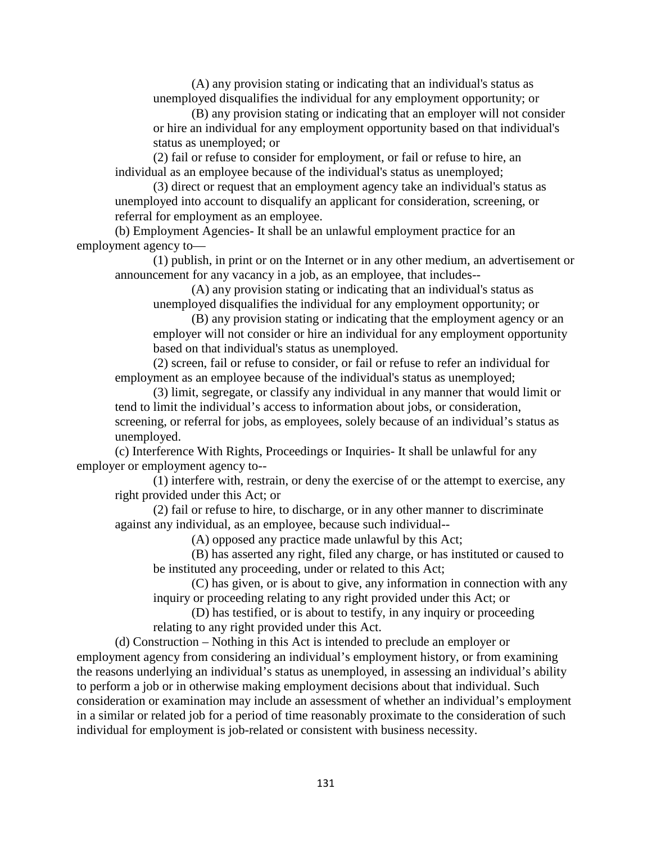(A) any provision stating or indicating that an individual's status as unemployed disqualifies the individual for any employment opportunity; or

(B) any provision stating or indicating that an employer will not consider or hire an individual for any employment opportunity based on that individual's status as unemployed; or

(2) fail or refuse to consider for employment, or fail or refuse to hire, an individual as an employee because of the individual's status as unemployed;

(3) direct or request that an employment agency take an individual's status as unemployed into account to disqualify an applicant for consideration, screening, or referral for employment as an employee.

(b) Employment Agencies- It shall be an unlawful employment practice for an employment agency to—

(1) publish, in print or on the Internet or in any other medium, an advertisement or announcement for any vacancy in a job, as an employee, that includes--

(A) any provision stating or indicating that an individual's status as unemployed disqualifies the individual for any employment opportunity; or

(B) any provision stating or indicating that the employment agency or an employer will not consider or hire an individual for any employment opportunity based on that individual's status as unemployed.

(2) screen, fail or refuse to consider, or fail or refuse to refer an individual for employment as an employee because of the individual's status as unemployed;

(3) limit, segregate, or classify any individual in any manner that would limit or tend to limit the individual's access to information about jobs, or consideration, screening, or referral for jobs, as employees, solely because of an individual's status as unemployed.

(c) Interference With Rights, Proceedings or Inquiries- It shall be unlawful for any employer or employment agency to--

(1) interfere with, restrain, or deny the exercise of or the attempt to exercise, any right provided under this Act; or

(2) fail or refuse to hire, to discharge, or in any other manner to discriminate against any individual, as an employee, because such individual--

(A) opposed any practice made unlawful by this Act;

(B) has asserted any right, filed any charge, or has instituted or caused to be instituted any proceeding, under or related to this Act;

(C) has given, or is about to give, any information in connection with any inquiry or proceeding relating to any right provided under this Act; or

(D) has testified, or is about to testify, in any inquiry or proceeding relating to any right provided under this Act.

(d) Construction – Nothing in this Act is intended to preclude an employer or employment agency from considering an individual's employment history, or from examining the reasons underlying an individual's status as unemployed, in assessing an individual's ability to perform a job or in otherwise making employment decisions about that individual. Such consideration or examination may include an assessment of whether an individual's employment in a similar or related job for a period of time reasonably proximate to the consideration of such individual for employment is job-related or consistent with business necessity.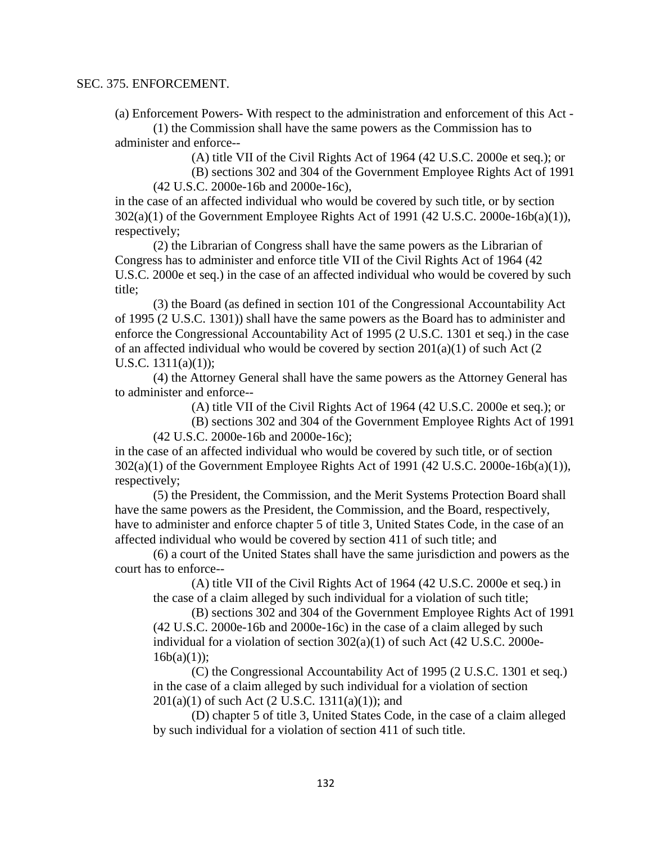#### SEC. 375. ENFORCEMENT.

(a) Enforcement Powers- With respect to the administration and enforcement of this Act -

(1) the Commission shall have the same powers as the Commission has to administer and enforce--

(A) title VII of the Civil Rights Act of 1964 (42 U.S.C. 2000e et seq.); or

(B) sections 302 and 304 of the Government Employee Rights Act of 1991 (42 U.S.C. 2000e-16b and 2000e-16c),

in the case of an affected individual who would be covered by such title, or by section 302(a)(1) of the Government Employee Rights Act of 1991 (42 U.S.C. 2000e-16b(a)(1)), respectively;

(2) the Librarian of Congress shall have the same powers as the Librarian of Congress has to administer and enforce title VII of the Civil Rights Act of 1964 (42 U.S.C. 2000e et seq.) in the case of an affected individual who would be covered by such title;

(3) the Board (as defined in section 101 of the Congressional Accountability Act of 1995 (2 U.S.C. 1301)) shall have the same powers as the Board has to administer and enforce the Congressional Accountability Act of 1995 (2 U.S.C. 1301 et seq.) in the case of an affected individual who would be covered by section 201(a)(1) of such Act (2 U.S.C.  $1311(a)(1)$ ;

(4) the Attorney General shall have the same powers as the Attorney General has to administer and enforce--

(A) title VII of the Civil Rights Act of 1964 (42 U.S.C. 2000e et seq.); or

(B) sections 302 and 304 of the Government Employee Rights Act of 1991 (42 U.S.C. 2000e-16b and 2000e-16c);

in the case of an affected individual who would be covered by such title, or of section  $302(a)(1)$  of the Government Employee Rights Act of 1991 (42 U.S.C. 2000e-16b(a)(1)), respectively;

(5) the President, the Commission, and the Merit Systems Protection Board shall have the same powers as the President, the Commission, and the Board, respectively, have to administer and enforce chapter 5 of title 3, United States Code, in the case of an affected individual who would be covered by section 411 of such title; and

(6) a court of the United States shall have the same jurisdiction and powers as the court has to enforce--

(A) title VII of the Civil Rights Act of 1964 (42 U.S.C. 2000e et seq.) in the case of a claim alleged by such individual for a violation of such title;

(B) sections 302 and 304 of the Government Employee Rights Act of 1991 (42 U.S.C. 2000e-16b and 2000e-16c) in the case of a claim alleged by such individual for a violation of section 302(a)(1) of such Act (42 U.S.C. 2000e- $16b(a)(1)$ :

(C) the Congressional Accountability Act of 1995 (2 U.S.C. 1301 et seq.) in the case of a claim alleged by such individual for a violation of section  $201(a)(1)$  of such Act (2 U.S.C. 1311(a)(1)); and

(D) chapter 5 of title 3, United States Code, in the case of a claim alleged by such individual for a violation of section 411 of such title.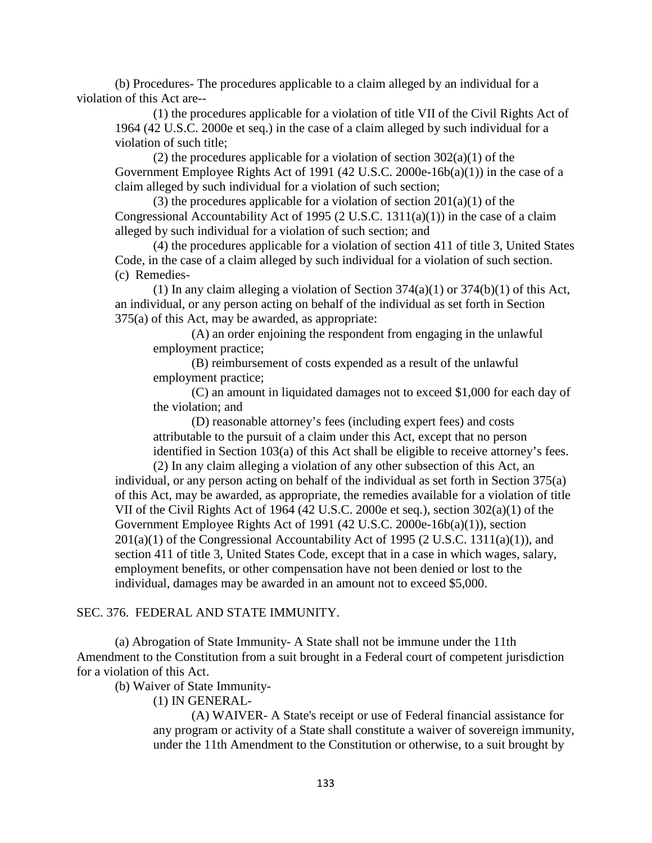(b) Procedures- The procedures applicable to a claim alleged by an individual for a violation of this Act are--

(1) the procedures applicable for a violation of title VII of the Civil Rights Act of 1964 (42 U.S.C. 2000e et seq.) in the case of a claim alleged by such individual for a violation of such title;

(2) the procedures applicable for a violation of section  $302(a)(1)$  of the Government Employee Rights Act of 1991 (42 U.S.C. 2000e-16b(a)(1)) in the case of a claim alleged by such individual for a violation of such section;

(3) the procedures applicable for a violation of section  $201(a)(1)$  of the Congressional Accountability Act of 1995 (2 U.S.C. 1311(a)(1)) in the case of a claim alleged by such individual for a violation of such section; and

(4) the procedures applicable for a violation of section 411 of title 3, United States Code, in the case of a claim alleged by such individual for a violation of such section. (c) Remedies-

(1) In any claim alleging a violation of Section  $374(a)(1)$  or  $374(b)(1)$  of this Act, an individual, or any person acting on behalf of the individual as set forth in Section 375(a) of this Act, may be awarded, as appropriate:

(A) an order enjoining the respondent from engaging in the unlawful employment practice;

(B) reimbursement of costs expended as a result of the unlawful employment practice;

(C) an amount in liquidated damages not to exceed \$1,000 for each day of the violation; and

(D) reasonable attorney's fees (including expert fees) and costs attributable to the pursuit of a claim under this Act, except that no person identified in Section 103(a) of this Act shall be eligible to receive attorney's fees.

(2) In any claim alleging a violation of any other subsection of this Act, an individual, or any person acting on behalf of the individual as set forth in Section 375(a) of this Act, may be awarded, as appropriate, the remedies available for a violation of title VII of the Civil Rights Act of 1964 (42 U.S.C. 2000e et seq.), section 302(a)(1) of the Government Employee Rights Act of 1991 (42 U.S.C. 2000e-16b(a)(1)), section  $201(a)(1)$  of the Congressional Accountability Act of 1995 (2 U.S.C. 1311(a)(1)), and section 411 of title 3, United States Code, except that in a case in which wages, salary, employment benefits, or other compensation have not been denied or lost to the individual, damages may be awarded in an amount not to exceed \$5,000.

#### SEC. 376. FEDERAL AND STATE IMMUNITY.

(a) Abrogation of State Immunity- A State shall not be immune under the 11th Amendment to the Constitution from a suit brought in a Federal court of competent jurisdiction for a violation of this Act.

(b) Waiver of State Immunity-

(1) IN GENERAL-

(A) WAIVER- A State's receipt or use of Federal financial assistance for any program or activity of a State shall constitute a waiver of sovereign immunity, under the 11th Amendment to the Constitution or otherwise, to a suit brought by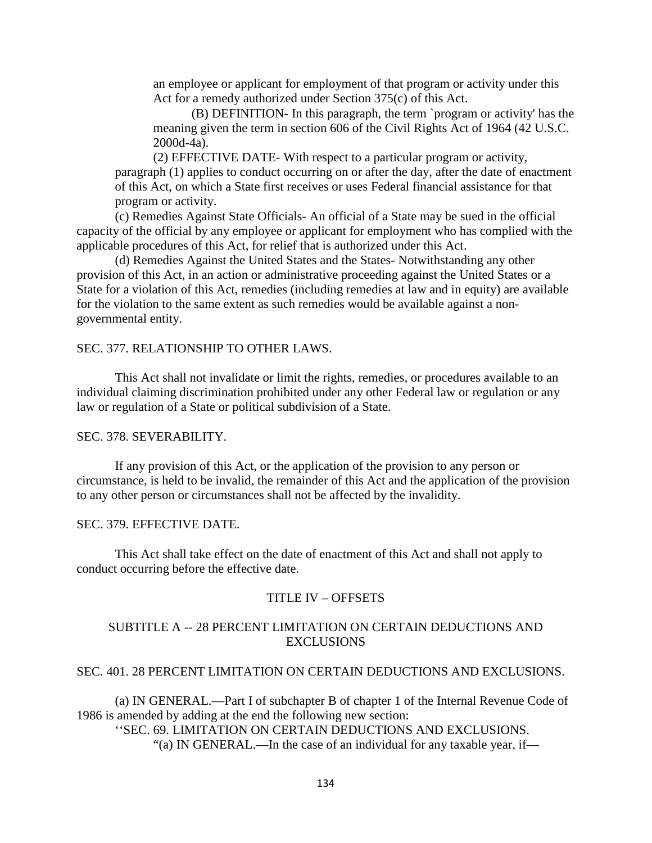an employee or applicant for employment of that program or activity under this Act for a remedy authorized under Section 375(c) of this Act.

(B) DEFINITION- In this paragraph, the term `program or activity' has the meaning given the term in section 606 of the Civil Rights Act of 1964 (42 U.S.C. 2000d-4a).

(2) EFFECTIVE DATE- With respect to a particular program or activity, paragraph (1) applies to conduct occurring on or after the day, after the date of enactment of this Act, on which a State first receives or uses Federal financial assistance for that program or activity.

(c) Remedies Against State Officials- An official of a State may be sued in the official capacity of the official by any employee or applicant for employment who has complied with the applicable procedures of this Act, for relief that is authorized under this Act.

(d) Remedies Against the United States and the States- Notwithstanding any other provision of this Act, in an action or administrative proceeding against the United States or a State for a violation of this Act, remedies (including remedies at law and in equity) are available for the violation to the same extent as such remedies would be available against a nongovernmental entity.

#### SEC. 377. RELATIONSHIP TO OTHER LAWS.

This Act shall not invalidate or limit the rights, remedies, or procedures available to an individual claiming discrimination prohibited under any other Federal law or regulation or any law or regulation of a State or political subdivision of a State.

#### SEC. 378. SEVERABILITY.

If any provision of this Act, or the application of the provision to any person or circumstance, is held to be invalid, the remainder of this Act and the application of the provision to any other person or circumstances shall not be affected by the invalidity.

### SEC. 379. EFFECTIVE DATE.

This Act shall take effect on the date of enactment of this Act and shall not apply to conduct occurring before the effective date.

### TITLE IV – OFFSETS

## SUBTITLE A -- 28 PERCENT LIMITATION ON CERTAIN DEDUCTIONS AND EXCLUSIONS

### SEC. 401. 28 PERCENT LIMITATION ON CERTAIN DEDUCTIONS AND EXCLUSIONS.

(a) IN GENERAL.—Part I of subchapter B of chapter 1 of the Internal Revenue Code of 1986 is amended by adding at the end the following new section:

''SEC. 69. LIMITATION ON CERTAIN DEDUCTIONS AND EXCLUSIONS.

"(a) IN GENERAL.—In the case of an individual for any taxable year, if—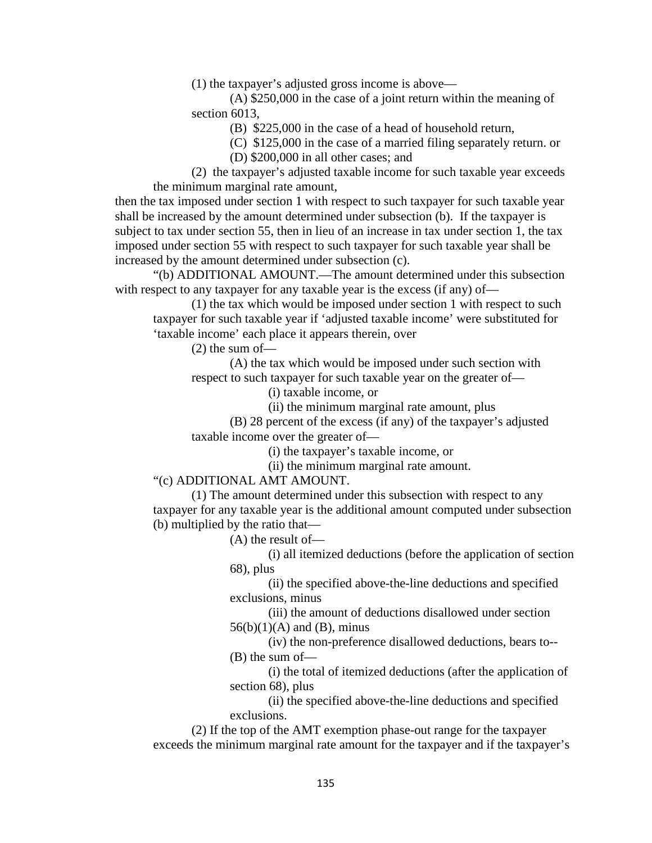(1) the taxpayer's adjusted gross income is above—

(A) \$250,000 in the case of a joint return within the meaning of section 6013,

(B) \$225,000 in the case of a head of household return,

(C) \$125,000 in the case of a married filing separately return. or

(D) \$200,000 in all other cases; and

(2) the taxpayer's adjusted taxable income for such taxable year exceeds the minimum marginal rate amount,

then the tax imposed under section 1 with respect to such taxpayer for such taxable year shall be increased by the amount determined under subsection (b). If the taxpayer is subject to tax under section 55, then in lieu of an increase in tax under section 1, the tax imposed under section 55 with respect to such taxpayer for such taxable year shall be increased by the amount determined under subsection (c).

"(b) ADDITIONAL AMOUNT.—The amount determined under this subsection with respect to any taxpayer for any taxable year is the excess (if any) of—

(1) the tax which would be imposed under section 1 with respect to such taxpayer for such taxable year if 'adjusted taxable income' were substituted for 'taxable income' each place it appears therein, over

(2) the sum of—

(A) the tax which would be imposed under such section with respect to such taxpayer for such taxable year on the greater of—

(i) taxable income, or

(ii) the minimum marginal rate amount, plus

(B) 28 percent of the excess (if any) of the taxpayer's adjusted taxable income over the greater of—

(i) the taxpayer's taxable income, or

(ii) the minimum marginal rate amount.

"(c) ADDITIONAL AMT AMOUNT.

(1) The amount determined under this subsection with respect to any taxpayer for any taxable year is the additional amount computed under subsection (b) multiplied by the ratio that—

(A) the result of—

(i) all itemized deductions (before the application of section 68), plus

(ii) the specified above-the-line deductions and specified exclusions, minus

(iii) the amount of deductions disallowed under section  $56(b)(1)(A)$  and  $(B)$ , minus

(iv) the non-preference disallowed deductions, bears to-- (B) the sum of—

(i) the total of itemized deductions (after the application of section 68), plus

(ii) the specified above-the-line deductions and specified exclusions.

(2) If the top of the AMT exemption phase-out range for the taxpayer exceeds the minimum marginal rate amount for the taxpayer and if the taxpayer's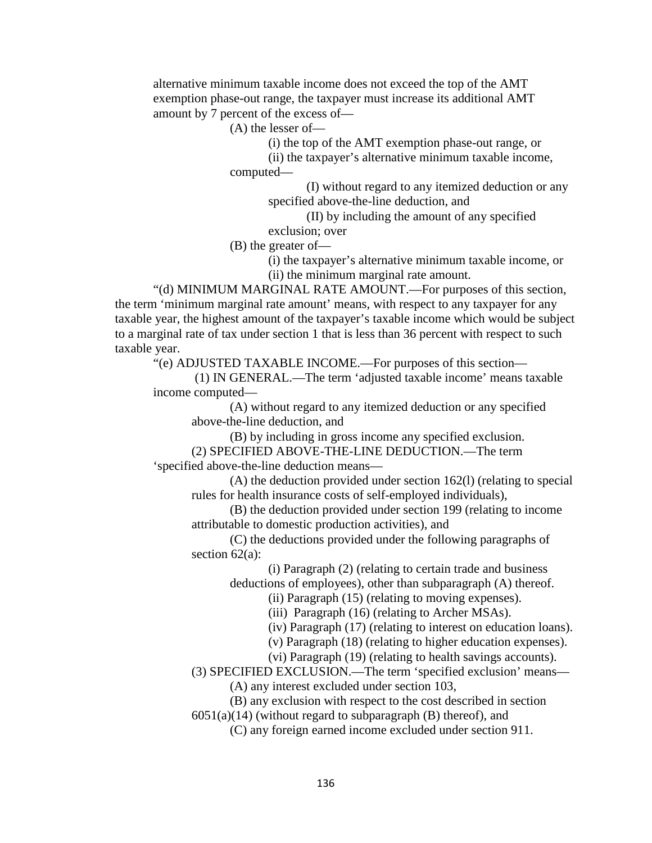alternative minimum taxable income does not exceed the top of the AMT exemption phase-out range, the taxpayer must increase its additional AMT amount by 7 percent of the excess of—

(A) the lesser of—

(i) the top of the AMT exemption phase-out range, or

(ii) the taxpayer's alternative minimum taxable income, computed—

> (I) without regard to any itemized deduction or any specified above-the-line deduction, and

(II) by including the amount of any specified exclusion; over

(B) the greater of—

(i) the taxpayer's alternative minimum taxable income, or

(ii) the minimum marginal rate amount.

"(d) MINIMUM MARGINAL RATE AMOUNT.—For purposes of this section, the term 'minimum marginal rate amount' means, with respect to any taxpayer for any taxable year, the highest amount of the taxpayer's taxable income which would be subject to a marginal rate of tax under section 1 that is less than 36 percent with respect to such taxable year.

"(e) ADJUSTED TAXABLE INCOME.—For purposes of this section—

(1) IN GENERAL.—The term 'adjusted taxable income' means taxable income computed—

(A) without regard to any itemized deduction or any specified above-the-line deduction, and

(B) by including in gross income any specified exclusion. (2) SPECIFIED ABOVE-THE-LINE DEDUCTION.—The term 'specified above-the-line deduction means—

(A) the deduction provided under section 162(l) (relating to special rules for health insurance costs of self-employed individuals),

(B) the deduction provided under section 199 (relating to income attributable to domestic production activities), and

(C) the deductions provided under the following paragraphs of section 62(a):

> (i) Paragraph (2) (relating to certain trade and business deductions of employees), other than subparagraph (A) thereof.

> > (ii) Paragraph (15) (relating to moving expenses).

(iii) Paragraph (16) (relating to Archer MSAs).

(iv) Paragraph (17) (relating to interest on education loans).

(v) Paragraph (18) (relating to higher education expenses).

(vi) Paragraph (19) (relating to health savings accounts).

(3) SPECIFIED EXCLUSION.—The term 'specified exclusion' means—

(A) any interest excluded under section 103,

(B) any exclusion with respect to the cost described in section

 $6051(a)(14)$  (without regard to subparagraph (B) thereof), and

(C) any foreign earned income excluded under section 911.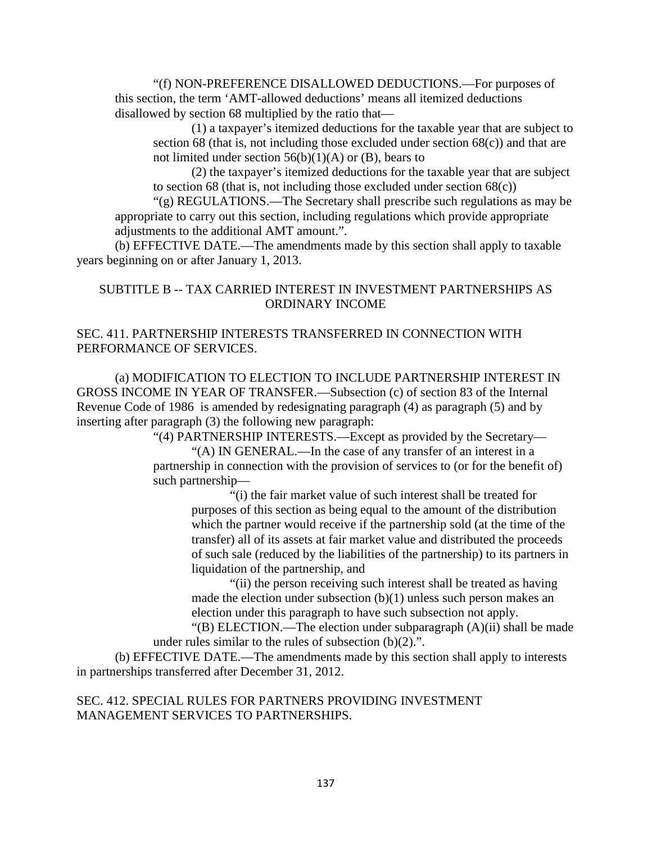"(f) NON-PREFERENCE DISALLOWED DEDUCTIONS.—For purposes of this section, the term 'AMT-allowed deductions' means all itemized deductions disallowed by section 68 multiplied by the ratio that—

(1) a taxpayer's itemized deductions for the taxable year that are subject to section 68 (that is, not including those excluded under section 68(c)) and that are not limited under section  $56(b)(1)(A)$  or (B), bears to

(2) the taxpayer's itemized deductions for the taxable year that are subject to section 68 (that is, not including those excluded under section  $68(c)$ )

"(g) REGULATIONS.—The Secretary shall prescribe such regulations as may be appropriate to carry out this section, including regulations which provide appropriate adjustments to the additional AMT amount.".

(b) EFFECTIVE DATE.—The amendments made by this section shall apply to taxable years beginning on or after January 1, 2013.

## SUBTITLE B -- TAX CARRIED INTEREST IN INVESTMENT PARTNERSHIPS AS ORDINARY INCOME

# SEC. 411. PARTNERSHIP INTERESTS TRANSFERRED IN CONNECTION WITH PERFORMANCE OF SERVICES.

(a) MODIFICATION TO ELECTION TO INCLUDE PARTNERSHIP INTEREST IN GROSS INCOME IN YEAR OF TRANSFER.—Subsection (c) of section 83 of the Internal Revenue Code of 1986 is amended by redesignating paragraph (4) as paragraph (5) and by inserting after paragraph (3) the following new paragraph:

"(4) PARTNERSHIP INTERESTS.—Except as provided by the Secretary—

"(A) IN GENERAL.—In the case of any transfer of an interest in a partnership in connection with the provision of services to (or for the benefit of) such partnership—

"(i) the fair market value of such interest shall be treated for purposes of this section as being equal to the amount of the distribution which the partner would receive if the partnership sold (at the time of the transfer) all of its assets at fair market value and distributed the proceeds of such sale (reduced by the liabilities of the partnership) to its partners in liquidation of the partnership, and

"(ii) the person receiving such interest shall be treated as having made the election under subsection (b)(1) unless such person makes an election under this paragraph to have such subsection not apply.

"(B) ELECTION.—The election under subparagraph (A)(ii) shall be made under rules similar to the rules of subsection  $(b)(2)$ .".

(b) EFFECTIVE DATE.—The amendments made by this section shall apply to interests in partnerships transferred after December 31, 2012.

## SEC. 412. SPECIAL RULES FOR PARTNERS PROVIDING INVESTMENT MANAGEMENT SERVICES TO PARTNERSHIPS.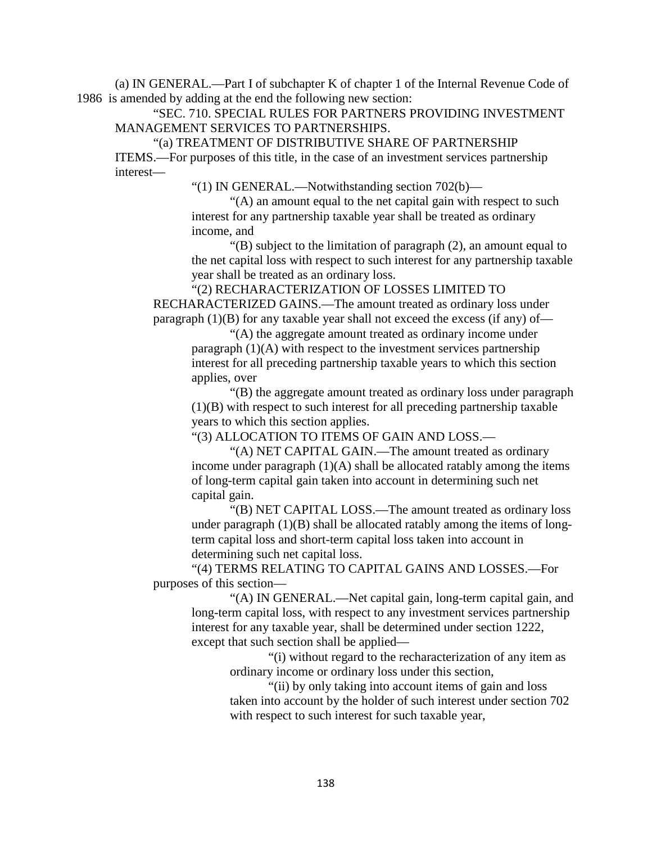(a) IN GENERAL.—Part I of subchapter K of chapter 1 of the Internal Revenue Code of 1986 is amended by adding at the end the following new section:

"SEC. 710. SPECIAL RULES FOR PARTNERS PROVIDING INVESTMENT MANAGEMENT SERVICES TO PARTNERSHIPS.

"(a) TREATMENT OF DISTRIBUTIVE SHARE OF PARTNERSHIP ITEMS.—For purposes of this title, in the case of an investment services partnership interest—

"(1) IN GENERAL.—Notwithstanding section 702(b)—

"(A) an amount equal to the net capital gain with respect to such interest for any partnership taxable year shall be treated as ordinary income, and

"(B) subject to the limitation of paragraph (2), an amount equal to the net capital loss with respect to such interest for any partnership taxable year shall be treated as an ordinary loss.

"(2) RECHARACTERIZATION OF LOSSES LIMITED TO RECHARACTERIZED GAINS.—The amount treated as ordinary loss under paragraph  $(1)(B)$  for any taxable year shall not exceed the excess (if any) of—

"(A) the aggregate amount treated as ordinary income under paragraph  $(1)(A)$  with respect to the investment services partnership interest for all preceding partnership taxable years to which this section applies, over

"(B) the aggregate amount treated as ordinary loss under paragraph (1)(B) with respect to such interest for all preceding partnership taxable years to which this section applies.

"(3) ALLOCATION TO ITEMS OF GAIN AND LOSS.—

"(A) NET CAPITAL GAIN.—The amount treated as ordinary income under paragraph  $(1)(A)$  shall be allocated ratably among the items of long-term capital gain taken into account in determining such net capital gain.

"(B) NET CAPITAL LOSS.—The amount treated as ordinary loss under paragraph  $(1)(B)$  shall be allocated ratably among the items of longterm capital loss and short-term capital loss taken into account in determining such net capital loss.

"(4) TERMS RELATING TO CAPITAL GAINS AND LOSSES.—For purposes of this section—

"(A) IN GENERAL.—Net capital gain, long-term capital gain, and long-term capital loss, with respect to any investment services partnership interest for any taxable year, shall be determined under section 1222, except that such section shall be applied—

"(i) without regard to the recharacterization of any item as ordinary income or ordinary loss under this section,

"(ii) by only taking into account items of gain and loss taken into account by the holder of such interest under section 702 with respect to such interest for such taxable year,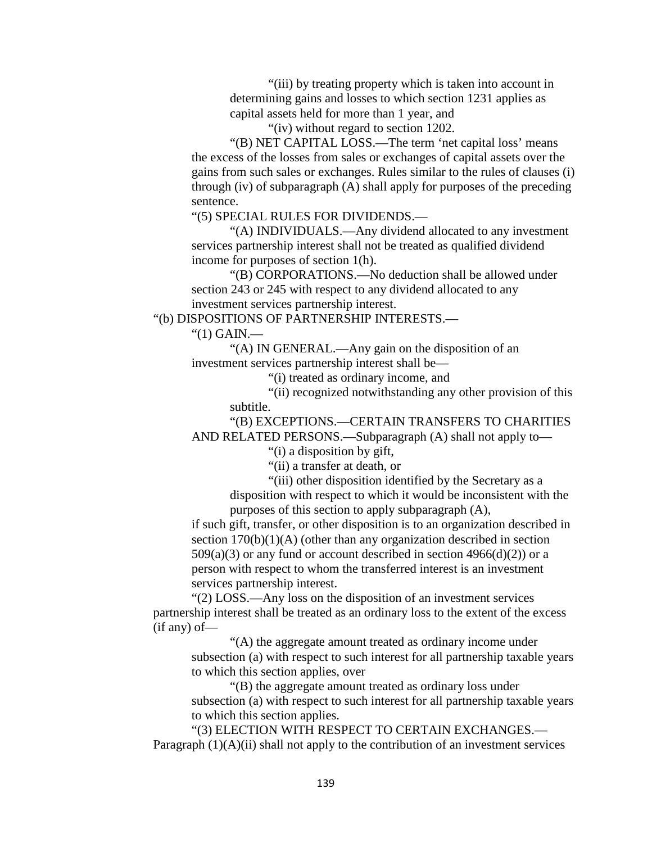"(iii) by treating property which is taken into account in determining gains and losses to which section 1231 applies as capital assets held for more than 1 year, and

"(iv) without regard to section 1202.

"(B) NET CAPITAL LOSS.—The term 'net capital loss' means the excess of the losses from sales or exchanges of capital assets over the gains from such sales or exchanges. Rules similar to the rules of clauses (i) through (iv) of subparagraph (A) shall apply for purposes of the preceding sentence.

"(5) SPECIAL RULES FOR DIVIDENDS.—

"(A) INDIVIDUALS.—Any dividend allocated to any investment services partnership interest shall not be treated as qualified dividend income for purposes of section 1(h).

"(B) CORPORATIONS.—No deduction shall be allowed under section 243 or 245 with respect to any dividend allocated to any investment services partnership interest.

"(b) DISPOSITIONS OF PARTNERSHIP INTERESTS.—

"(1) GAIN.—

"(A) IN GENERAL.—Any gain on the disposition of an investment services partnership interest shall be—

"(i) treated as ordinary income, and

"(ii) recognized notwithstanding any other provision of this subtitle.

"(B) EXCEPTIONS.—CERTAIN TRANSFERS TO CHARITIES AND RELATED PERSONS.—Subparagraph (A) shall not apply to—

"(i) a disposition by gift,

"(ii) a transfer at death, or

"(iii) other disposition identified by the Secretary as a disposition with respect to which it would be inconsistent with the

purposes of this section to apply subparagraph (A),

if such gift, transfer, or other disposition is to an organization described in section 170(b)(1)(A) (other than any organization described in section  $509(a)(3)$  or any fund or account described in section  $4966(d)(2)$  or a person with respect to whom the transferred interest is an investment services partnership interest.

"(2) LOSS.—Any loss on the disposition of an investment services partnership interest shall be treated as an ordinary loss to the extent of the excess (if any) of—

"(A) the aggregate amount treated as ordinary income under subsection (a) with respect to such interest for all partnership taxable years to which this section applies, over

"(B) the aggregate amount treated as ordinary loss under subsection (a) with respect to such interest for all partnership taxable years to which this section applies.

"(3) ELECTION WITH RESPECT TO CERTAIN EXCHANGES.— Paragraph (1)(A)(ii) shall not apply to the contribution of an investment services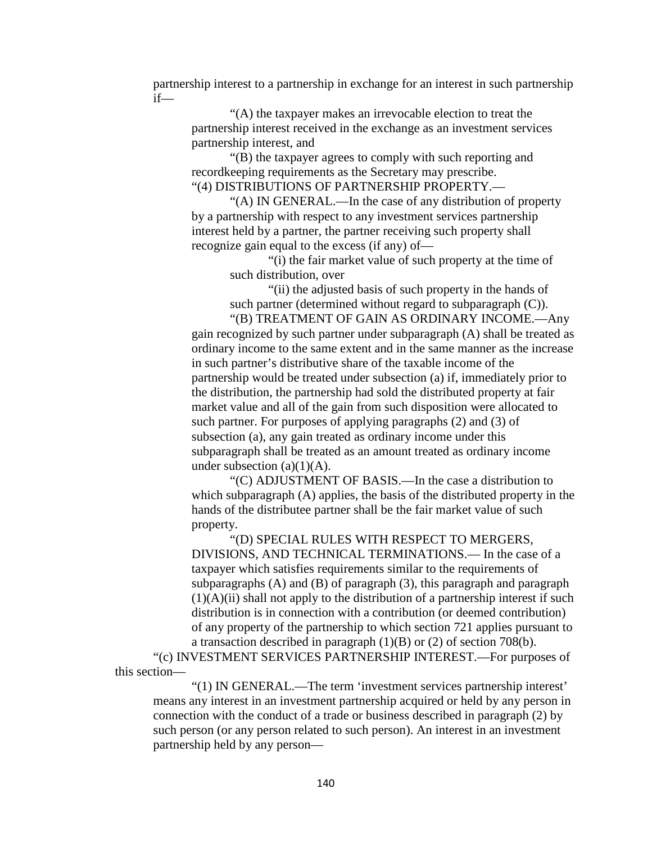partnership interest to a partnership in exchange for an interest in such partnership if—

"(A) the taxpayer makes an irrevocable election to treat the partnership interest received in the exchange as an investment services partnership interest, and

"(B) the taxpayer agrees to comply with such reporting and recordkeeping requirements as the Secretary may prescribe. "(4) DISTRIBUTIONS OF PARTNERSHIP PROPERTY.—

"(A) IN GENERAL.—In the case of any distribution of property by a partnership with respect to any investment services partnership interest held by a partner, the partner receiving such property shall recognize gain equal to the excess (if any) of—

"(i) the fair market value of such property at the time of such distribution, over

"(ii) the adjusted basis of such property in the hands of such partner (determined without regard to subparagraph  $(C)$ ).

"(B) TREATMENT OF GAIN AS ORDINARY INCOME.—Any gain recognized by such partner under subparagraph (A) shall be treated as ordinary income to the same extent and in the same manner as the increase in such partner's distributive share of the taxable income of the partnership would be treated under subsection (a) if, immediately prior to the distribution, the partnership had sold the distributed property at fair market value and all of the gain from such disposition were allocated to such partner. For purposes of applying paragraphs (2) and (3) of subsection (a), any gain treated as ordinary income under this subparagraph shall be treated as an amount treated as ordinary income under subsection  $(a)(1)(A)$ .

"(C) ADJUSTMENT OF BASIS.—In the case a distribution to which subparagraph (A) applies, the basis of the distributed property in the hands of the distributee partner shall be the fair market value of such property.

"(D) SPECIAL RULES WITH RESPECT TO MERGERS, DIVISIONS, AND TECHNICAL TERMINATIONS.— In the case of a taxpayer which satisfies requirements similar to the requirements of subparagraphs (A) and (B) of paragraph (3), this paragraph and paragraph  $(1)(A)(ii)$  shall not apply to the distribution of a partnership interest if such distribution is in connection with a contribution (or deemed contribution) of any property of the partnership to which section 721 applies pursuant to a transaction described in paragraph  $(1)(B)$  or  $(2)$  of section 708(b).

"(c) INVESTMENT SERVICES PARTNERSHIP INTEREST.—For purposes of this section—

"(1) IN GENERAL.—The term 'investment services partnership interest' means any interest in an investment partnership acquired or held by any person in connection with the conduct of a trade or business described in paragraph (2) by such person (or any person related to such person). An interest in an investment partnership held by any person—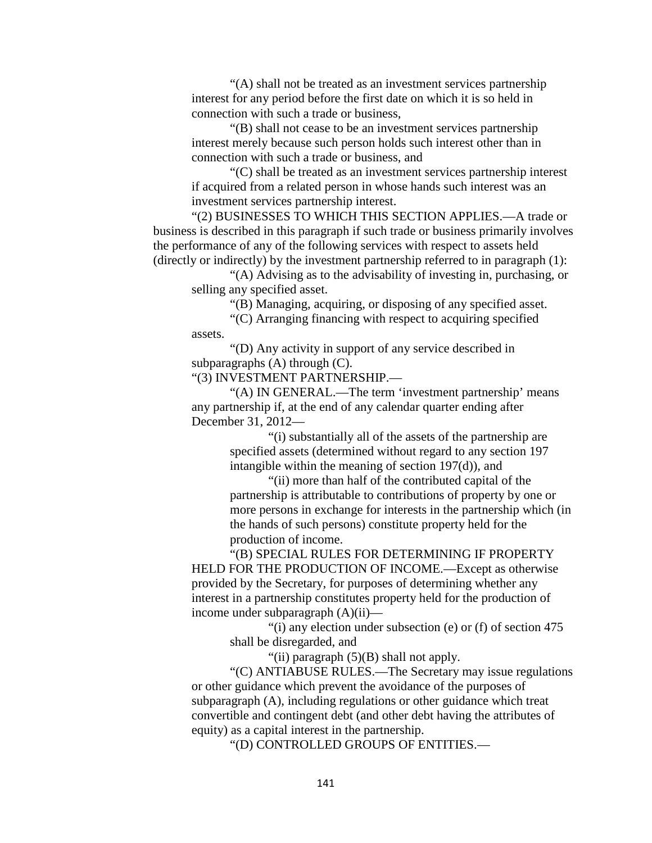"(A) shall not be treated as an investment services partnership interest for any period before the first date on which it is so held in connection with such a trade or business,

"(B) shall not cease to be an investment services partnership interest merely because such person holds such interest other than in connection with such a trade or business, and

"(C) shall be treated as an investment services partnership interest if acquired from a related person in whose hands such interest was an investment services partnership interest.

"(2) BUSINESSES TO WHICH THIS SECTION APPLIES.—A trade or business is described in this paragraph if such trade or business primarily involves the performance of any of the following services with respect to assets held (directly or indirectly) by the investment partnership referred to in paragraph (1):

"(A) Advising as to the advisability of investing in, purchasing, or selling any specified asset.

"(B) Managing, acquiring, or disposing of any specified asset.

"(C) Arranging financing with respect to acquiring specified assets.

"(D) Any activity in support of any service described in subparagraphs (A) through (C).

"(3) INVESTMENT PARTNERSHIP.—

"(A) IN GENERAL.—The term 'investment partnership' means any partnership if, at the end of any calendar quarter ending after December 31, 2012—

> "(i) substantially all of the assets of the partnership are specified assets (determined without regard to any section 197 intangible within the meaning of section 197(d)), and

"(ii) more than half of the contributed capital of the partnership is attributable to contributions of property by one or more persons in exchange for interests in the partnership which (in the hands of such persons) constitute property held for the production of income.

"(B) SPECIAL RULES FOR DETERMINING IF PROPERTY HELD FOR THE PRODUCTION OF INCOME.—Except as otherwise provided by the Secretary, for purposes of determining whether any interest in a partnership constitutes property held for the production of income under subparagraph (A)(ii)—

> "(i) any election under subsection (e) or (f) of section 475 shall be disregarded, and

> > "(ii) paragraph  $(5)(B)$  shall not apply.

"(C) ANTIABUSE RULES.—The Secretary may issue regulations or other guidance which prevent the avoidance of the purposes of subparagraph (A), including regulations or other guidance which treat convertible and contingent debt (and other debt having the attributes of equity) as a capital interest in the partnership.

"(D) CONTROLLED GROUPS OF ENTITIES.—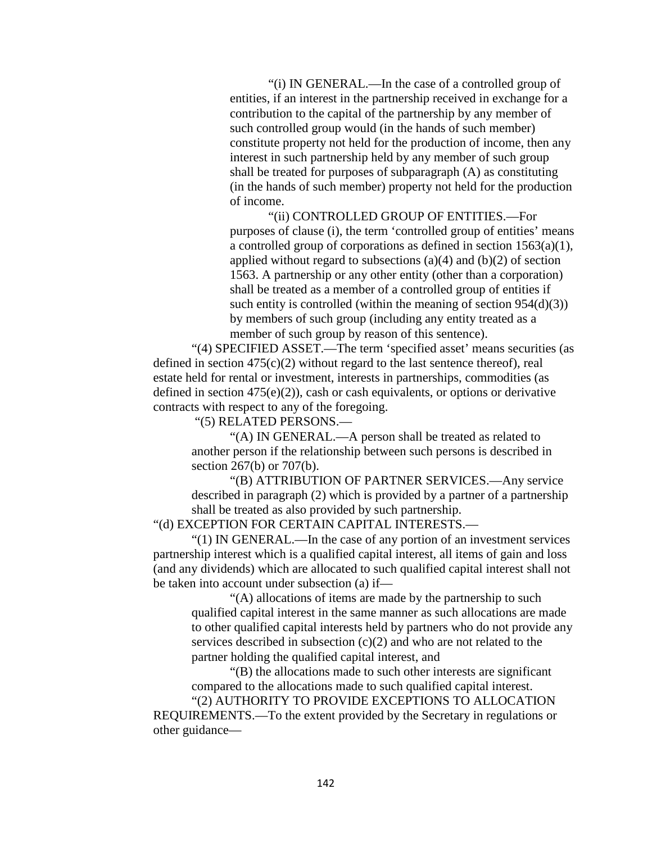"(i) IN GENERAL.—In the case of a controlled group of entities, if an interest in the partnership received in exchange for a contribution to the capital of the partnership by any member of such controlled group would (in the hands of such member) constitute property not held for the production of income, then any interest in such partnership held by any member of such group shall be treated for purposes of subparagraph (A) as constituting (in the hands of such member) property not held for the production of income.

"(ii) CONTROLLED GROUP OF ENTITIES.—For purposes of clause (i), the term 'controlled group of entities' means a controlled group of corporations as defined in section 1563(a)(1), applied without regard to subsections  $(a)(4)$  and  $(b)(2)$  of section 1563. A partnership or any other entity (other than a corporation) shall be treated as a member of a controlled group of entities if such entity is controlled (within the meaning of section  $954(d)(3)$ ) by members of such group (including any entity treated as a member of such group by reason of this sentence).

"(4) SPECIFIED ASSET.—The term 'specified asset' means securities (as defined in section  $475(c)(2)$  without regard to the last sentence thereof), real estate held for rental or investment, interests in partnerships, commodities (as defined in section  $475(e)(2)$ , cash or cash equivalents, or options or derivative contracts with respect to any of the foregoing.

"(5) RELATED PERSONS.—

"(A) IN GENERAL.—A person shall be treated as related to another person if the relationship between such persons is described in section 267(b) or 707(b).

"(B) ATTRIBUTION OF PARTNER SERVICES.—Any service described in paragraph (2) which is provided by a partner of a partnership shall be treated as also provided by such partnership.

"(d) EXCEPTION FOR CERTAIN CAPITAL INTERESTS.—

"(1) IN GENERAL.—In the case of any portion of an investment services partnership interest which is a qualified capital interest, all items of gain and loss (and any dividends) which are allocated to such qualified capital interest shall not be taken into account under subsection (a) if—

"(A) allocations of items are made by the partnership to such qualified capital interest in the same manner as such allocations are made to other qualified capital interests held by partners who do not provide any services described in subsection (c)(2) and who are not related to the partner holding the qualified capital interest, and

"(B) the allocations made to such other interests are significant compared to the allocations made to such qualified capital interest.

"(2) AUTHORITY TO PROVIDE EXCEPTIONS TO ALLOCATION REQUIREMENTS.—To the extent provided by the Secretary in regulations or other guidance—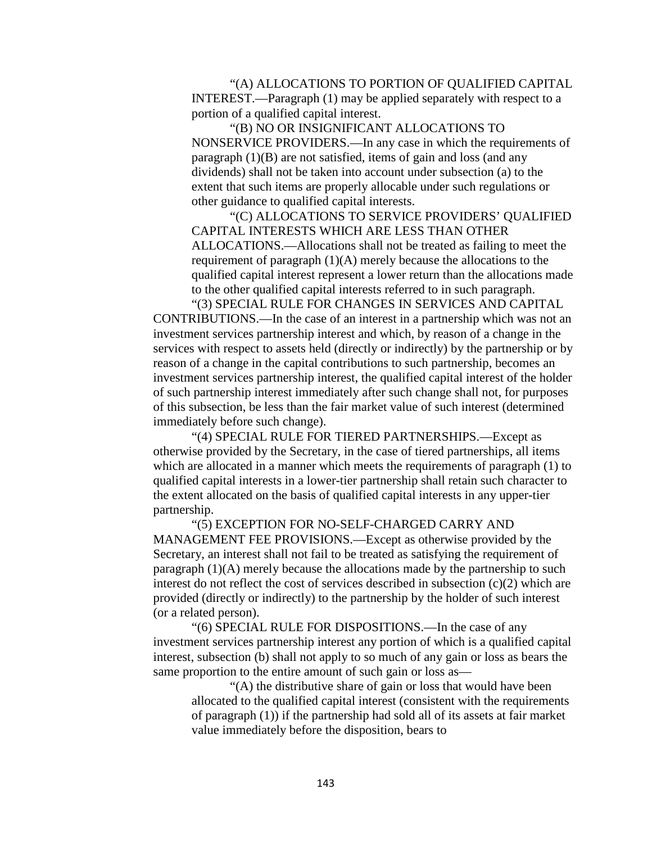"(A) ALLOCATIONS TO PORTION OF QUALIFIED CAPITAL INTEREST.—Paragraph (1) may be applied separately with respect to a portion of a qualified capital interest.

"(B) NO OR INSIGNIFICANT ALLOCATIONS TO NONSERVICE PROVIDERS.—In any case in which the requirements of paragraph (1)(B) are not satisfied, items of gain and loss (and any dividends) shall not be taken into account under subsection (a) to the extent that such items are properly allocable under such regulations or other guidance to qualified capital interests.

"(C) ALLOCATIONS TO SERVICE PROVIDERS' QUALIFIED CAPITAL INTERESTS WHICH ARE LESS THAN OTHER ALLOCATIONS.—Allocations shall not be treated as failing to meet the requirement of paragraph (1)(A) merely because the allocations to the qualified capital interest represent a lower return than the allocations made to the other qualified capital interests referred to in such paragraph.

"(3) SPECIAL RULE FOR CHANGES IN SERVICES AND CAPITAL CONTRIBUTIONS.—In the case of an interest in a partnership which was not an investment services partnership interest and which, by reason of a change in the services with respect to assets held (directly or indirectly) by the partnership or by reason of a change in the capital contributions to such partnership, becomes an investment services partnership interest, the qualified capital interest of the holder of such partnership interest immediately after such change shall not, for purposes of this subsection, be less than the fair market value of such interest (determined immediately before such change).

"(4) SPECIAL RULE FOR TIERED PARTNERSHIPS.—Except as otherwise provided by the Secretary, in the case of tiered partnerships, all items which are allocated in a manner which meets the requirements of paragraph (1) to qualified capital interests in a lower-tier partnership shall retain such character to the extent allocated on the basis of qualified capital interests in any upper-tier partnership.

"(5) EXCEPTION FOR NO-SELF-CHARGED CARRY AND MANAGEMENT FEE PROVISIONS.—Except as otherwise provided by the Secretary, an interest shall not fail to be treated as satisfying the requirement of paragraph (1)(A) merely because the allocations made by the partnership to such interest do not reflect the cost of services described in subsection (c)(2) which are provided (directly or indirectly) to the partnership by the holder of such interest (or a related person).

"(6) SPECIAL RULE FOR DISPOSITIONS.—In the case of any investment services partnership interest any portion of which is a qualified capital interest, subsection (b) shall not apply to so much of any gain or loss as bears the same proportion to the entire amount of such gain or loss as—

"(A) the distributive share of gain or loss that would have been allocated to the qualified capital interest (consistent with the requirements of paragraph (1)) if the partnership had sold all of its assets at fair market value immediately before the disposition, bears to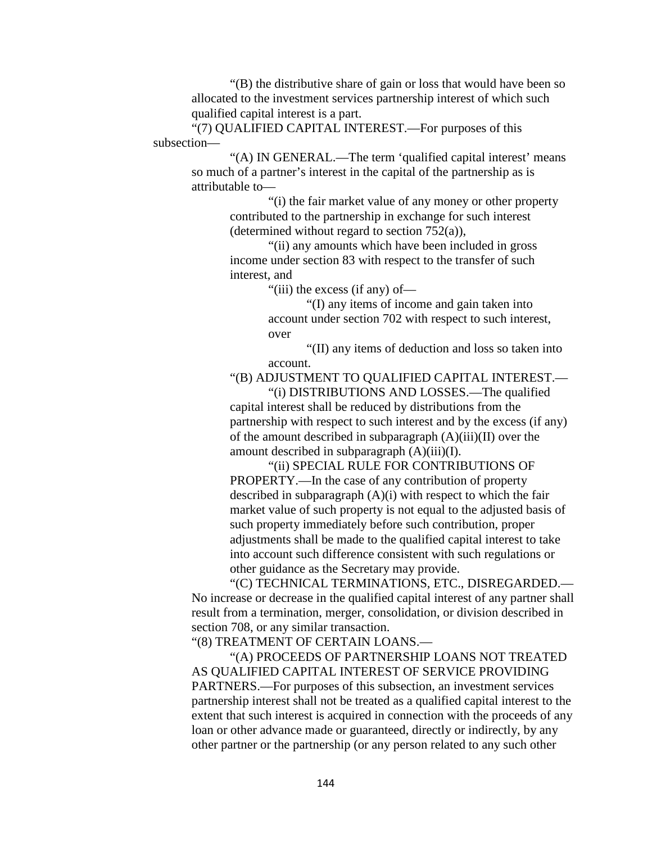"(B) the distributive share of gain or loss that would have been so allocated to the investment services partnership interest of which such qualified capital interest is a part.

"(7) QUALIFIED CAPITAL INTEREST.—For purposes of this subsection—

> "(A) IN GENERAL.—The term 'qualified capital interest' means so much of a partner's interest in the capital of the partnership as is attributable to—

"(i) the fair market value of any money or other property contributed to the partnership in exchange for such interest (determined without regard to section 752(a)),

"(ii) any amounts which have been included in gross income under section 83 with respect to the transfer of such interest, and

"(iii) the excess (if any) of—

"(I) any items of income and gain taken into account under section 702 with respect to such interest, over

"(II) any items of deduction and loss so taken into account.

"(B) ADJUSTMENT TO QUALIFIED CAPITAL INTEREST.—

"(i) DISTRIBUTIONS AND LOSSES.—The qualified capital interest shall be reduced by distributions from the partnership with respect to such interest and by the excess (if any) of the amount described in subparagraph  $(A)(iii)(II)$  over the amount described in subparagraph (A)(iii)(I).

"(ii) SPECIAL RULE FOR CONTRIBUTIONS OF PROPERTY.—In the case of any contribution of property described in subparagraph (A)(i) with respect to which the fair market value of such property is not equal to the adjusted basis of such property immediately before such contribution, proper adjustments shall be made to the qualified capital interest to take into account such difference consistent with such regulations or other guidance as the Secretary may provide.

"(C) TECHNICAL TERMINATIONS, ETC., DISREGARDED.— No increase or decrease in the qualified capital interest of any partner shall result from a termination, merger, consolidation, or division described in section 708, or any similar transaction.

"(8) TREATMENT OF CERTAIN LOANS.—

"(A) PROCEEDS OF PARTNERSHIP LOANS NOT TREATED AS QUALIFIED CAPITAL INTEREST OF SERVICE PROVIDING PARTNERS.—For purposes of this subsection, an investment services partnership interest shall not be treated as a qualified capital interest to the extent that such interest is acquired in connection with the proceeds of any loan or other advance made or guaranteed, directly or indirectly, by any other partner or the partnership (or any person related to any such other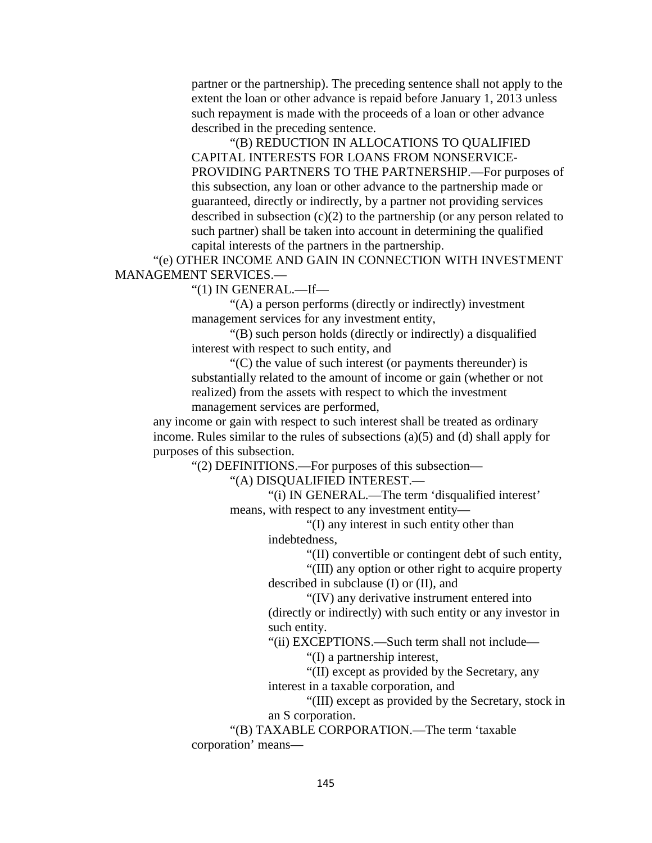partner or the partnership). The preceding sentence shall not apply to the extent the loan or other advance is repaid before January 1, 2013 unless such repayment is made with the proceeds of a loan or other advance described in the preceding sentence.

"(B) REDUCTION IN ALLOCATIONS TO QUALIFIED CAPITAL INTERESTS FOR LOANS FROM NONSERVICE-PROVIDING PARTNERS TO THE PARTNERSHIP.—For purposes of this subsection, any loan or other advance to the partnership made or guaranteed, directly or indirectly, by a partner not providing services described in subsection  $(c)(2)$  to the partnership (or any person related to such partner) shall be taken into account in determining the qualified capital interests of the partners in the partnership.

"(e) OTHER INCOME AND GAIN IN CONNECTION WITH INVESTMENT MANAGEMENT SERVICES.—

"(1) IN GENERAL.—If—

"(A) a person performs (directly or indirectly) investment management services for any investment entity,

"(B) such person holds (directly or indirectly) a disqualified interest with respect to such entity, and

"(C) the value of such interest (or payments thereunder) is substantially related to the amount of income or gain (whether or not realized) from the assets with respect to which the investment management services are performed,

any income or gain with respect to such interest shall be treated as ordinary income. Rules similar to the rules of subsections (a)(5) and (d) shall apply for purposes of this subsection.

"(2) DEFINITIONS.—For purposes of this subsection—

"(A) DISQUALIFIED INTEREST.—

"(i) IN GENERAL.—The term 'disqualified interest' means, with respect to any investment entity—

> "(I) any interest in such entity other than indebtedness,

> > "(II) convertible or contingent debt of such entity,

"(III) any option or other right to acquire property described in subclause (I) or (II), and

"(IV) any derivative instrument entered into (directly or indirectly) with such entity or any investor in such entity.

"(ii) EXCEPTIONS.—Such term shall not include—

"(I) a partnership interest,

"(II) except as provided by the Secretary, any

interest in a taxable corporation, and

"(III) except as provided by the Secretary, stock in an S corporation.

"(B) TAXABLE CORPORATION.—The term 'taxable corporation' means—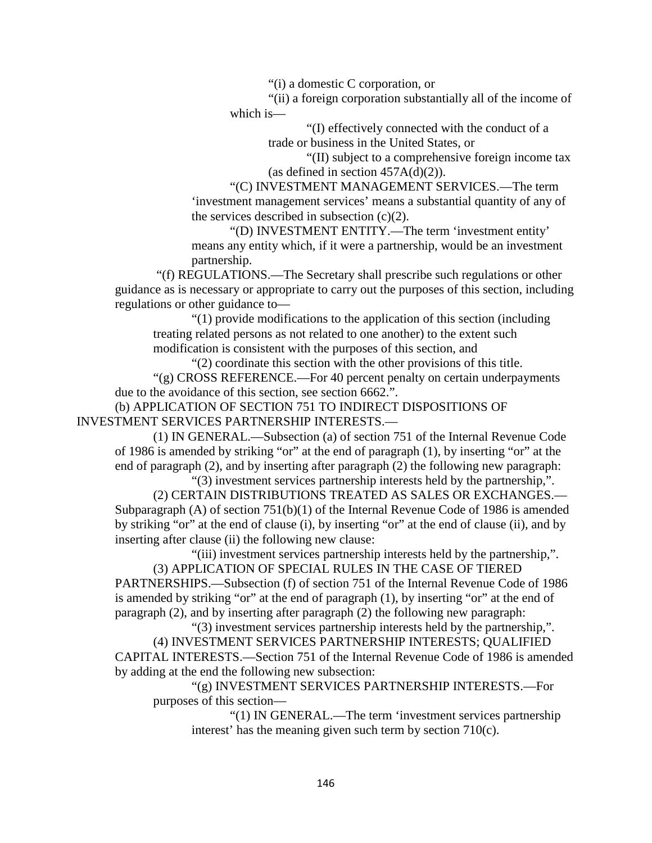"(i) a domestic C corporation, or

"(ii) a foreign corporation substantially all of the income of which is—

> "(I) effectively connected with the conduct of a trade or business in the United States, or

"(II) subject to a comprehensive foreign income tax (as defined in section  $457A(d)(2)$ ).

"(C) INVESTMENT MANAGEMENT SERVICES.—The term 'investment management services' means a substantial quantity of any of the services described in subsection  $(c)(2)$ .

"(D) INVESTMENT ENTITY.—The term 'investment entity' means any entity which, if it were a partnership, would be an investment partnership.

"(f) REGULATIONS.—The Secretary shall prescribe such regulations or other guidance as is necessary or appropriate to carry out the purposes of this section, including regulations or other guidance to—

"(1) provide modifications to the application of this section (including treating related persons as not related to one another) to the extent such modification is consistent with the purposes of this section, and

"(2) coordinate this section with the other provisions of this title.

"(g) CROSS REFERENCE.—For 40 percent penalty on certain underpayments due to the avoidance of this section, see section 6662.".

(b) APPLICATION OF SECTION 751 TO INDIRECT DISPOSITIONS OF INVESTMENT SERVICES PARTNERSHIP INTERESTS.—

(1) IN GENERAL.—Subsection (a) of section 751 of the Internal Revenue Code of 1986 is amended by striking "or" at the end of paragraph (1), by inserting "or" at the end of paragraph (2), and by inserting after paragraph (2) the following new paragraph:

"(3) investment services partnership interests held by the partnership,". (2) CERTAIN DISTRIBUTIONS TREATED AS SALES OR EXCHANGES.— Subparagraph (A) of section 751(b)(1) of the Internal Revenue Code of 1986 is amended by striking "or" at the end of clause (i), by inserting "or" at the end of clause (ii), and by inserting after clause (ii) the following new clause:

"(iii) investment services partnership interests held by the partnership,".

(3) APPLICATION OF SPECIAL RULES IN THE CASE OF TIERED PARTNERSHIPS.—Subsection (f) of section 751 of the Internal Revenue Code of 1986 is amended by striking "or" at the end of paragraph (1), by inserting "or" at the end of paragraph (2), and by inserting after paragraph (2) the following new paragraph:

"(3) investment services partnership interests held by the partnership,". (4) INVESTMENT SERVICES PARTNERSHIP INTERESTS; QUALIFIED CAPITAL INTERESTS.—Section 751 of the Internal Revenue Code of 1986 is amended by adding at the end the following new subsection:

"(g) INVESTMENT SERVICES PARTNERSHIP INTERESTS.—For purposes of this section—

> "(1) IN GENERAL.—The term 'investment services partnership interest' has the meaning given such term by section 710(c).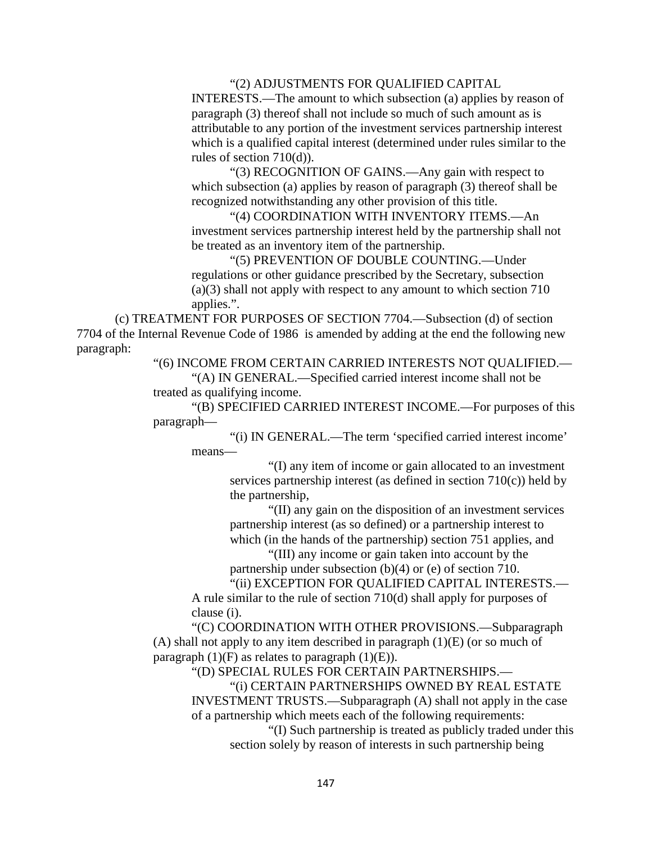#### "(2) ADJUSTMENTS FOR QUALIFIED CAPITAL

INTERESTS.—The amount to which subsection (a) applies by reason of paragraph (3) thereof shall not include so much of such amount as is attributable to any portion of the investment services partnership interest which is a qualified capital interest (determined under rules similar to the rules of section 710(d)).

"(3) RECOGNITION OF GAINS.—Any gain with respect to which subsection (a) applies by reason of paragraph (3) thereof shall be recognized notwithstanding any other provision of this title.

"(4) COORDINATION WITH INVENTORY ITEMS.—An investment services partnership interest held by the partnership shall not be treated as an inventory item of the partnership.

"(5) PREVENTION OF DOUBLE COUNTING.—Under regulations or other guidance prescribed by the Secretary, subsection (a)(3) shall not apply with respect to any amount to which section 710 applies.".

(c) TREATMENT FOR PURPOSES OF SECTION 7704.—Subsection (d) of section 7704 of the Internal Revenue Code of 1986 is amended by adding at the end the following new paragraph:

"(6) INCOME FROM CERTAIN CARRIED INTERESTS NOT QUALIFIED.—

"(A) IN GENERAL.—Specified carried interest income shall not be treated as qualifying income.

"(B) SPECIFIED CARRIED INTEREST INCOME.—For purposes of this paragraph—

"(i) IN GENERAL.—The term 'specified carried interest income' means—

> "(I) any item of income or gain allocated to an investment services partnership interest (as defined in section  $710(c)$ ) held by the partnership,

> "(II) any gain on the disposition of an investment services partnership interest (as so defined) or a partnership interest to which (in the hands of the partnership) section 751 applies, and

"(III) any income or gain taken into account by the partnership under subsection (b)(4) or (e) of section 710.

"(ii) EXCEPTION FOR QUALIFIED CAPITAL INTERESTS.— A rule similar to the rule of section 710(d) shall apply for purposes of clause (i).

"(C) COORDINATION WITH OTHER PROVISIONS.—Subparagraph (A) shall not apply to any item described in paragraph  $(1)(E)$  (or so much of paragraph  $(1)(F)$  as relates to paragraph  $(1)(E)$ .

"(D) SPECIAL RULES FOR CERTAIN PARTNERSHIPS.—

"(i) CERTAIN PARTNERSHIPS OWNED BY REAL ESTATE INVESTMENT TRUSTS.—Subparagraph (A) shall not apply in the case of a partnership which meets each of the following requirements:

"(I) Such partnership is treated as publicly traded under this section solely by reason of interests in such partnership being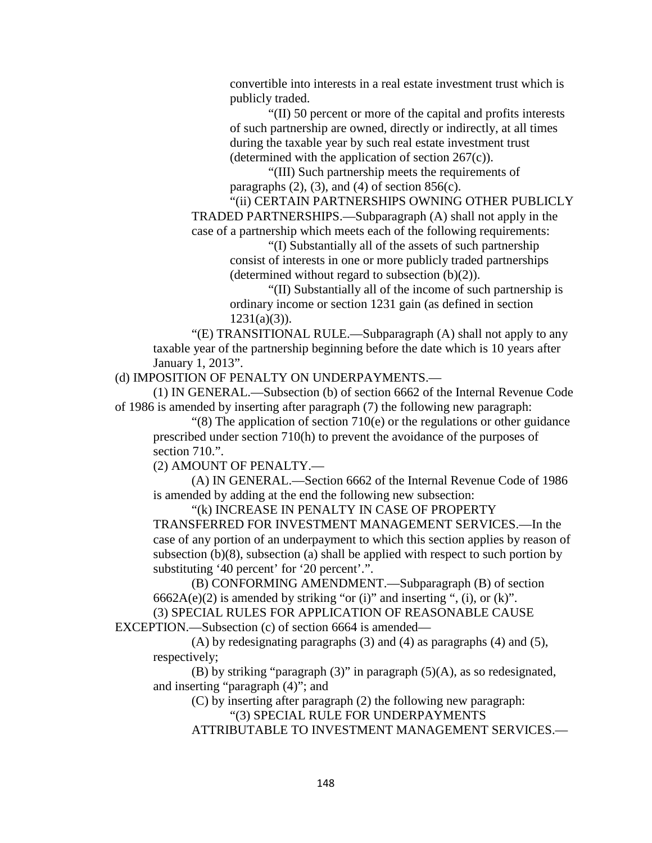convertible into interests in a real estate investment trust which is publicly traded.

"(II) 50 percent or more of the capital and profits interests of such partnership are owned, directly or indirectly, at all times during the taxable year by such real estate investment trust (determined with the application of section  $267(c)$ ).

"(III) Such partnership meets the requirements of paragraphs  $(2)$ ,  $(3)$ , and  $(4)$  of section 856 $(c)$ .

"(ii) CERTAIN PARTNERSHIPS OWNING OTHER PUBLICLY TRADED PARTNERSHIPS.—Subparagraph (A) shall not apply in the case of a partnership which meets each of the following requirements:

> "(I) Substantially all of the assets of such partnership consist of interests in one or more publicly traded partnerships (determined without regard to subsection  $(b)(2)$ ).

"(II) Substantially all of the income of such partnership is ordinary income or section 1231 gain (as defined in section  $1231(a)(3)$ ).

"(E) TRANSITIONAL RULE.—Subparagraph (A) shall not apply to any taxable year of the partnership beginning before the date which is 10 years after January 1, 2013".

(d) IMPOSITION OF PENALTY ON UNDERPAYMENTS.—

(1) IN GENERAL.—Subsection (b) of section 6662 of the Internal Revenue Code of 1986 is amended by inserting after paragraph (7) the following new paragraph:

 $\degree$ (8) The application of section 710(e) or the regulations or other guidance prescribed under section 710(h) to prevent the avoidance of the purposes of section 710.".

(2) AMOUNT OF PENALTY.—

(A) IN GENERAL.—Section 6662 of the Internal Revenue Code of 1986 is amended by adding at the end the following new subsection:

"(k) INCREASE IN PENALTY IN CASE OF PROPERTY TRANSFERRED FOR INVESTMENT MANAGEMENT SERVICES.—In the case of any portion of an underpayment to which this section applies by reason of subsection (b)(8), subsection (a) shall be applied with respect to such portion by substituting '40 percent' for '20 percent'.".

(B) CONFORMING AMENDMENT.—Subparagraph (B) of section  $6662A(e)(2)$  is amended by striking "or (i)" and inserting ", (i), or (k)". (3) SPECIAL RULES FOR APPLICATION OF REASONABLE CAUSE

EXCEPTION.—Subsection (c) of section 6664 is amended—

(A) by redesignating paragraphs (3) and (4) as paragraphs (4) and (5), respectively;

(B) by striking "paragraph  $(3)$ " in paragraph  $(5)(A)$ , as so redesignated, and inserting "paragraph (4)"; and

(C) by inserting after paragraph (2) the following new paragraph: "(3) SPECIAL RULE FOR UNDERPAYMENTS

ATTRIBUTABLE TO INVESTMENT MANAGEMENT SERVICES.—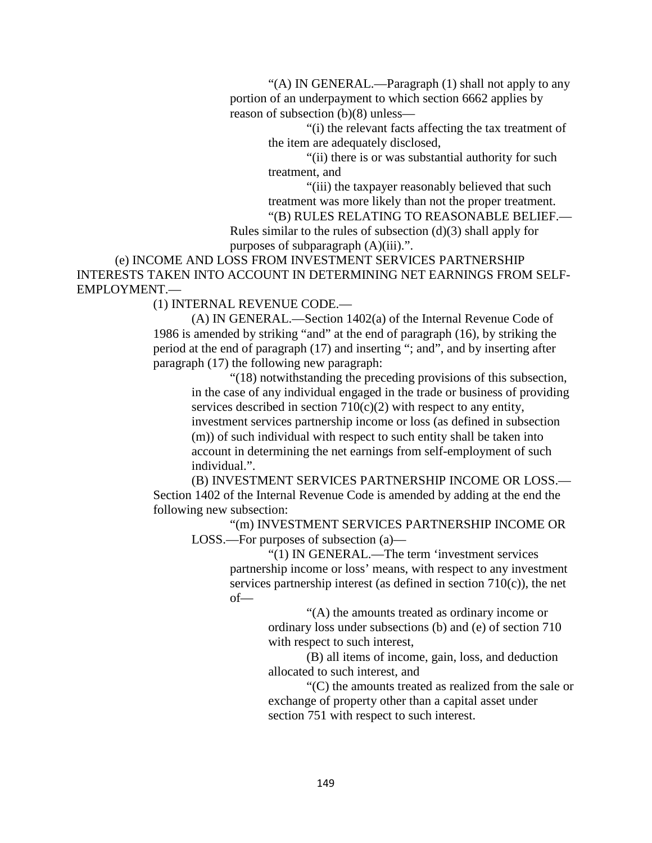"(A) IN GENERAL.—Paragraph (1) shall not apply to any portion of an underpayment to which section 6662 applies by reason of subsection (b)(8) unless—

> "(i) the relevant facts affecting the tax treatment of the item are adequately disclosed,

"(ii) there is or was substantial authority for such treatment, and

"(iii) the taxpayer reasonably believed that such treatment was more likely than not the proper treatment.

"(B) RULES RELATING TO REASONABLE BELIEF.—

Rules similar to the rules of subsection  $(d)(3)$  shall apply for purposes of subparagraph (A)(iii).".

(e) INCOME AND LOSS FROM INVESTMENT SERVICES PARTNERSHIP INTERESTS TAKEN INTO ACCOUNT IN DETERMINING NET EARNINGS FROM SELF-EMPLOYMENT.—

(1) INTERNAL REVENUE CODE.—

(A) IN GENERAL.—Section 1402(a) of the Internal Revenue Code of 1986 is amended by striking "and" at the end of paragraph (16), by striking the period at the end of paragraph (17) and inserting "; and", and by inserting after paragraph (17) the following new paragraph:

"(18) notwithstanding the preceding provisions of this subsection, in the case of any individual engaged in the trade or business of providing services described in section 710(c)(2) with respect to any entity, investment services partnership income or loss (as defined in subsection (m)) of such individual with respect to such entity shall be taken into account in determining the net earnings from self-employment of such individual.".

(B) INVESTMENT SERVICES PARTNERSHIP INCOME OR LOSS.— Section 1402 of the Internal Revenue Code is amended by adding at the end the following new subsection:

"(m) INVESTMENT SERVICES PARTNERSHIP INCOME OR LOSS.—For purposes of subsection (a)—

> "(1) IN GENERAL.—The term 'investment services partnership income or loss' means, with respect to any investment services partnership interest (as defined in section  $710(c)$ ), the net of—

> > "(A) the amounts treated as ordinary income or ordinary loss under subsections (b) and (e) of section 710 with respect to such interest,

> > (B) all items of income, gain, loss, and deduction allocated to such interest, and

"(C) the amounts treated as realized from the sale or exchange of property other than a capital asset under section 751 with respect to such interest.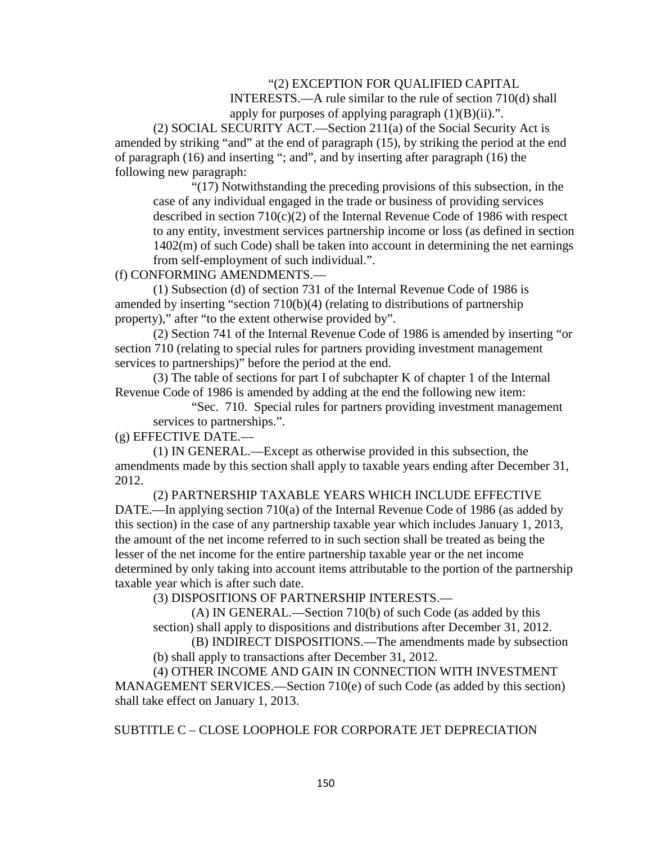### "(2) EXCEPTION FOR QUALIFIED CAPITAL

INTERESTS.—A rule similar to the rule of section 710(d) shall apply for purposes of applying paragraph  $(1)(B)(ii)$ .".

(2) SOCIAL SECURITY ACT.—Section 211(a) of the Social Security Act is amended by striking "and" at the end of paragraph (15), by striking the period at the end of paragraph (16) and inserting "; and", and by inserting after paragraph (16) the following new paragraph:

"(17) Notwithstanding the preceding provisions of this subsection, in the case of any individual engaged in the trade or business of providing services described in section  $710(c)(2)$  of the Internal Revenue Code of 1986 with respect to any entity, investment services partnership income or loss (as defined in section 1402(m) of such Code) shall be taken into account in determining the net earnings from self-employment of such individual.".

(f) CONFORMING AMENDMENTS.—

(1) Subsection (d) of section 731 of the Internal Revenue Code of 1986 is amended by inserting "section 710(b)(4) (relating to distributions of partnership property)," after "to the extent otherwise provided by".

(2) Section 741 of the Internal Revenue Code of 1986 is amended by inserting "or section 710 (relating to special rules for partners providing investment management services to partnerships)" before the period at the end.

(3) The table of sections for part I of subchapter K of chapter 1 of the Internal Revenue Code of 1986 is amended by adding at the end the following new item:

"Sec. 710. Special rules for partners providing investment management services to partnerships.".

(g) EFFECTIVE DATE.—

(1) IN GENERAL.—Except as otherwise provided in this subsection, the amendments made by this section shall apply to taxable years ending after December 31, 2012.

(2) PARTNERSHIP TAXABLE YEARS WHICH INCLUDE EFFECTIVE DATE.—In applying section 710(a) of the Internal Revenue Code of 1986 (as added by this section) in the case of any partnership taxable year which includes January 1, 2013, the amount of the net income referred to in such section shall be treated as being the lesser of the net income for the entire partnership taxable year or the net income determined by only taking into account items attributable to the portion of the partnership taxable year which is after such date.

(3) DISPOSITIONS OF PARTNERSHIP INTERESTS.—

(A) IN GENERAL.—Section 710(b) of such Code (as added by this section) shall apply to dispositions and distributions after December 31, 2012.

(B) INDIRECT DISPOSITIONS.—The amendments made by subsection (b) shall apply to transactions after December 31, 2012.

(4) OTHER INCOME AND GAIN IN CONNECTION WITH INVESTMENT MANAGEMENT SERVICES.—Section 710(e) of such Code (as added by this section) shall take effect on January 1, 2013.

SUBTITLE C – CLOSE LOOPHOLE FOR CORPORATE JET DEPRECIATION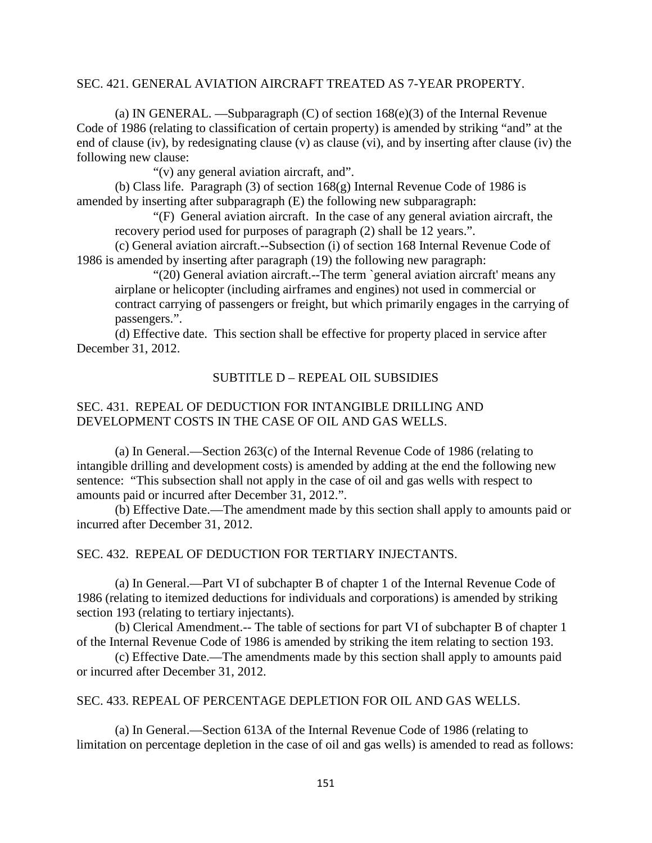### SEC. 421. GENERAL AVIATION AIRCRAFT TREATED AS 7-YEAR PROPERTY.

(a) IN GENERAL. —Subparagraph (C) of section 168(e)(3) of the Internal Revenue Code of 1986 (relating to classification of certain property) is amended by striking "and" at the end of clause (iv), by redesignating clause (v) as clause (vi), and by inserting after clause (iv) the following new clause:

"(v) any general aviation aircraft, and".

(b) Class life. Paragraph (3) of section 168(g) Internal Revenue Code of 1986 is amended by inserting after subparagraph (E) the following new subparagraph:

"(F) General aviation aircraft. In the case of any general aviation aircraft, the recovery period used for purposes of paragraph (2) shall be 12 years.".

(c) General aviation aircraft.--Subsection (i) of section 168 Internal Revenue Code of 1986 is amended by inserting after paragraph (19) the following new paragraph:

"(20) General aviation aircraft.--The term `general aviation aircraft' means any airplane or helicopter (including airframes and engines) not used in commercial or contract carrying of passengers or freight, but which primarily engages in the carrying of passengers.".

(d) Effective date. This section shall be effective for property placed in service after December 31, 2012.

#### SUBTITLE D – REPEAL OIL SUBSIDIES

# SEC. 431. REPEAL OF DEDUCTION FOR INTANGIBLE DRILLING AND DEVELOPMENT COSTS IN THE CASE OF OIL AND GAS WELLS.

(a) In General.—Section 263(c) of the Internal Revenue Code of 1986 (relating to intangible drilling and development costs) is amended by adding at the end the following new sentence: "This subsection shall not apply in the case of oil and gas wells with respect to amounts paid or incurred after December 31, 2012.".

(b) Effective Date.—The amendment made by this section shall apply to amounts paid or incurred after December 31, 2012.

#### SEC. 432. REPEAL OF DEDUCTION FOR TERTIARY INJECTANTS.

(a) In General.—Part VI of subchapter B of chapter 1 of the Internal Revenue Code of 1986 (relating to itemized deductions for individuals and corporations) is amended by striking section 193 (relating to tertiary injectants).

(b) Clerical Amendment.-- The table of sections for part VI of subchapter B of chapter 1 of the Internal Revenue Code of 1986 is amended by striking the item relating to section 193.

(c) Effective Date.—The amendments made by this section shall apply to amounts paid or incurred after December 31, 2012.

#### SEC. 433. REPEAL OF PERCENTAGE DEPLETION FOR OIL AND GAS WELLS.

(a) In General.—Section 613A of the Internal Revenue Code of 1986 (relating to limitation on percentage depletion in the case of oil and gas wells) is amended to read as follows: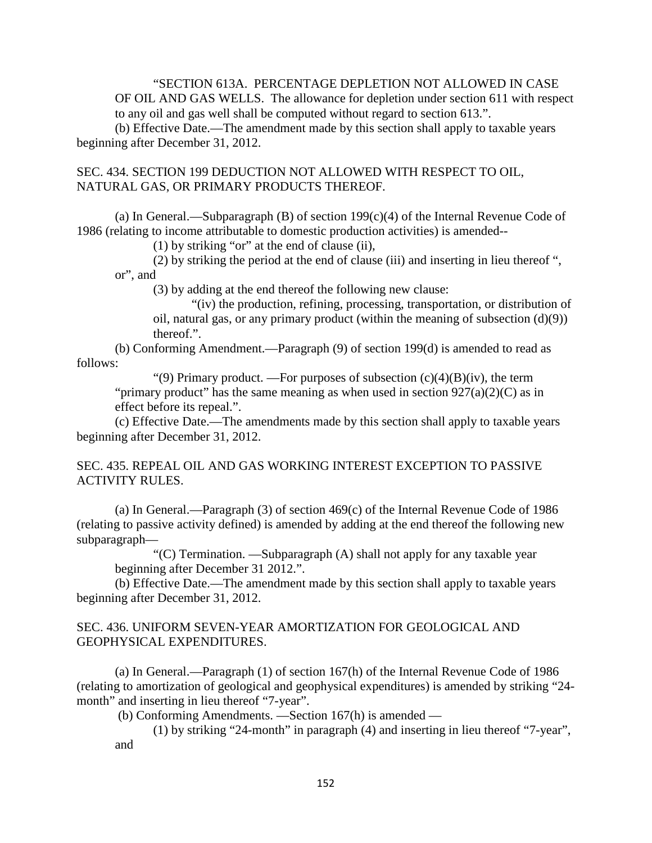"SECTION 613A. PERCENTAGE DEPLETION NOT ALLOWED IN CASE OF OIL AND GAS WELLS. The allowance for depletion under section 611 with respect to any oil and gas well shall be computed without regard to section 613.".

(b) Effective Date.—The amendment made by this section shall apply to taxable years beginning after December 31, 2012.

### SEC. 434. SECTION 199 DEDUCTION NOT ALLOWED WITH RESPECT TO OIL, NATURAL GAS, OR PRIMARY PRODUCTS THEREOF.

(a) In General.—Subparagraph  $(B)$  of section 199 $(c)(4)$  of the Internal Revenue Code of 1986 (relating to income attributable to domestic production activities) is amended--

(1) by striking "or" at the end of clause (ii),

(2) by striking the period at the end of clause (iii) and inserting in lieu thereof ", or", and

(3) by adding at the end thereof the following new clause:

"(iv) the production, refining, processing, transportation, or distribution of oil, natural gas, or any primary product (within the meaning of subsection  $(d)(9)$ ) thereof.".

(b) Conforming Amendment.—Paragraph (9) of section 199(d) is amended to read as follows:

"(9) Primary product. —For purposes of subsection  $(c)(4)(B)(iv)$ , the term "primary product" has the same meaning as when used in section  $927(a)(2)(C)$  as in effect before its repeal.".

(c) Effective Date.—The amendments made by this section shall apply to taxable years beginning after December 31, 2012.

## SEC. 435. REPEAL OIL AND GAS WORKING INTEREST EXCEPTION TO PASSIVE ACTIVITY RULES.

(a) In General.—Paragraph (3) of section 469(c) of the Internal Revenue Code of 1986 (relating to passive activity defined) is amended by adding at the end thereof the following new subparagraph—

"(C) Termination. —Subparagraph (A) shall not apply for any taxable year beginning after December 31 2012.".

(b) Effective Date.—The amendment made by this section shall apply to taxable years beginning after December 31, 2012.

## SEC. 436. UNIFORM SEVEN-YEAR AMORTIZATION FOR GEOLOGICAL AND GEOPHYSICAL EXPENDITURES.

(a) In General.—Paragraph (1) of section 167(h) of the Internal Revenue Code of 1986 (relating to amortization of geological and geophysical expenditures) is amended by striking "24 month" and inserting in lieu thereof "7-year".

(b) Conforming Amendments. —Section 167(h) is amended —

(1) by striking "24-month" in paragraph (4) and inserting in lieu thereof "7-year", and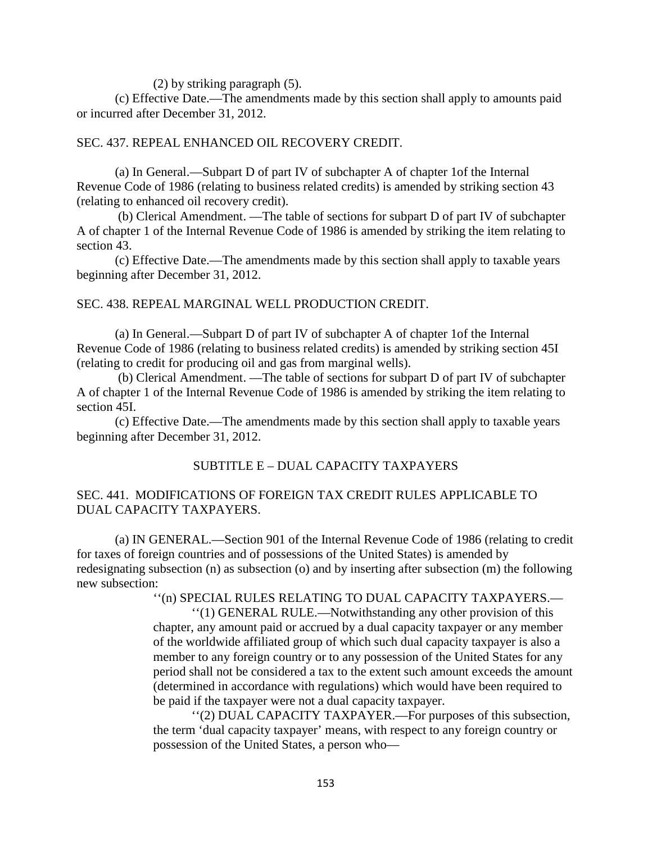(2) by striking paragraph (5).

(c) Effective Date.—The amendments made by this section shall apply to amounts paid or incurred after December 31, 2012.

### SEC. 437. REPEAL ENHANCED OIL RECOVERY CREDIT.

(a) In General.—Subpart D of part IV of subchapter A of chapter 1of the Internal Revenue Code of 1986 (relating to business related credits) is amended by striking section 43 (relating to enhanced oil recovery credit).

(b) Clerical Amendment. —The table of sections for subpart D of part IV of subchapter A of chapter 1 of the Internal Revenue Code of 1986 is amended by striking the item relating to section 43.

(c) Effective Date.—The amendments made by this section shall apply to taxable years beginning after December 31, 2012.

### SEC. 438. REPEAL MARGINAL WELL PRODUCTION CREDIT.

(a) In General.—Subpart D of part IV of subchapter A of chapter 1of the Internal Revenue Code of 1986 (relating to business related credits) is amended by striking section 45I (relating to credit for producing oil and gas from marginal wells).

(b) Clerical Amendment. —The table of sections for subpart D of part IV of subchapter A of chapter 1 of the Internal Revenue Code of 1986 is amended by striking the item relating to section 45I.

(c) Effective Date.—The amendments made by this section shall apply to taxable years beginning after December 31, 2012.

## SUBTITLE E – DUAL CAPACITY TAXPAYERS

## SEC. 441. MODIFICATIONS OF FOREIGN TAX CREDIT RULES APPLICABLE TO DUAL CAPACITY TAXPAYERS.

(a) IN GENERAL.—Section 901 of the Internal Revenue Code of 1986 (relating to credit for taxes of foreign countries and of possessions of the United States) is amended by redesignating subsection (n) as subsection (o) and by inserting after subsection (m) the following new subsection:

''(n) SPECIAL RULES RELATING TO DUAL CAPACITY TAXPAYERS.—

''(1) GENERAL RULE.—Notwithstanding any other provision of this chapter, any amount paid or accrued by a dual capacity taxpayer or any member of the worldwide affiliated group of which such dual capacity taxpayer is also a member to any foreign country or to any possession of the United States for any period shall not be considered a tax to the extent such amount exceeds the amount (determined in accordance with regulations) which would have been required to be paid if the taxpayer were not a dual capacity taxpayer.

''(2) DUAL CAPACITY TAXPAYER.—For purposes of this subsection, the term 'dual capacity taxpayer' means, with respect to any foreign country or possession of the United States, a person who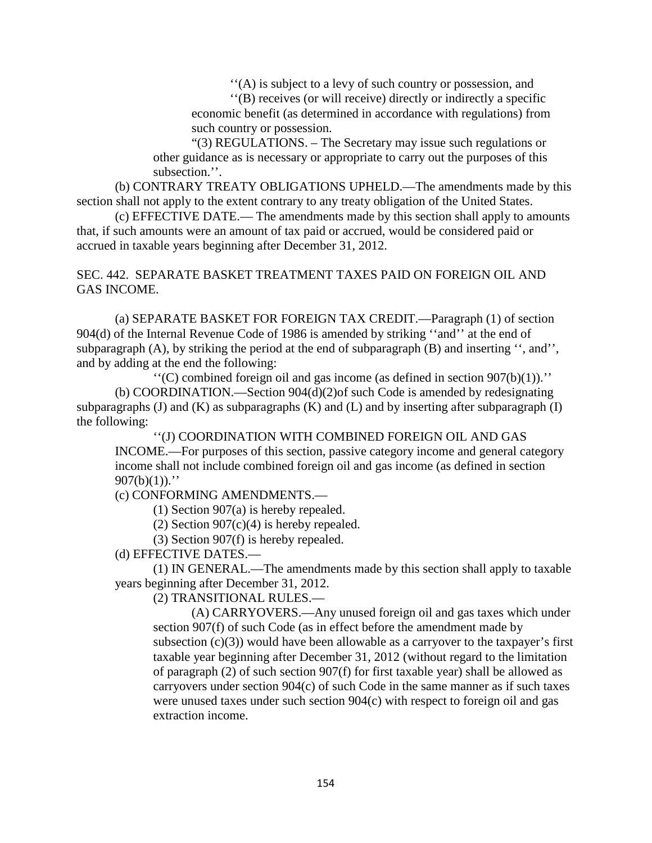''(A) is subject to a levy of such country or possession, and

''(B) receives (or will receive) directly or indirectly a specific economic benefit (as determined in accordance with regulations) from such country or possession.

"(3) REGULATIONS. – The Secretary may issue such regulations or other guidance as is necessary or appropriate to carry out the purposes of this subsection.''.

(b) CONTRARY TREATY OBLIGATIONS UPHELD.—The amendments made by this section shall not apply to the extent contrary to any treaty obligation of the United States.

(c) EFFECTIVE DATE.— The amendments made by this section shall apply to amounts that, if such amounts were an amount of tax paid or accrued, would be considered paid or accrued in taxable years beginning after December 31, 2012.

SEC. 442. SEPARATE BASKET TREATMENT TAXES PAID ON FOREIGN OIL AND GAS INCOME.

(a) SEPARATE BASKET FOR FOREIGN TAX CREDIT.—Paragraph (1) of section 904(d) of the Internal Revenue Code of 1986 is amended by striking ''and'' at the end of subparagraph (A), by striking the period at the end of subparagraph (B) and inserting '', and'', and by adding at the end the following:

 $\lq\lq$ <sup>(C)</sup> combined foreign oil and gas income (as defined in section 907(b)(1)).<sup>''</sup> (b) COORDINATION.—Section 904(d)(2)of such Code is amended by redesignating subparagraphs (J) and (K) as subparagraphs (K) and (L) and by inserting after subparagraph (I) the following:

''(J) COORDINATION WITH COMBINED FOREIGN OIL AND GAS INCOME.—For purposes of this section, passive category income and general category income shall not include combined foreign oil and gas income (as defined in section  $907(b)(1)$ ."

(c) CONFORMING AMENDMENTS.—

(1) Section 907(a) is hereby repealed.

(2) Section  $907(c)(4)$  is hereby repealed.

(3) Section 907(f) is hereby repealed.

(d) EFFECTIVE DATES.—

(1) IN GENERAL.—The amendments made by this section shall apply to taxable years beginning after December 31, 2012.

(2) TRANSITIONAL RULES.—

(A) CARRYOVERS.—Any unused foreign oil and gas taxes which under section 907(f) of such Code (as in effect before the amendment made by subsection  $(c)(3)$ ) would have been allowable as a carryover to the taxpayer's first taxable year beginning after December 31, 2012 (without regard to the limitation of paragraph (2) of such section 907(f) for first taxable year) shall be allowed as carryovers under section 904(c) of such Code in the same manner as if such taxes were unused taxes under such section 904(c) with respect to foreign oil and gas extraction income.